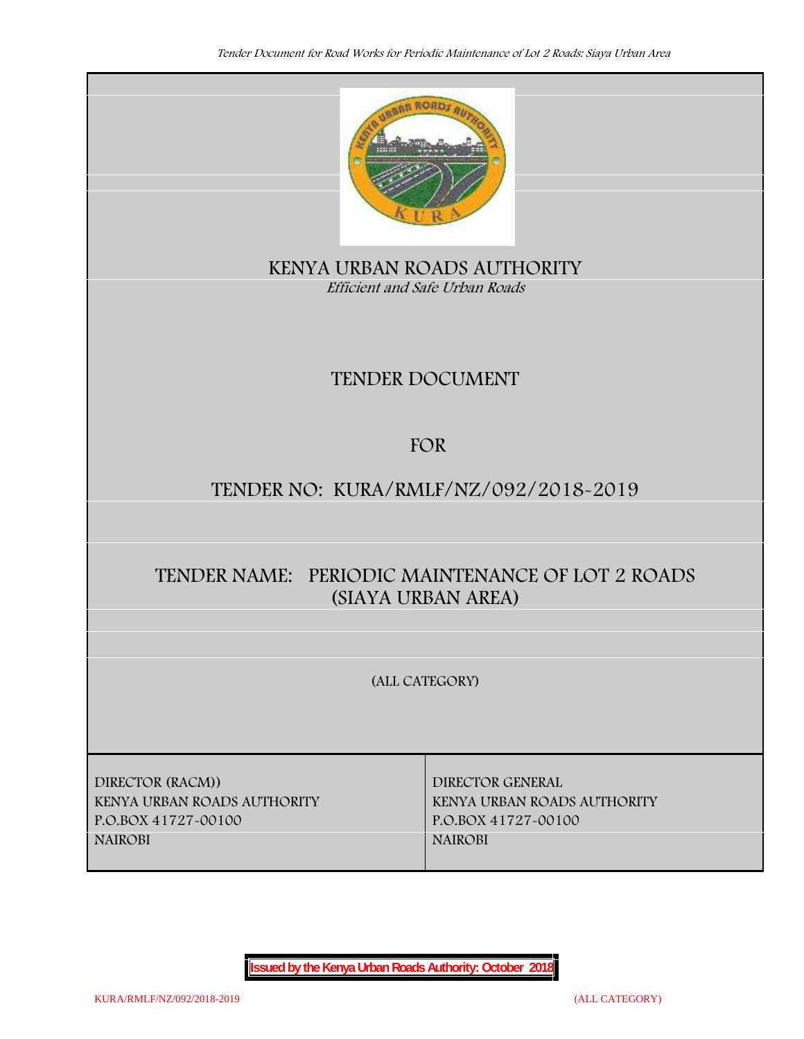

**KENYA URBAN ROADS AUTHORITY** *Efficient and Safe Urban Roads*

# **TENDER DOCUMENT**

# **FOR**

# **TENDER NO: KURA/RMLF/NZ/092/2018-2019**

# **TENDER NAME: PERIODIC MAINTENANCE OF LOT 2 ROADS (SIAYA URBAN AREA)**

**(ALL CATEGORY)**

**DIRECTOR (RACM)) DIRECTOR GENERAL KENYA URBAN ROADS AUTHORITY KENYA URBAN ROADS AUTHORITY P.O.BOX 41727-00100 P.O.BOX 41727-00100 NAIROBI NAIROBI**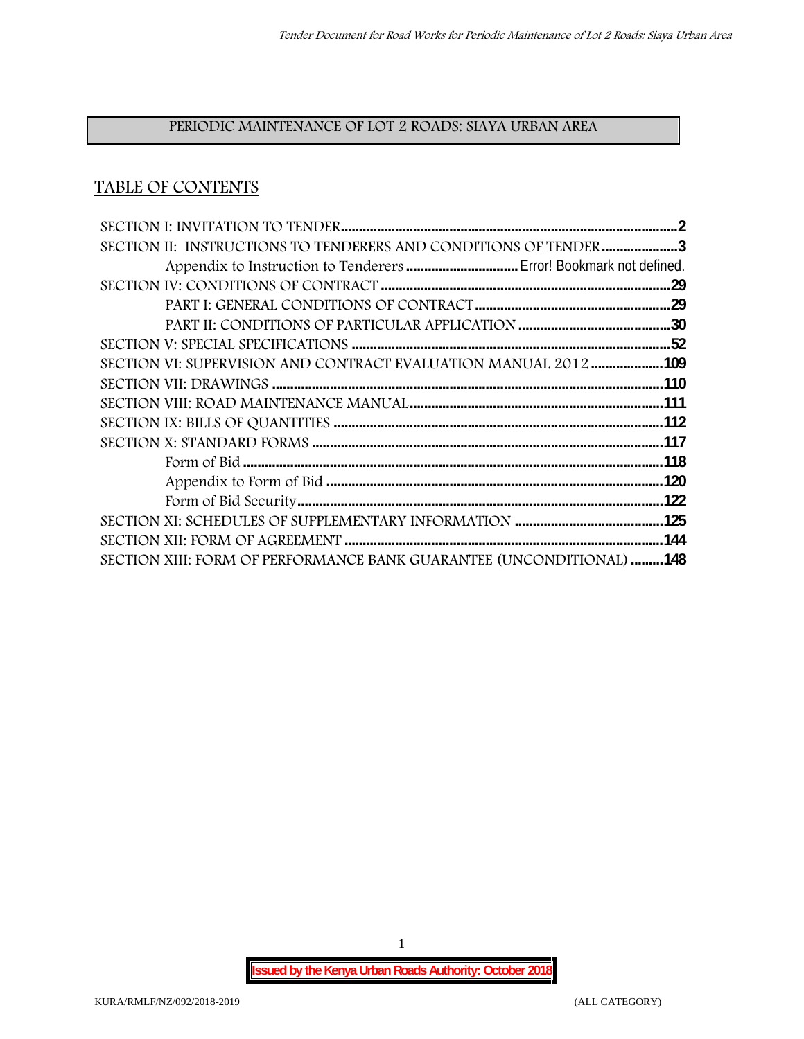# **PERIODIC MAINTENANCE OF LOT 2 ROADS: SIAYA URBAN AREA**

## **TABLE OF CONTENTS**

| SECTION II: INSTRUCTIONS TO TENDERERS AND CONDITIONS OF TENDER 3     |  |
|----------------------------------------------------------------------|--|
|                                                                      |  |
|                                                                      |  |
|                                                                      |  |
|                                                                      |  |
|                                                                      |  |
| SECTION VI: SUPERVISION AND CONTRACT EVALUATION MANUAL 2012109       |  |
|                                                                      |  |
|                                                                      |  |
|                                                                      |  |
|                                                                      |  |
|                                                                      |  |
|                                                                      |  |
|                                                                      |  |
|                                                                      |  |
|                                                                      |  |
| SECTION XIII: FORM OF PERFORMANCE BANK GUARANTEE (UNCONDITIONAL) 148 |  |

1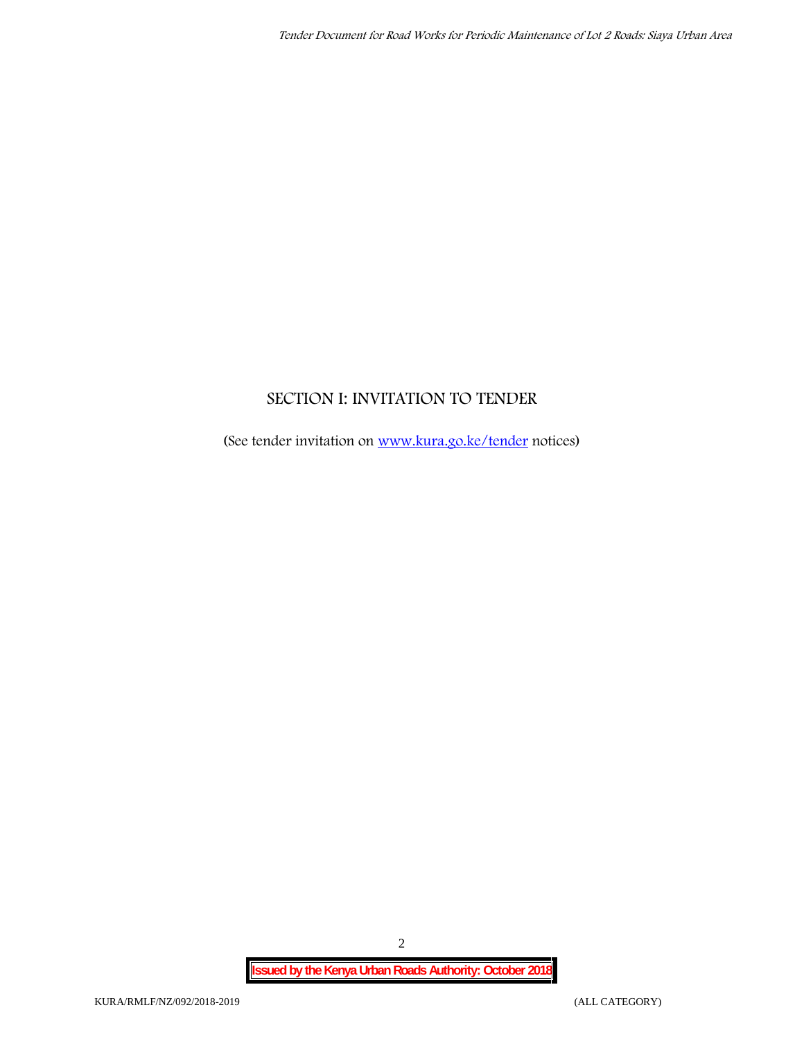# **SECTION I: INVITATION TO TENDER**

(See tender invitation on www.kura.go.ke/tender notices)

2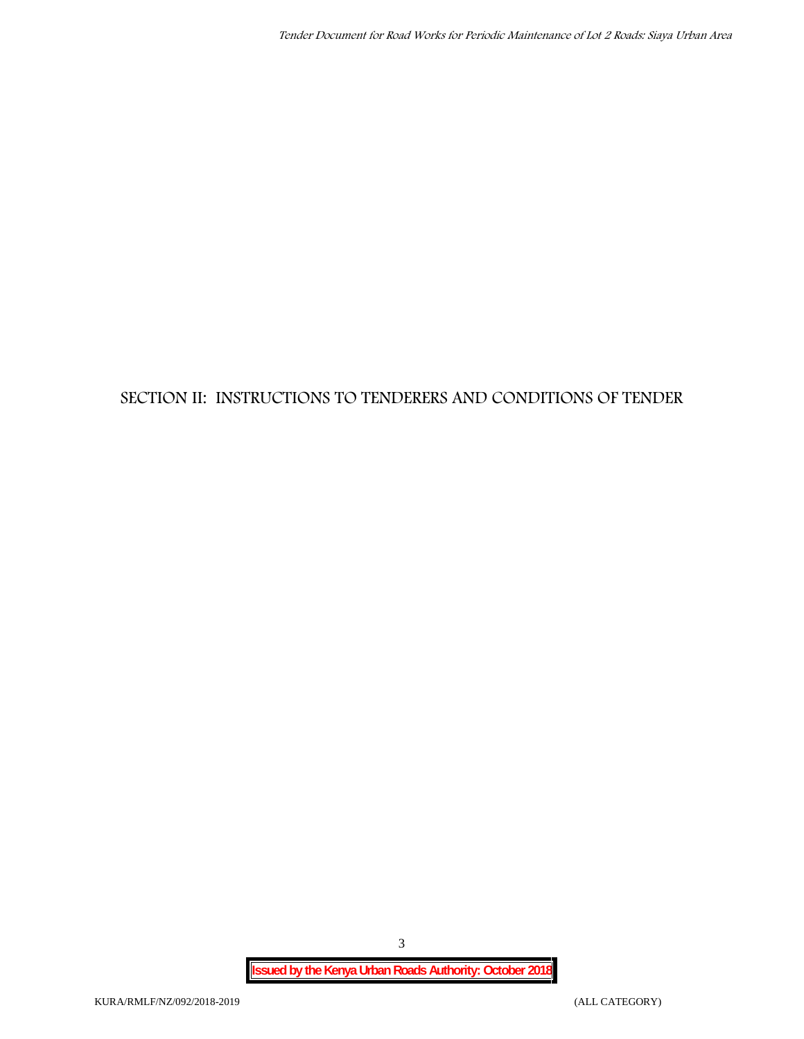# **SECTION II: INSTRUCTIONS TO TENDERERS AND CONDITIONS OF TENDER**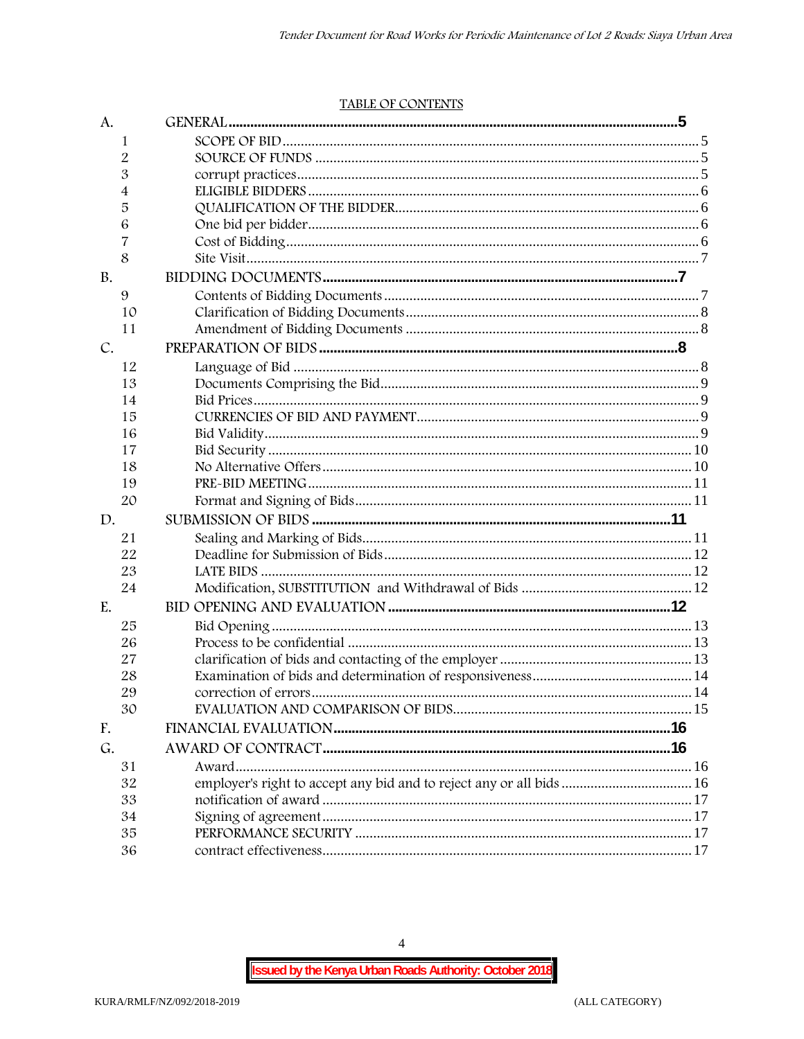#### TABLE OF CONTENTS

| A.        |                                                                      |  |
|-----------|----------------------------------------------------------------------|--|
| 1         |                                                                      |  |
| 2         |                                                                      |  |
| 3         |                                                                      |  |
| 4         |                                                                      |  |
| 5         |                                                                      |  |
| 6         |                                                                      |  |
| 7         |                                                                      |  |
| 8         |                                                                      |  |
| <b>B.</b> |                                                                      |  |
| 9         |                                                                      |  |
| 10        |                                                                      |  |
| 11        |                                                                      |  |
| C.        |                                                                      |  |
| 12        |                                                                      |  |
| 13        |                                                                      |  |
| 14        |                                                                      |  |
| 15        |                                                                      |  |
| 16        |                                                                      |  |
| 17        |                                                                      |  |
| 18        |                                                                      |  |
| 19        |                                                                      |  |
| 20        |                                                                      |  |
| D.        |                                                                      |  |
| 21        |                                                                      |  |
| 22        |                                                                      |  |
| 23        |                                                                      |  |
| 24        |                                                                      |  |
| E.        |                                                                      |  |
| 25        |                                                                      |  |
| 26        |                                                                      |  |
| 27        |                                                                      |  |
| 28        |                                                                      |  |
| 29        |                                                                      |  |
| 30        |                                                                      |  |
| F.        |                                                                      |  |
| G.        |                                                                      |  |
| 31        |                                                                      |  |
| 32        | employer's right to accept any bid and to reject any or all bids  16 |  |
| 33        |                                                                      |  |
| 34        |                                                                      |  |
| 35        |                                                                      |  |
| 36        |                                                                      |  |

 $\overline{4}$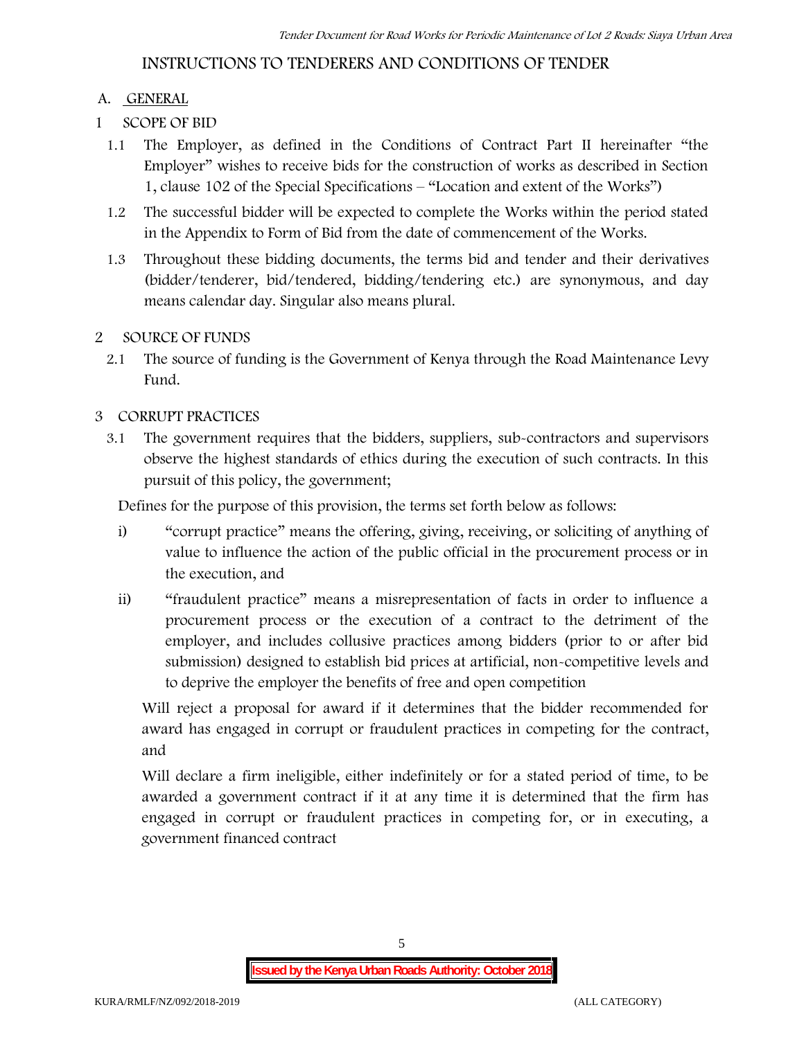## **INSTRUCTIONS TO TENDERERS AND CONDITIONS OF TENDER**

## **A. GENERAL**

- **1 SCOPE OF BID**
	- 1.1 The Employer, as defined in the Conditions of Contract Part II hereinafter "the Employer" wishes to receive bids for the construction of works as described in Section 1, clause 102 of the Special Specifications – "Location and extent of the Works")
	- 1.2 The successful bidder will be expected to complete the Works within the period stated in the Appendix to Form of Bid from the date of commencement of the Works.
	- 1.3 Throughout these bidding documents, the terms bid and tender and their derivatives (bidder/tenderer, bid/tendered, bidding/tendering etc.) are synonymous, and day means calendar day. Singular also means plural.

## **2 SOURCE OF FUNDS**

2.1 The source of funding is the Government of Kenya through the Road Maintenance Levy Fund.

## **3 CORRUPT PRACTICES**

3.1 The government requires that the bidders, suppliers, sub-contractors and supervisors observe the highest standards of ethics during the execution of such contracts. In this pursuit of this policy, the government;

Defines for the purpose of this provision, the terms set forth below as follows:

- i) "corrupt practice" means the offering, giving, receiving, or soliciting of anything of value to influence the action of the public official in the procurement process or in the execution, and
- ii) "fraudulent practice" means a misrepresentation of facts in order to influence a procurement process or the execution of a contract to the detriment of the employer, and includes collusive practices among bidders (prior to or after bid submission) designed to establish bid prices at artificial, non-competitive levels and to deprive the employer the benefits of free and open competition

Will reject a proposal for award if it determines that the bidder recommended for award has engaged in corrupt or fraudulent practices in competing for the contract, and

Will declare a firm ineligible, either indefinitely or for a stated period of time, to be awarded a government contract if it at any time it is determined that the firm has engaged in corrupt or fraudulent practices in competing for, or in executing, a government financed contract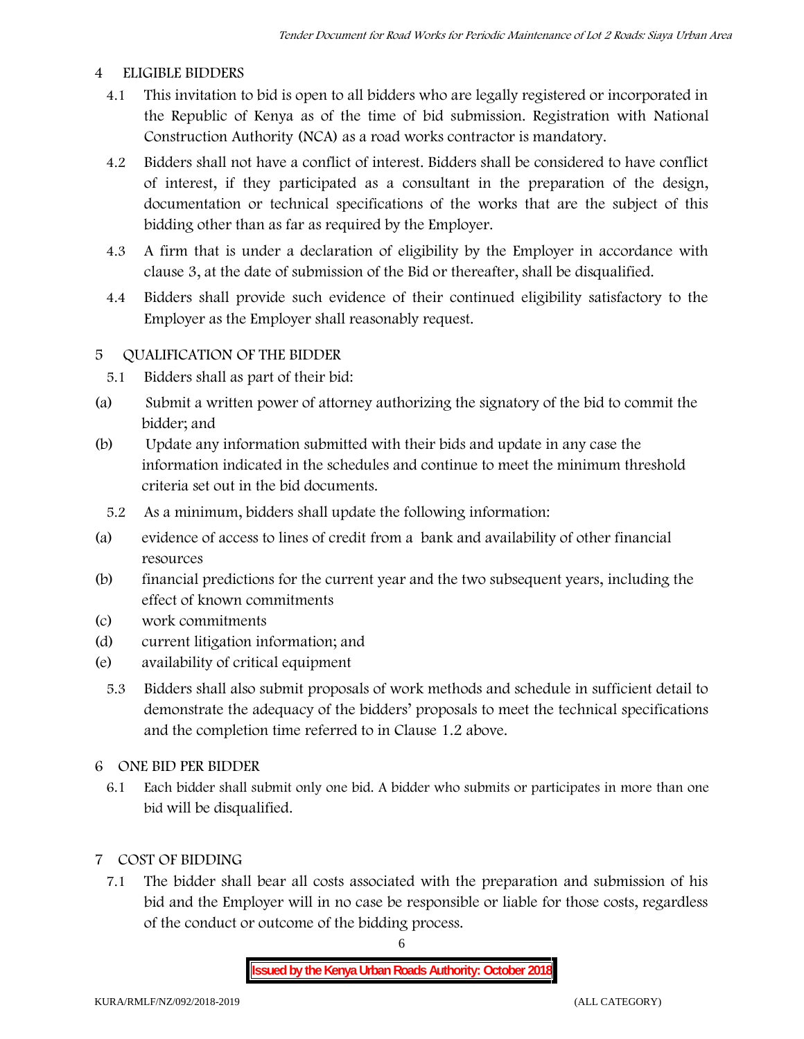## **4 ELIGIBLE BIDDERS**

- 4.1 This invitation to bid is open to all bidders who are legally registered or incorporated in the Republic of Kenya as of the time of bid submission. Registration with National Construction Authority (NCA) as a road works contractor is mandatory.
- 4.2 Bidders shall not have a conflict of interest. Bidders shall be considered to have conflict of interest, if they participated as a consultant in the preparation of the design, documentation or technical specifications of the works that are the subject of this bidding other than as far as required by the Employer.
- 4.3 A firm that is under a declaration of eligibility by the Employer in accordance with clause 3, at the date of submission of the Bid or thereafter, shall be disqualified.
- 4.4 Bidders shall provide such evidence of their continued eligibility satisfactory to the Employer as the Employer shall reasonably request.

## **5 QUALIFICATION OF THE BIDDER**

- 5.1 Bidders shall as part of their bid:
- (a) Submit a written power of attorney authorizing the signatory of the bid to commit the bidder; and
- (b) Update any information submitted with their bids and update in any case the information indicated in the schedules and continue to meet the minimum threshold criteria set out in the bid documents.
	- 5.2 As a minimum, bidders shall update the following information:
- (a) evidence of access to lines of credit from a bank and availability of other financial resources
- (b) financial predictions for the current year and the two subsequent years, including the effect of known commitments
- (c) work commitments
- (d) current litigation information; and
- (e) availability of critical equipment
	- 5.3 Bidders shall also submit proposals of work methods and schedule in sufficient detail to demonstrate the adequacy of the bidders' proposals to meet the technical specifications and the completion time referred to in Clause 1.2 above.
- **6 ONE BID PER BIDDER**
	- 6.1 Each bidder shall submit only one bid. A bidder who submits or participates in more than one bid will be disqualified.

## **7 COST OF BIDDING**

7.1 The bidder shall bear all costs associated with the preparation and submission of his bid and the Employer will in no case be responsible or liable for those costs, regardless of the conduct or outcome of the bidding process.

6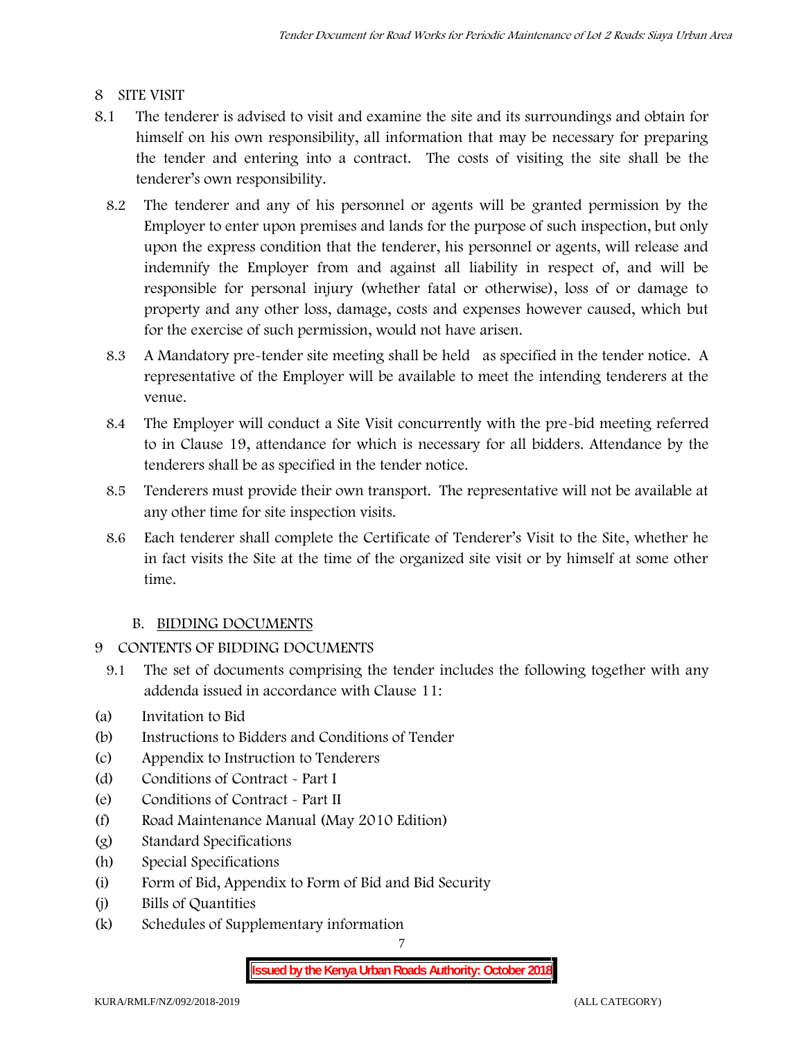## **8 SITE VISIT**

- 8.1 The tenderer is advised to visit and examine the site and its surroundings and obtain for himself on his own responsibility, all information that may be necessary for preparing the tender and entering into a contract. The costs of visiting the site shall be the tenderer's own responsibility.
	- 8.2 The tenderer and any of his personnel or agents will be granted permission by the Employer to enter upon premises and lands for the purpose of such inspection, but only upon the express condition that the tenderer, his personnel or agents, will release and indemnify the Employer from and against all liability in respect of, and will be responsible for personal injury (whether fatal or otherwise), loss of or damage to property and any other loss, damage, costs and expenses however caused, which but for the exercise of such permission, would not have arisen.
	- 8.3 A Mandatory pre-tender site meeting shall be held as specified in the tender notice. A representative of the Employer will be available to meet the intending tenderers at the venue.
	- 8.4 The Employer will conduct a Site Visit concurrently with the pre-bid meeting referred to in Clause 19, attendance for which is necessary for all bidders. Attendance by the tenderers shall be as specified in the tender notice.
	- 8.5 Tenderers must provide their own transport. The representative will not be available at any other time for site inspection visits.
	- 8.6 Each tenderer shall complete the Certificate of Tenderer's Visit to the Site, whether he in fact visits the Site at the time of the organized site visit or by himself at some other time.

## **B. BIDDING DOCUMENTS**

- **9 CONTENTS OF BIDDING DOCUMENTS**
	- 9.1 The set of documents comprising the tender includes the following together with any addenda issued in accordance with Clause 11:
- (a) Invitation to Bid
- (b) Instructions to Bidders and Conditions of Tender
- (c) Appendix to Instruction to Tenderers
- (d) Conditions of Contract Part I
- (e) Conditions of Contract Part II
- (f) Road Maintenance Manual (May 2010 Edition)
- (g) Standard Specifications
- (h) Special Specifications
- (i) Form of Bid, Appendix to Form of Bid and Bid Security
- (j) Bills of Quantities
- (k) Schedules of Supplementary information

7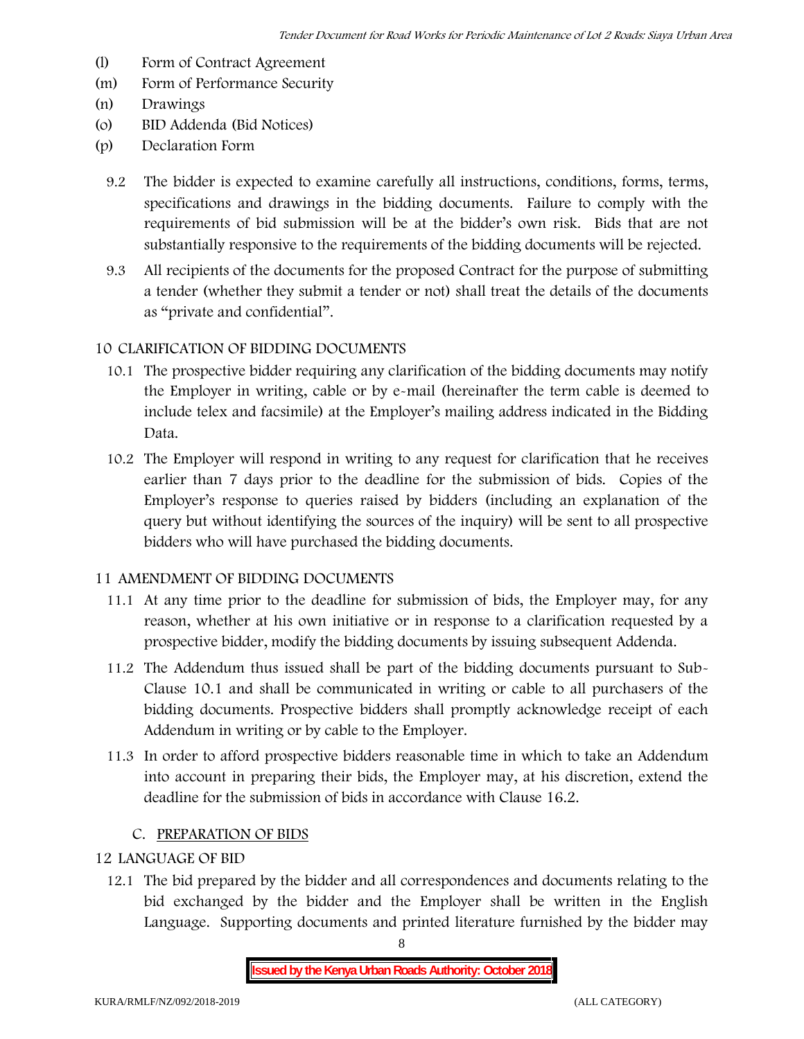- (l) Form of Contract Agreement
- (m) Form of Performance Security
- (n) Drawings
- (o) BID Addenda (Bid Notices)
- (p) Declaration Form
	- 9.2 The bidder is expected to examine carefully all instructions, conditions, forms, terms, specifications and drawings in the bidding documents. Failure to comply with the requirements of bid submission will be at the bidder's own risk. Bids that are not substantially responsive to the requirements of the bidding documents will be rejected.
	- 9.3 All recipients of the documents for the proposed Contract for the purpose of submitting a tender (whether they submit a tender or not) shall treat the details of the documents as "private and confidential".

## **10 CLARIFICATION OF BIDDING DOCUMENTS**

- 10.1 The prospective bidder requiring any clarification of the bidding documents may notify the Employer in writing, cable or by e-mail (hereinafter the term cable is deemed to include telex and facsimile) at the Employer's mailing address indicated in the Bidding Data.
- 10.2 The Employer will respond in writing to any request for clarification that he receives earlier than 7 days prior to the deadline for the submission of bids. Copies of the Employer's response to queries raised by bidders (including an explanation of the query but without identifying the sources of the inquiry) will be sent to all prospective bidders who will have purchased the bidding documents.

### **11 AMENDMENT OF BIDDING DOCUMENTS**

- 11.1 At any time prior to the deadline for submission of bids, the Employer may, for any reason, whether at his own initiative or in response to a clarification requested by a prospective bidder, modify the bidding documents by issuing subsequent Addenda.
- 11.2 The Addendum thus issued shall be part of the bidding documents pursuant to Sub- Clause 10.1 and shall be communicated in writing or cable to all purchasers of the bidding documents. Prospective bidders shall promptly acknowledge receipt of each Addendum in writing or by cable to the Employer.
- 11.3 In order to afford prospective bidders reasonable time in which to take an Addendum into account in preparing their bids, the Employer may, at his discretion, extend the deadline for the submission of bids in accordance with Clause 16.2.

### **C. PREPARATION OF BIDS**

## **12 LANGUAGE OF BID**

12.1 The bid prepared by the bidder and all correspondences and documents relating to the bid exchanged by the bidder and the Employer shall be written in the English Language. Supporting documents and printed literature furnished by the bidder may

8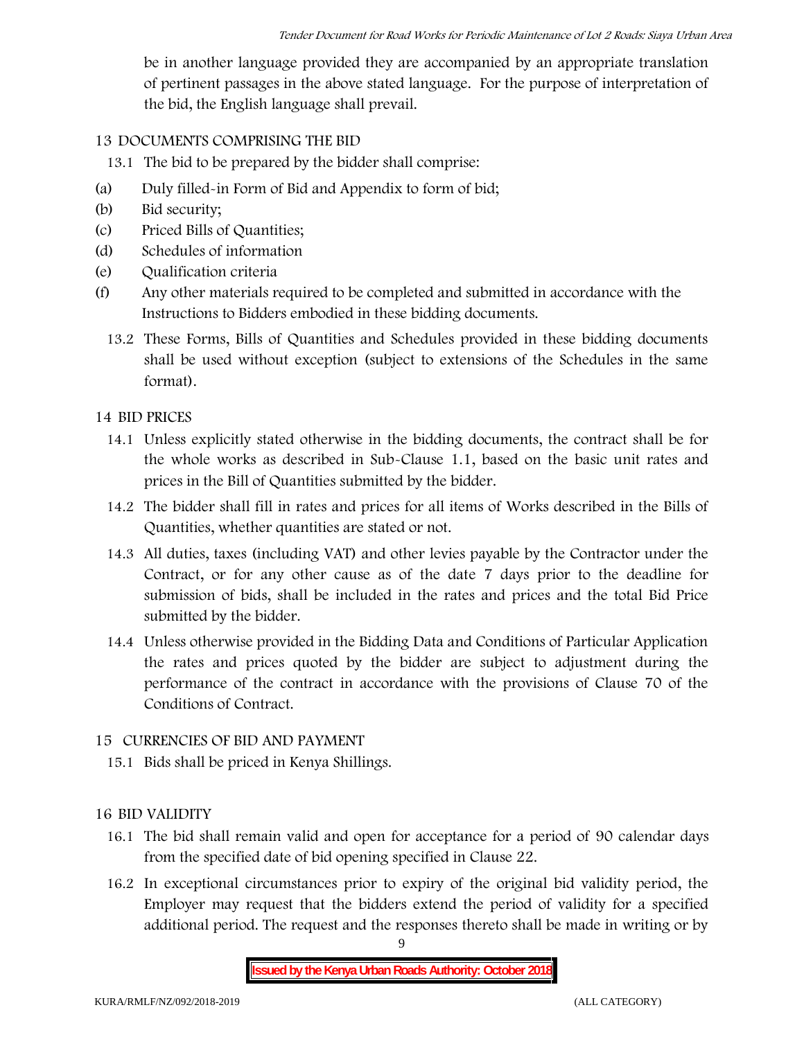be in another language provided they are accompanied by an appropriate translation of pertinent passages in the above stated language. For the purpose of interpretation of the bid, the English language shall prevail.

## **13 DOCUMENTS COMPRISING THE BID**

13.1 The bid to be prepared by the bidder shall comprise:

- (a) Duly filled-in Form of Bid and Appendix to form of bid;
- (b) Bid security;
- (c) Priced Bills of Quantities;
- (d) Schedules of information
- (e) Qualification criteria
- (f) Any other materials required to be completed and submitted in accordance with the Instructions to Bidders embodied in these bidding documents.
	- 13.2 These Forms, Bills of Quantities and Schedules provided in these bidding documents shall be used without exception (subject to extensions of the Schedules in the same format).

## **14 BID PRICES**

- 14.1 Unless explicitly stated otherwise in the bidding documents, the contract shall be for the whole works as described in Sub-Clause 1.1, based on the basic unit rates and prices in the Bill of Quantities submitted by the bidder.
- 14.2 The bidder shall fill in rates and prices for all items of Works described in the Bills of Quantities, whether quantities are stated or not.
- 14.3 All duties, taxes (including VAT) and other levies payable by the Contractor under the Contract, or for any other cause as of the date 7 days prior to the deadline for submission of bids, shall be included in the rates and prices and the total Bid Price submitted by the bidder.
- 14.4 Unless otherwise provided in the Bidding Data and Conditions of Particular Application the rates and prices quoted by the bidder are subject to adjustment during the performance of the contract in accordance with the provisions of Clause 70 of the Conditions of Contract.

### **15 CURRENCIES OF BID AND PAYMENT**

15.1 Bids shall be priced in Kenya Shillings.

## **16 BID VALIDITY**

- 16.1 The bid shall remain valid and open for acceptance for a period of 90 calendar days from the specified date of bid opening specified in Clause 22.
- 16.2 In exceptional circumstances prior to expiry of the original bid validity period, the Employer may request that the bidders extend the period of validity for a specified additional period. The request and the responses thereto shall be made in writing or by

9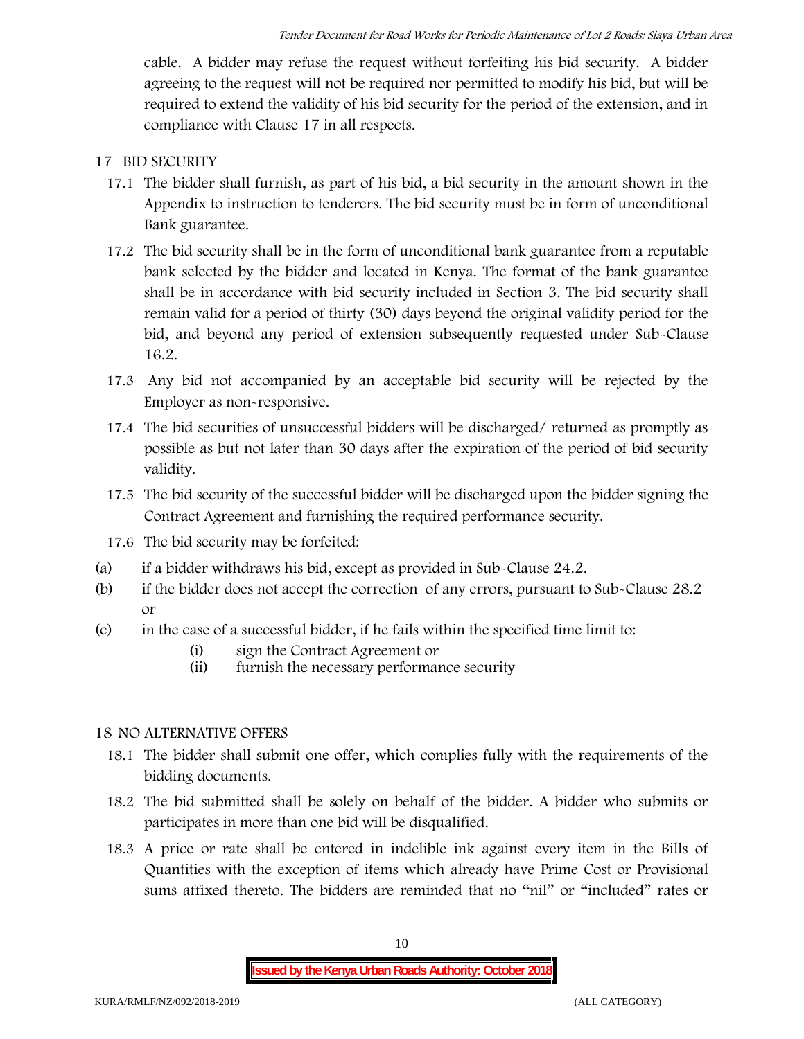cable. A bidder may refuse the request without forfeiting his bid security. A bidder agreeing to the request will not be required nor permitted to modify his bid, but will be required to extend the validity of his bid security for the period of the extension, and in compliance with Clause 17 in all respects.

## **17 BID SECURITY**

- **17.1** The bidder shall furnish, as part of his bid, a bid security in the amount shown in the Appendix to instruction to tenderers. **The bid security must be in form of unconditional Bank guarantee.**
- 17.2 The bid security shall be in the form of unconditional bank guarantee from a reputable bank selected by the bidder and located in Kenya. The format of the bank guarantee shall be in accordance with bid security included in Section 3. The bid security shall remain valid for a period of thirty (30) days beyond the original validity period for the bid, and beyond any period of extension subsequently requested under Sub-Clause 16.2.
- 17.3 Any bid not accompanied by an acceptable bid security will be rejected by the Employer as non-responsive.
- 17.4 The bid securities of unsuccessful bidders will be discharged/ returned as promptly as possible as but not later than 30 days after the expiration of the period of bid security validity.
- 17.5 The bid security of the successful bidder will be discharged upon the bidder signing the Contract Agreement and furnishing the required performance security.
- 17.6 The bid security may be forfeited:
- (a) if a bidder withdraws his bid, except as provided in Sub-Clause 24.2.
- (b) if the bidder does not accept the correction of any errors, pursuant to Sub-Clause 28.2 or
- (c) in the case of a successful bidder, if he fails within the specified time limit to:
	- (i) sign the Contract Agreement or
	- (ii) furnish the necessary performance security

### **18 NO ALTERNATIVE OFFERS**

- 18.1 The bidder shall submit one offer, which complies fully with the requirements of the bidding documents.
- 18.2 The bid submitted shall be solely on behalf of the bidder. A bidder who submits or participates in more than one bid will be disqualified.
- 18.3 A price or rate shall be entered in indelible ink against every item in the Bills of Quantities with the exception of items which already have Prime Cost or Provisional sums affixed thereto. The bidders are reminded that no "nil" or "included" rates or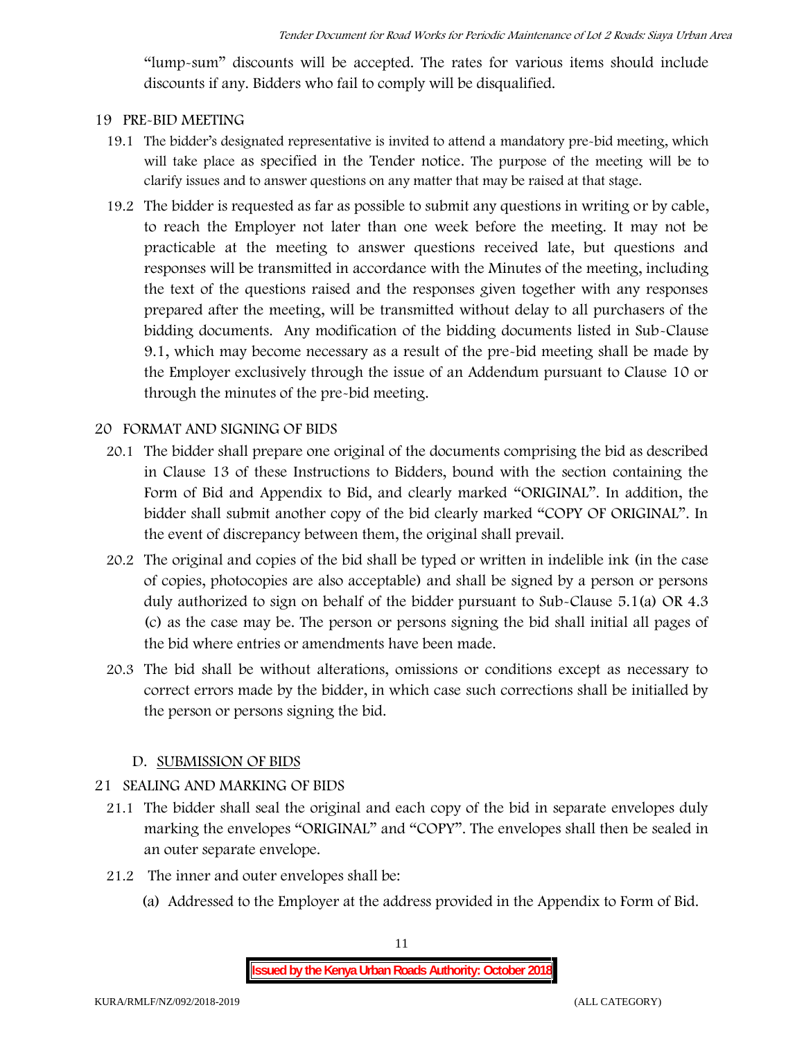"lump-sum" discounts will be accepted. The rates for various items should include discounts if any. Bidders who fail to comply will be disqualified.

#### **19 PRE-BID MEETING**

- 19.1 The bidder's designated representative is invited to attend a mandatory pre-bid meeting, which will take place as specified in the Tender notice. The purpose of the meeting will be to clarify issues and to answer questions on any matter that may be raised at that stage.
- 19.2 The bidder is requested as far as possible to submit any questions in writing or by cable, to reach the Employer not later than one week before the meeting. It may not be practicable at the meeting to answer questions received late, but questions and responses will be transmitted in accordance with the Minutes of the meeting, including the text of the questions raised and the responses given together with any responses prepared after the meeting, will be transmitted without delay to all purchasers of the bidding documents. Any modification of the bidding documents listed in Sub-Clause 9.1, which may become necessary as a result of the pre-bid meeting shall be made by the Employer exclusively through the issue of an Addendum pursuant to Clause 10 or through the minutes of the pre-bid meeting.

### **20 FORMAT AND SIGNING OF BIDS**

- 20.1 The bidder shall prepare one original of the documents comprising the bid as described in Clause 13 of these Instructions to Bidders, bound with the section containing the Form of Bid and Appendix to Bid, and clearly marked "ORIGINAL". In addition, the bidder shall submit another copy of the bid clearly marked "COPY OF ORIGINAL". In the event of discrepancy between them, the original shall prevail.
- 20.2 The original and copies of the bid shall be typed or written in indelible ink (in the case of copies, photocopies are also acceptable) and shall be signed by a person or persons duly authorized to sign on behalf of the bidder pursuant to Sub-Clause 5.1(a) OR 4.3 (c) as the case may be. The person or persons signing the bid shall initial all pages of the bid where entries or amendments have been made.
- 20.3 The bid shall be without alterations, omissions or conditions except as necessary to correct errors made by the bidder, in which case such corrections shall be initialled by the person or persons signing the bid.

### **D. SUBMISSION OF BIDS**

### **21 SEALING AND MARKING OF BIDS**

- 21.1 The bidder shall seal the original and each copy of the bid in separate envelopes duly marking the envelopes "ORIGINAL" and "COPY". The envelopes shall then be sealed in an outer separate envelope.
- 21.2 The inner and outer envelopes shall be:
	- (a) Addressed to the Employer at the address provided in the Appendix to Form of Bid.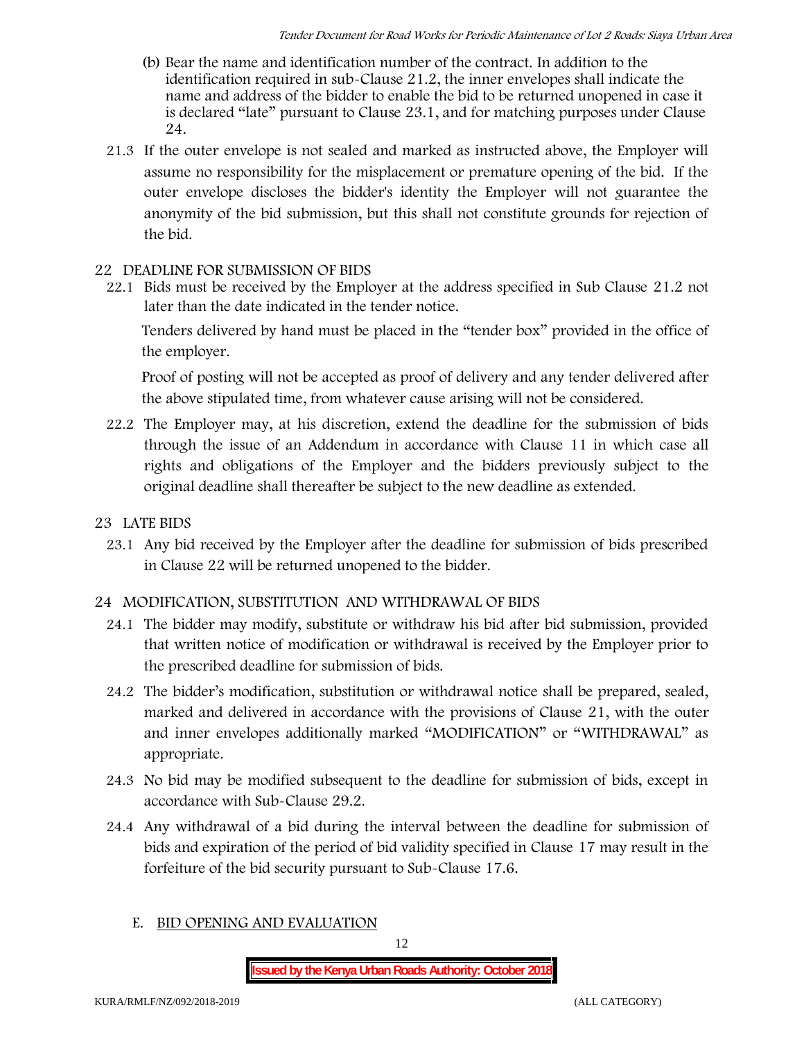- (b) Bear the name and identification number of the contract. In addition to the identification required in sub-Clause 21.2, the inner envelopes shall indicate the name and address of the bidder to enable the bid to be returned unopened in case it is declared "late" pursuant to Clause 23.1, and for matching purposes under Clause 24.
- 21.3 If the outer envelope is not sealed and marked as instructed above, the Employer will assume no responsibility for the misplacement or premature opening of the bid. If the outer envelope discloses the bidder's identity the Employer will not guarantee the anonymity of the bid submission, but this shall not constitute grounds for rejection of the bid.

### **22 DEADLINE FOR SUBMISSION OF BIDS**

22.1 Bids must be received by the Employer at the address specified in Sub Clause 21.2 not later than **the date indicated in the tender notice.**

Tenders delivered by hand must be placed in the "tender box" provided in the office of the employer.

Proof of posting will not be accepted as proof of delivery and any tender delivered after the above stipulated time, from whatever cause arising will not be considered.

- 22.2 The Employer may, at his discretion, extend the deadline for the submission of bids through the issue of an Addendum in accordance with Clause 11 in which case all rights and obligations of the Employer and the bidders previously subject to the original deadline shall thereafter be subject to the new deadline as extended.
- **23 LATE BIDS**
	- 23.1 Any bid received by the Employer after the deadline for submission of bids prescribed in Clause 22 will be returned unopened to the bidder.

## **24 MODIFICATION, SUBSTITUTION AND WITHDRAWAL OF BIDS**

- 24.1 The bidder may modify, substitute or withdraw his bid after bid submission, provided that written notice of modification or withdrawal is received by the Employer prior to the prescribed deadline for submission of bids.
- 24.2 The bidder's modification, substitution or withdrawal notice shall be prepared, sealed, marked and delivered in accordance with the provisions of Clause 21, with the outer and inner envelopes additionally marked "MODIFICATION" or "WITHDRAWAL" as appropriate.
- 24.3 No bid may be modified subsequent to the deadline for submission of bids, except in accordance with Sub-Clause 29.2.
- 24.4 Any withdrawal of a bid during the interval between the deadline for submission of bids and expiration of the period of bid validity specified in Clause 17 may result in the forfeiture of the bid security pursuant to Sub-Clause 17.6.
	- **E. BID OPENING AND EVALUATION**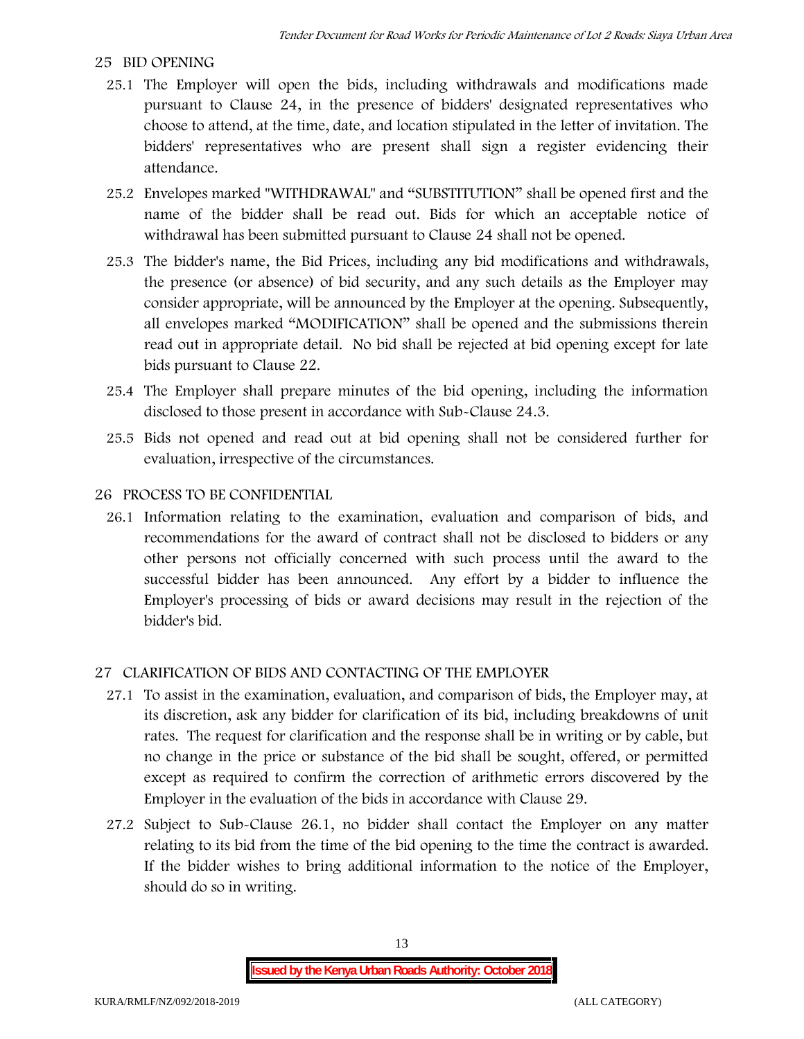### **25 BID OPENING**

- 25.1 The Employer will open the bids, including withdrawals and modifications made pursuant to Clause 24, in the presence of bidders' designated representatives who choose to attend, at the time, date, and location stipulated in the letter of invitation. The bidders' representatives who are present shall sign a register evidencing their attendance.
- 25.2 Envelopes marked "WITHDRAWAL" and "SUBSTITUTION" shall be opened first and the name of the bidder shall be read out. Bids for which an acceptable notice of withdrawal has been submitted pursuant to Clause 24 shall not be opened.
- 25.3 The bidder's name, the Bid Prices, including any bid modifications and withdrawals, the presence (or absence) of bid security, and any such details as the Employer may consider appropriate, will be announced by the Employer at the opening. Subsequently, all envelopes marked "MODIFICATION" shall be opened and the submissions therein read out in appropriate detail. No bid shall be rejected at bid opening except for late bids pursuant to Clause 22.
- 25.4 The Employer shall prepare minutes of the bid opening, including the information disclosed to those present in accordance with Sub-Clause 24.3.
- 25.5 Bids not opened and read out at bid opening shall not be considered further for evaluation, irrespective of the circumstances.

#### **26 PROCESS TO BE CONFIDENTIAL**

26.1 Information relating to the examination, evaluation and comparison of bids, and recommendations for the award of contract shall not be disclosed to bidders or any other persons not officially concerned with such process until the award to the successful bidder has been announced. Any effort by a bidder to influence the Employer's processing of bids or award decisions may result in the rejection of the bidder's bid.

### **27 CLARIFICATION OF BIDS AND CONTACTING OF THE EMPLOYER**

- 27.1 To assist in the examination, evaluation, and comparison of bids, the Employer may, at its discretion, ask any bidder for clarification of its bid, including breakdowns of unit rates. The request for clarification and the response shall be in writing or by cable, but no change in the price or substance of the bid shall be sought, offered, or permitted except as required to confirm the correction of arithmetic errors discovered by the Employer in the evaluation of the bids in accordance with Clause 29.
- 27.2 Subject to Sub-Clause 26.1, no bidder shall contact the Employer on any matter relating to its bid from the time of the bid opening to the time the contract is awarded. If the bidder wishes to bring additional information to the notice of the Employer, should do so in writing.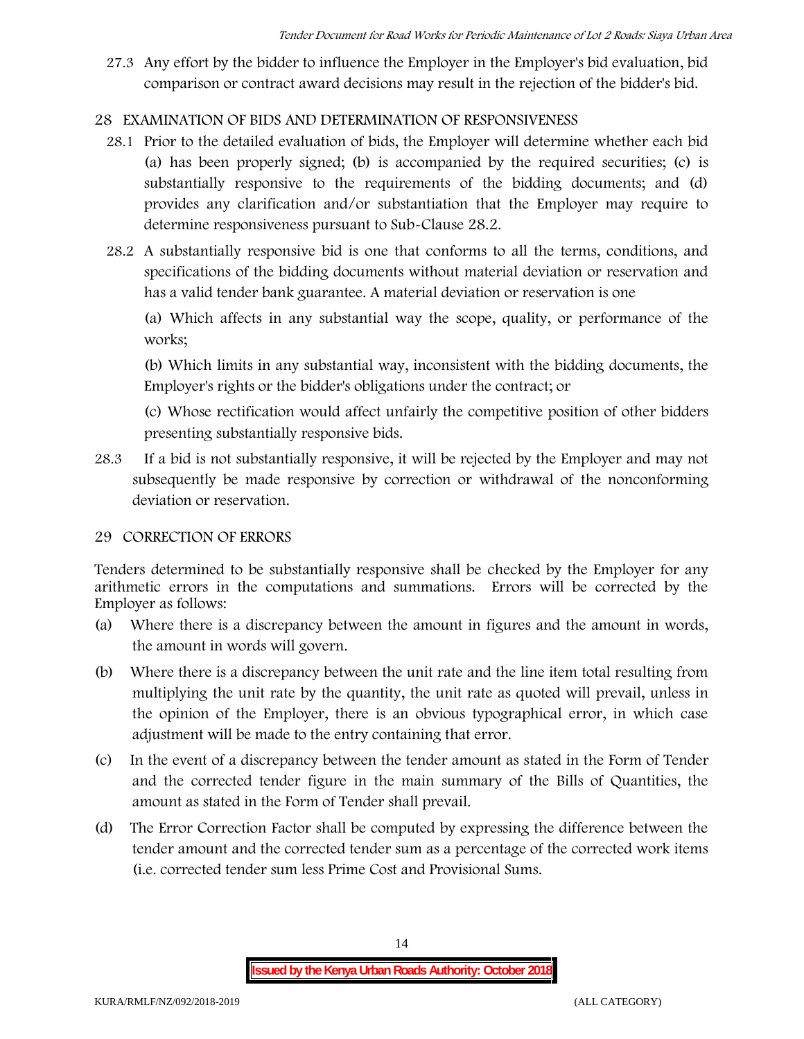27.3 Any effort by the bidder to influence the Employer in the Employer's bid evaluation, bid comparison or contract award decisions may result in the rejection of the bidder's bid.

## **28 EXAMINATION OF BIDS AND DETERMINATION OF RESPONSIVENESS**

- 28.1 Prior to the detailed evaluation of bids, the Employer will determine whether each bid (a) has been properly signed; (b) is accompanied by the required securities; (c) is substantially responsive to the requirements of the bidding documents; and (d) provides any clarification and/or substantiation that the Employer may require to determine responsiveness pursuant to Sub-Clause 28.2.
- 28.2 A substantially responsive bid is one that conforms to all the terms, conditions, and specifications of the bidding documents without material deviation or reservation and has a valid tender bank guarantee. A material deviation or reservation is one

(a) Which affects in any substantial way the scope, quality, or performance of the works;

(b) Which limits in any substantial way, inconsistent with the bidding documents, the Employer's rights or the bidder's obligations under the contract; or

(c) Whose rectification would affect unfairly the competitive position of other bidders presenting substantially responsive bids.

28.3 If a bid is not substantially responsive, it will be rejected by the Employer and may not subsequently be made responsive by correction or withdrawal of the nonconforming deviation or reservation.

## **29 CORRECTION OF ERRORS**

Tenders determined to be substantially responsive shall be checked by the Employer for any arithmetic errors in the computations and summations. Errors will be corrected by the Employer as follows:

- (a) Where there is a discrepancy between the amount in figures and the amount in words, the amount in words will govern.
- (b) Where there is a discrepancy between the unit rate and the line item total resulting from multiplying the unit rate by the quantity, the unit rate as quoted will prevail, unless in the opinion of the Employer, there is an obvious typographical error, in which case adjustment will be made to the entry containing that error.
- (c) In the event of a discrepancy between the tender amount as stated in the Form of Tender and the corrected tender figure in the main summary of the Bills of Quantities, the amount as stated in the Form of Tender shall prevail.
- (d) The Error Correction Factor shall be computed by expressing the difference between the tender amount and the corrected tender sum as a percentage of the corrected work items (i.e. corrected tender sum less Prime Cost and Provisional Sums.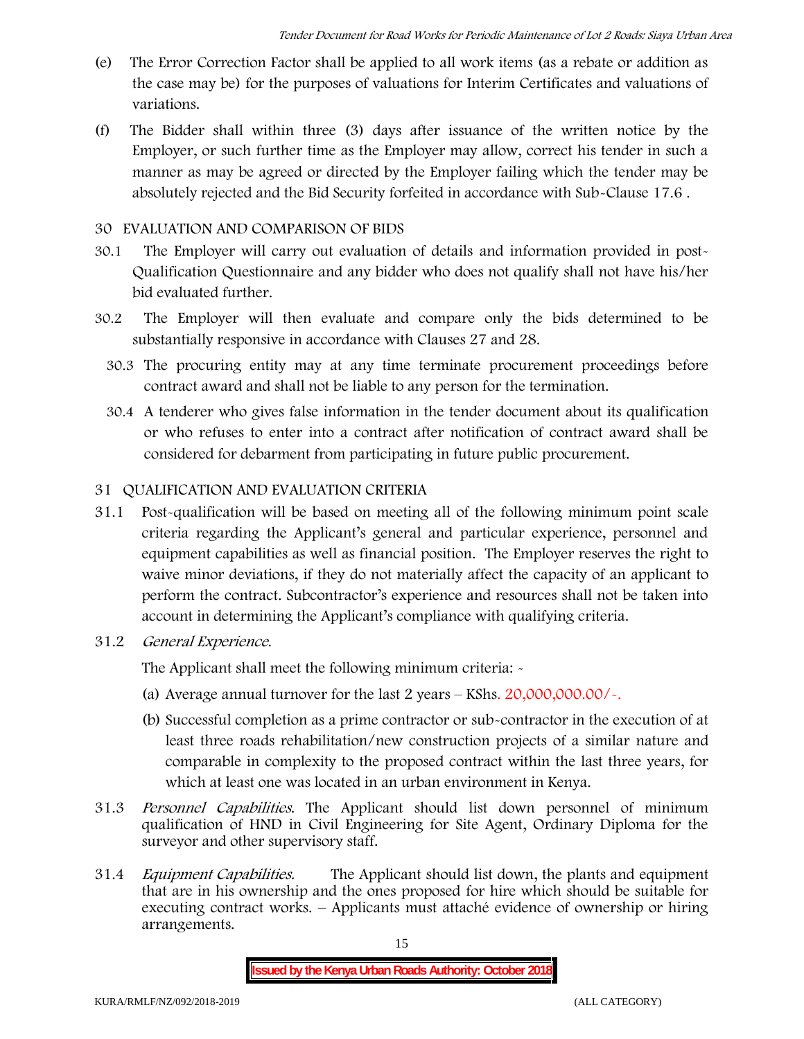- (e) The Error Correction Factor shall be applied to all work items (as a rebate or addition as the case may be) for the purposes of valuations for Interim Certificates and valuations of variations.
- (f) The Bidder shall within three (3) days after issuance of the written notice by the Employer, or such further time as the Employer may allow, correct his tender in such a manner as may be agreed or directed by the Employer failing which the tender may be absolutely rejected and the Bid Security forfeited in accordance with Sub-Clause 17.6 .

## **30 EVALUATION AND COMPARISON OF BIDS**

- 30.1 The Employer will carry out evaluation of details and information provided in post- Qualification Questionnaire and any bidder who does not qualify shall not have his/her bid evaluated further.
- 30.2 The Employer will then evaluate and compare only the bids determined to be substantially responsive in accordance with Clauses 27 and 28.
	- 30.3 The procuring entity may at any time terminate procurement proceedings before contract award and shall not be liable to any person for the termination.
	- 30.4 A tenderer who gives false information in the tender document about its qualification or who refuses to enter into a contract after notification of contract award shall be considered for debarment from participating in future public procurement.

## **31 QUALIFICATION AND EVALUATION CRITERIA**

- 31.1 Post-qualification will be based on meeting all of the following minimum point scale criteria regarding the Applicant's general and particular experience, personnel and equipment capabilities as well as financial position. The Employer reserves the right to waive minor deviations, if they do not materially affect the capacity of an applicant to perform the contract. Subcontractor's experience and resources shall not be taken into account in determining the Applicant's compliance with qualifying criteria.
- **31.2** *General Experience***.**

The Applicant shall meet the following minimum criteria: -

- (a) Average annual turnover for the last 2 years **KShs. 20,000,000.00/-.**
- (b) Successful completion as a prime contractor or sub-contractor in the execution of at least three roads rehabilitation/new construction projects of a similar nature and comparable in complexity to the proposed contract within the last three years, for which at least one was located in an urban environment in Kenya.
- 31.3 *Personnel Capabilities***.** The Applicant should list down personnel of minimum qualification of HND in Civil Engineering for Site Agent, Ordinary Diploma for the surveyor and other supervisory staff.
- 31.4 *Equipment Capabilities.* The Applicant should list down, the plants and equipment that are in his ownership and the ones proposed for hire which should be suitable for executing contract works. – Applicants must attaché evidence of ownership or hiring arrangements.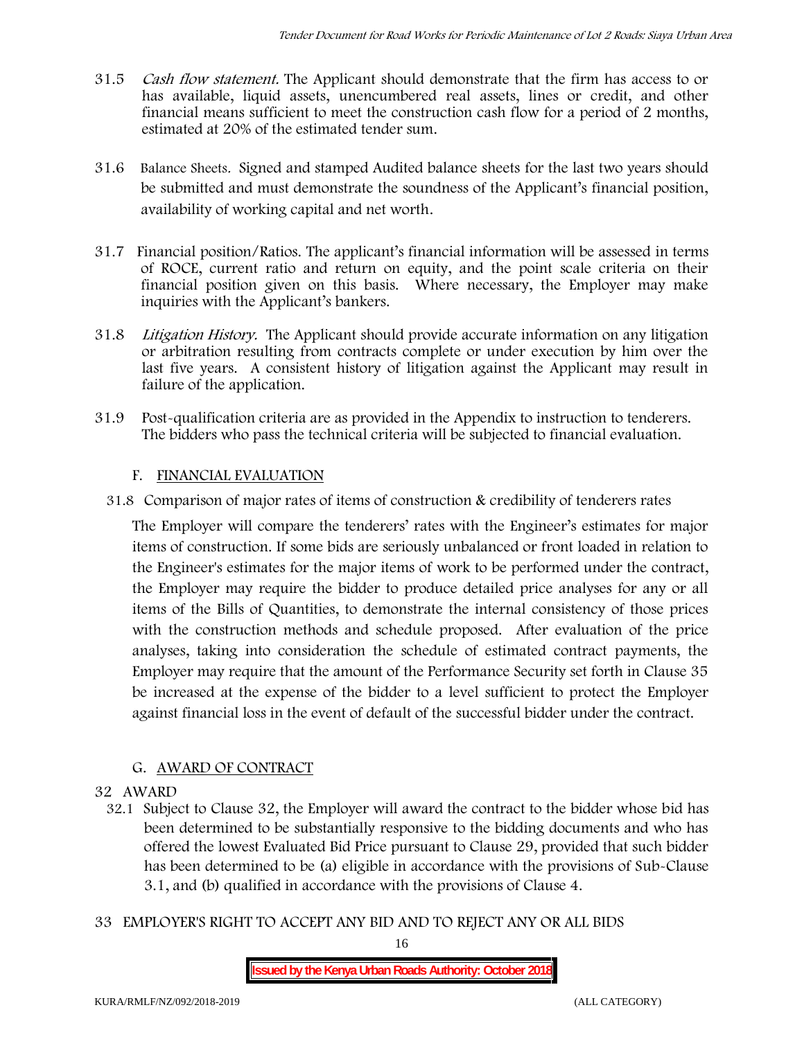- 31.5 *Cash flow statement.* The Applicant should demonstrate that the firm has access to or has available, liquid assets, unencumbered real assets, lines or credit, and other financial means sufficient to meet the construction cash flow for a period of 2 months, estimated at 20% of the estimated tender sum.
- 31.6 **Balance Sheets***.* Signed and stamped Audited balance sheets for the last two years should be submitted and must demonstrate the soundness of the Applicant's financial position, availability of working capital and net worth.
- 31.7 **Financial position/Ratios.** The applicant's financial information will be assessed in terms of ROCE, current ratio and return on equity, and the point scale criteria on their financial position given on this basis. Where necessary, the Employer may make inquiries with the Applicant's bankers.
- 31.8 *Litigation History.* The Applicant should provide accurate information on any litigation or arbitration resulting from contracts complete or under execution by him over the last five years. A consistent history of litigation against the Applicant may result in failure of the application.
- 31.9 Post-qualification criteria are as provided in the Appendix to instruction to tenderers. The bidders who pass the technical criteria will be subjected to financial evaluation.

## **F. FINANCIAL EVALUATION**

31.8 Comparison of major rates of items of construction & credibility of tenderers rates

The Employer will compare the tenderers' rates with the Engineer's estimates for major items of construction. If some bids are seriously unbalanced or front loaded in relation to the Engineer's estimates for the major items of work to be performed under the contract, the Employer may require the bidder to produce detailed price analyses for any or all items of the Bills of Quantities, to demonstrate the internal consistency of those prices with the construction methods and schedule proposed. After evaluation of the price analyses, taking into consideration the schedule of estimated contract payments, the Employer may require that the amount of the Performance Security set forth in Clause 35 be increased at the expense of the bidder to a level sufficient to protect the Employer against financial loss in the event of default of the successful bidder under the contract.

## **G. AWARD OF CONTRACT**

### **32 AWARD**

- 32.1 Subject to Clause 32, the Employer will award the contract to the bidder whose bid has been determined to be substantially responsive to the bidding documents and who has offered the lowest Evaluated Bid Price pursuant to Clause 29, provided that such bidder has been determined to be (a) eligible in accordance with the provisions of Sub-Clause 3.1, and (b) qualified in accordance with the provisions of Clause 4.
- **33 EMPLOYER'S RIGHT TO ACCEPT ANY BID AND TO REJECT ANY OR ALL BIDS**

16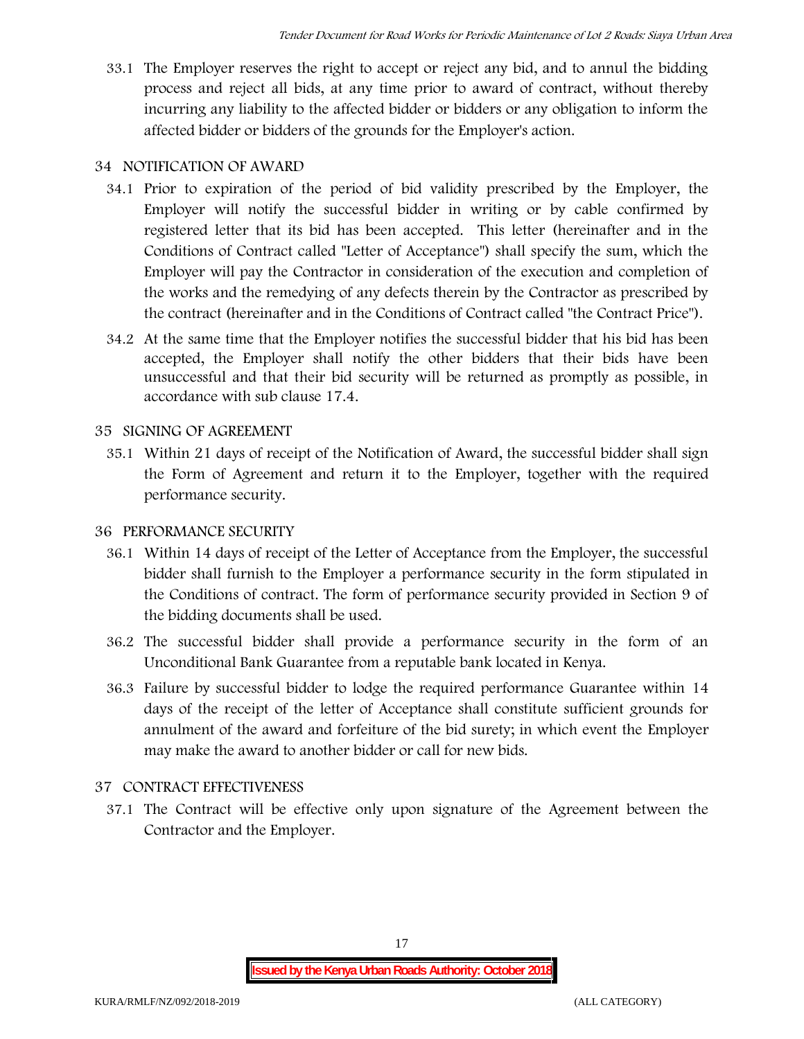33.1 The Employer reserves the right to accept or reject any bid, and to annul the bidding process and reject all bids, at any time prior to award of contract, without thereby incurring any liability to the affected bidder or bidders or any obligation to inform the affected bidder or bidders of the grounds for the Employer's action.

## **34 NOTIFICATION OF AWARD**

- 34.1 Prior to expiration of the period of bid validity prescribed by the Employer, the Employer will notify the successful bidder in writing or by cable confirmed by registered letter that its bid has been accepted. This letter (hereinafter and in the Conditions of Contract called "Letter of Acceptance") shall specify the sum, which the Employer will pay the Contractor in consideration of the execution and completion of the works and the remedying of any defects therein by the Contractor as prescribed by the contract (hereinafter and in the Conditions of Contract called "the Contract Price").
- 34.2 At the same time that the Employer notifies the successful bidder that his bid has been accepted, the Employer shall notify the other bidders that their bids have been unsuccessful and that their bid security will be returned as promptly as possible, in accordance with sub clause 17.4.

## **35 SIGNING OF AGREEMENT**

35.1 Within 21 days of receipt of the Notification of Award, the successful bidder shall sign the Form of Agreement and return it to the Employer, together with the required performance security.

## **36 PERFORMANCE SECURITY**

- 36.1 Within 14 days of receipt of the Letter of Acceptance from the Employer, the successful bidder shall furnish to the Employer a performance security in the form stipulated in the Conditions of contract. The form of performance security provided in Section 9 of the bidding documents shall be used.
- 36.2 The successful bidder shall provide a performance security in the form of an Unconditional Bank Guarantee from a reputable bank located in Kenya.
- 36.3 Failure by successful bidder to lodge the required performance Guarantee within 14 days of the receipt of the letter of Acceptance shall constitute sufficient grounds for annulment of the award and forfeiture of the bid surety; in which event the Employer may make the award to another bidder or call for new bids.

## **37 CONTRACT EFFECTIVENESS**

37.1 The Contract will be effective only upon signature of the Agreement between the Contractor and the Employer.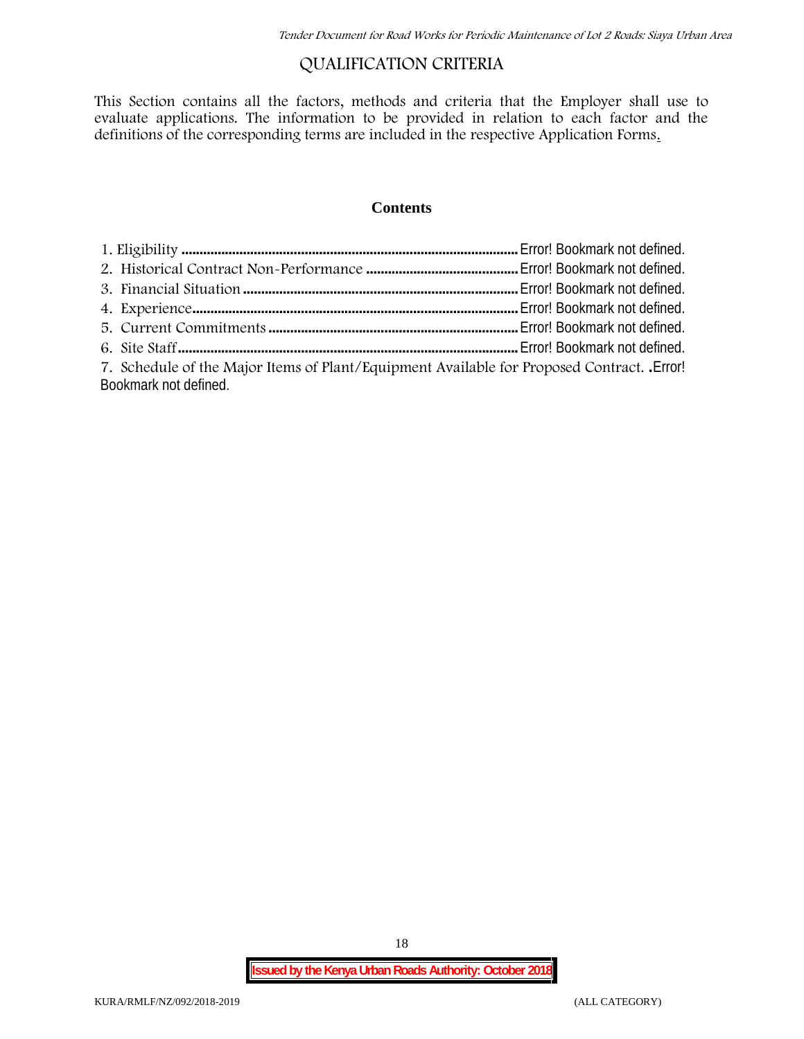## **QUALIFICATION CRITERIA**

This Section contains all the factors, methods and criteria that the Employer shall use to evaluate applications. The information to be provided in relation to each factor and the definitions of the corresponding terms are included in the respective Application Forms.

### **Contents**

| 7. Schedule of the Major Items of Plant/Equipment Available for Proposed Contract. Error! |  |
|-------------------------------------------------------------------------------------------|--|
| Bookmark not defined.                                                                     |  |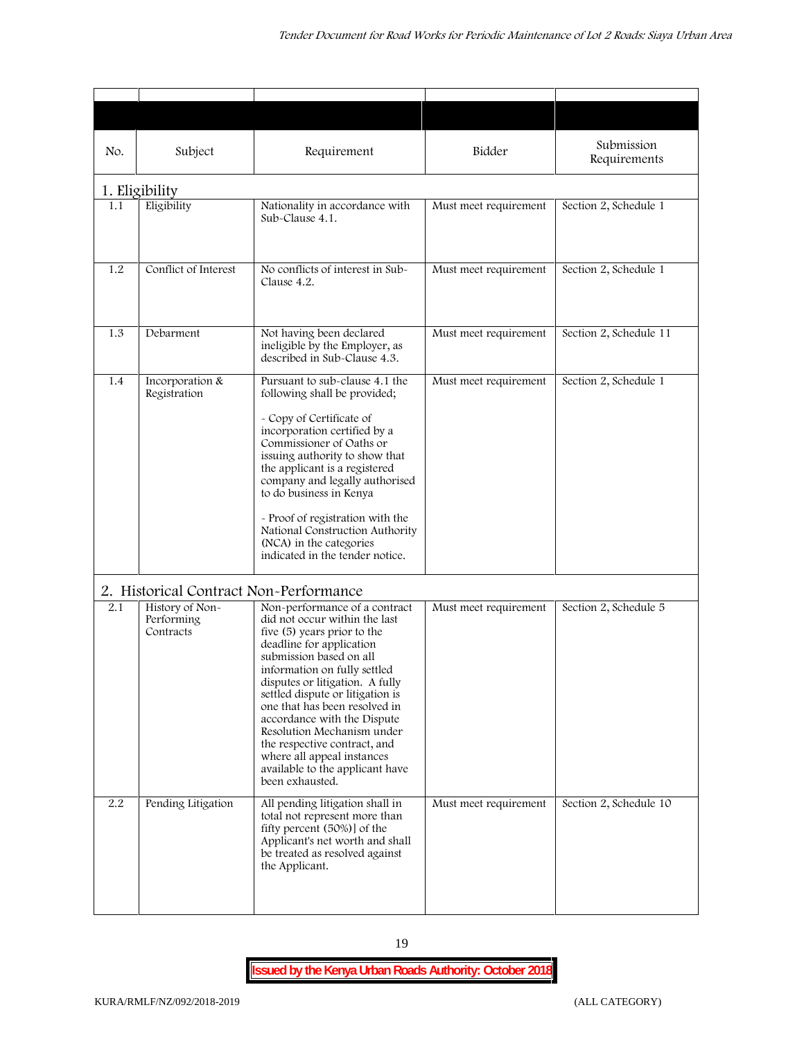| No. | Subject                                                                              | Requirement                                                                                                                                                                                                                                                                                                                                                                                                                                                                   | Bidder                | Submission<br>Requirements |
|-----|--------------------------------------------------------------------------------------|-------------------------------------------------------------------------------------------------------------------------------------------------------------------------------------------------------------------------------------------------------------------------------------------------------------------------------------------------------------------------------------------------------------------------------------------------------------------------------|-----------------------|----------------------------|
|     | 1. Eligibility                                                                       |                                                                                                                                                                                                                                                                                                                                                                                                                                                                               |                       |                            |
| 1.1 | Eligibility                                                                          | Nationality in accordance with<br>Sub-Clause 4.1.                                                                                                                                                                                                                                                                                                                                                                                                                             | Must meet requirement | Section 2, Schedule 1      |
| 1.2 | Conflict of Interest                                                                 | No conflicts of interest in Sub-<br>Clause 4.2.                                                                                                                                                                                                                                                                                                                                                                                                                               | Must meet requirement | Section 2, Schedule 1      |
| 1.3 | Debarment                                                                            | Not having been declared<br>ineligible by the Employer, as<br>described in Sub-Clause 4.3.                                                                                                                                                                                                                                                                                                                                                                                    | Must meet requirement | Section 2, Schedule 11     |
| 1.4 | Incorporation &<br>Registration                                                      | Pursuant to sub-clause 4.1 the<br>following shall be provided;<br>- Copy of Certificate of<br>incorporation certified by a<br>Commissioner of Oaths or<br>issuing authority to show that<br>the applicant is a registered<br>company and legally authorised<br>to do business in Kenya<br>- Proof of registration with the<br>National Construction Authority<br>(NCA) in the categories<br>indicated in the tender notice.                                                   | Must meet requirement | Section 2, Schedule 1      |
| 2.1 | 2. Historical Contract Non-Performance<br>History of Non-<br>Performing<br>Contracts | Non-performance of a contract<br>did not occur within the last<br>five (5) years prior to the<br>deadline for application<br>submission based on all<br>information on fully settled<br>disputes or litigation. A fully<br>settled dispute or litigation is<br>one that has been resolved in<br>accordance with the Dispute<br>Resolution Mechanism under<br>the respective contract, and<br>where all appeal instances<br>available to the applicant have<br>been exhausted. | Must meet requirement | Section 2, Schedule 5      |
| 2.2 | Pending Litigation                                                                   | All pending litigation shall in<br>total not represent more than<br>fifty percent (50%)] of the<br>Applicant's net worth and shall<br>be treated as resolved against<br>the Applicant.                                                                                                                                                                                                                                                                                        | Must meet requirement | Section 2, Schedule 10     |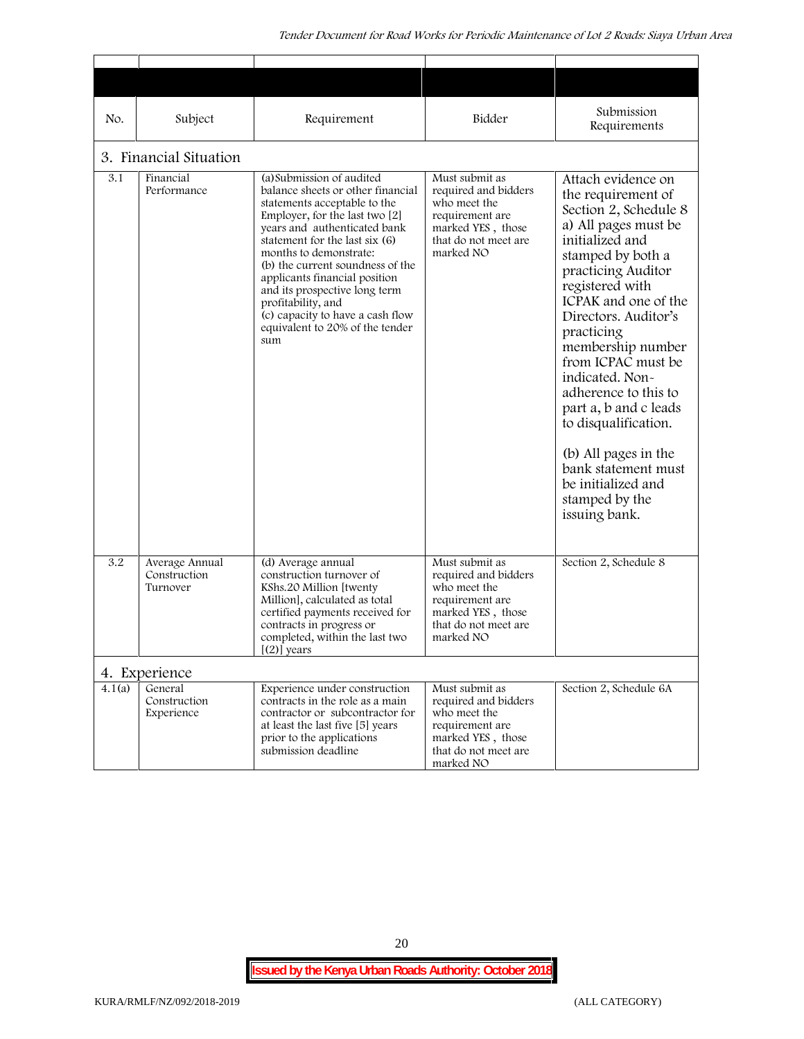| No.    | Subject                                    | Requirement                                                                                                                                                                                                                                                                                                                                                                                                                            | Bidder                                                                                                                              | Submission<br>Requirements                                                                                                                                                                                                                                                                                                                                                                                                                                                              |
|--------|--------------------------------------------|----------------------------------------------------------------------------------------------------------------------------------------------------------------------------------------------------------------------------------------------------------------------------------------------------------------------------------------------------------------------------------------------------------------------------------------|-------------------------------------------------------------------------------------------------------------------------------------|-----------------------------------------------------------------------------------------------------------------------------------------------------------------------------------------------------------------------------------------------------------------------------------------------------------------------------------------------------------------------------------------------------------------------------------------------------------------------------------------|
|        | 3. Financial Situation                     |                                                                                                                                                                                                                                                                                                                                                                                                                                        |                                                                                                                                     |                                                                                                                                                                                                                                                                                                                                                                                                                                                                                         |
| 3.1    | Financial<br>Performance                   | (a) Submission of audited<br>balance sheets or other financial<br>statements acceptable to the<br>Employer, for the last two [2]<br>years and authenticated bank<br>statement for the last six (6)<br>months to demonstrate:<br>(b) the current soundness of the<br>applicants financial position<br>and its prospective long term<br>profitability, and<br>(c) capacity to have a cash flow<br>equivalent to 20% of the tender<br>sum | Must submit as<br>required and bidders<br>who meet the<br>requirement are<br>marked YES, those<br>that do not meet are<br>marked NO | Attach evidence on<br>the requirement of<br>Section 2, Schedule 8<br>a) All pages must be<br>initialized and<br>stamped by both a<br>practicing Auditor<br>registered with<br>ICPAK and one of the<br>Directors. Auditor's<br>practicing<br>membership number<br>from ICPAC must be<br>indicated. Non-<br>adherence to this to<br>part a, b and c leads<br>to disqualification.<br>(b) All pages in the<br>bank statement must<br>be initialized and<br>stamped by the<br>issuing bank. |
| 3.2    | Average Annual<br>Construction<br>Turnover | (d) Average annual<br>construction turnover of<br>KShs.20 Million [twenty<br>Million], calculated as total<br>certified payments received for<br>contracts in progress or<br>completed, within the last two<br>$[ (2) ]$ years                                                                                                                                                                                                         | Must submit as<br>required and bidders<br>who meet the<br>requirement are<br>marked YES, those<br>that do not meet are<br>marked NO | Section 2, Schedule 8                                                                                                                                                                                                                                                                                                                                                                                                                                                                   |
|        | 4. Experience                              |                                                                                                                                                                                                                                                                                                                                                                                                                                        |                                                                                                                                     |                                                                                                                                                                                                                                                                                                                                                                                                                                                                                         |
| 4.1(a) | General<br>Construction<br>Experience      | Experience under construction<br>contracts in the role as a main<br>contractor or subcontractor for<br>at least the last five [5] years<br>prior to the applications<br>submission deadline                                                                                                                                                                                                                                            | Must submit as<br>required and bidders<br>who meet the<br>requirement are<br>marked YES, those<br>that do not meet are<br>marked NO | Section 2, Schedule 6A                                                                                                                                                                                                                                                                                                                                                                                                                                                                  |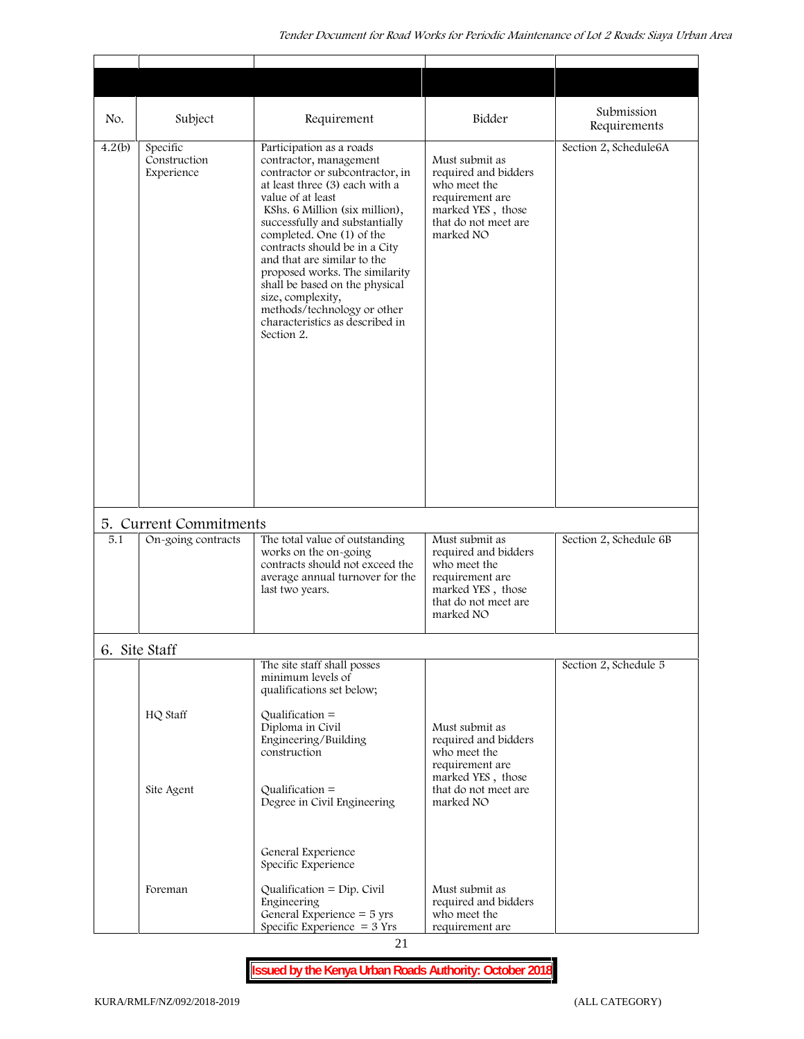| No.    | Subject                                | Requirement                                                                                                                                                                                                                                                                                                                                                                                                                                                                            | Bidder                                                                                                                              | Submission<br>Requirements |
|--------|----------------------------------------|----------------------------------------------------------------------------------------------------------------------------------------------------------------------------------------------------------------------------------------------------------------------------------------------------------------------------------------------------------------------------------------------------------------------------------------------------------------------------------------|-------------------------------------------------------------------------------------------------------------------------------------|----------------------------|
| 4.2(b) | Specific<br>Construction<br>Experience | Participation as a roads<br>contractor, management<br>contractor or subcontractor, in<br>at least three (3) each with a<br>value of at least<br>KShs. 6 Million (six million),<br>successfully and substantially<br>completed. One (1) of the<br>contracts should be in a City<br>and that are similar to the<br>proposed works. The similarity<br>shall be based on the physical<br>size, complexity,<br>methods/technology or other<br>characteristics as described in<br>Section 2. | Must submit as<br>required and bidders<br>who meet the<br>requirement are<br>marked YES, those<br>that do not meet are<br>marked NO | Section 2, Schedule6A      |
|        | 5. Current Commitments                 |                                                                                                                                                                                                                                                                                                                                                                                                                                                                                        |                                                                                                                                     |                            |
| 5.1    | On-going contracts                     | The total value of outstanding<br>works on the on-going<br>contracts should not exceed the<br>average annual turnover for the<br>last two years.                                                                                                                                                                                                                                                                                                                                       | Must submit as<br>required and bidders<br>who meet the<br>requirement are<br>marked YES, those<br>that do not meet are<br>marked NO | Section 2, Schedule 6B     |
|        | 6. Site Staff                          |                                                                                                                                                                                                                                                                                                                                                                                                                                                                                        |                                                                                                                                     |                            |
|        | HQ Staff                               | The site staff shall posses<br>minimum levels of<br>qualifications set below;<br>Qualification $=$<br>Diploma in Civil<br>Engineering/Building<br>construction                                                                                                                                                                                                                                                                                                                         | Must submit as<br>required and bidders<br>who meet the                                                                              | Section 2, Schedule 5      |
|        | Site Agent                             | $Qualification =$<br>Degree in Civil Engineering                                                                                                                                                                                                                                                                                                                                                                                                                                       | requirement are<br>marked YES, those<br>that do not meet are<br>marked NO                                                           |                            |
|        | Foreman                                | General Experience<br>Specific Experience<br>Qualification = $Dip$ . Civil<br>Engineering<br>General Experience $=$ 5 yrs<br>Specific Experience $=$ 3 Yrs                                                                                                                                                                                                                                                                                                                             | Must submit as<br>required and bidders<br>who meet the<br>requirement are                                                           |                            |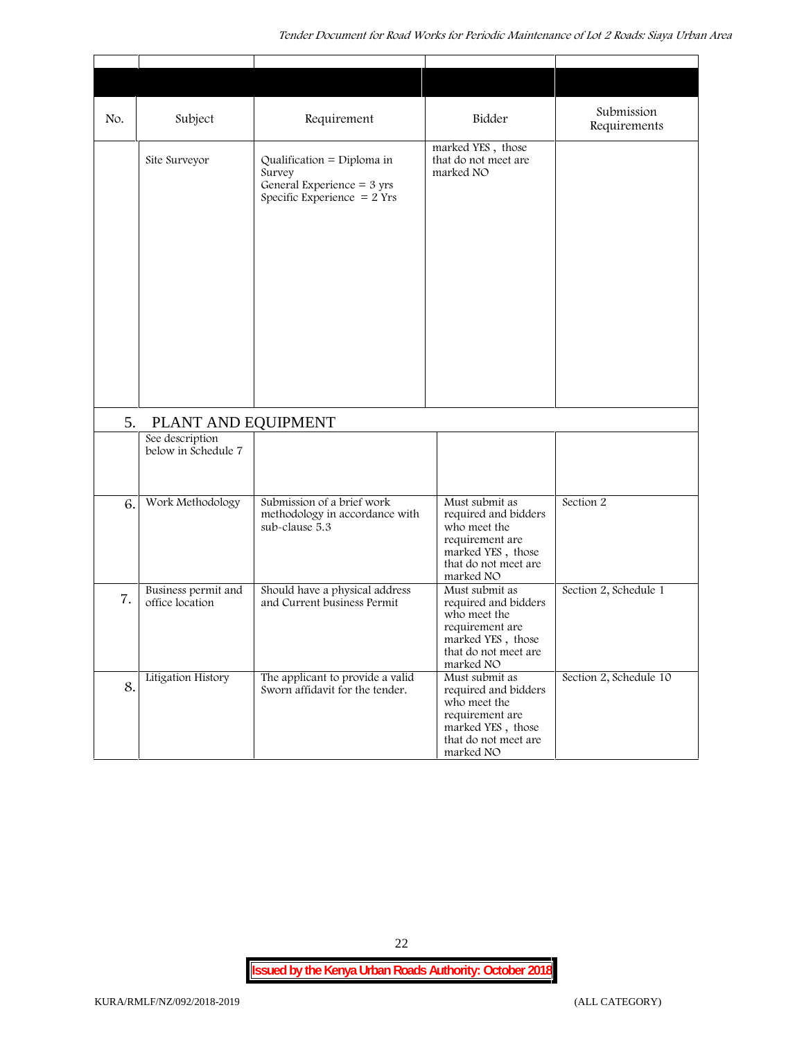| No. | Subject                                | Requirement                                                                                           | Bidder                                                                                                                              | Submission<br>Requirements |
|-----|----------------------------------------|-------------------------------------------------------------------------------------------------------|-------------------------------------------------------------------------------------------------------------------------------------|----------------------------|
|     | Site Surveyor                          | Qualification = Diploma in<br>Survey<br>General Experience $=$ 3 yrs<br>Specific Experience $= 2$ Yrs | marked YES, those<br>that do not meet are<br>marked NO                                                                              |                            |
| 5.  | PLANT AND EQUIPMENT                    |                                                                                                       |                                                                                                                                     |                            |
|     | See description<br>below in Schedule 7 |                                                                                                       |                                                                                                                                     |                            |
| 6.  | Work Methodology                       | Submission of a brief work<br>methodology in accordance with<br>sub-clause 5.3                        | Must submit as<br>required and bidders<br>who meet the<br>requirement are<br>marked YES, those<br>that do not meet are<br>marked NO | Section 2                  |
| 7.  | Business permit and<br>office location | Should have a physical address<br>and Current business Permit                                         | Must submit as<br>required and bidders<br>who meet the<br>requirement are<br>marked YES, those<br>that do not meet are<br>marked NO | Section 2, Schedule 1      |
| 8.  | Litigation History                     | The applicant to provide a valid<br>Sworn affidavit for the tender.                                   | Must submit as<br>required and bidders<br>who meet the<br>requirement are<br>marked YES, those<br>that do not meet are<br>marked NO | Section 2, Schedule 10     |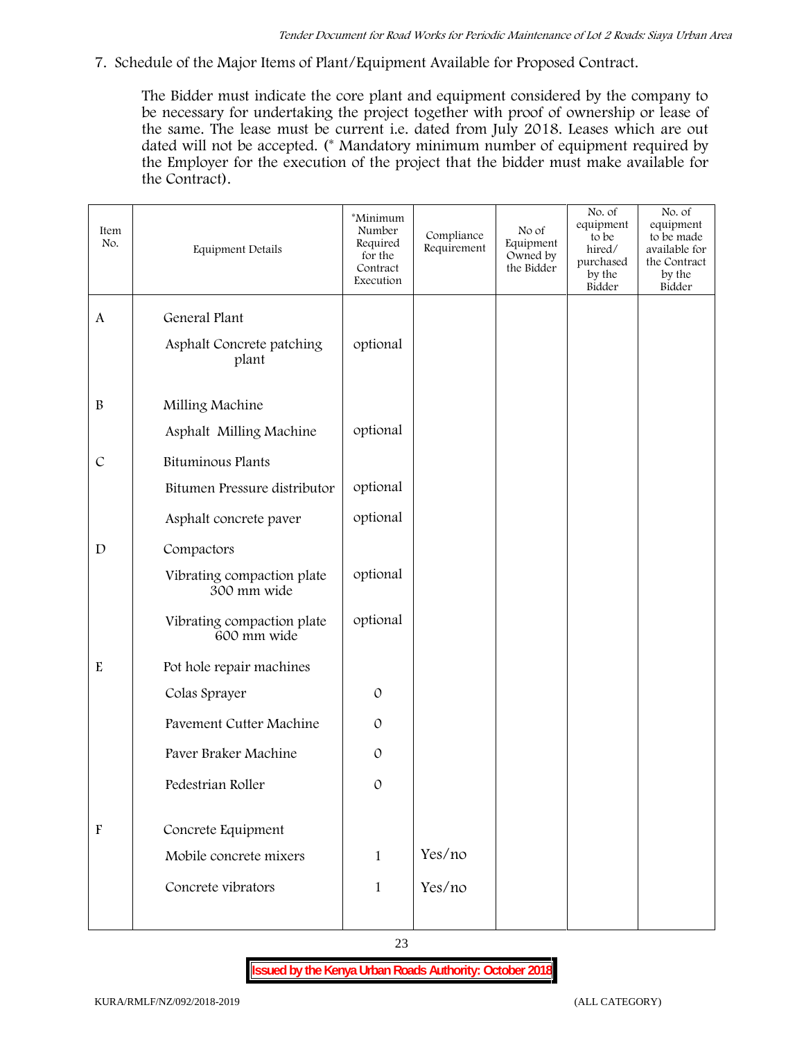**7. Schedule of the Major Items of Plant/Equipment Available for Proposed Contract.**

The Bidder must indicate the core plant and equipment considered by the company to be necessary for undertaking the project together with proof of ownership or lease of the same. The lease must be current i.e. dated from July 2018. Leases which are out dated will not be accepted. (\* Mandatory minimum number of equipment required by the Employer for the execution of the project that the bidder must make available for the Contract).

| Item<br>No.               | Equipment Details                         | *Minimum<br>Number<br>Required<br>for the<br>Contract<br>Execution | Compliance<br>Requirement | No of<br>Equipment<br>Owned by<br>the Bidder | No. of<br>equipment<br>to be<br>hired/<br>purchased<br>by the<br>Bidder | No. of<br>equipment<br>to be made<br>available for<br>the Contract<br>by the<br>Bidder |
|---------------------------|-------------------------------------------|--------------------------------------------------------------------|---------------------------|----------------------------------------------|-------------------------------------------------------------------------|----------------------------------------------------------------------------------------|
| $\mathbf{A}$              | General Plant                             |                                                                    |                           |                                              |                                                                         |                                                                                        |
|                           | Asphalt Concrete patching<br>plant        | optional                                                           |                           |                                              |                                                                         |                                                                                        |
| $\, {\bf B}$              | Milling Machine                           |                                                                    |                           |                                              |                                                                         |                                                                                        |
|                           | Asphalt Milling Machine                   | optional                                                           |                           |                                              |                                                                         |                                                                                        |
| $\mathcal{C}$             | Bituminous Plants                         |                                                                    |                           |                                              |                                                                         |                                                                                        |
|                           | Bitumen Pressure distributor              | optional                                                           |                           |                                              |                                                                         |                                                                                        |
|                           | Asphalt concrete paver                    | optional                                                           |                           |                                              |                                                                         |                                                                                        |
| $\mathbf D$               | Compactors                                |                                                                    |                           |                                              |                                                                         |                                                                                        |
|                           | Vibrating compaction plate<br>300 mm wide | optional                                                           |                           |                                              |                                                                         |                                                                                        |
|                           | Vibrating compaction plate<br>600 mm wide | optional                                                           |                           |                                              |                                                                         |                                                                                        |
| ${\bf E}$                 | Pot hole repair machines                  |                                                                    |                           |                                              |                                                                         |                                                                                        |
|                           | Colas Sprayer                             | $\mathcal{O}$                                                      |                           |                                              |                                                                         |                                                                                        |
|                           | Pavement Cutter Machine                   | $\mathcal{O}$                                                      |                           |                                              |                                                                         |                                                                                        |
|                           | Paver Braker Machine                      | $\mathcal{O}$                                                      |                           |                                              |                                                                         |                                                                                        |
|                           | Pedestrian Roller                         | $\mathcal{O}$                                                      |                           |                                              |                                                                         |                                                                                        |
| $\boldsymbol{\mathrm{F}}$ | Concrete Equipment                        |                                                                    |                           |                                              |                                                                         |                                                                                        |
|                           | Mobile concrete mixers                    | $\mathbf{1}$                                                       | Yes/no                    |                                              |                                                                         |                                                                                        |
|                           | Concrete vibrators                        | $\mathbf{1}$                                                       | Yes/no                    |                                              |                                                                         |                                                                                        |
|                           |                                           |                                                                    |                           |                                              |                                                                         |                                                                                        |

23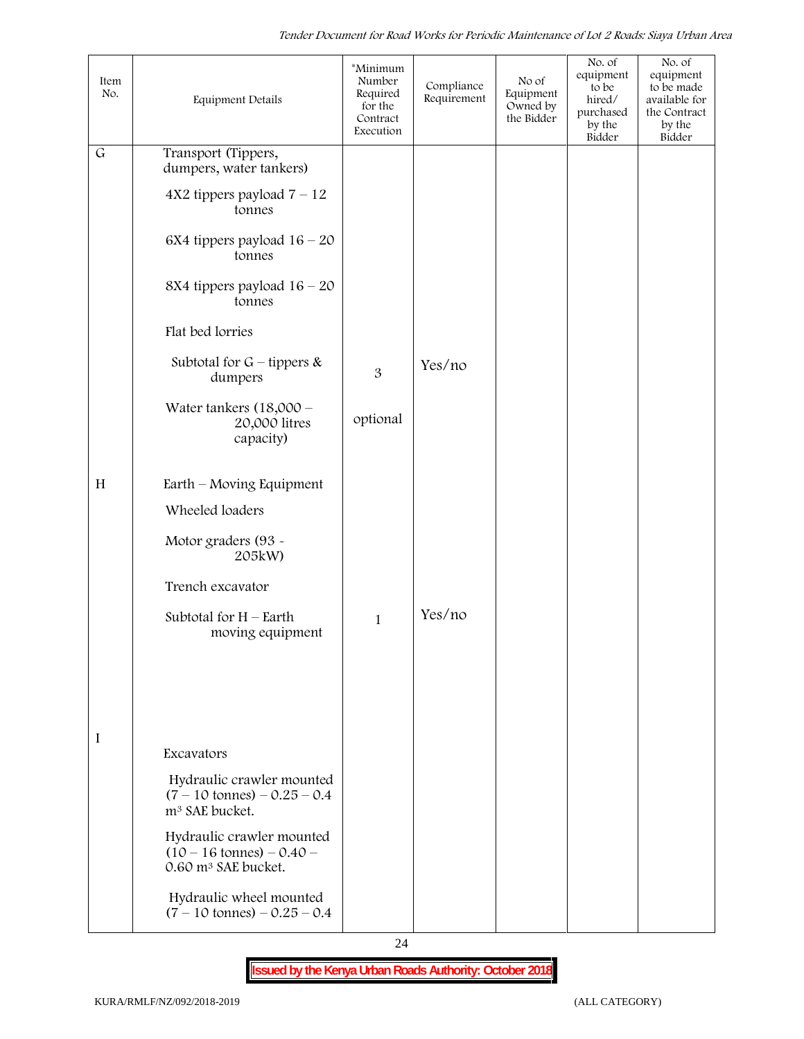| Item<br>No. | Equipment Details                                                                                 | *Minimum<br>Number<br>Required<br>for the<br>Contract<br>Execution | Compliance<br>Requirement | No of<br>Equipment<br>Owned by<br>the Bidder | No. of<br>equipment<br>to be<br>hired/<br>purchased<br>by the<br>Bidder | No. of<br>equipment<br>to be made<br>available for<br>the Contract<br>by the<br>Bidder |
|-------------|---------------------------------------------------------------------------------------------------|--------------------------------------------------------------------|---------------------------|----------------------------------------------|-------------------------------------------------------------------------|----------------------------------------------------------------------------------------|
| $\mathsf G$ | Transport (Tippers,<br>dumpers, water tankers)                                                    |                                                                    |                           |                                              |                                                                         |                                                                                        |
|             | $4X2$ tippers payload $7 - 12$<br>tonnes                                                          |                                                                    |                           |                                              |                                                                         |                                                                                        |
|             | 6X4 tippers payload $16 - 20$<br>tonnes                                                           |                                                                    |                           |                                              |                                                                         |                                                                                        |
|             | 8X4 tippers payload $16 - 20$<br>tonnes                                                           |                                                                    |                           |                                              |                                                                         |                                                                                        |
|             | Flat bed lorries                                                                                  |                                                                    |                           |                                              |                                                                         |                                                                                        |
|             | Subtotal for $G$ – tippers &<br>dumpers                                                           | 3                                                                  | Yes/no                    |                                              |                                                                         |                                                                                        |
|             | Water tankers $(18,000 -$<br>20,000 litres<br>capacity)                                           | optional                                                           |                           |                                              |                                                                         |                                                                                        |
| H           | Earth – Moving Equipment                                                                          |                                                                    |                           |                                              |                                                                         |                                                                                        |
|             | Wheeled loaders                                                                                   |                                                                    |                           |                                              |                                                                         |                                                                                        |
|             | Motor graders (93 -<br>205kW)                                                                     |                                                                    |                           |                                              |                                                                         |                                                                                        |
|             | Trench excavator                                                                                  |                                                                    |                           |                                              |                                                                         |                                                                                        |
|             | Subtotal for $H$ – Earth<br>moving equipment                                                      | $\mathbf{1}$                                                       | Yes/no                    |                                              |                                                                         |                                                                                        |
|             |                                                                                                   |                                                                    |                           |                                              |                                                                         |                                                                                        |
|             |                                                                                                   |                                                                    |                           |                                              |                                                                         |                                                                                        |
| I           | Excavators                                                                                        |                                                                    |                           |                                              |                                                                         |                                                                                        |
|             | Hydraulic crawler mounted<br>$(7 - 10 \text{ tonnes}) - 0.25 - 0.4$<br>m <sup>3</sup> SAE bucket. |                                                                    |                           |                                              |                                                                         |                                                                                        |
|             | Hydraulic crawler mounted<br>$(10 - 16 \text{ tonnes}) - 0.40$<br>0.60 m <sup>3</sup> SAE bucket. |                                                                    |                           |                                              |                                                                         |                                                                                        |
|             | Hydraulic wheel mounted<br>$(7 - 10 \text{ tonnes}) - 0.25 - 0.4$                                 |                                                                    |                           |                                              |                                                                         |                                                                                        |

24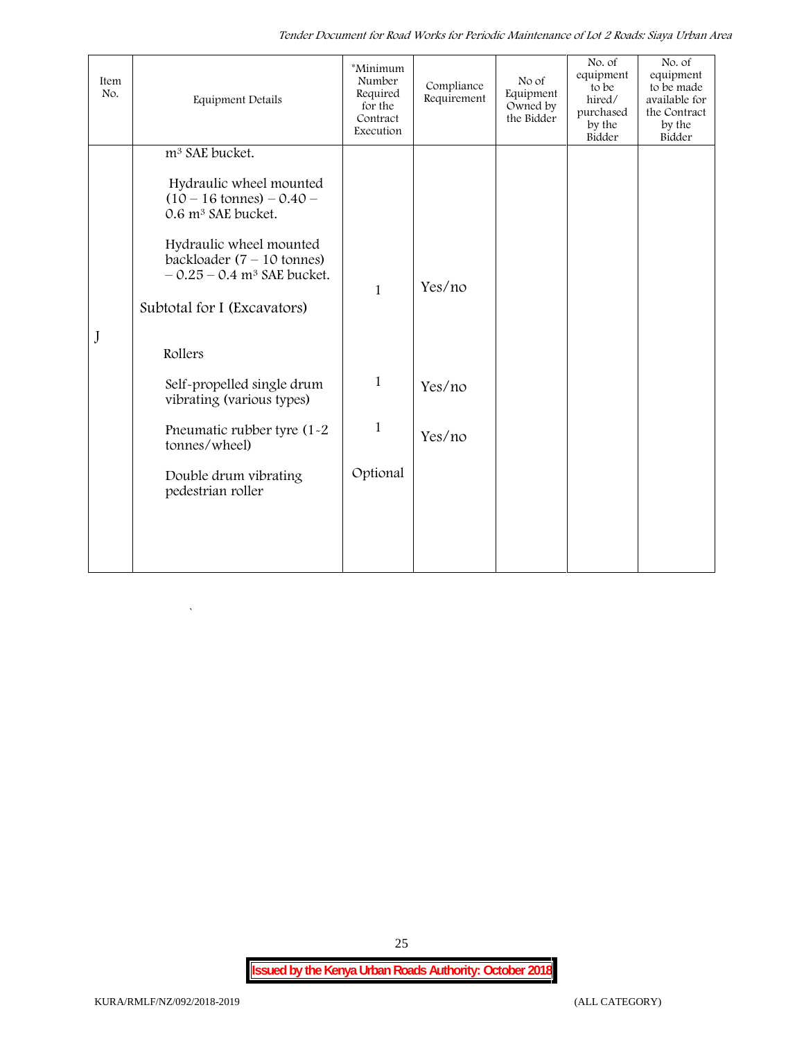*Tender Document for Road Works for Periodic Maintenance of Lot 2 Roads: Siaya Urban Area*

| Item<br>No. | <b>Equipment Details</b>                                                                                    | *Minimum<br>Number<br>Required<br>for the<br>Contract<br>Execution | Compliance<br>Requirement | No of<br>Equipment<br>Owned by<br>the Bidder | No. of<br>equipment<br>to be<br>hired/<br>purchased<br>by the<br>Bidder | No. of<br>equipment<br>to be made<br>available for<br>the Contract<br>by the<br>Bidder |
|-------------|-------------------------------------------------------------------------------------------------------------|--------------------------------------------------------------------|---------------------------|----------------------------------------------|-------------------------------------------------------------------------|----------------------------------------------------------------------------------------|
|             | m <sup>3</sup> SAE bucket.                                                                                  |                                                                    |                           |                                              |                                                                         |                                                                                        |
|             | Hydraulic wheel mounted<br>$(10 - 16 \text{ tonnes}) - 0.40 -$<br>0.6 m <sup>3</sup> SAE bucket.            |                                                                    |                           |                                              |                                                                         |                                                                                        |
|             | Hydraulic wheel mounted<br>backloader $(7 - 10 \text{ tonnes})$<br>$-0.25 - 0.4$ m <sup>3</sup> SAE bucket. | $\mathbf{1}$                                                       | Yes/no                    |                                              |                                                                         |                                                                                        |
|             | Subtotal for I (Excavators)                                                                                 |                                                                    |                           |                                              |                                                                         |                                                                                        |
| J           | Rollers                                                                                                     |                                                                    |                           |                                              |                                                                         |                                                                                        |
|             | Self-propelled single drum<br>vibrating (various types)                                                     | $\mathbf{1}$                                                       | Yes/no                    |                                              |                                                                         |                                                                                        |
|             | Pneumatic rubber tyre (1-2<br>tonnes/wheel)                                                                 | $\mathbf{1}$                                                       | Yes/no                    |                                              |                                                                         |                                                                                        |
|             | Double drum vibrating<br>pedestrian roller                                                                  | Optional                                                           |                           |                                              |                                                                         |                                                                                        |
|             |                                                                                                             |                                                                    |                           |                                              |                                                                         |                                                                                        |
|             |                                                                                                             |                                                                    |                           |                                              |                                                                         |                                                                                        |

25

`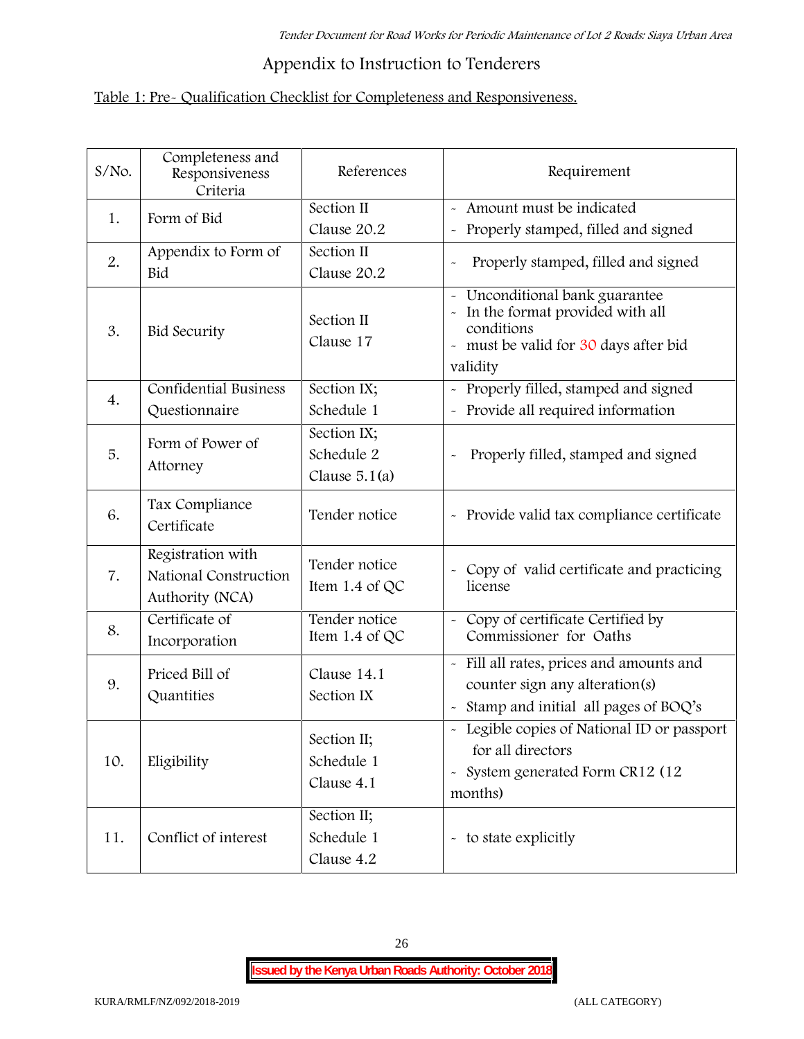# **Appendix to Instruction to Tenderers**

# **Table 1: Pre- Qualification Checklist for Completeness and Responsiveness.**

| $S/NO$ . | Completeness and<br>Responsiveness<br>Criteria                | References                                   | Requirement                                                                                                                        |
|----------|---------------------------------------------------------------|----------------------------------------------|------------------------------------------------------------------------------------------------------------------------------------|
| 1.       | Form of Bid                                                   | Section II<br>Clause 20.2                    | - Amount must be indicated<br>Properly stamped, filled and signed<br>$\tilde{\phantom{a}}$                                         |
| 2.       | Appendix to Form of<br>Bid                                    | Section II<br>Clause 20.2                    | Properly stamped, filled and signed                                                                                                |
| 3.       | <b>Bid Security</b>                                           | Section II<br>Clause 17                      | Unconditional bank guarantee<br>In the format provided with all<br>conditions<br>- must be valid for 30 days after bid<br>validity |
| 4.       | Confidential Business<br>Questionnaire                        | Section IX;<br>Schedule 1                    | Properly filled, stamped and signed<br>Provide all required information                                                            |
| 5.       | Form of Power of<br>Attorney                                  | Section IX;<br>Schedule 2<br>Clause $5.1(a)$ | Properly filled, stamped and signed                                                                                                |
| 6.       | Tax Compliance<br>Certificate                                 | Tender notice                                | - Provide valid tax compliance certificate                                                                                         |
| 7.       | Registration with<br>National Construction<br>Authority (NCA) | Tender notice<br>Item 1.4 of QC              | - Copy of valid certificate and practicing<br>license                                                                              |
| 8.       | Certificate of<br>Incorporation                               | Tender notice<br>Item 1.4 of $QC$            | - Copy of certificate Certified by<br>Commissioner for Oaths                                                                       |
| 9.       | Priced Bill of<br>Quantities                                  | Clause 14.1<br>Section IX                    | - Fill all rates, prices and amounts and<br>counter sign any alteration(s)<br>Stamp and initial all pages of BOQ's                 |
| 10.      | Eligibility                                                   | Section II;<br>Schedule 1<br>Clause 4.1      | - Legible copies of National ID or passport<br>for all directors<br>- System generated Form CR12 (12<br>months)                    |
| 11.      | Conflict of interest                                          | Section II;<br>Schedule 1<br>Clause 4.2      | - to state explicitly                                                                                                              |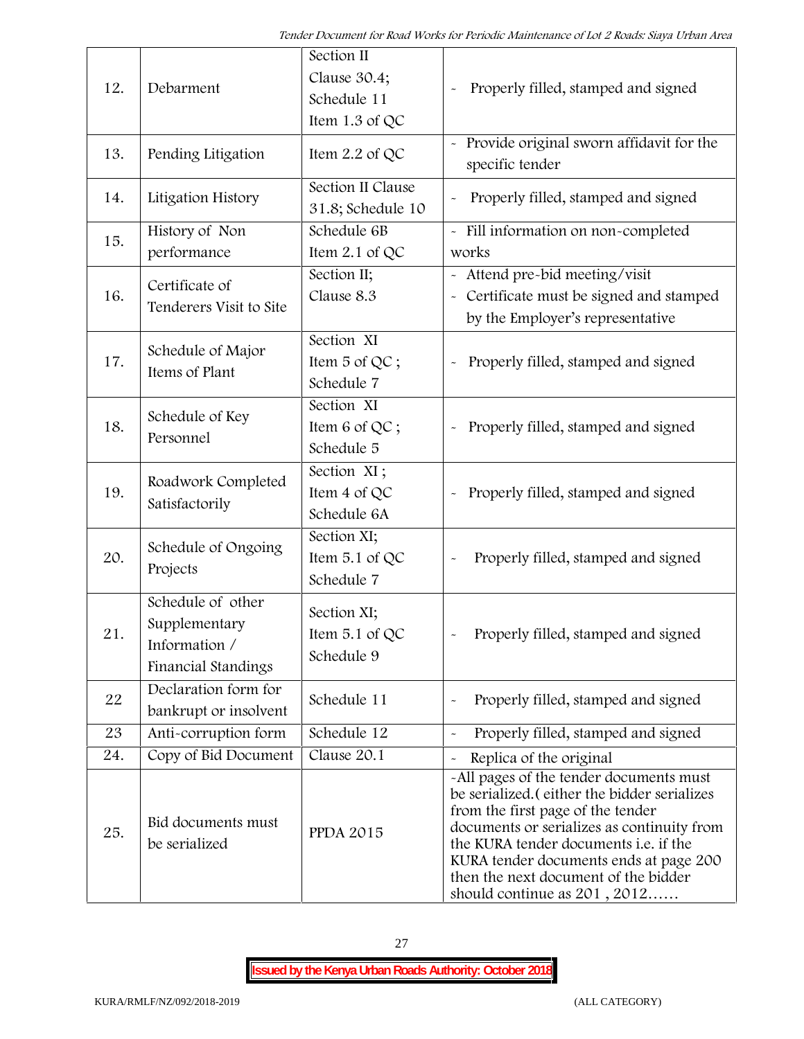| 12. | Debarment                                                                  | Section II<br>Clause 30.4;<br>Schedule 11<br>Item 1.3 of QC | Properly filled, stamped and signed                                                                                                                                                                                                                                                                                                            |
|-----|----------------------------------------------------------------------------|-------------------------------------------------------------|------------------------------------------------------------------------------------------------------------------------------------------------------------------------------------------------------------------------------------------------------------------------------------------------------------------------------------------------|
| 13. | Pending Litigation                                                         | Item $2.2$ of QC                                            | Provide original sworn affidavit for the<br>specific tender                                                                                                                                                                                                                                                                                    |
| 14. | Litigation History                                                         | Section II Clause<br>31.8; Schedule 10                      | Properly filled, stamped and signed                                                                                                                                                                                                                                                                                                            |
| 15. | History of Non<br>performance                                              | Schedule 6B<br>Item $2.1$ of QC                             | - Fill information on non-completed<br>works                                                                                                                                                                                                                                                                                                   |
| 16. | Certificate of<br>Tenderers Visit to Site                                  | Section II;<br>Clause 8.3                                   | - Attend pre-bid meeting/visit<br>- Certificate must be signed and stamped<br>by the Employer's representative                                                                                                                                                                                                                                 |
| 17. | Schedule of Major<br>Items of Plant                                        | Section XI<br>Item 5 of QC;<br>Schedule 7                   | Properly filled, stamped and signed                                                                                                                                                                                                                                                                                                            |
| 18. | Schedule of Key<br>Personnel                                               | Section XI<br>Item 6 of QC;<br>Schedule 5                   | Properly filled, stamped and signed                                                                                                                                                                                                                                                                                                            |
| 19. | Roadwork Completed<br>Satisfactorily                                       | Section XI;<br>Item 4 of QC<br>Schedule 6A                  | Properly filled, stamped and signed<br>$\tilde{\phantom{a}}$                                                                                                                                                                                                                                                                                   |
| 20. | Schedule of Ongoing<br>Projects                                            | Section XI;<br>Item 5.1 of QC<br>Schedule 7                 | Properly filled, stamped and signed                                                                                                                                                                                                                                                                                                            |
| 21  | Schedule of other<br>Supplementary<br>Information /<br>Financial Standings | Section XI;<br>Item $5.1$ of QC<br>Schedule 9               | Properly filled, stamped and signed                                                                                                                                                                                                                                                                                                            |
| 22  | Declaration form for<br>bankrupt or insolvent                              | Schedule 11                                                 | Properly filled, stamped and signed                                                                                                                                                                                                                                                                                                            |
| 23  | Anti-corruption form                                                       | Schedule 12                                                 | Properly filled, stamped and signed                                                                                                                                                                                                                                                                                                            |
| 24. | Copy of Bid Document                                                       | Clause 20.1                                                 | Replica of the original                                                                                                                                                                                                                                                                                                                        |
| 25. | Bid documents must<br>be serialized                                        | <b>PPDA 2015</b>                                            | -All pages of the tender documents must<br>be serialized. (either the bidder serializes<br>from the first page of the tender<br>documents or serializes as continuity from<br>the KURA tender documents <i>i.e.</i> if the<br>KURA tender documents ends at page 200<br>then the next document of the bidder<br>should continue as $201, 2012$ |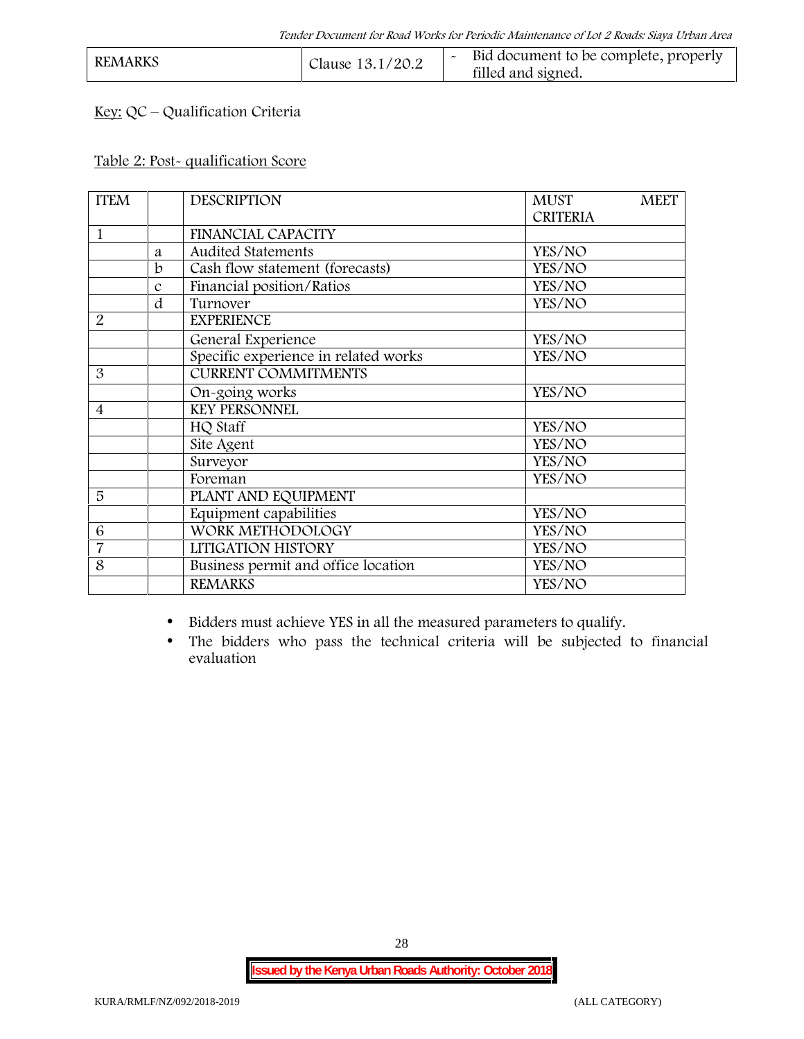| <b>REMARKS</b> | Clause 13.1/20.2 | Bid document to be complete, properly<br>filled and signed. |  |
|----------------|------------------|-------------------------------------------------------------|--|
|----------------|------------------|-------------------------------------------------------------|--|

## **Key:** QC – Qualification Criteria

#### **Table 2: Post- qualification Score**

| <b>ITEM</b>    |               | <b>DESCRIPTION</b>                   | <b>MEET</b><br><b>MUST</b> |
|----------------|---------------|--------------------------------------|----------------------------|
|                |               |                                      | <b>CRITERIA</b>            |
| 1              |               | <b>FINANCIAL CAPACITY</b>            |                            |
|                | a             | <b>Audited Statements</b>            | YES/NO                     |
|                | b             | Cash flow statement (forecasts)      | YES/NO                     |
|                | $\mathcal{C}$ | Financial position/Ratios            | YES/NO                     |
|                | d             | Turnover                             | YES/NO                     |
| $\overline{2}$ |               | <b>EXPERIENCE</b>                    |                            |
|                |               | General Experience                   | YES/NO                     |
|                |               | Specific experience in related works | YES/NO                     |
| 3              |               | <b>CURRENT COMMITMENTS</b>           |                            |
|                |               | On-going works                       | YES/NO                     |
| $\overline{4}$ |               | <b>KEY PERSONNEL</b>                 |                            |
|                |               | HQ Staff                             | YES/NO                     |
|                |               | Site Agent                           | YES/NO                     |
|                |               | Surveyor                             | YES/NO                     |
|                |               | Foreman                              | YES/NO                     |
| 5              |               | PLANT AND EQUIPMENT                  |                            |
|                |               | Equipment capabilities               | YES/NO                     |
| 6              |               | WORK METHODOLOGY                     | YES/NO                     |
| $\overline{7}$ |               | LITIGATION HISTORY                   | YES/NO                     |
| 8              |               | Business permit and office location  | YES/NO                     |
|                |               | <b>REMARKS</b>                       | YES/NO                     |

Bidders must achieve YES in all the measured parameters to qualify.

 The bidders who pass the technical criteria will be subjected to financial evaluation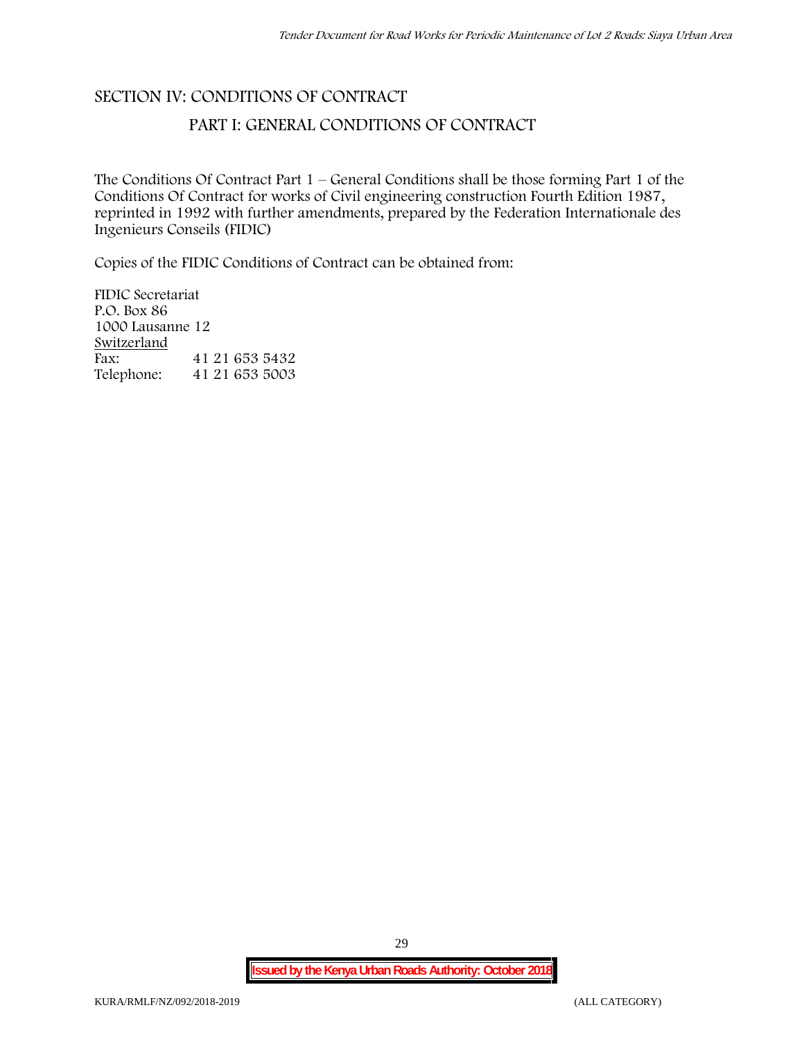# **SECTION IV: CONDITIONS OF CONTRACT PART I: GENERAL CONDITIONS OF CONTRACT**

The Conditions Of Contract Part 1 – General Conditions shall be those forming Part 1 of the Conditions Of Contract for works of Civil engineering construction Fourth Edition 1987, reprinted in 1992 with further amendments, prepared by the Federation Internationale des Ingenieurs Conseils (FIDIC)

Copies of the FIDIC Conditions of Contract can be obtained from:

FIDIC Secretariat P.O. Box 86 1000 Lausanne 12 **Switzerland** Fax: 41 21 653 5432 Telephone: 41 21 653 5003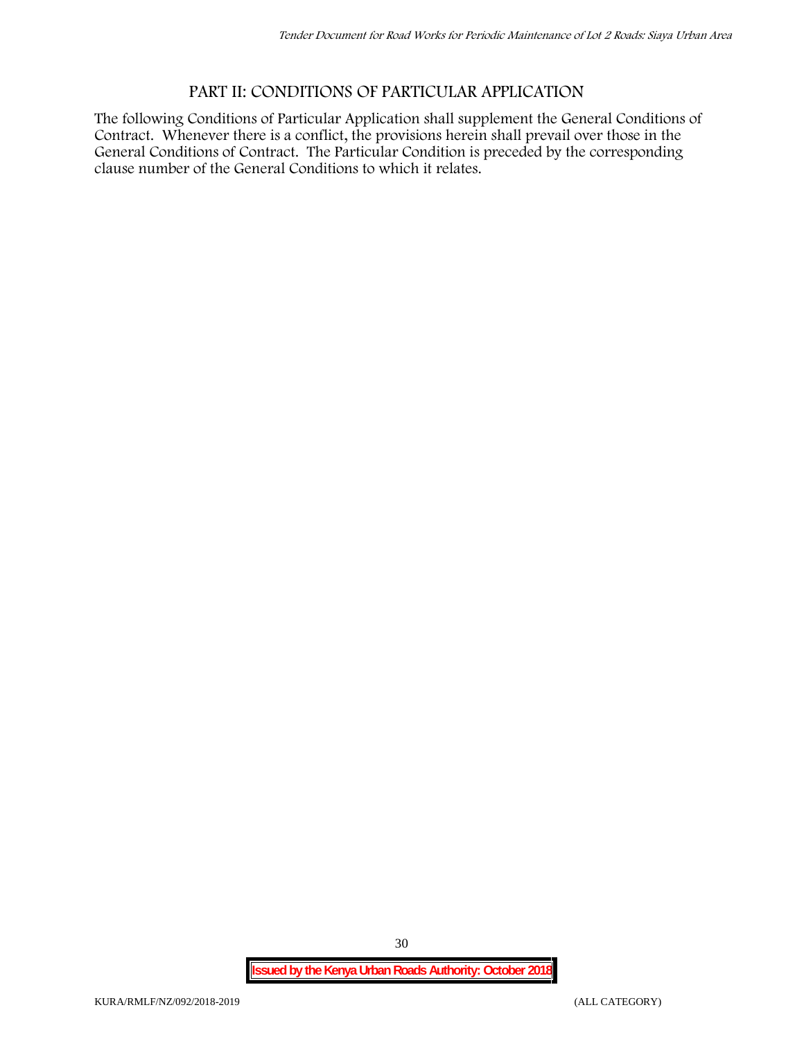## **PART II: CONDITIONS OF PARTICULAR APPLICATION**

The following Conditions of Particular Application shall supplement the General Conditions of Contract. Whenever there is a conflict, the provisions herein shall prevail over those in the General Conditions of Contract. The Particular Condition is preceded by the corresponding clause number of the General Conditions to which it relates.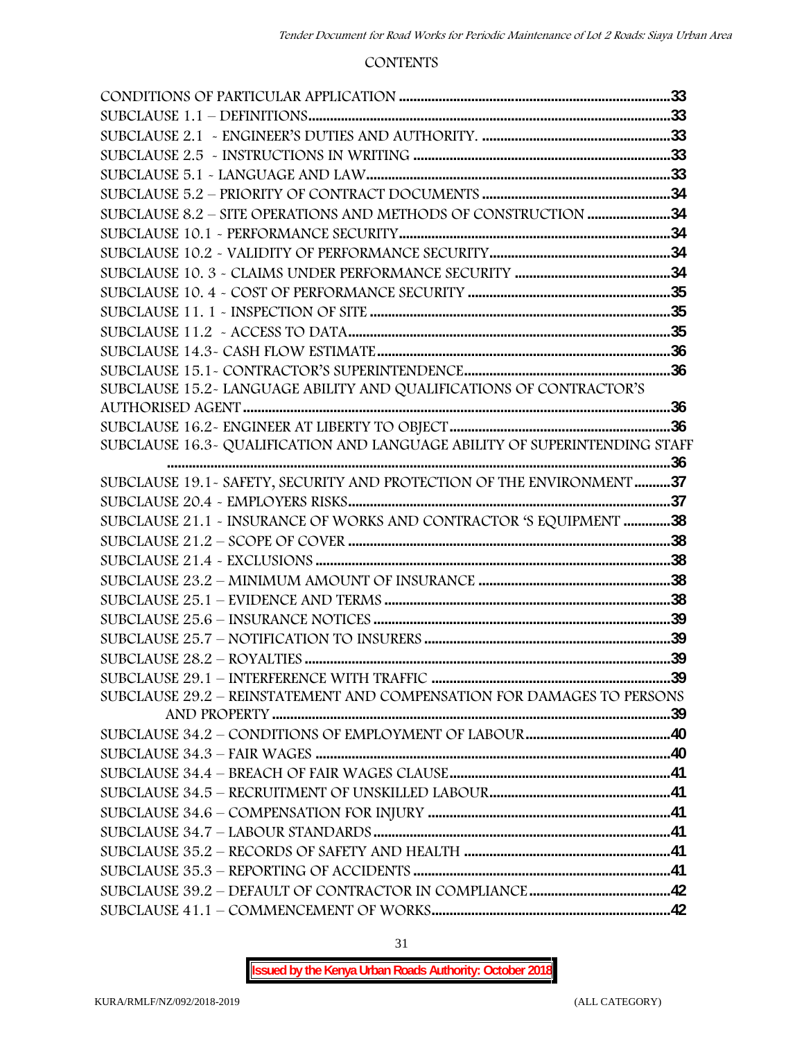#### **CONTENTS**

| SUBCLAUSE 15.2-LANGUAGE ABILITY AND QUALIFICATIONS OF CONTRACTOR'S         |  |
|----------------------------------------------------------------------------|--|
|                                                                            |  |
|                                                                            |  |
| SUBCLAUSE 16.3- QUALIFICATION AND LANGUAGE ABILITY OF SUPERINTENDING STAFF |  |
|                                                                            |  |
| SUBCLAUSE 19.1 - SAFETY, SECURITY AND PROTECTION OF THE ENVIRONMENT 37     |  |
|                                                                            |  |
| SUBCLAUSE 21.1 - INSURANCE OF WORKS AND CONTRACTOR 'S EQUIPMENT 38         |  |
|                                                                            |  |
|                                                                            |  |
|                                                                            |  |
|                                                                            |  |
|                                                                            |  |
|                                                                            |  |
|                                                                            |  |
|                                                                            |  |
| SUBCLAUSE 29.2 - REINSTATEMENT AND COMPENSATION FOR DAMAGES TO PERSONS     |  |
|                                                                            |  |
|                                                                            |  |
|                                                                            |  |
|                                                                            |  |
|                                                                            |  |
|                                                                            |  |
|                                                                            |  |
|                                                                            |  |
|                                                                            |  |
|                                                                            |  |
|                                                                            |  |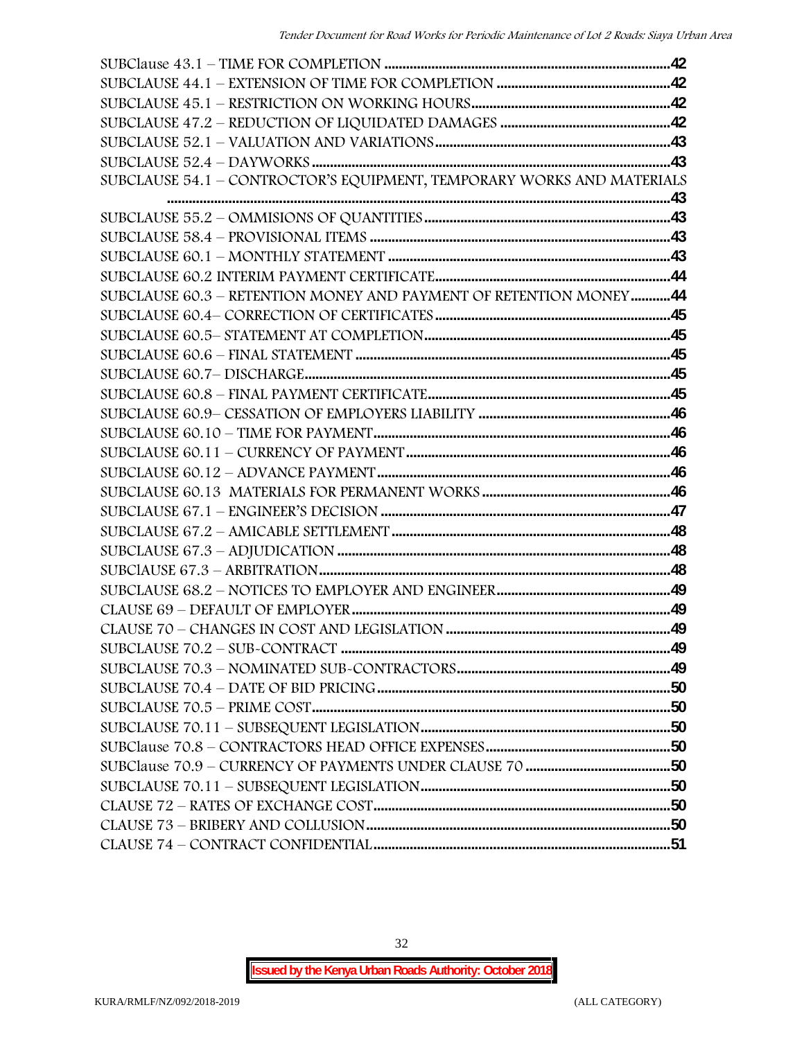| SUBCLAUSE 54.1 - CONTROCTOR'S EQUIPMENT, TEMPORARY WORKS AND MATERIALS |  |
|------------------------------------------------------------------------|--|
|                                                                        |  |
|                                                                        |  |
|                                                                        |  |
|                                                                        |  |
|                                                                        |  |
| SUBCLAUSE 60.3 - RETENTION MONEY AND PAYMENT OF RETENTION MONEY44      |  |
|                                                                        |  |
|                                                                        |  |
|                                                                        |  |
|                                                                        |  |
|                                                                        |  |
|                                                                        |  |
|                                                                        |  |
|                                                                        |  |
|                                                                        |  |
|                                                                        |  |
|                                                                        |  |
|                                                                        |  |
|                                                                        |  |
|                                                                        |  |
|                                                                        |  |
|                                                                        |  |
|                                                                        |  |
|                                                                        |  |
|                                                                        |  |
|                                                                        |  |
|                                                                        |  |
|                                                                        |  |
|                                                                        |  |
|                                                                        |  |
|                                                                        |  |
|                                                                        |  |
|                                                                        |  |
|                                                                        |  |
|                                                                        |  |

32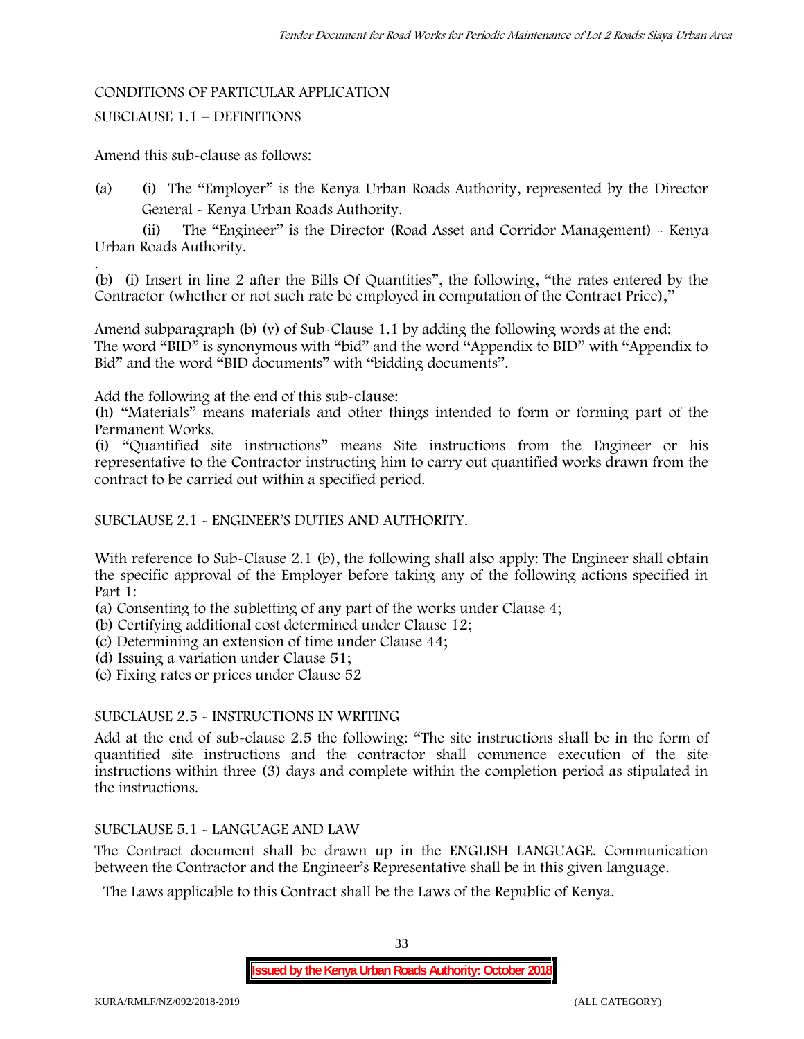#### CONDITIONS OF PARTICULAR APPLICATION

#### SUBCLAUSE 1.1 – DEFINITIONS

Amend this sub-clause as follows:

(a) (i) The "Employer" is the Kenya Urban Roads Authority, represented by the Director General - Kenya Urban Roads Authority.

(ii) The "Engineer" is the Director (Road Asset and Corridor Management) - Kenya Urban Roads Authority.

.(b) (i) Insert in line 2 after the Bills Of Quantities", the following, "the rates entered by the Contractor (whether or not such rate be employed in computation of the Contract Price),"

Amend subparagraph (b) (v) of Sub-Clause 1.1 by adding the following words at the end: The word "BID" is synonymous with "bid" and the word "Appendix to BID" with "Appendix to Bid" and the word "BID documents" with "bidding documents".

Add the following at the end of this sub-clause:

(h) "Materials" means materials and other things intended to form or forming part of the Permanent Works.

(i) "Quantified site instructions" means Site instructions from the Engineer or his representative to the Contractor instructing him to carry out quantified works drawn from the contract to be carried out within a specified period.

SUBCLAUSE 2.1 - ENGINEER'S DUTIES AND AUTHORITY.

With reference to Sub-Clause 2.1 (b), the following shall also apply: The Engineer shall obtain the specific approval of the Employer before taking any of the following actions specified in Part 1:

(a) Consenting to the subletting of any part of the works under Clause 4;

- (b) Certifying additional cost determined under Clause 12;
- (c) Determining an extension of time under Clause 44;

(d) Issuing a variation under Clause 51;

(e) Fixing rates or prices under Clause 52

#### SUBCLAUSE 2.5 - INSTRUCTIONS IN WRITING

Add at the end of sub-clause 2.5 the following: "The site instructions shall be in the form of quantified site instructions and the contractor shall commence execution of the site instructions within three (3) days and complete within the completion period as stipulated in the instructions.

### SUBCLAUSE 5.1 - LANGUAGE AND LAW

The Contract document shall be drawn up in the ENGLISH LANGUAGE. Communication between the Contractor and the Engineer's Representative shall be in this given language.

The Laws applicable to this Contract shall be the Laws of the Republic of Kenya.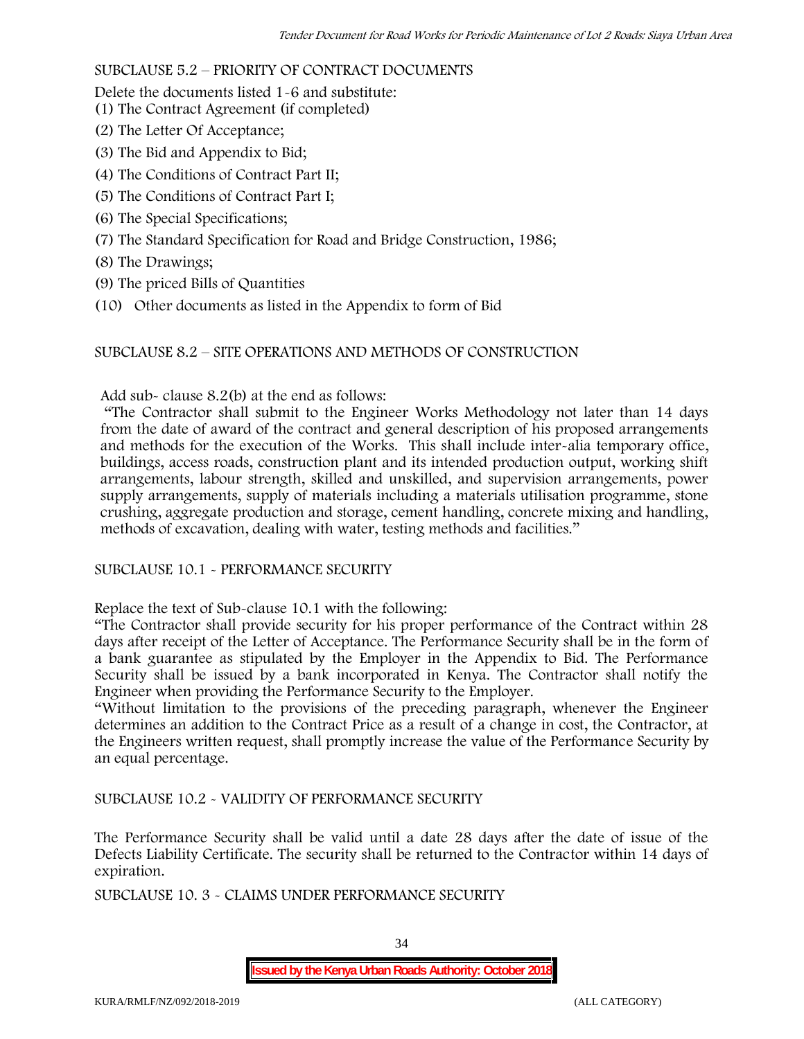### SUBCLAUSE 5.2 – PRIORITY OF CONTRACT DOCUMENTS

Delete the documents listed 1-6 and substitute:

- (1) The Contract Agreement (if completed)
- (2) The Letter Of Acceptance;
- (3) The Bid and Appendix to Bid;
- (4) The Conditions of Contract Part II;
- (5) The Conditions of Contract Part I;
- (6) The Special Specifications;
- (7) The Standard Specification for Road and Bridge Construction, 1986;
- (8) The Drawings;
- (9) The priced Bills of Quantities
- (10) Other documents as listed in the Appendix to form of Bid

### SUBCLAUSE 8.2 – SITE OPERATIONS AND METHODS OF CONSTRUCTION

Add sub- clause 8.2(b) at the end as follows:

"The Contractor shall submit to the Engineer Works Methodology not later than 14 days from the date of award of the contract and general description of his proposed arrangements and methods for the execution of the Works. This shall include inter-alia temporary office, buildings, access roads, construction plant and its intended production output, working shift arrangements, labour strength, skilled and unskilled, and supervision arrangements, power supply arrangements, supply of materials including a materials utilisation programme, stone crushing, aggregate production and storage, cement handling, concrete mixing and handling, methods of excavation, dealing with water, testing methods and facilities."

### SUBCLAUSE 10.1 - PERFORMANCE SECURITY

Replace the text of Sub-clause 10.1 with the following:

"The Contractor shall provide security for his proper performance of the Contract within 28 days after receipt of the Letter of Acceptance. The Performance Security shall be in the form of a bank guarantee as stipulated by the Employer in the Appendix to Bid. The Performance Security shall be issued by a bank incorporated in Kenya. The Contractor shall notify the Engineer when providing the Performance Security to the Employer.

"Without limitation to the provisions of the preceding paragraph, whenever the Engineer determines an addition to the Contract Price as a result of a change in cost, the Contractor, at the Engineers written request, shall promptly increase the value of the Performance Security by an equal percentage.

SUBCLAUSE 10.2 - VALIDITY OF PERFORMANCE SECURITY

The Performance Security shall be valid until a date 28 days after the date of issue of the Defects Liability Certificate. The security shall be returned to the Contractor within 14 days of expiration.

SUBCLAUSE 10. 3 - CLAIMS UNDER PERFORMANCE SECURITY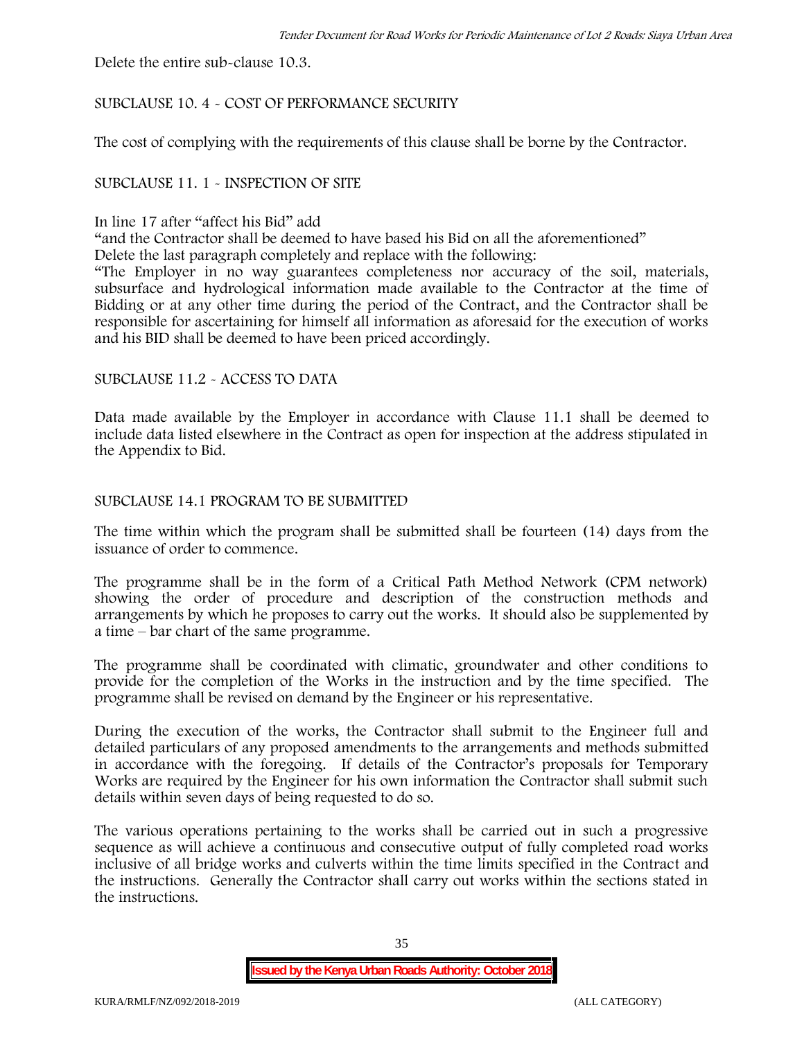Delete the entire sub-clause 10.3.

## SUBCLAUSE 10. 4 - COST OF PERFORMANCE SECURITY

The cost of complying with the requirements of this clause shall be borne by the Contractor.

#### SUBCLAUSE 11. 1 - INSPECTION OF SITE

#### In line 17 after "affect his Bid" add

"and the Contractor shall be deemed to have based his Bid on all the aforementioned"

Delete the last paragraph completely and replace with the following:

"The Employer in no way guarantees completeness nor accuracy of the soil, materials, subsurface and hydrological information made available to the Contractor at the time of Bidding or at any other time during the period of the Contract, and the Contractor shall be responsible for ascertaining for himself all information as aforesaid for the execution of works and his BID shall be deemed to have been priced accordingly.

#### SUBCLAUSE 11.2 - ACCESS TO DATA

Data made available by the Employer in accordance with Clause 11.1 shall be deemed to include data listed elsewhere in the Contract as open for inspection at the address stipulated in the Appendix to Bid.

#### SUBCLAUSE 14.1 PROGRAM TO BE SUBMITTED

The time within which the program shall be submitted shall be fourteen (14) days from the issuance of order to commence**.**

The programme shall be in the form of a Critical Path Method Network (CPM network) showing the order of procedure and description of the construction methods and arrangements by which he proposes to carry out the works. It should also be supplemented by a time – bar chart of the same programme.

The programme shall be coordinated with climatic, groundwater and other conditions to provide for the completion of the Works in the instruction and by the time specified. The programme shall be revised on demand by the Engineer or his representative.

During the execution of the works, the Contractor shall submit to the Engineer full and detailed particulars of any proposed amendments to the arrangements and methods submitted in accordance with the foregoing. If details of the Contractor's proposals for Temporary Works are required by the Engineer for his own information the Contractor shall submit such details within seven days of being requested to do so.

The various operations pertaining to the works shall be carried out in such a progressive sequence as will achieve a continuous and consecutive output of fully completed road works inclusive of all bridge works and culverts within the time limits specified in the Contract and the instructions. Generally the Contractor shall carry out works within the sections stated in the instructions.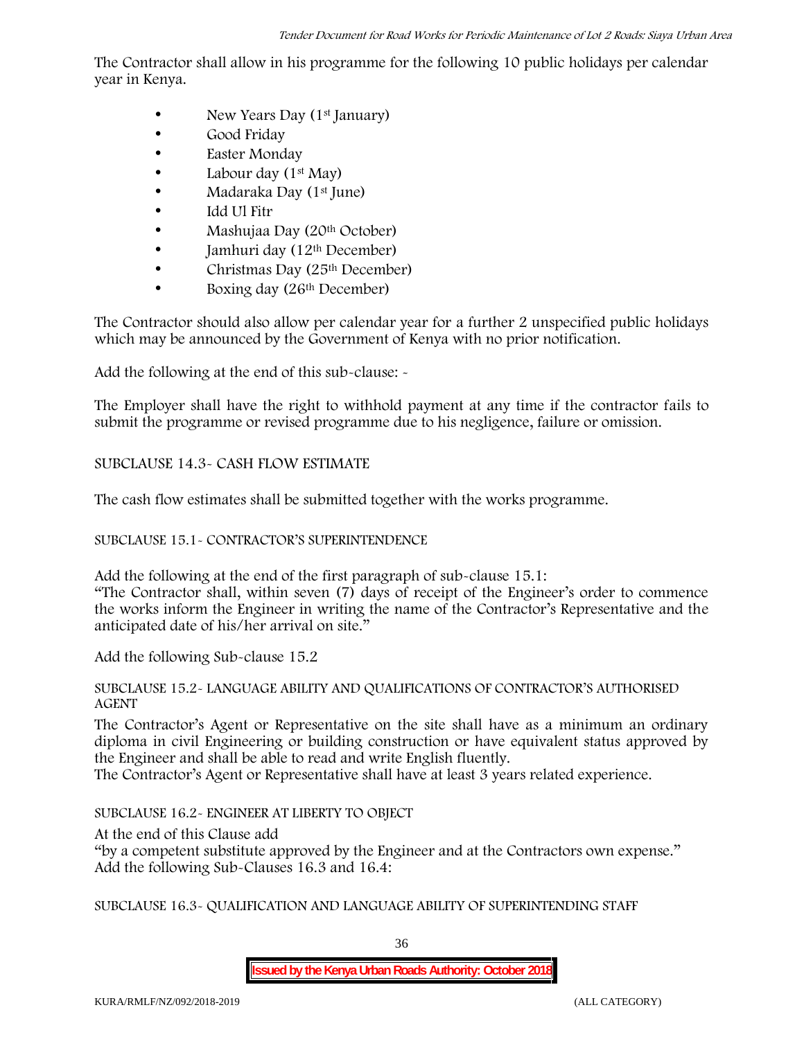The Contractor shall allow in his programme for the following 10 public holidays per calendar year in Kenya.

- New Years Day  $(1<sup>st</sup>$  January)
- Good Friday
- Easter Monday
- Labour day  $(1<sup>st</sup> May)$
- Madaraka Day (1<sup>st</sup> June)
- Idd Ul Fitr
- Mashujaa Day (20<sup>th</sup> October)
- Jamhuri day (12<sup>th</sup> December)
- $\bullet$  Christmas Day (25<sup>th</sup> December)
- Boxing day (26<sup>th</sup> December)

The Contractor should also allow per calendar year for a further 2 unspecified public holidays which may be announced by the Government of Kenya with no prior notification.

Add the following at the end of this sub-clause: -

The Employer shall have the right to withhold payment at any time if the contractor fails to submit the programme or revised programme due to his negligence, failure or omission.

# SUBCLAUSE 14.3- CASH FLOW ESTIMATE

The cash flow estimates shall be submitted together with the works programme.

# SUBCLAUSE 15.1- CONTRACTOR'S SUPERINTENDENCE

Add the following at the end of the first paragraph of sub-clause 15.1: "The Contractor shall, within seven (7) days of receipt of the Engineer's order to commence the works inform the Engineer in writing the name of the Contractor's Representative and the anticipated date of his/her arrival on site."

Add the following Sub-clause 15.2

## SUBCLAUSE 15.2- LANGUAGE ABILITY AND QUALIFICATIONS OF CONTRACTOR'S AUTHORISED AGENT

The Contractor's Agent or Representative on the site shall have as a minimum an ordinary diploma in civil Engineering or building construction or have equivalent status approved by the Engineer and shall be able to read and write English fluently.

The Contractor's Agent or Representative shall have at least 3 years related experience.

SUBCLAUSE 16.2- ENGINEER AT LIBERTY TO OBJECT

At the end of this Clause add

"by a competent substitute approved by the Engineer and at the Contractors own expense." Add the following Sub-Clauses 16.3 and 16.4:

SUBCLAUSE 16.3- QUALIFICATION AND LANGUAGE ABILITY OF SUPERINTENDING STAFF

36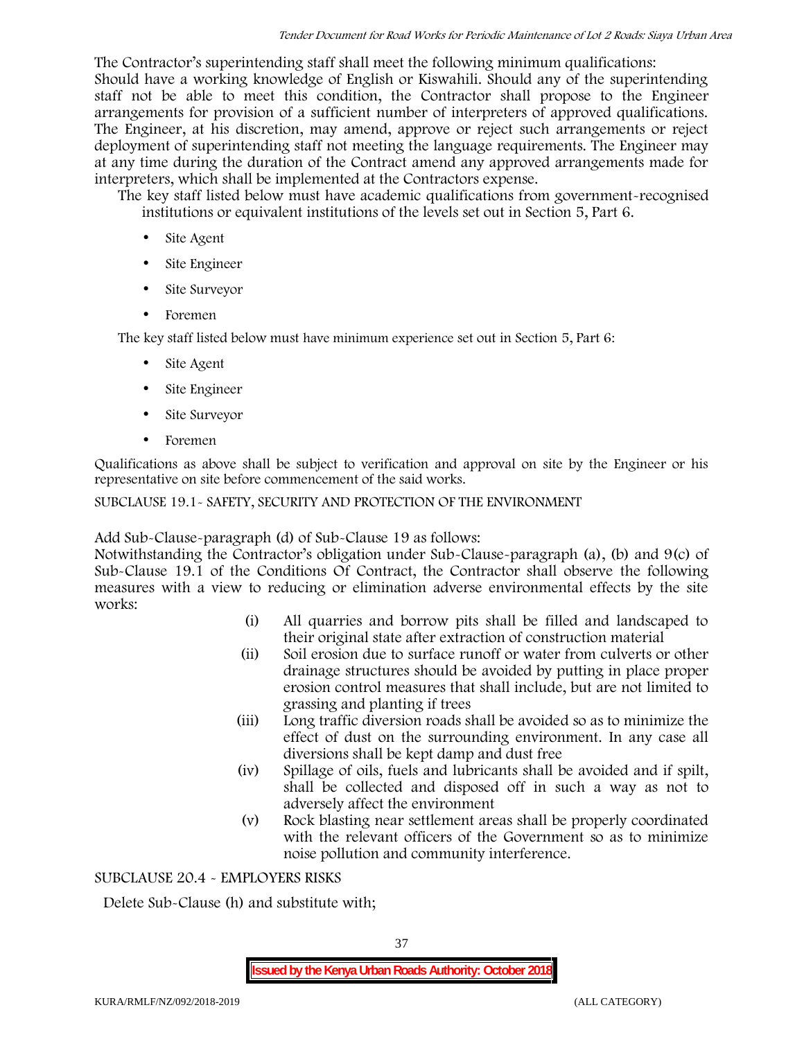The Contractor's superintending staff shall meet the following minimum qualifications: Should have a working knowledge of English or Kiswahili. Should any of the superintending staff not be able to meet this condition, the Contractor shall propose to the Engineer arrangements for provision of a sufficient number of interpreters of approved qualifications. The Engineer, at his discretion, may amend, approve or reject such arrangements or reject deployment of superintending staff not meeting the language requirements. The Engineer may at any time during the duration of the Contract amend any approved arrangements made for interpreters, which shall be implemented at the Contractors expense.

The key staff listed below must have academic qualifications from government-recognised institutions or equivalent institutions of the levels set out in Section 5, Part 6.

- Site Agent
- Site Engineer
- Site Surveyor
- Foremen

The key staff listed below must have minimum experience set out in Section 5, Part 6:

- Site Agent
- Site Engineer
- Site Surveyor
- Foremen

Qualifications as above shall be subject to verification and approval on site by the Engineer or his representative on site before commencement of the said works.

## SUBCLAUSE 19.1- SAFETY, SECURITY AND PROTECTION OF THE ENVIRONMENT

Add Sub-Clause-paragraph (d) of Sub-Clause 19 as follows:

Notwithstanding the Contractor's obligation under Sub-Clause-paragraph (a), (b) and 9(c) of Sub-Clause 19.1 of the Conditions Of Contract, the Contractor shall observe the following measures with a view to reducing or elimination adverse environmental effects by the site works:

- (i) All quarries and borrow pits shall be filled and landscaped to their original state after extraction of construction material
- (ii) Soil erosion due to surface runoff or water from culverts or other drainage structures should be avoided by putting in place proper erosion control measures that shall include, but are not limited to grassing and planting if trees
- (iii) Long traffic diversion roads shall be avoided so as to minimize the effect of dust on the surrounding environment. In any case all diversions shall be kept damp and dust free
- (iv) Spillage of oils, fuels and lubricants shall be avoided and if spilt, shall be collected and disposed off in such a way as not to adversely affect the environment
- (v) Rock blasting near settlement areas shall be properly coordinated with the relevant officers of the Government so as to minimize noise pollution and community interference.

## SUBCLAUSE 20.4 - EMPLOYERS RISKS

Delete Sub-Clause (h) and substitute with;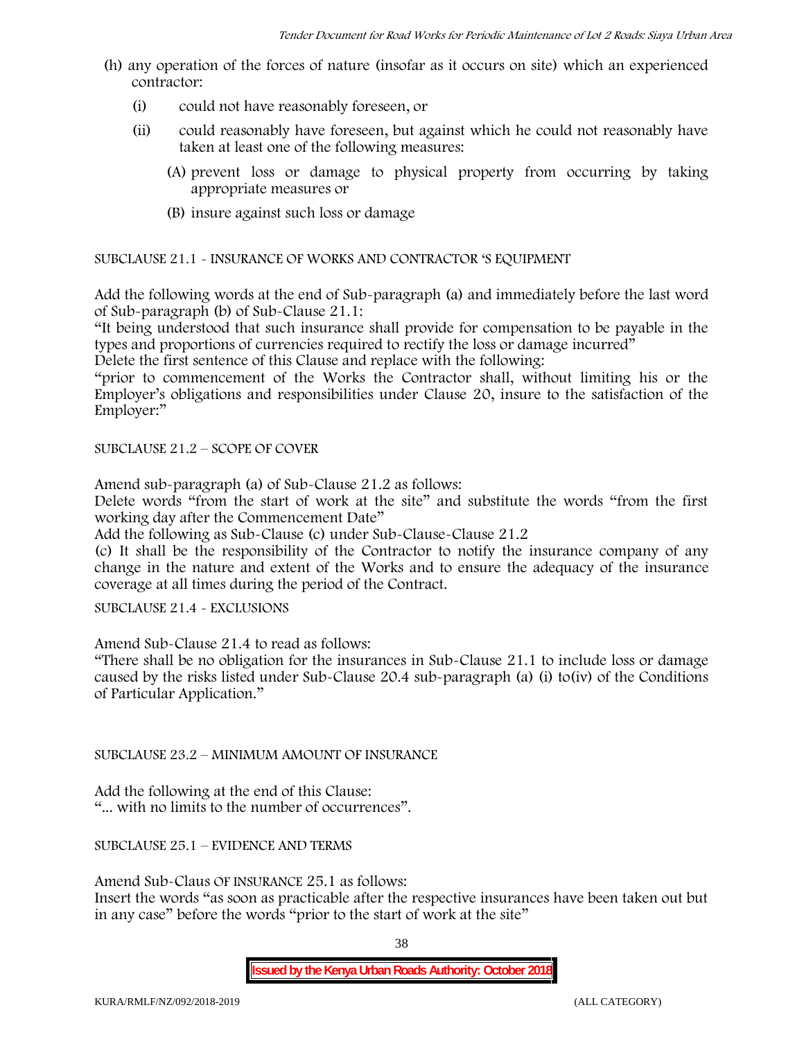- (h) any operation of the forces of nature (insofar as it occurs on site) which an experienced contractor:
	- (i) could not have reasonably foreseen, or
	- (ii) could reasonably have foreseen, but against which he could not reasonably have taken at least one of the following measures:
		- (A) prevent loss or damage to physical property from occurring by taking appropriate measures or
		- (B) insure against such loss or damage

SUBCLAUSE 21.1 - INSURANCE OF WORKS AND CONTRACTOR 'S EQUIPMENT

Add the following words at the end of Sub-paragraph (a) and immediately before the last word of Sub-paragraph (b) of Sub-Clause 21.1:

"It being understood that such insurance shall provide for compensation to be payable in the types and proportions of currencies required to rectify the loss or damage incurred"

Delete the first sentence of this Clause and replace with the following:

"prior to commencement of the Works the Contractor shall, without limiting his or the Employer's obligations and responsibilities under Clause 20, insure to the satisfaction of the Employer:"

SUBCLAUSE 21.2 – SCOPE OF COVER

Amend sub-paragraph (a) of Sub-Clause 21.2 as follows:

Delete words "from the start of work at the site" and substitute the words "from the first working day after the Commencement Date"

Add the following as Sub-Clause (c) under Sub-Clause-Clause 21.2

(c) It shall be the responsibility of the Contractor to notify the insurance company of any change in the nature and extent of the Works and to ensure the adequacy of the insurance coverage at all times during the period of the Contract.

SUBCLAUSE 21.4 - EXCLUSIONS

Amend Sub-Clause 21.4 to read as follows:

"There shall be no obligation for the insurances in Sub-Clause 21.1 to include loss or damage caused by the risks listed under Sub-Clause 20.4 sub-paragraph (a) (i) to(iv) of the Conditions of Particular Application."

SUBCLAUSE 23.2 – MINIMUM AMOUNT OF INSURANCE

Add the following at the end of this Clause: "... with no limits to the number of occurrences".

SUBCLAUSE 25.1 – EVIDENCE AND TERMS

Amend Sub-Claus OF INSURANCE 25.1 as follows:

Insert the words "as soon as practicable after the respective insurances have been taken out but in any case" before the words "prior to the start of work at the site"

38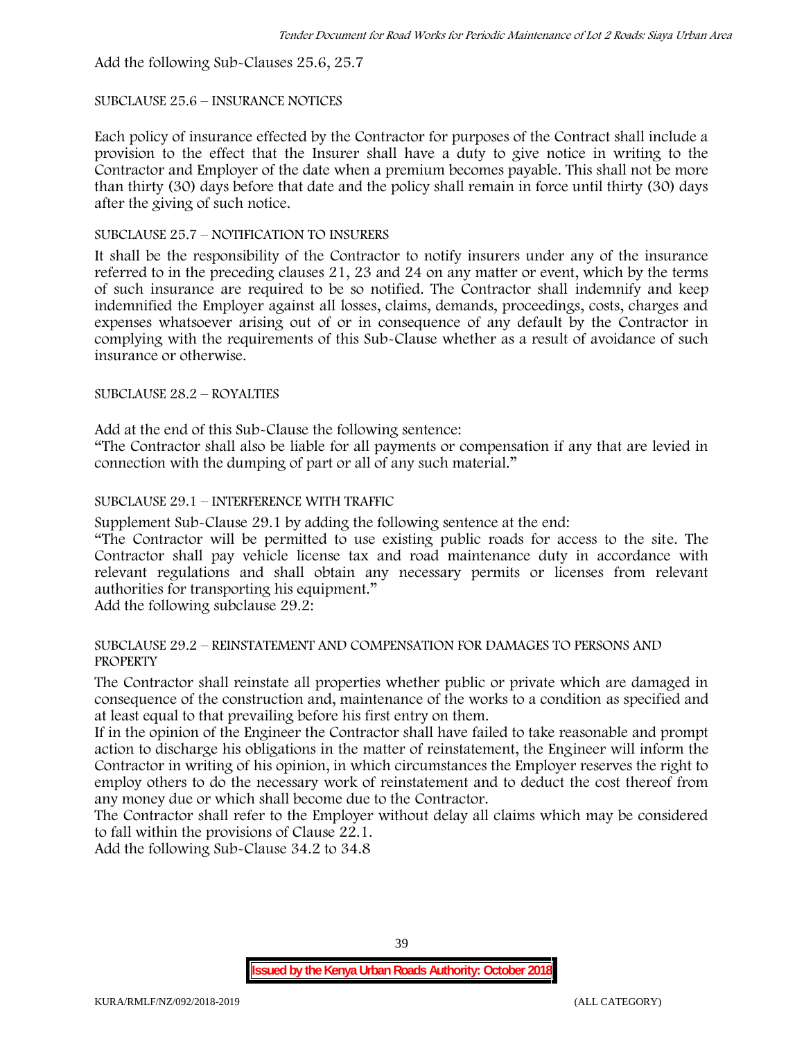Add the following Sub-Clauses 25.6, 25.7

## SUBCLAUSE 25.6 – INSURANCE NOTICES

Each policy of insurance effected by the Contractor for purposes of the Contract shall include a provision to the effect that the Insurer shall have a duty to give notice in writing to the Contractor and Employer of the date when a premium becomes payable. This shall not be more than thirty (30) days before that date and the policy shall remain in force until thirty (30) days after the giving of such notice.

## SUBCLAUSE 25.7 – NOTIFICATION TO INSURERS

It shall be the responsibility of the Contractor to notify insurers under any of the insurance referred to in the preceding clauses 21, 23 and 24 on any matter or event, which by the terms of such insurance are required to be so notified. The Contractor shall indemnify and keep indemnified the Employer against all losses, claims, demands, proceedings, costs, charges and expenses whatsoever arising out of or in consequence of any default by the Contractor in complying with the requirements of this Sub-Clause whether as a result of avoidance of such insurance or otherwise.

## SUBCLAUSE 28.2 – ROYALTIES

Add at the end of this Sub-Clause the following sentence:

"The Contractor shall also be liable for all payments or compensation if any that are levied in connection with the dumping of part or all of any such material."

## SUBCLAUSE 29.1 – INTERFERENCE WITH TRAFFIC

Supplement Sub-Clause 29.1 by adding the following sentence at the end:

"The Contractor will be permitted to use existing public roads for access to the site. The Contractor shall pay vehicle license tax and road maintenance duty in accordance with relevant regulations and shall obtain any necessary permits or licenses from relevant authorities for transporting his equipment."

Add the following subclause 29.2:

#### SUBCLAUSE 29.2 – REINSTATEMENT AND COMPENSATION FOR DAMAGES TO PERSONS AND PROPERTY

The Contractor shall reinstate all properties whether public or private which are damaged in consequence of the construction and, maintenance of the works to a condition as specified and at least equal to that prevailing before his first entry on them.

If in the opinion of the Engineer the Contractor shall have failed to take reasonable and prompt action to discharge his obligations in the matter of reinstatement, the Engineer will inform the Contractor in writing of his opinion, in which circumstances the Employer reserves the right to employ others to do the necessary work of reinstatement and to deduct the cost thereof from any money due or which shall become due to the Contractor.

The Contractor shall refer to the Employer without delay all claims which may be considered to fall within the provisions of Clause 22.1.

Add the following Sub-Clause 34.2 to 34.8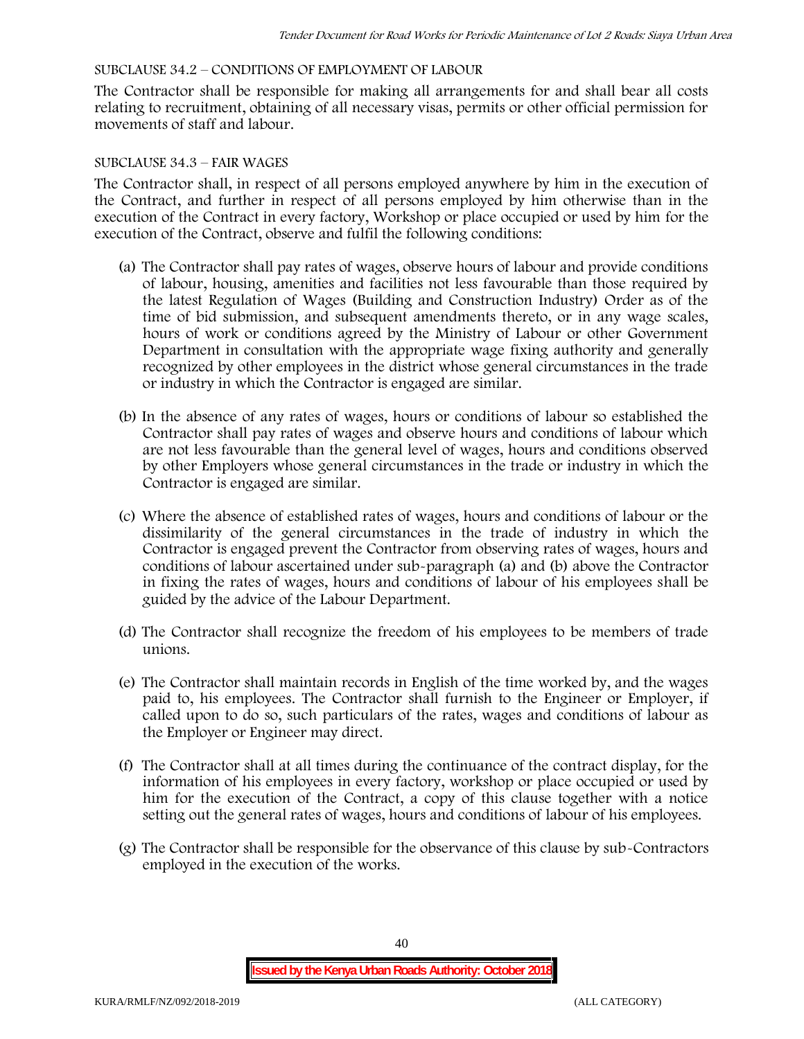## SUBCLAUSE 34.2 – CONDITIONS OF EMPLOYMENT OF LABOUR

The Contractor shall be responsible for making all arrangements for and shall bear all costs relating to recruitment, obtaining of all necessary visas, permits or other official permission for movements of staff and labour.

#### SUBCLAUSE 34.3 – FAIR WAGES

The Contractor shall, in respect of all persons employed anywhere by him in the execution of the Contract, and further in respect of all persons employed by him otherwise than in the execution of the Contract in every factory, Workshop or place occupied or used by him for the execution of the Contract, observe and fulfil the following conditions:

- (a) The Contractor shall pay rates of wages, observe hours of labour and provide conditions of labour, housing, amenities and facilities not less favourable than those required by the latest Regulation of Wages (Building and Construction Industry) Order as of the time of bid submission, and subsequent amendments thereto, or in any wage scales, hours of work or conditions agreed by the Ministry of Labour or other Government Department in consultation with the appropriate wage fixing authority and generally recognized by other employees in the district whose general circumstances in the trade or industry in which the Contractor is engaged are similar.
- (b) In the absence of any rates of wages, hours or conditions of labour so established the Contractor shall pay rates of wages and observe hours and conditions of labour which are not less favourable than the general level of wages, hours and conditions observed by other Employers whose general circumstances in the trade or industry in which the Contractor is engaged are similar.
- (c) Where the absence of established rates of wages, hours and conditions of labour or the dissimilarity of the general circumstances in the trade of industry in which the Contractor is engaged prevent the Contractor from observing rates of wages, hours and conditions of labour ascertained under sub-paragraph (a) and (b) above the Contractor in fixing the rates of wages, hours and conditions of labour of his employees shall be guided by the advice of the Labour Department.
- (d) The Contractor shall recognize the freedom of his employees to be members of trade unions.
- (e) The Contractor shall maintain records in English of the time worked by, and the wages paid to, his employees. The Contractor shall furnish to the Engineer or Employer, if called upon to do so, such particulars of the rates, wages and conditions of labour as the Employer or Engineer may direct.
- (f) The Contractor shall at all times during the continuance of the contract display, for the information of his employees in every factory, workshop or place occupied or used by him for the execution of the Contract, a copy of this clause together with a notice setting out the general rates of wages, hours and conditions of labour of his employees.
- (g) The Contractor shall be responsible for the observance of this clause by sub-Contractors employed in the execution of the works.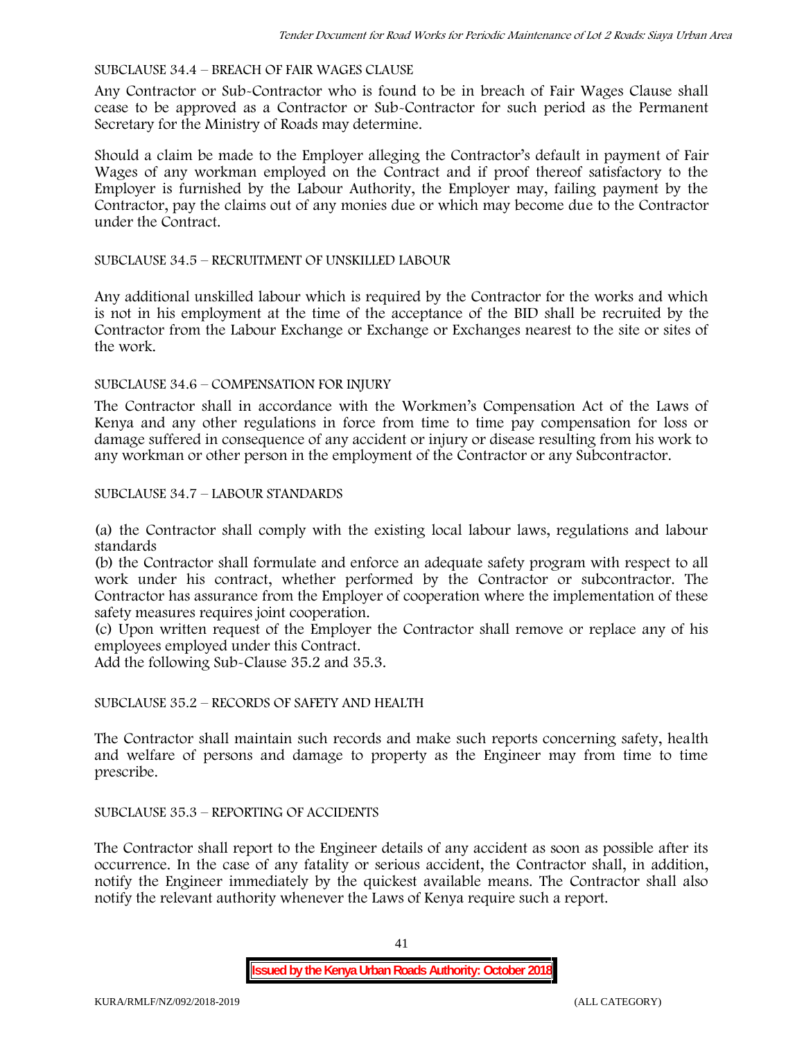#### SUBCLAUSE 34.4 – BREACH OF FAIR WAGES CLAUSE

Any Contractor or Sub-Contractor who is found to be in breach of Fair Wages Clause shall cease to be approved as a Contractor or Sub-Contractor for such period as the Permanent Secretary for the Ministry of Roads may determine.

Should a claim be made to the Employer alleging the Contractor's default in payment of Fair Wages of any workman employed on the Contract and if proof thereof satisfactory to the Employer is furnished by the Labour Authority, the Employer may, failing payment by the Contractor, pay the claims out of any monies due or which may become due to the Contractor under the Contract.

#### SUBCLAUSE 34.5 – RECRUITMENT OF UNSKILLED LABOUR

Any additional unskilled labour which is required by the Contractor for the works and which is not in his employment at the time of the acceptance of the BID shall be recruited by the Contractor from the Labour Exchange or Exchange or Exchanges nearest to the site or sites of the work.

#### SUBCLAUSE 34.6 – COMPENSATION FOR INJURY

The Contractor shall in accordance with the Workmen's Compensation Act of the Laws of Kenya and any other regulations in force from time to time pay compensation for loss or damage suffered in consequence of any accident or injury or disease resulting from his work to any workman or other person in the employment of the Contractor or any Subcontractor.

#### SUBCLAUSE 34.7 – LABOUR STANDARDS

(a) the Contractor shall comply with the existing local labour laws, regulations and labour standards

(b) the Contractor shall formulate and enforce an adequate safety program with respect to all work under his contract, whether performed by the Contractor or subcontractor. The Contractor has assurance from the Employer of cooperation where the implementation of these safety measures requires joint cooperation.

(c) Upon written request of the Employer the Contractor shall remove or replace any of his employees employed under this Contract.

Add the following Sub-Clause 35.2 and 35.3.

# SUBCLAUSE 35.2 – RECORDS OF SAFETY AND HEALTH

The Contractor shall maintain such records and make such reports concerning safety, health and welfare of persons and damage to property as the Engineer may from time to time prescribe.

#### SUBCLAUSE 35.3 – REPORTING OF ACCIDENTS

The Contractor shall report to the Engineer details of any accident as soon as possible after its occurrence. In the case of any fatality or serious accident, the Contractor shall, in addition, notify the Engineer immediately by the quickest available means. The Contractor shall also notify the relevant authority whenever the Laws of Kenya require such a report.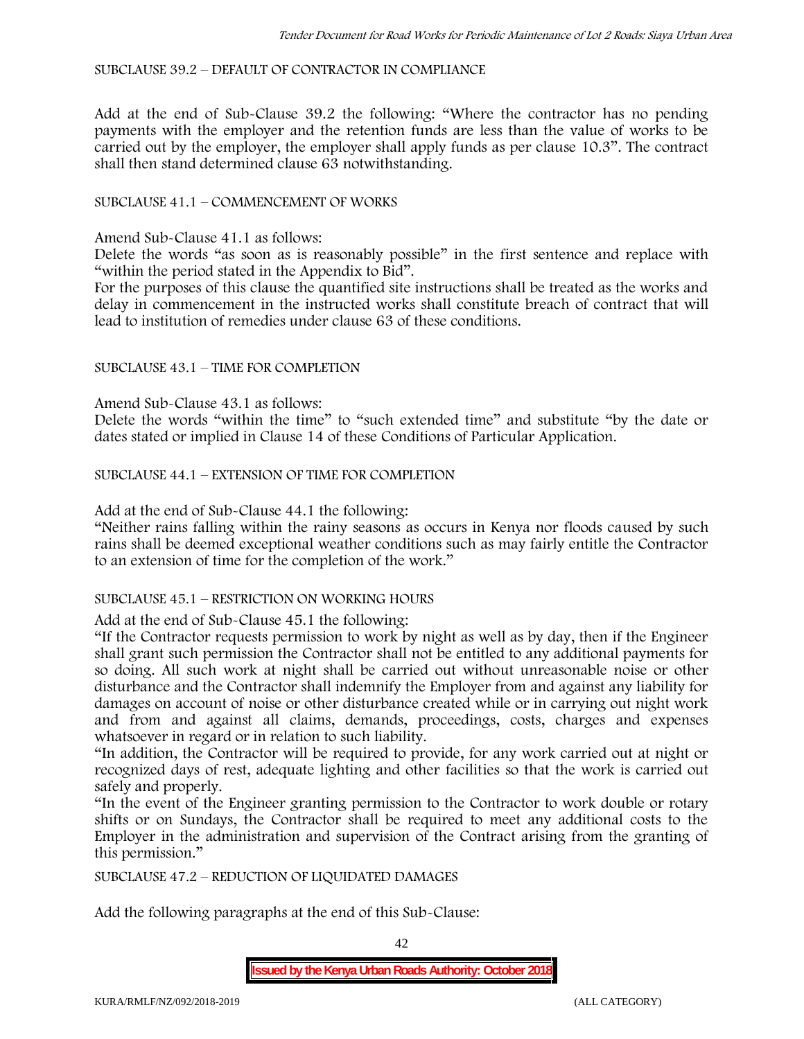SUBCLAUSE 39.2 – DEFAULT OF CONTRACTOR IN COMPLIANCE

Add at the end of Sub-Clause 39.2 the following: "Where the contractor has no pending payments with the employer and the retention funds are less than the value of works to be carried out by the employer, the employer shall apply funds as per clause 10.3". The contract shall then stand determined clause 63 notwithstanding.

## SUBCLAUSE 41.1 – COMMENCEMENT OF WORKS

Amend Sub-Clause 41.1 as follows:

Delete the words "as soon as is reasonably possible" in the first sentence and replace with "within the period stated in the Appendix to Bid".

For the purposes of this clause the quantified site instructions shall be treated as the works and delay in commencement in the instructed works shall constitute breach of contract that will lead to institution of remedies under clause 63 of these conditions.

#### SUBCLAUSE 43.1 – TIME FOR COMPLETION

Amend Sub-Clause 43.1 as follows:

Delete the words "within the time" to "such extended time" and substitute "by the date or dates stated or implied in Clause 14 of these Conditions of Particular Application.

SUBCLAUSE 44.1 – EXTENSION OF TIME FOR COMPLETION

Add at the end of Sub-Clause 44.1 the following:

"Neither rains falling within the rainy seasons as occurs in Kenya nor floods caused by such rains shall be deemed exceptional weather conditions such as may fairly entitle the Contractor to an extension of time for the completion of the work."

#### SUBCLAUSE 45.1 – RESTRICTION ON WORKING HOURS

Add at the end of Sub-Clause 45.1 the following:

"If the Contractor requests permission to work by night as well as by day, then if the Engineer shall grant such permission the Contractor shall not be entitled to any additional payments for so doing. All such work at night shall be carried out without unreasonable noise or other disturbance and the Contractor shall indemnify the Employer from and against any liability for damages on account of noise or other disturbance created while or in carrying out night work and from and against all claims, demands, proceedings, costs, charges and expenses whatsoever in regard or in relation to such liability.

"In addition, the Contractor will be required to provide, for any work carried out at night or recognized days of rest, adequate lighting and other facilities so that the work is carried out safely and properly.

"In the event of the Engineer granting permission to the Contractor to work double or rotary shifts or on Sundays, the Contractor shall be required to meet any additional costs to the Employer in the administration and supervision of the Contract arising from the granting of this permission."

SUBCLAUSE 47.2 – REDUCTION OF LIQUIDATED DAMAGES

Add the following paragraphs at the end of this Sub-Clause:

42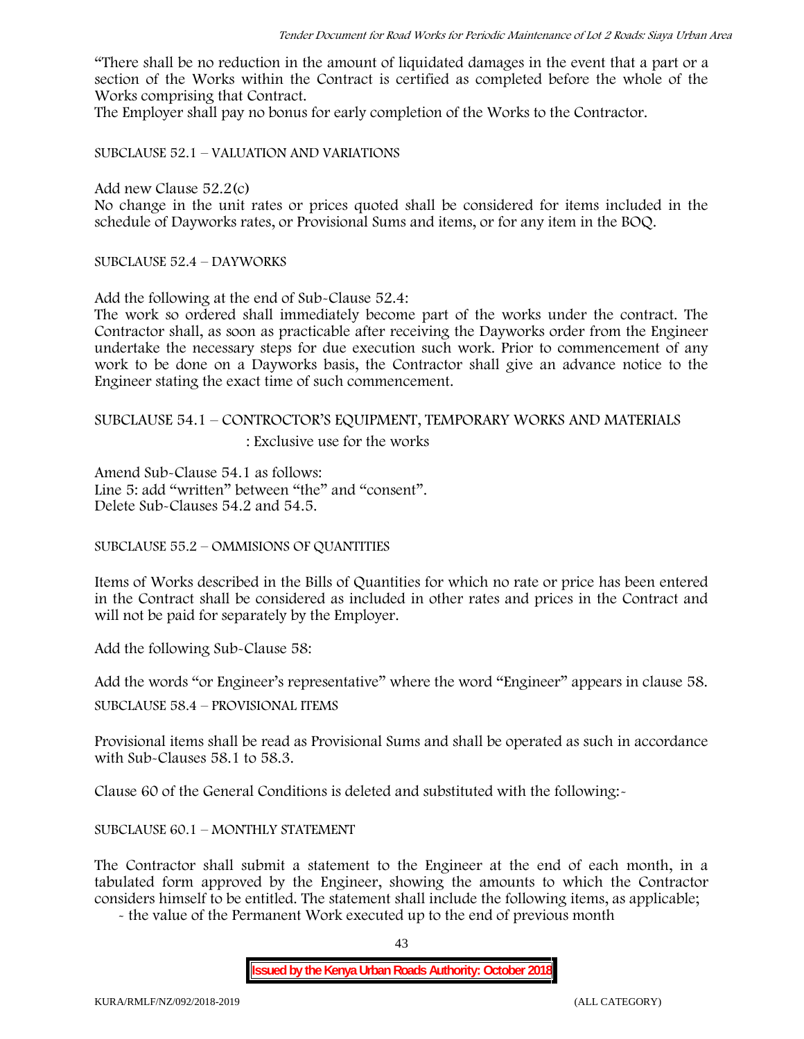"There shall be no reduction in the amount of liquidated damages in the event that a part or a section of the Works within the Contract is certified as completed before the whole of the Works comprising that Contract.

The Employer shall pay no bonus for early completion of the Works to the Contractor.

SUBCLAUSE 52.1 – VALUATION AND VARIATIONS

Add new Clause 52.2(c)

No change in the unit rates or prices quoted shall be considered for items included in the schedule of Dayworks rates, or Provisional Sums and items, or for any item in the BOQ.

SUBCLAUSE 52.4 – DAYWORKS

Add the following at the end of Sub-Clause 52.4:

The work so ordered shall immediately become part of the works under the contract. The Contractor shall, as soon as practicable after receiving the Dayworks order from the Engineer undertake the necessary steps for due execution such work. Prior to commencement of any work to be done on a Dayworks basis, the Contractor shall give an advance notice to the Engineer stating the exact time of such commencement.

# SUBCLAUSE 54.1 – CONTROCTOR'S EQUIPMENT, TEMPORARY WORKS AND MATERIALS

: Exclusive use for the works

Amend Sub-Clause 54.1 as follows: Line 5: add "written" between "the" and "consent". Delete Sub-Clauses 54.2 and 54.5.

SUBCLAUSE 55.2 – OMMISIONS OF QUANTITIES

Items of Works described in the Bills of Quantities for which no rate or price has been entered in the Contract shall be considered as included in other rates and prices in the Contract and will not be paid for separately by the Employer.

Add the following Sub-Clause 58:

Add the words "or Engineer's representative" where the word "Engineer" appears in clause 58.

SUBCLAUSE 58.4 – PROVISIONAL ITEMS

Provisional items shall be read as Provisional Sums and shall be operated as such in accordance with Sub-Clauses 58.1 to 58.3.

Clause 60 of the General Conditions is deleted and substituted with the following:-

## SUBCLAUSE 60.1 – MONTHLY STATEMENT

The Contractor shall submit a statement to the Engineer at the end of each month, in a tabulated form approved by the Engineer, showing the amounts to which the Contractor considers himself to be entitled. The statement shall include the following items, as applicable;

- the value of the Permanent Work executed up to the end of previous month

43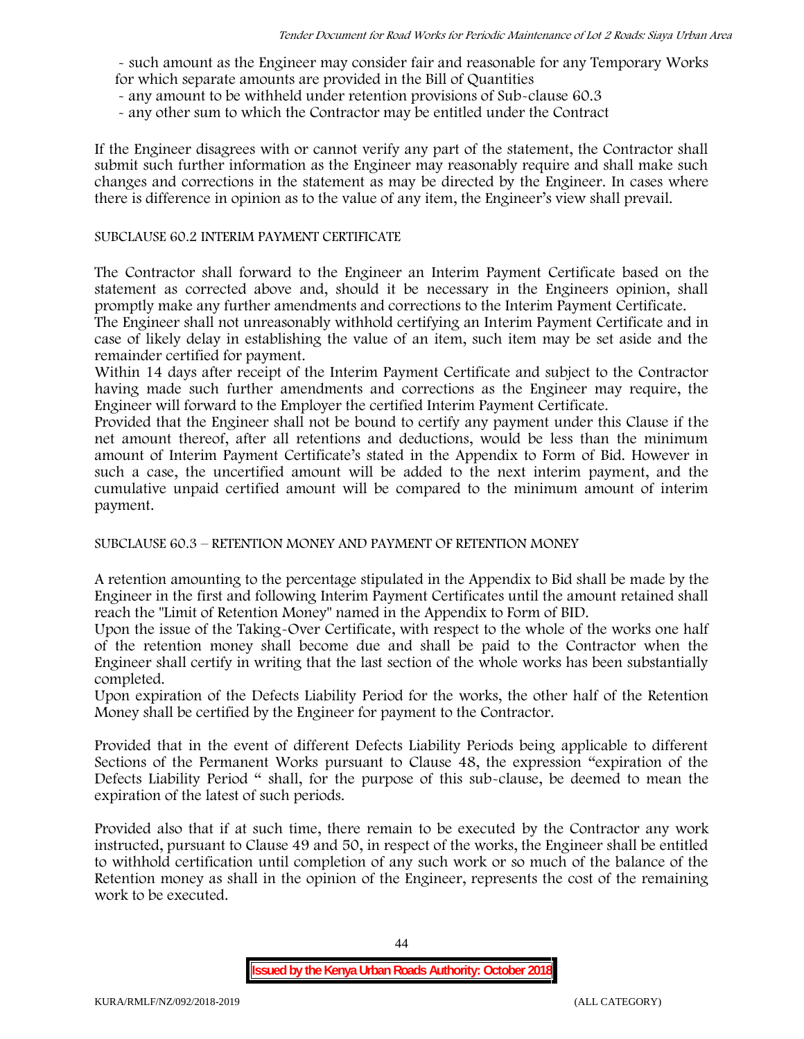- such amount as the Engineer may consider fair and reasonable for any Temporary Works for which separate amounts are provided in the Bill of Quantities

- any amount to be withheld under retention provisions of Sub-clause 60.3
- any other sum to which the Contractor may be entitled under the Contract

If the Engineer disagrees with or cannot verify any part of the statement, the Contractor shall submit such further information as the Engineer may reasonably require and shall make such changes and corrections in the statement as may be directed by the Engineer. In cases where there is difference in opinion as to the value of any item, the Engineer's view shall prevail.

#### SUBCLAUSE 60.2 INTERIM PAYMENT CERTIFICATE

The Contractor shall forward to the Engineer an Interim Payment Certificate based on the statement as corrected above and, should it be necessary in the Engineers opinion, shall promptly make any further amendments and corrections to the Interim Payment Certificate.

The Engineer shall not unreasonably withhold certifying an Interim Payment Certificate and in case of likely delay in establishing the value of an item, such item may be set aside and the remainder certified for payment.

Within 14 days after receipt of the Interim Payment Certificate and subject to the Contractor having made such further amendments and corrections as the Engineer may require, the Engineer will forward to the Employer the certified Interim Payment Certificate.

Provided that the Engineer shall not be bound to certify any payment under this Clause if the net amount thereof, after all retentions and deductions, would be less than the minimum amount of Interim Payment Certificate's stated in the Appendix to Form of Bid. However in such a case, the uncertified amount will be added to the next interim payment, and the cumulative unpaid certified amount will be compared to the minimum amount of interim payment.

SUBCLAUSE 60.3 – RETENTION MONEY AND PAYMENT OF RETENTION MONEY

A retention amounting to the percentage stipulated in the Appendix to Bid shall be made by the Engineer in the first and following Interim Payment Certificates until the amount retained shall reach the "Limit of Retention Money" named in the Appendix to Form of BID.

Upon the issue of the Taking-Over Certificate, with respect to the whole of the works one half of the retention money shall become due and shall be paid to the Contractor when the Engineer shall certify in writing that the last section of the whole works has been substantially completed.

Upon expiration of the Defects Liability Period for the works, the other half of the Retention Money shall be certified by the Engineer for payment to the Contractor.

Provided that in the event of different Defects Liability Periods being applicable to different Sections of the Permanent Works pursuant to Clause 48, the expression "expiration of the Defects Liability Period " shall, for the purpose of this sub-clause, be deemed to mean the expiration of the latest of such periods.

Provided also that if at such time, there remain to be executed by the Contractor any work instructed, pursuant to Clause 49 and 50, in respect of the works, the Engineer shall be entitled to withhold certification until completion of any such work or so much of the balance of the Retention money as shall in the opinion of the Engineer, represents the cost of the remaining work to be executed.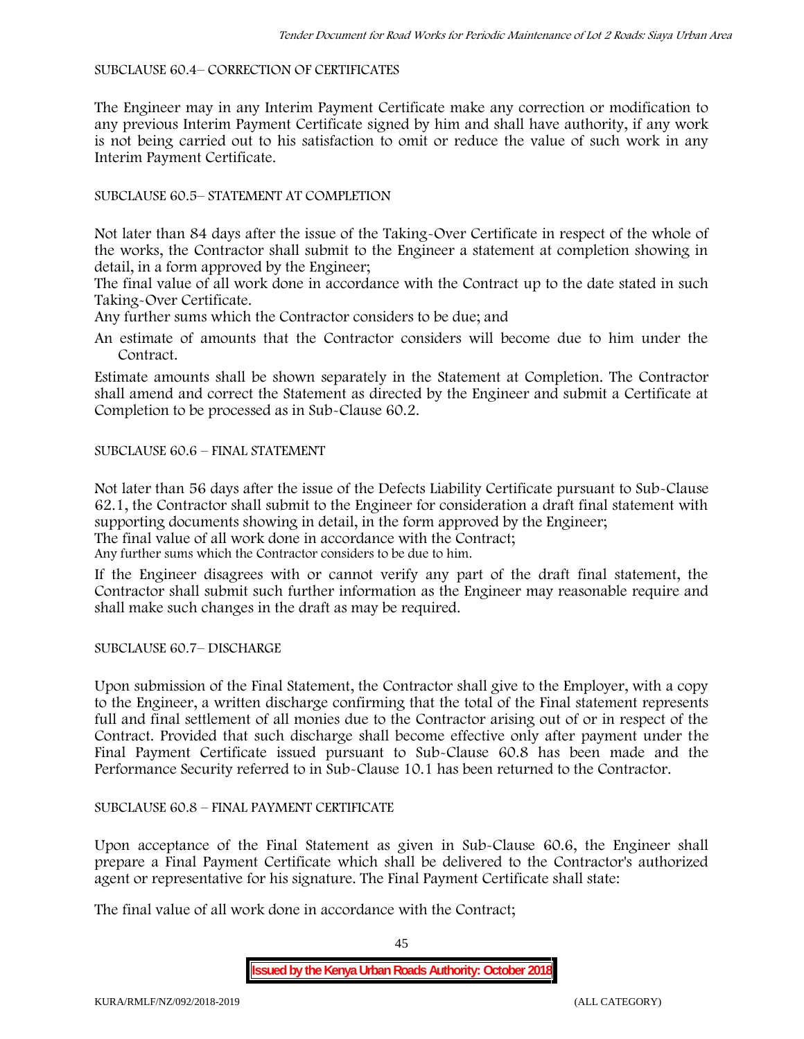#### SUBCLAUSE 60.4– CORRECTION OF CERTIFICATES

The Engineer may in any Interim Payment Certificate make any correction or modification to any previous Interim Payment Certificate signed by him and shall have authority, if any work is not being carried out to his satisfaction to omit or reduce the value of such work in any Interim Payment Certificate.

# SUBCLAUSE 60.5– STATEMENT AT COMPLETION

Not later than 84 days after the issue of the Taking-Over Certificate in respect of the whole of the works, the Contractor shall submit to the Engineer a statement at completion showing in detail, in a form approved by the Engineer;

The final value of all work done in accordance with the Contract up to the date stated in such Taking-Over Certificate.

Any further sums which the Contractor considers to be due; and

An estimate of amounts that the Contractor considers will become due to him under the Contract.

Estimate amounts shall be shown separately in the Statement at Completion. The Contractor shall amend and correct the Statement as directed by the Engineer and submit a Certificate at Completion to be processed as in Sub-Clause 60.2.

## SUBCLAUSE 60.6 – FINAL STATEMENT

Not later than 56 days after the issue of the Defects Liability Certificate pursuant to Sub-Clause 62.1, the Contractor shall submit to the Engineer for consideration a draft final statement with supporting documents showing in detail, in the form approved by the Engineer; The final value of all work done in accordance with the Contract;

Any further sums which the Contractor considers to be due to him.

If the Engineer disagrees with or cannot verify any part of the draft final statement, the Contractor shall submit such further information as the Engineer may reasonable require and shall make such changes in the draft as may be required.

SUBCLAUSE 60.7– DISCHARGE

Upon submission of the Final Statement, the Contractor shall give to the Employer, with a copy to the Engineer, a written discharge confirming that the total of the Final statement represents full and final settlement of all monies due to the Contractor arising out of or in respect of the Contract. Provided that such discharge shall become effective only after payment under the Final Payment Certificate issued pursuant to Sub-Clause 60.8 has been made and the Performance Security referred to in Sub-Clause 10.1 has been returned to the Contractor.

## SUBCLAUSE 60.8 – FINAL PAYMENT CERTIFICATE

Upon acceptance of the Final Statement as given in Sub-Clause 60.6, the Engineer shall prepare a Final Payment Certificate which shall be delivered to the Contractor's authorized agent or representative for his signature. The Final Payment Certificate shall state:

The final value of all work done in accordance with the Contract;

45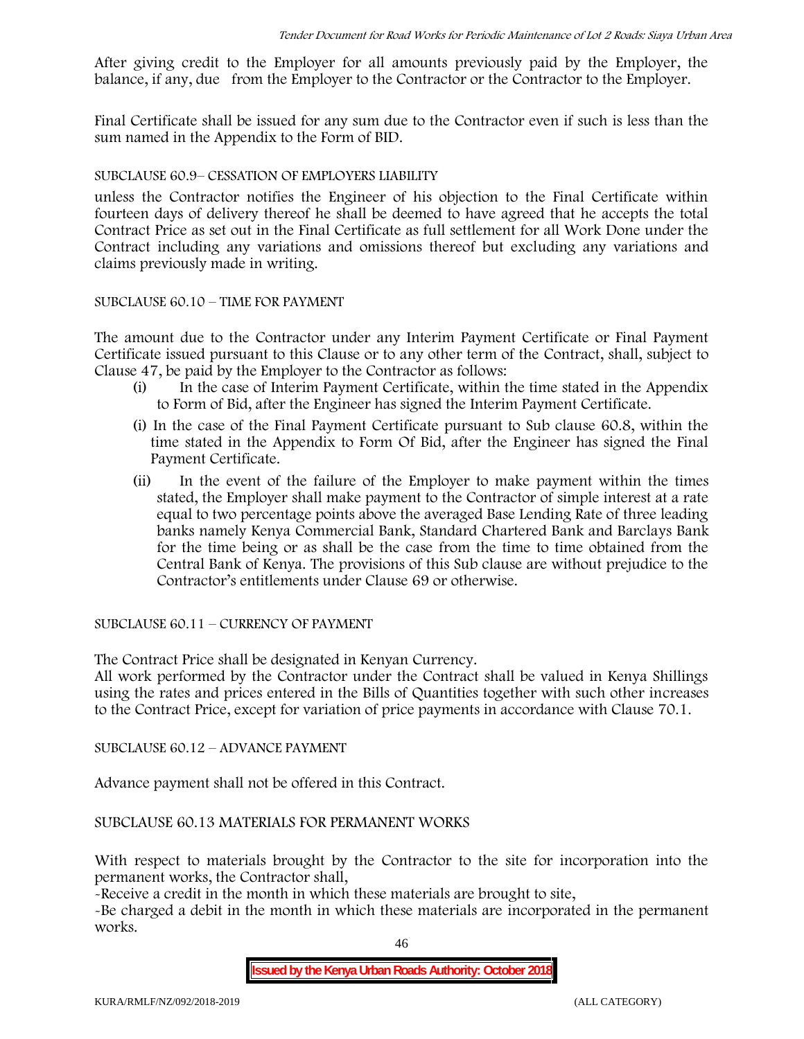After giving credit to the Employer for all amounts previously paid by the Employer, the balance, if any, due from the Employer to the Contractor or the Contractor to the Employer.

Final Certificate shall be issued for any sum due to the Contractor even if such is less than the sum named in the Appendix to the Form of BID.

## SUBCLAUSE 60.9– CESSATION OF EMPLOYERS LIABILITY

unless the Contractor notifies the Engineer of his objection to the Final Certificate within fourteen days of delivery thereof he shall be deemed to have agreed that he accepts the total Contract Price as set out in the Final Certificate as full settlement for all Work Done under the Contract including any variations and omissions thereof but excluding any variations and claims previously made in writing.

## SUBCLAUSE 60.10 – TIME FOR PAYMENT

The amount due to the Contractor under any Interim Payment Certificate or Final Payment Certificate issued pursuant to this Clause or to any other term of the Contract, shall, subject to Clause 47, be paid by the Employer to the Contractor as follows:

- (i) In the case of Interim Payment Certificate, within the time stated in the Appendix to Form of Bid, after the Engineer has signed the Interim Payment Certificate.
- (i) In the case of the Final Payment Certificate pursuant to Sub clause 60.8, within the time stated in the Appendix to Form Of Bid, after the Engineer has signed the Final Payment Certificate.
- (ii) In the event of the failure of the Employer to make payment within the times stated, the Employer shall make payment to the Contractor of simple interest at a rate equal to two percentage points above the averaged Base Lending Rate of three leading banks namely Kenya Commercial Bank, Standard Chartered Bank and Barclays Bank for the time being or as shall be the case from the time to time obtained from the Central Bank of Kenya. The provisions of this Sub clause are without prejudice to the Contractor's entitlements under Clause 69 or otherwise.

SUBCLAUSE 60.11 – CURRENCY OF PAYMENT

The Contract Price shall be designated in Kenyan Currency.

All work performed by the Contractor under the Contract shall be valued in Kenya Shillings using the rates and prices entered in the Bills of Quantities together with such other increases to the Contract Price, except for variation of price payments in accordance with Clause 70.1.

SUBCLAUSE 60.12 – ADVANCE PAYMENT

Advance payment shall not be offered in this Contract.

SUBCLAUSE 60.13 MATERIALS FOR PERMANENT WORKS

With respect to materials brought by the Contractor to the site for incorporation into the permanent works, the Contractor shall,

-Receive a credit in the month in which these materials are brought to site,

-Be charged a debit in the month in which these materials are incorporated in the permanent works.

46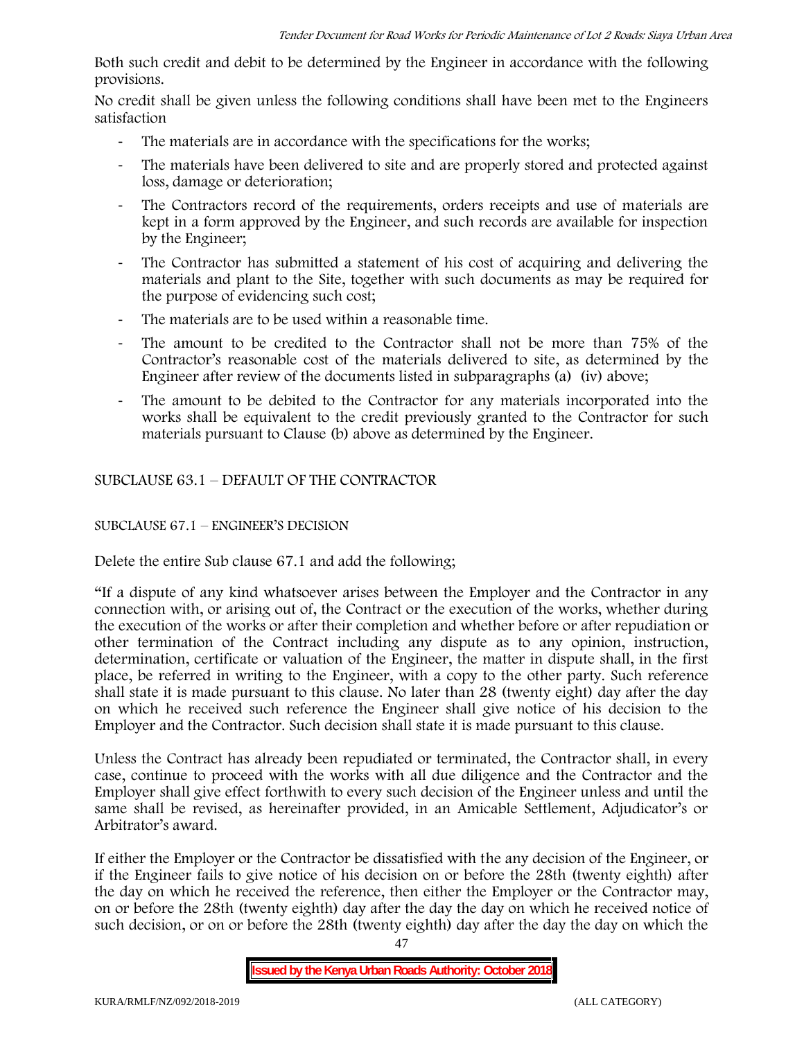Both such credit and debit to be determined by the Engineer in accordance with the following provisions.

No credit shall be given unless the following conditions shall have been met to the Engineers satisfaction

- The materials are in accordance with the specifications for the works;
- The materials have been delivered to site and are properly stored and protected against loss, damage or deterioration;
- The Contractors record of the requirements, orders receipts and use of materials are kept in a form approved by the Engineer, and such records are available for inspection by the Engineer;
- The Contractor has submitted a statement of his cost of acquiring and delivering the materials and plant to the Site, together with such documents as may be required for the purpose of evidencing such cost;
- The materials are to be used within a reasonable time.
- The amount to be credited to the Contractor shall not be more than 75% of the Contractor's reasonable cost of the materials delivered to site, as determined by the Engineer after review of the documents listed in subparagraphs (a) (iv) above;
- The amount to be debited to the Contractor for any materials incorporated into the works shall be equivalent to the credit previously granted to the Contractor for such materials pursuant to Clause (b) above as determined by the Engineer.

SUBCLAUSE 63.1 – DEFAULT OF THE CONTRACTOR

# SUBCLAUSE 67.1 – ENGINEER'S DECISION

Delete the entire Sub clause 67.1 and add the following;

"If a dispute of any kind whatsoever arises between the Employer and the Contractor in any connection with, or arising out of, the Contract or the execution of the works, whether during the execution of the works or after their completion and whether before or after repudiation or other termination of the Contract including any dispute as to any opinion, instruction, determination, certificate or valuation of the Engineer, the matter in dispute shall, in the first place, be referred in writing to the Engineer, with a copy to the other party. Such reference shall state it is made pursuant to this clause. No later than 28 (twenty eight) day after the day on which he received such reference the Engineer shall give notice of his decision to the Employer and the Contractor. Such decision shall state it is made pursuant to this clause.

Unless the Contract has already been repudiated or terminated, the Contractor shall, in every case, continue to proceed with the works with all due diligence and the Contractor and the Employer shall give effect forthwith to every such decision of the Engineer unless and until the same shall be revised, as hereinafter provided, in an Amicable Settlement, Adjudicator's or Arbitrator's award.

If either the Employer or the Contractor be dissatisfied with the any decision of the Engineer, or if the Engineer fails to give notice of his decision on or before the 28th (twenty eighth) after the day on which he received the reference, then either the Employer or the Contractor may, on or before the 28th (twenty eighth) day after the day the day on which he received notice of such decision, or on or before the 28th (twenty eighth) day after the day the day on which the

**Issued by the Kenya Urban Roads Authority: October 2018**

47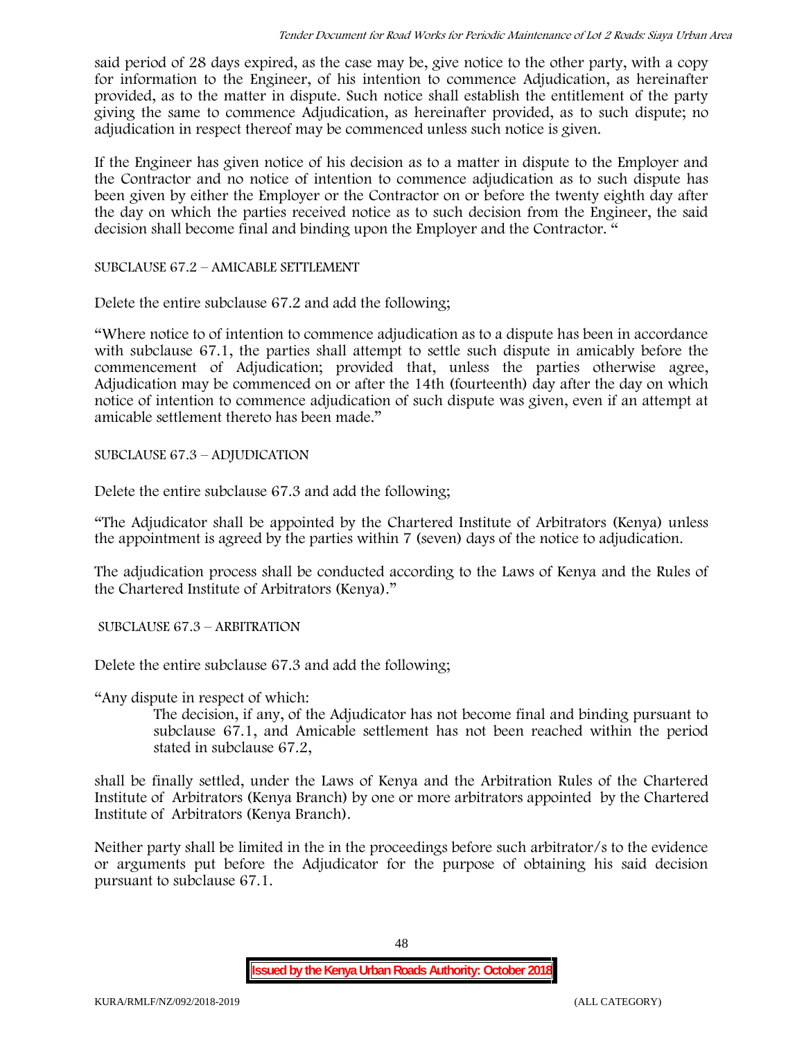said period of 28 days expired, as the case may be, give notice to the other party, with a copy for information to the Engineer, of his intention to commence Adjudication, as hereinafter provided, as to the matter in dispute. Such notice shall establish the entitlement of the party giving the same to commence Adjudication, as hereinafter provided, as to such dispute; no adjudication in respect thereof may be commenced unless such notice is given.

If the Engineer has given notice of his decision as to a matter in dispute to the Employer and the Contractor and no notice of intention to commence adjudication as to such dispute has been given by either the Employer or the Contractor on or before the twenty eighth day after the day on which the parties received notice as to such decision from the Engineer, the said decision shall become final and binding upon the Employer and the Contractor. "

SUBCLAUSE 67.2 – AMICABLE SETTLEMENT

Delete the entire subclause 67.2 and add the following;

"Where notice to of intention to commence adjudication as to a dispute has been in accordance with subclause 67.1, the parties shall attempt to settle such dispute in amicably before the commencement of Adjudication; provided that, unless the parties otherwise agree, Adjudication may be commenced on or after the 14th (fourteenth) day after the day on which notice of intention to commence adjudication of such dispute was given, even if an attempt at amicable settlement thereto has been made."

SUBCLAUSE 67.3 – ADJUDICATION

Delete the entire subclause 67.3 and add the following;

"The Adjudicator shall be appointed by the Chartered Institute of Arbitrators (Kenya) unless the appointment is agreed by the parties within 7 (seven) days of the notice to adjudication.

The adjudication process shall be conducted according to the Laws of Kenya and the Rules of the Chartered Institute of Arbitrators (Kenya)."

SUBCLAUSE 67.3 – ARBITRATION

Delete the entire subclause 67.3 and add the following;

"Any dispute in respect of which:

The decision, if any, of the Adjudicator has not become final and binding pursuant to subclause 67.1, and Amicable settlement has not been reached within the period stated in subclause 67.2,

shall be finally settled, under the Laws of Kenya and the Arbitration Rules of the Chartered Institute of Arbitrators (Kenya Branch) by one or more arbitrators appointed by the Chartered Institute of Arbitrators (Kenya Branch).

Neither party shall be limited in the in the proceedings before such arbitrator/s to the evidence or arguments put before the Adjudicator for the purpose of obtaining his said decision pursuant to subclause 67.1.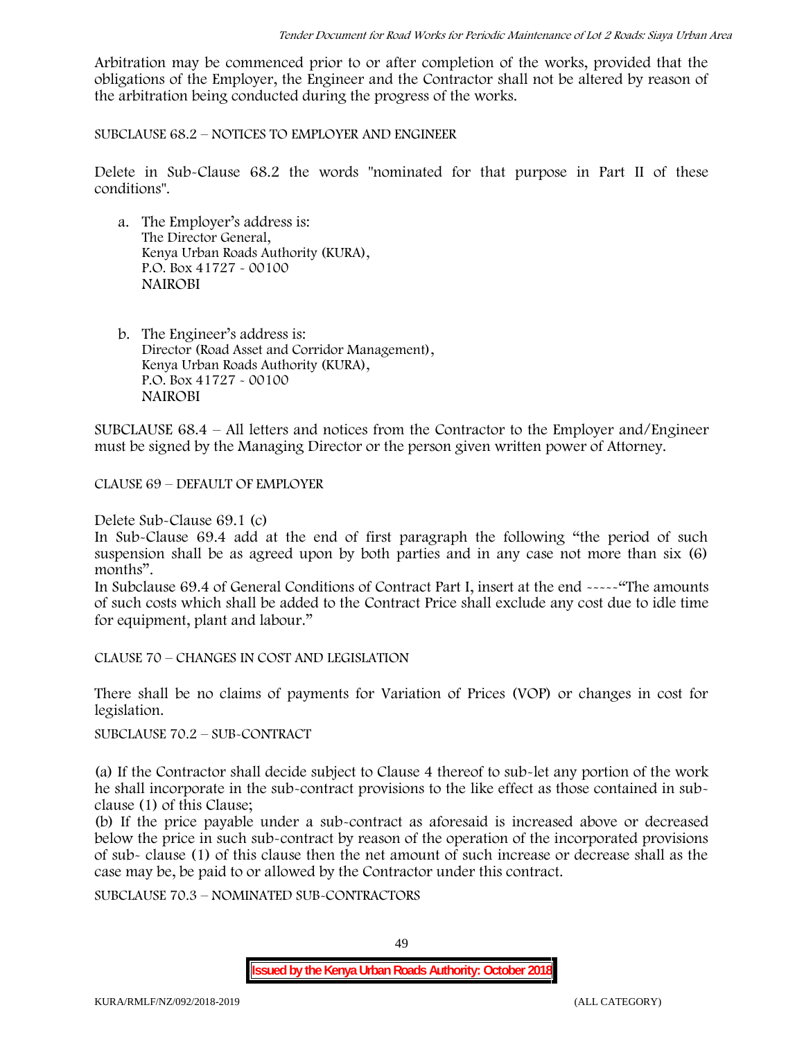Arbitration may be commenced prior to or after completion of the works, provided that the obligations of the Employer, the Engineer and the Contractor shall not be altered by reason of the arbitration being conducted during the progress of the works.

SUBCLAUSE 68.2 – NOTICES TO EMPLOYER AND ENGINEER

Delete in Sub-Clause 68.2 the words "nominated for that purpose in Part II of these conditions".

- a. The Employer's address is: The Director General, Kenya Urban Roads Authority (KURA), P.O. Box 41727 - 00100 **NAIROBI**
- b. The Engineer's address is: Director (Road Asset and Corridor Management), Kenya Urban Roads Authority (KURA), P.O. Box 41727 - 00100 **NAIROBI**

SUBCLAUSE 68.4 – All letters and notices from the Contractor to the Employer and/Engineer must be signed by the Managing Director or the person given written power of Attorney.

CLAUSE 69 – DEFAULT OF EMPLOYER

Delete Sub-Clause 69.1 (c)

In Sub-Clause 69.4 add at the end of first paragraph the following "the period of such suspension shall be as agreed upon by both parties and in any case not more than six (6) months".

In Subclause 69.4 of General Conditions of Contract Part I, insert at the end -----"The amounts of such costs which shall be added to the Contract Price shall exclude any cost due to idle time for equipment, plant and labour."

CLAUSE 70 – CHANGES IN COST AND LEGISLATION

There shall be no claims of payments for Variation of Prices (VOP) or changes in cost for legislation.

SUBCLAUSE 70.2 – SUB-CONTRACT

(a) If the Contractor shall decide subject to Clause 4 thereof to sub-let any portion of the work he shall incorporate in the sub-contract provisions to the like effect as those contained in sub clause (1) of this Clause;

(b) If the price payable under a sub-contract as aforesaid is increased above or decreased below the price in such sub-contract by reason of the operation of the incorporated provisions of sub- clause (1) of this clause then the net amount of such increase or decrease shall as the case may be, be paid to or allowed by the Contractor under this contract.

SUBCLAUSE 70.3 – NOMINATED SUB-CONTRACTORS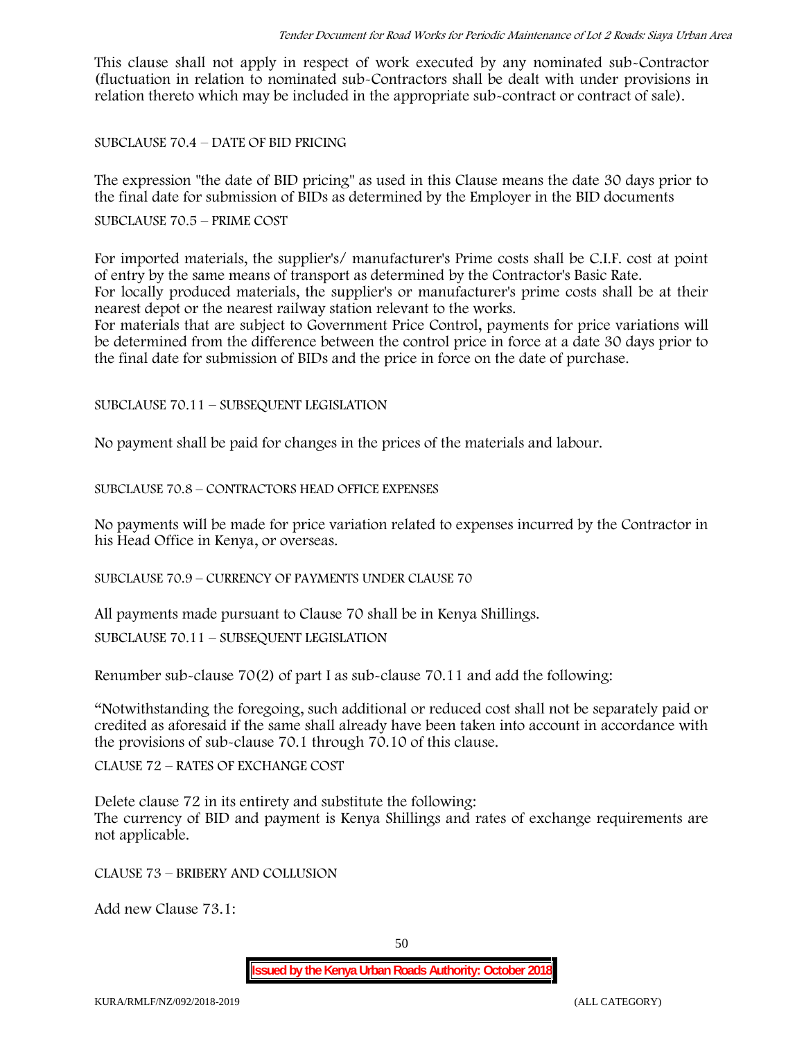This clause shall not apply in respect of work executed by any nominated sub-Contractor (fluctuation in relation to nominated sub-Contractors shall be dealt with under provisions in relation thereto which may be included in the appropriate sub-contract or contract of sale).

SUBCLAUSE 70.4 – DATE OF BID PRICING

The expression "the date of BID pricing" as used in this Clause means the date 30 days prior to the final date for submission of BIDs as determined by the Employer in the BID documents

#### SUBCLAUSE 70.5 – PRIME COST

For imported materials, the supplier's/ manufacturer's Prime costs shall be C.I.F. cost at point of entry by the same means of transport as determined by the Contractor's Basic Rate. For locally produced materials, the supplier's or manufacturer's prime costs shall be at their nearest depot or the nearest railway station relevant to the works.

For materials that are subject to Government Price Control, payments for price variations will be determined from the difference between the control price in force at a date 30 days prior to the final date for submission of BIDs and the price in force on the date of purchase.

SUBCLAUSE 70.11 – SUBSEQUENT LEGISLATION

No payment shall be paid for changes in the prices of the materials and labour.

SUBCLAUSE 70.8 – CONTRACTORS HEAD OFFICE EXPENSES

No payments will be made for price variation related to expenses incurred by the Contractor in his Head Office in Kenya, or overseas.

SUBCLAUSE 70.9 – CURRENCY OF PAYMENTS UNDER CLAUSE 70

All payments made pursuant to Clause 70 shall be in Kenya Shillings.

SUBCLAUSE 70.11 – SUBSEQUENT LEGISLATION

Renumber sub-clause 70(2) of part I as sub-clause 70.11 and add the following:

"Notwithstanding the foregoing, such additional or reduced cost shall not be separately paid or credited as aforesaid if the same shall already have been taken into account in accordance with the provisions of sub-clause 70.1 through 70.10 of this clause.

CLAUSE 72 – RATES OF EXCHANGE COST

Delete clause 72 in its entirety and substitute the following: The currency of BID and payment is Kenya Shillings and rates of exchange requirements are not applicable.

CLAUSE 73 – BRIBERY AND COLLUSION

Add new Clause 73.1: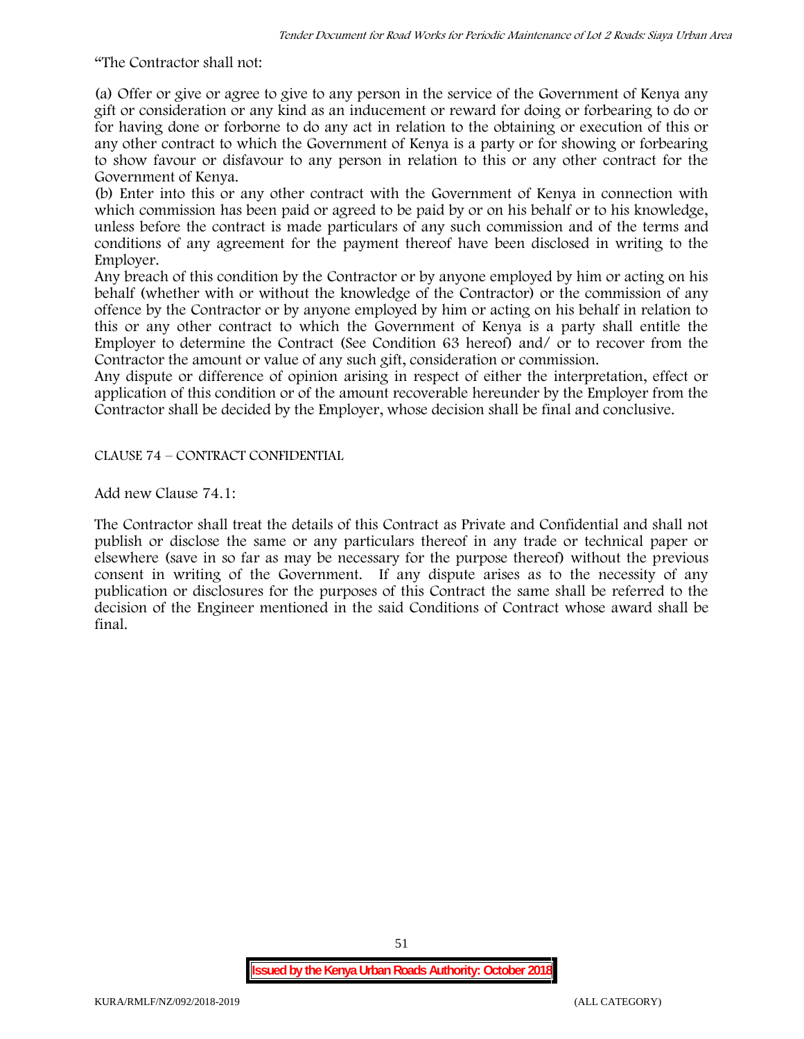"The Contractor shall not:

(a) Offer or give or agree to give to any person in the service of the Government of Kenya any gift or consideration or any kind as an inducement or reward for doing or forbearing to do or for having done or forborne to do any act in relation to the obtaining or execution of this or any other contract to which the Government of Kenya is a party or for showing or forbearing to show favour or disfavour to any person in relation to this or any other contract for the Government of Kenya.

(b) Enter into this or any other contract with the Government of Kenya in connection with which commission has been paid or agreed to be paid by or on his behalf or to his knowledge, unless before the contract is made particulars of any such commission and of the terms and conditions of any agreement for the payment thereof have been disclosed in writing to the Employer.

Any breach of this condition by the Contractor or by anyone employed by him or acting on his behalf (whether with or without the knowledge of the Contractor) or the commission of any offence by the Contractor or by anyone employed by him or acting on his behalf in relation to this or any other contract to which the Government of Kenya is a party shall entitle the Employer to determine the Contract (See Condition 63 hereof) and/ or to recover from the Contractor the amount or value of any such gift, consideration or commission.

Any dispute or difference of opinion arising in respect of either the interpretation, effect or application of this condition or of the amount recoverable hereunder by the Employer from the Contractor shall be decided by the Employer, whose decision shall be final and conclusive.

CLAUSE 74 – CONTRACT CONFIDENTIAL

Add new Clause 74.1:

The Contractor shall treat the details of this Contract as Private and Confidential and shall not publish or disclose the same or any particulars thereof in any trade or technical paper or elsewhere (save in so far as may be necessary for the purpose thereof) without the previous consent in writing of the Government. If any dispute arises as to the necessity of any publication or disclosures for the purposes of this Contract the same shall be referred to the decision of the Engineer mentioned in the said Conditions of Contract whose award shall be final.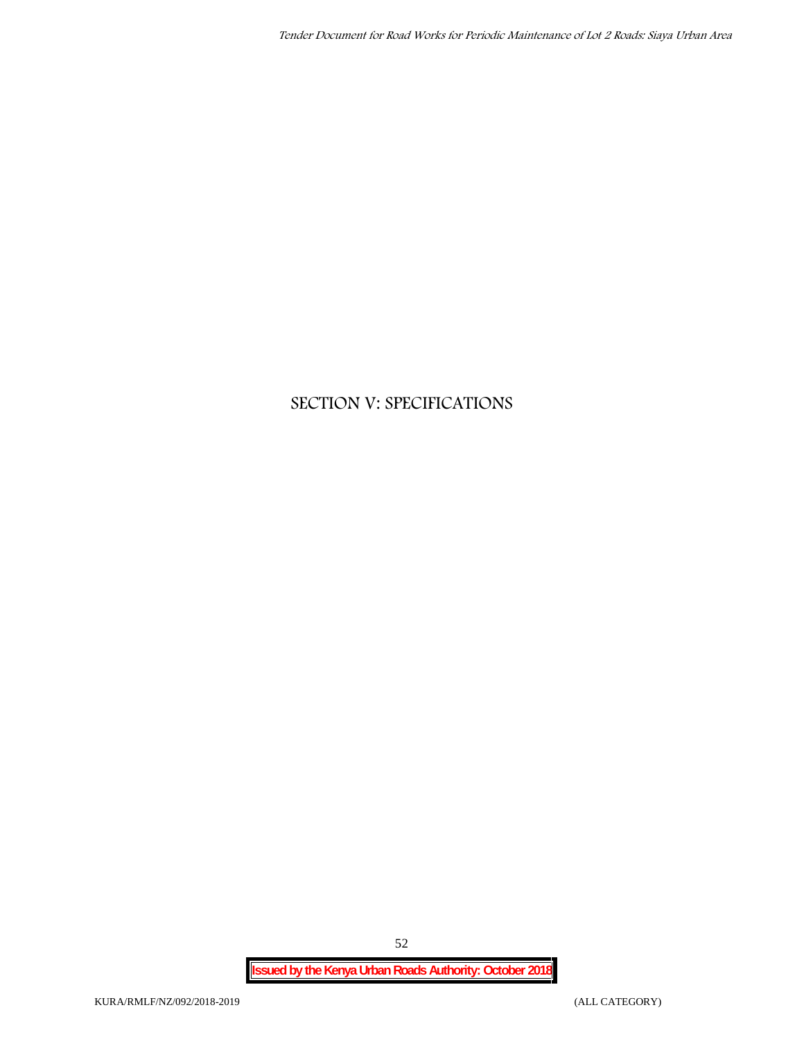# **SECTION V: SPECIFICATIONS**

52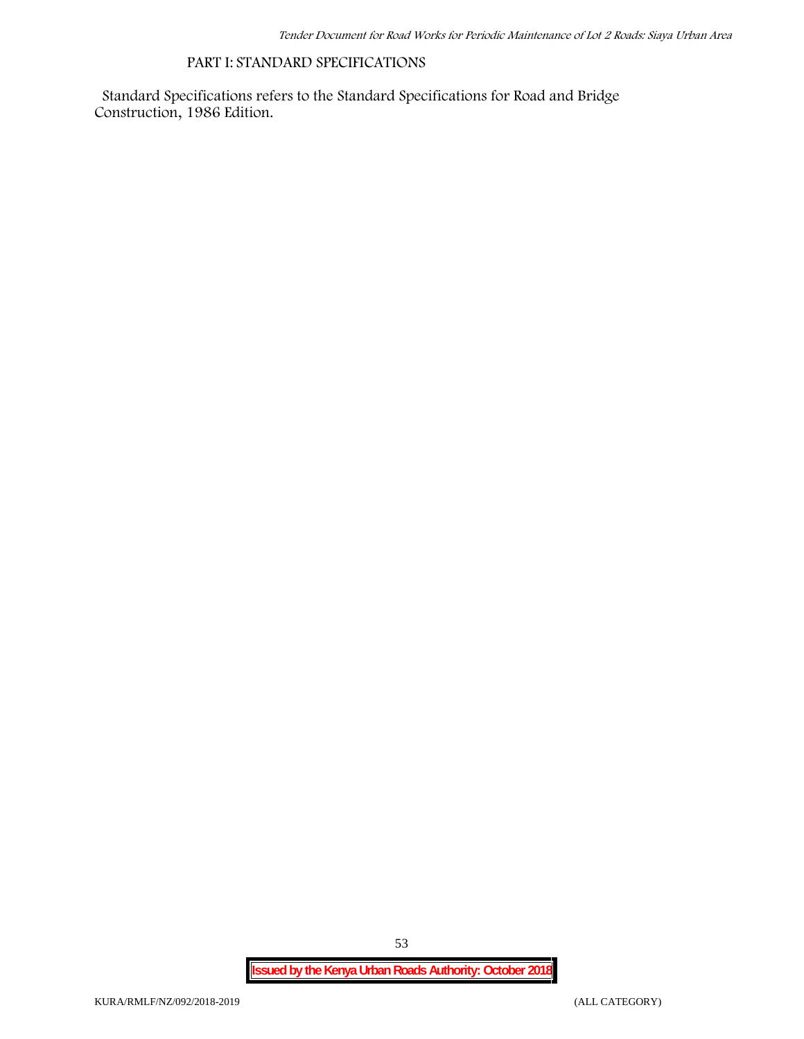#### **PART I: STANDARD SPECIFICATIONS**

Standard Specifications refers to the Standard Specifications for Road and Bridge Construction, 1986 Edition.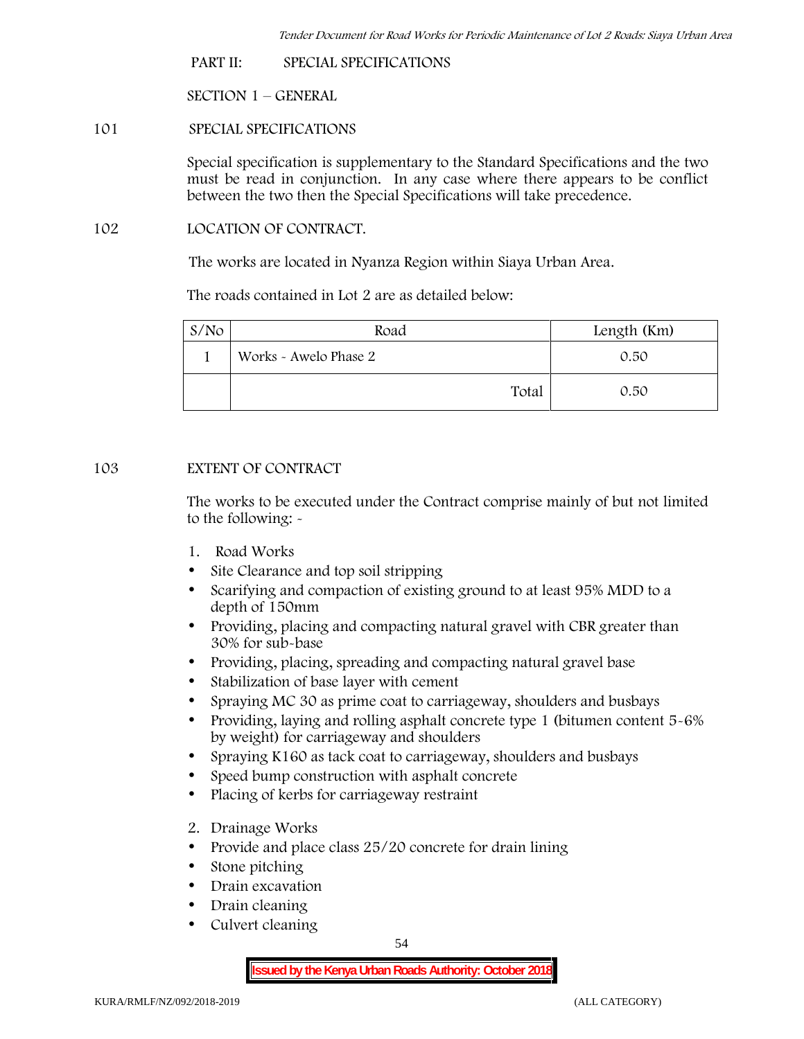**PART II: SPECIAL SPECIFICATIONS**

**SECTION 1 – GENERAL**

**101 SPECIAL SPECIFICATIONS**

Special specification is supplementary to the Standard Specifications and the two must be read in conjunction. In any case where there appears to be conflict between the two then the Special Specifications will take precedence.

**102 LOCATION OF CONTRACT.**

The works are located in Nyanza Region within Siaya Urban Area.

The roads contained in Lot 2 are as detailed below:

| S/N <sub>O</sub> | Road                  | Length (Km) |
|------------------|-----------------------|-------------|
|                  | Works - Awelo Phase 2 | 0.50        |
|                  | Total                 | 0.50        |

## **103 EXTENT OF CONTRACT**

The works to be executed under the Contract comprise mainly of but not limited to the following: -

- **1. Road Works**
- Site Clearance and top soil stripping
- Scarifying and compaction of existing ground to at least 95% MDD to a depth of 150mm
- Providing, placing and compacting natural gravel with CBR greater than 30% for sub-base
- Providing, placing, spreading and compacting natural gravel base
- Stabilization of base layer with cement
- Spraying MC 30 as prime coat to carriageway, shoulders and busbays
- Providing, laying and rolling asphalt concrete type 1 (bitumen content 5-6%) by weight) for carriageway and shoulders
- Spraying K160 as tack coat to carriageway, shoulders and busbays
- Speed bump construction with asphalt concrete
- Placing of kerbs for carriageway restraint
- **2. Drainage Works**
- Provide and place class 25/20 concrete for drain lining
- Stone pitching
- Drain excavation
- Drain cleaning
- Culvert cleaning

54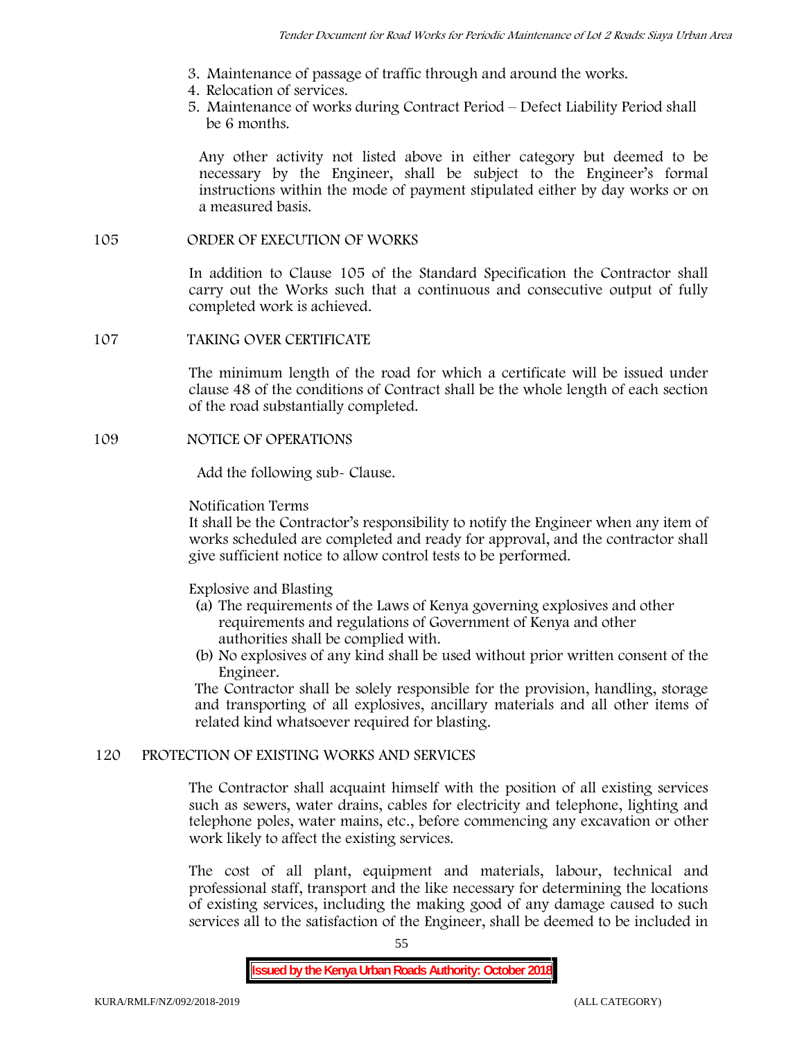- **3. Maintenance of passage of traffic through and around the works.**
- **4. Relocation of services.**
- **5. Maintenance of works during Contract Period – Defect Liability Period shall be 6 months.**

Any other activity not listed above in either category but deemed to be necessary by the Engineer, shall be subject to the Engineer's formal instructions within the mode of payment stipulated either by day works or on a measured basis.

#### **105 ORDER OF EXECUTION OF WORKS**

In addition to Clause 105 of the Standard Specification the Contractor shall carry out the Works such that a continuous and consecutive output of fully completed work is achieved.

**107 TAKING OVER CERTIFICATE**

The minimum length of the road for which a certificate will be issued under clause 48 of the conditions of Contract shall be the whole length of each section of the road substantially completed.

#### **109 NOTICE OF OPERATIONS**

Add the following sub- Clause.

Notification Terms

It shall be the Contractor's responsibility to notify the Engineer when any item of works scheduled are completed and ready for approval, and the contractor shall give sufficient notice to allow control tests to be performed.

Explosive and Blasting

- (a) The requirements of the Laws of Kenya governing explosives and other requirements and regulations of Government of Kenya and other authorities shall be complied with.
- (b) No explosives of any kind shall be used without prior written consent of the Engineer.

The Contractor shall be solely responsible for the provision, handling, storage and transporting of all explosives, ancillary materials and all other items of related kind whatsoever required for blasting.

## **120 PROTECTION OF EXISTING WORKS AND SERVICES**

The Contractor shall acquaint himself with the position of all existing services such as sewers, water drains, cables for electricity and telephone, lighting and telephone poles, water mains, etc., before commencing any excavation or other work likely to affect the existing services.

The cost of all plant, equipment and materials, labour, technical and professional staff, transport and the like necessary for determining the locations of existing services, including the making good of any damage caused to such services all to the satisfaction of the Engineer, shall be deemed to be included in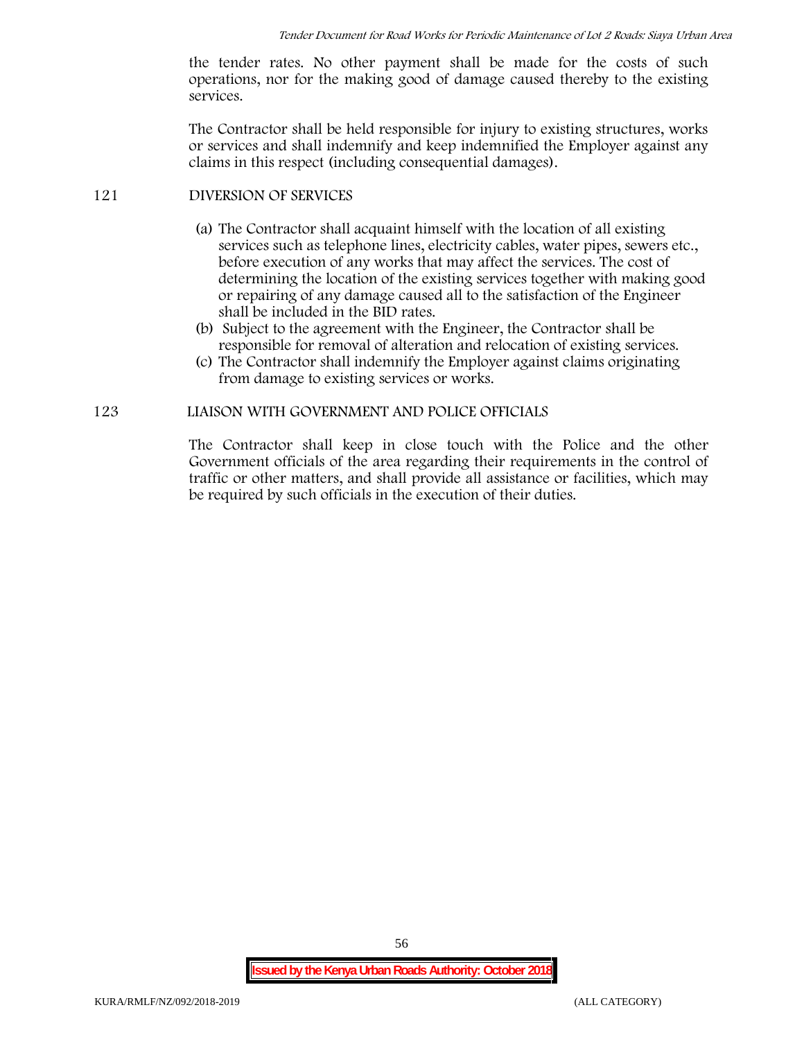the tender rates. No other payment shall be made for the costs of such operations, nor for the making good of damage caused thereby to the existing services.

The Contractor shall be held responsible for injury to existing structures, works or services and shall indemnify and keep indemnified the Employer against any claims in this respect (including consequential damages).

#### **121 DIVERSION OF SERVICES**

- (a) The Contractor shall acquaint himself with the location of all existing services such as telephone lines, electricity cables, water pipes, sewers etc., before execution of any works that may affect the services. The cost of determining the location of the existing services together with making good or repairing of any damage caused all to the satisfaction of the Engineer shall be included in the BID rates.
- (b) Subject to the agreement with the Engineer, the Contractor shall be responsible for removal of alteration and relocation of existing services.
- (c) The Contractor shall indemnify the Employer against claims originating from damage to existing services or works.

# **123 LIAISON WITH GOVERNMENT AND POLICE OFFICIALS**

The Contractor shall keep in close touch with the Police and the other Government officials of the area regarding their requirements in the control of traffic or other matters, and shall provide all assistance or facilities, which may be required by such officials in the execution of their duties.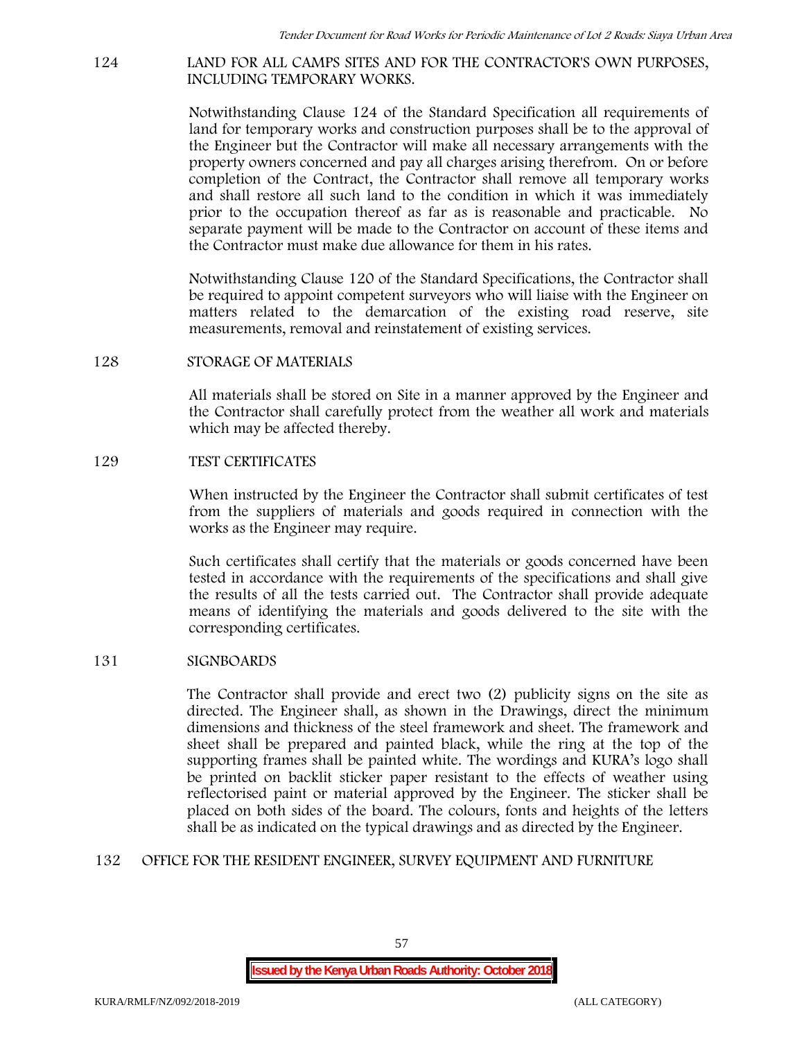#### **124 LAND FOR ALL CAMPS SITES AND FOR THE CONTRACTOR'S OWN PURPOSES, INCLUDING TEMPORARY WORKS.**

Notwithstanding Clause 124 of the Standard Specification all requirements of land for temporary works and construction purposes shall be to the approval of the Engineer but the Contractor will make all necessary arrangements with the property owners concerned and pay all charges arising therefrom. On or before completion of the Contract, the Contractor shall remove all temporary works and shall restore all such land to the condition in which it was immediately prior to the occupation thereof as far as is reasonable and practicable. No separate payment will be made to the Contractor on account of these items and the Contractor must make due allowance for them in his rates.

Notwithstanding Clause 120 of the Standard Specifications, the Contractor shall be required to appoint competent surveyors who will liaise with the Engineer on matters related to the demarcation of the existing road reserve, site measurements, removal and reinstatement of existing services.

#### **128 STORAGE OF MATERIALS**

All materials shall be stored on Site in a manner approved by the Engineer and the Contractor shall carefully protect from the weather all work and materials which may be affected thereby.

#### **129 TEST CERTIFICATES**

When instructed by the Engineer the Contractor shall submit certificates of test from the suppliers of materials and goods required in connection with the works as the Engineer may require.

Such certificates shall certify that the materials or goods concerned have been tested in accordance with the requirements of the specifications and shall give the results of all the tests carried out. The Contractor shall provide adequate means of identifying the materials and goods delivered to the site with the corresponding certificates.

## **131 SIGNBOARDS**

The Contractor shall provide and erect two (2) publicity signs on the site as directed. The Engineer shall, as shown in the Drawings, direct the minimum dimensions and thickness of the steel framework and sheet. The framework and sheet shall be prepared and painted black, while the ring at the top of the supporting frames shall be painted white. The wordings and KURA's logo shall be printed on backlit sticker paper resistant to the effects of weather using reflectorised paint or material approved by the Engineer. The sticker shall be placed on both sides of the board. The colours, fonts and heights of the letters shall be as indicated on the typical drawings and as directed by the Engineer.

## **132 OFFICE FOR THE RESIDENT ENGINEER, SURVEY EQUIPMENT AND FURNITURE**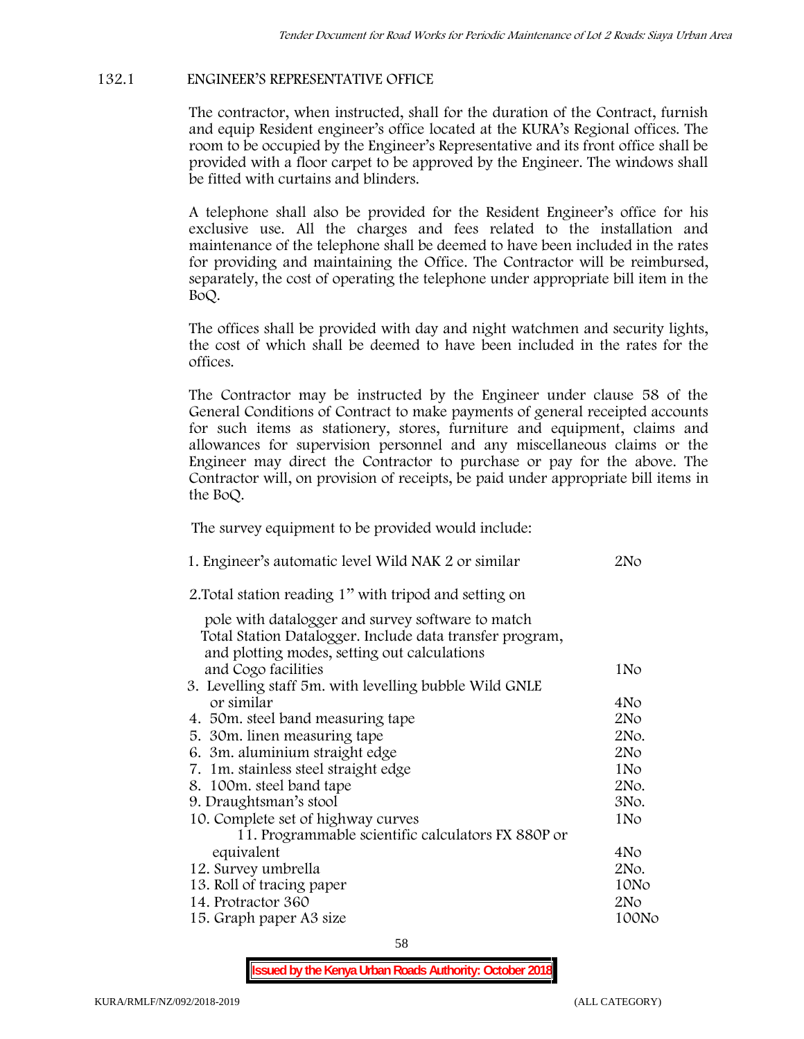## **132.1 ENGINEER'S REPRESENTATIVE OFFICE**

The contractor, when instructed, shall for the duration of the Contract, furnish and equip Resident engineer's office located at the KURA's Regional offices. The room to be occupied by the Engineer's Representative and its front office shall be provided with a floor carpet to be approved by the Engineer. The windows shall be fitted with curtains and blinders.

A telephone shall also be provided for the Resident Engineer's office for his exclusive use. All the charges and fees related to the installation and maintenance of the telephone shall be deemed to have been included in the rates for providing and maintaining the Office. The Contractor will be reimbursed, separately, the cost of operating the telephone under appropriate bill item in the BoQ.

The offices shall be provided with day and night watchmen and security lights, the cost of which shall be deemed to have been included in the rates for the offices.

The Contractor may be instructed by the Engineer under clause 58 of the General Conditions of Contract to make payments of general receipted accounts for such items as stationery, stores, furniture and equipment, claims and allowances for supervision personnel and any miscellaneous claims or the Engineer may direct the Contractor to purchase or pay for the above. The Contractor will, on provision of receipts, be paid under appropriate bill items in the BoQ.

**The survey equipment to be provided would include:**

| 1. Engineer's automatic level Wild NAK 2 or similar                                                      | 2N <sub>O</sub> |
|----------------------------------------------------------------------------------------------------------|-----------------|
| 2. Total station reading 1" with tripod and setting on                                                   |                 |
| pole with datalogger and survey software to match                                                        |                 |
| Total Station Datalogger. Include data transfer program,<br>and plotting modes, setting out calculations |                 |
| and Cogo facilities                                                                                      | 1No             |
| 3. Levelling staff 5m. with levelling bubble Wild GNLE                                                   |                 |
| or similar                                                                                               | 4No             |
| 4. 50 m. steel band measuring tape                                                                       | 2N <sub>o</sub> |
| 5. 30 m. linen measuring tape                                                                            | 2No.            |
| 6. 3m. aluminium straight edge                                                                           | 2N <sub>O</sub> |
| 7. 1m. stainless steel straight edge                                                                     | 1No             |
| 8. 100m. steel band tape                                                                                 | 2No.            |
| 9. Draughtsman's stool                                                                                   | 3No.            |
| 10. Complete set of highway curves                                                                       | 1No             |
| 11. Programmable scientific calculators FX 880P or                                                       |                 |
| equivalent                                                                                               | 4No             |
| 12. Survey umbrella                                                                                      | 2No.            |
| 13. Roll of tracing paper                                                                                | 10No            |
| 14. Protractor 360                                                                                       | 2N <sub>o</sub> |
| 15. Graph paper A3 size                                                                                  | 100No           |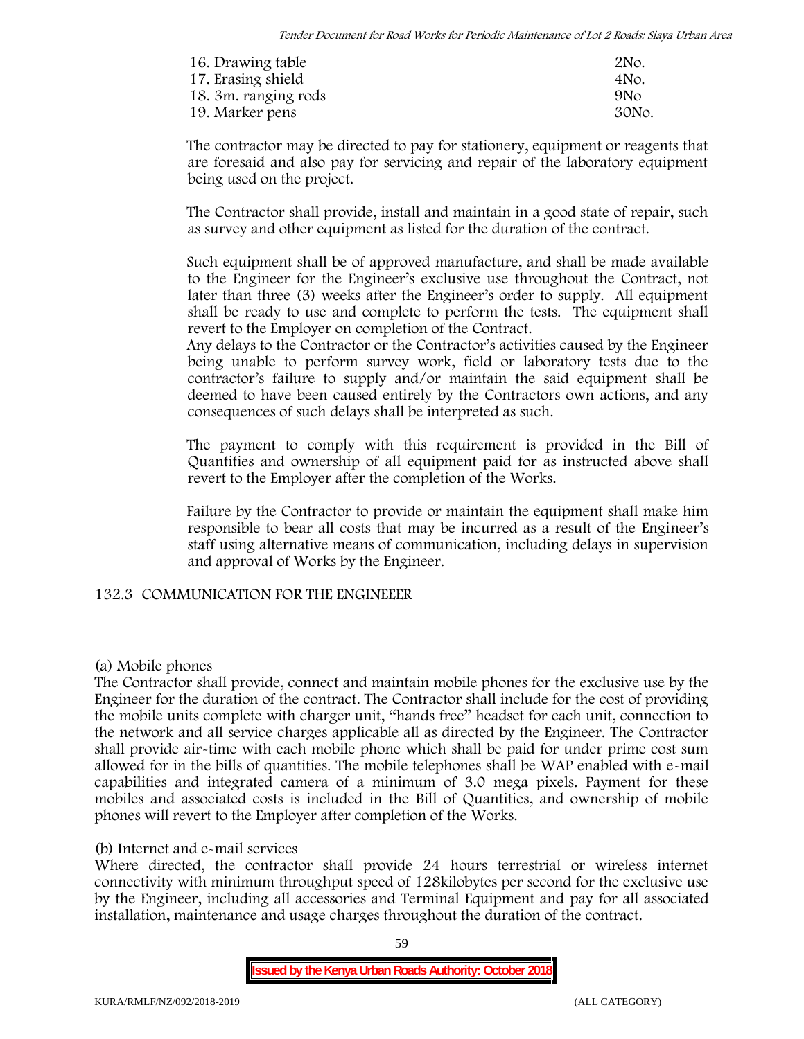| 16. Drawing table    | 2No.            |
|----------------------|-----------------|
| 17. Erasing shield   | 4No.            |
| 18. 3m. ranging rods | 9N <sub>O</sub> |
| 19. Marker pens      | 30No.           |

The contractor may be directed to pay for stationery, equipment or reagents that are foresaid and also pay for servicing and repair of the laboratory equipment being used on the project.

The Contractor shall provide, install and maintain in a good state of repair, such as survey and other equipment as listed for the duration of the contract.

Such equipment shall be of approved manufacture, and shall be made available to the Engineer for the Engineer's exclusive use throughout the Contract, not later than three (3) weeks after the Engineer's order to supply. All equipment shall be ready to use and complete to perform the tests. The equipment shall revert to the Employer on completion of the Contract.

Any delays to the Contractor or the Contractor's activities caused by the Engineer being unable to perform survey work, field or laboratory tests due to the contractor's failure to supply and/or maintain the said equipment shall be deemed to have been caused entirely by the Contractors own actions, and any consequences of such delays shall be interpreted as such.

The payment to comply with this requirement is provided in the Bill of Quantities and ownership of all equipment paid for as instructed above shall revert to the Employer after the completion of the Works.

Failure by the Contractor to provide or maintain the equipment shall make him responsible to bear all costs that may be incurred as a result of the Engineer's staff using alternative means of communication, including delays in supervision and approval of Works by the Engineer.

# **132.3 COMMUNICATION FOR THE ENGINEEER**

## **(a) Mobile phones**

The Contractor shall provide, connect and maintain mobile phones for the exclusive use by the Engineer for the duration of the contract. The Contractor shall include for the cost of providing the mobile units complete with charger unit, "hands free" headset for each unit, connection to the network and all service charges applicable all as directed by the Engineer. The Contractor shall provide air-time with each mobile phone which shall be paid for under prime cost sum allowed for in the bills of quantities. The mobile telephones shall be WAP enabled with e-mail capabilities and integrated camera of a minimum of 3.0 mega pixels. Payment for these mobiles and associated costs is included in the Bill of Quantities, and ownership of mobile phones will revert to the Employer after completion of the Works.

## **(b) Internet and e-mail services**

Where directed, the contractor shall provide 24 hours terrestrial or wireless internet connectivity with minimum throughput speed of 128kilobytes per second for the exclusive use by the Engineer, including all accessories and Terminal Equipment and pay for all associated installation, maintenance and usage charges throughout the duration of the contract.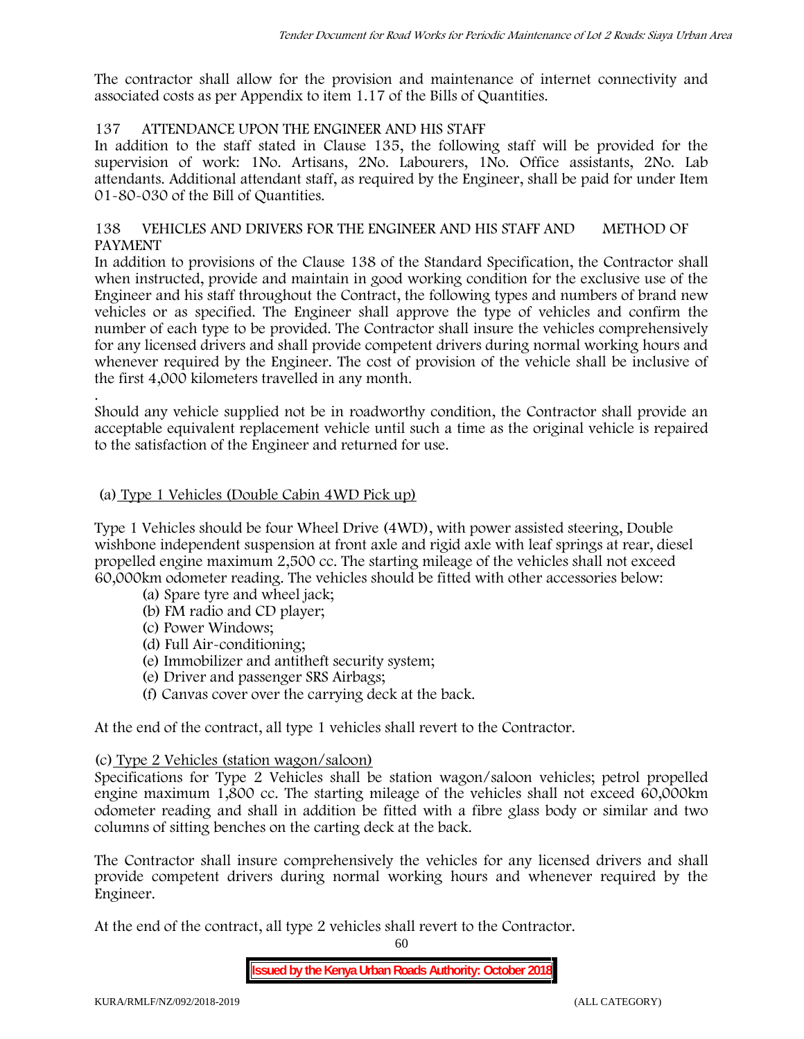The contractor shall allow for the provision and maintenance of internet connectivity and associated costs as per Appendix to item 1.17 of the Bills of Quantities.

# **137 ATTENDANCE UPON THE ENGINEER AND HIS STAFF**

In addition to the staff stated in Clause 135, the following staff will be provided for the supervision of work: 1No. Artisans, 2No. Labourers, 1No. Office assistants, 2No. Lab attendants. Additional attendant staff, as required by the Engineer, shall be paid for under Item 01-80-030 of the Bill of Quantities.

## **138 VEHICLES AND DRIVERS FOR THE ENGINEER AND HIS STAFF AND METHOD OF PAYMENT**

In addition to provisions of the Clause 138 of the Standard Specification, the Contractor shall when instructed, provide and maintain in good working condition for the exclusive use of the Engineer and his staff throughout the Contract, the following types and numbers of brand new vehicles or as specified. The Engineer shall approve the type of vehicles and confirm the number of each type to be provided. The Contractor shall insure the vehicles comprehensively for any licensed drivers and shall provide competent drivers during normal working hours and whenever required by the Engineer. The cost of provision of the vehicle shall be inclusive of the first 4,000 kilometers travelled in any month.

.Should any vehicle supplied not be in roadworthy condition, the Contractor shall provide an acceptable equivalent replacement vehicle until such a time as the original vehicle is repaired to the satisfaction of the Engineer and returned for use.

# **(a) Type 1 Vehicles (Double Cabin 4WD Pick up)**

Type 1 Vehicles should be four Wheel Drive (4WD), with power assisted steering, Double wishbone independent suspension at front axle and rigid axle with leaf springs at rear, diesel propelled engine maximum 2,500 cc. The starting mileage of the vehicles shall not exceed 60,000km odometer reading. The vehicles should be fitted with other accessories below:

- (a) Spare tyre and wheel jack;
- (b) FM radio and CD player;
- (c) Power Windows;
- (d) Full Air-conditioning;
- (e) Immobilizer and antitheft security system;
- (e) Driver and passenger SRS Airbags;
- (f) Canvas cover over the carrying deck at the back.

At the end of the contract, all type 1 vehicles shall revert to the Contractor.

## **(c) Type 2 Vehicles (station wagon/saloon)**

Specifications for Type 2 Vehicles shall be station wagon/saloon vehicles; petrol propelled engine maximum 1,800 cc. The starting mileage of the vehicles shall not exceed 60,000km odometer reading and shall in addition be fitted with a fibre glass body or similar and two columns of sitting benches on the carting deck at the back.

The Contractor shall insure comprehensively the vehicles for any licensed drivers and shall provide competent drivers during normal working hours and whenever required by the Engineer.

At the end of the contract, all type 2 vehicles shall revert to the Contractor.

60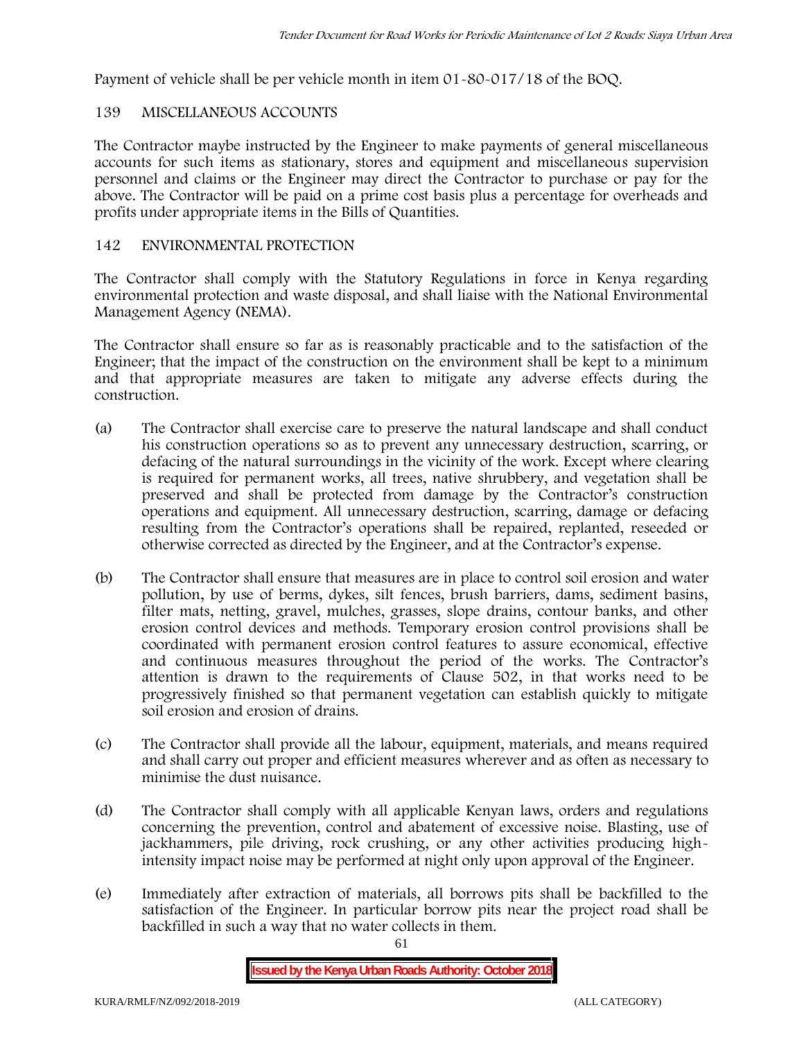Payment of vehicle shall be per vehicle month in item 01-80-017/18 of the BOQ.

# **139 MISCELLANEOUS ACCOUNTS**

The Contractor maybe instructed by the Engineer to make payments of general miscellaneous accounts for such items as stationary, stores and equipment and miscellaneous supervision personnel and claims or the Engineer may direct the Contractor to purchase or pay for the above. The Contractor will be paid on a prime cost basis plus a percentage for overheads and profits under appropriate items in the Bills of Quantities.

# **142 ENVIRONMENTAL PROTECTION**

The Contractor shall comply with the Statutory Regulations in force in Kenya regarding environmental protection and waste disposal, and shall liaise with the National Environmental Management Agency (NEMA).

The Contractor shall ensure so far as is reasonably practicable and to the satisfaction of the Engineer; that the impact of the construction on the environment shall be kept to a minimum and that appropriate measures are taken to mitigate any adverse effects during the construction.

- (a) The Contractor shall exercise care to preserve the natural landscape and shall conduct his construction operations so as to prevent any unnecessary destruction, scarring, or defacing of the natural surroundings in the vicinity of the work. Except where clearing is required for permanent works, all trees, native shrubbery, and vegetation shall be preserved and shall be protected from damage by the Contractor's construction operations and equipment. All unnecessary destruction, scarring, damage or defacing resulting from the Contractor's operations shall be repaired, replanted, reseeded or otherwise corrected as directed by the Engineer, and at the Contractor's expense.
- (b) The Contractor shall ensure that measures are in place to control soil erosion and water pollution, by use of berms, dykes, silt fences, brush barriers, dams, sediment basins, filter mats, netting, gravel, mulches, grasses, slope drains, contour banks, and other erosion control devices and methods. Temporary erosion control provisions shall be coordinated with permanent erosion control features to assure economical, effective and continuous measures throughout the period of the works. The Contractor's attention is drawn to the requirements of Clause 502, in that works need to be progressively finished so that permanent vegetation can establish quickly to mitigate soil erosion and erosion of drains.
- (c) The Contractor shall provide all the labour, equipment, materials, and means required and shall carry out proper and efficient measures wherever and as often as necessary to minimise the dust nuisance.
- (d) The Contractor shall comply with all applicable Kenyan laws, orders and regulations concerning the prevention, control and abatement of excessive noise. Blasting, use of jackhammers, pile driving, rock crushing, or any other activities producing highintensity impact noise may be performed at night only upon approval of the Engineer.
- (e) Immediately after extraction of materials, all borrows pits shall be backfilled to the satisfaction of the Engineer. In particular borrow pits near the project road shall be backfilled in such a way that no water collects in them.

61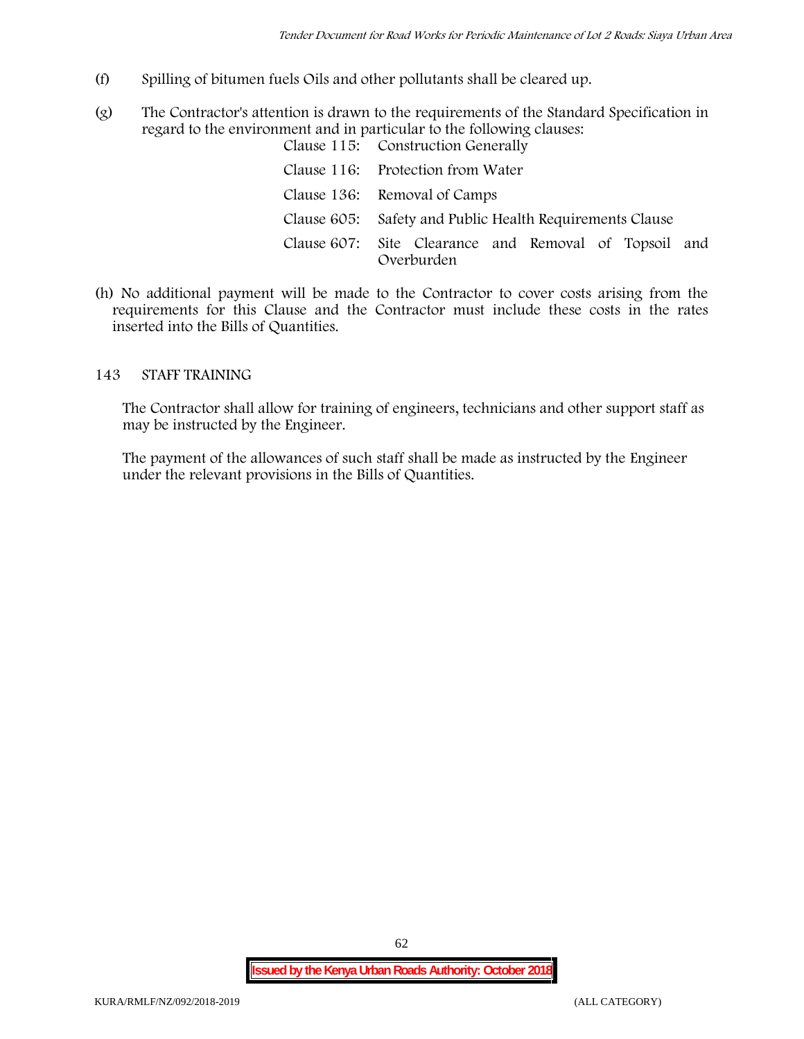- (f) Spilling of bitumen fuels Oils and other pollutants shall be cleared up.
- (g) The Contractor's attention is drawn to the requirements of the Standard Specification in regard to the environment and in particular to the following clauses: Clause 115: Construction Generally

| Clause 110. Construction denerally                                  |  |  |
|---------------------------------------------------------------------|--|--|
| Clause 116: Protection from Water                                   |  |  |
| Clause 136: Removal of Camps                                        |  |  |
| Clause 605: Safety and Public Health Requirements Clause            |  |  |
| Clause 607: Site Clearance and Removal of Topsoil and<br>Overburden |  |  |

(h) No additional payment will be made to the Contractor to cover costs arising from the requirements for this Clause and the Contractor must include these costs in the rates inserted into the Bills of Quantities.

#### **143 STAFF TRAINING**

The Contractor shall allow for training of engineers, technicians and other support staff as may be instructed by the Engineer.

The payment of the allowances of such staff shall be made as instructed by the Engineer under the relevant provisions in the Bills of Quantities.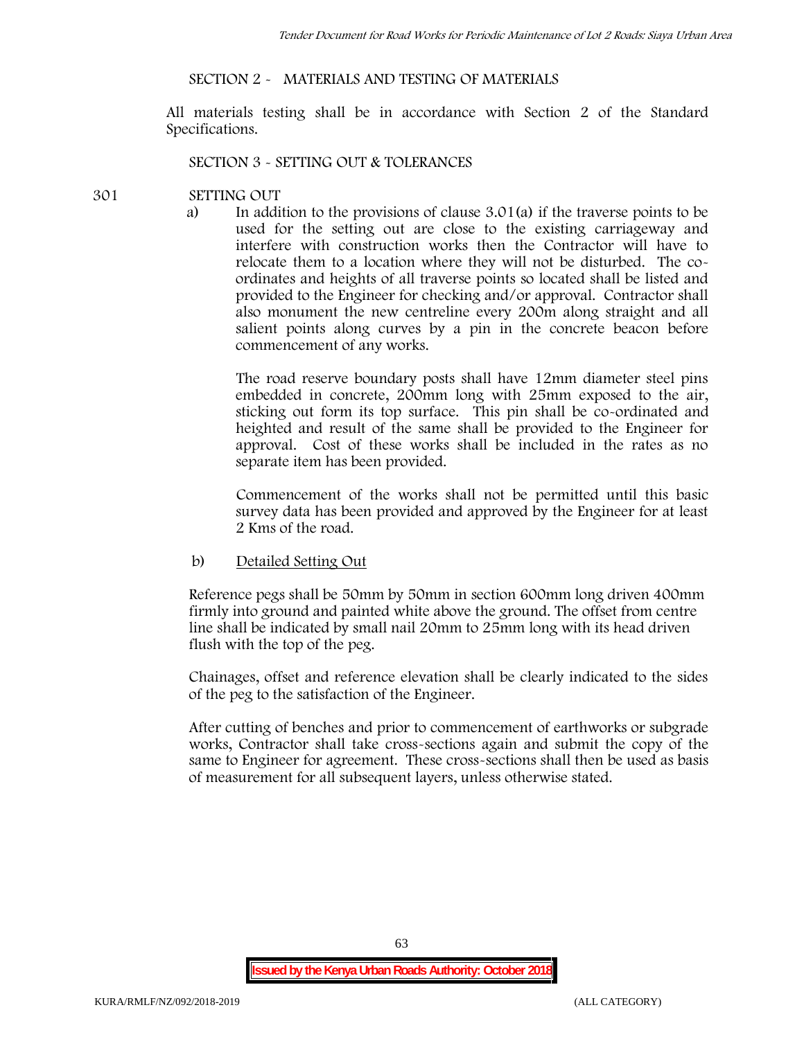# **SECTION 2 - MATERIALS AND TESTING OF MATERIALS**

All materials testing shall be in accordance with Section 2 of the Standard Specifications.

#### **SECTION 3 - SETTING OUT & TOLERANCES**

#### **301 SETTING OUT**

a) In addition to the provisions of clause 3.01(a) if the traverse points to be used for the setting out are close to the existing carriageway and interfere with construction works then the Contractor will have to relocate them to a location where they will not be disturbed. The co ordinates and heights of all traverse points so located shall be listed and provided to the Engineer for checking and/or approval. Contractor shall also monument the new centreline every 200m along straight and all salient points along curves by a pin in the concrete beacon before commencement of any works.

The road reserve boundary posts shall have 12mm diameter steel pins embedded in concrete, 200mm long with 25mm exposed to the air, sticking out form its top surface. This pin shall be co-ordinated and heighted and result of the same shall be provided to the Engineer for approval. Cost of these works shall be included in the rates as no separate item has been provided.

Commencement of the works shall not be permitted until this basic survey data has been provided and approved by the Engineer for at least 2 Kms of the road.

b) Detailed Setting Out

Reference pegs shall be 50mm by 50mm in section 600mm long driven 400mm firmly into ground and painted white above the ground. The offset from centre line shall be indicated by small nail 20mm to 25mm long with its head driven flush with the top of the peg.

Chainages, offset and reference elevation shall be clearly indicated to the sides of the peg to the satisfaction of the Engineer.

After cutting of benches and prior to commencement of earthworks or subgrade works, Contractor shall take cross-sections again and submit the copy of the same to Engineer for agreement. These cross-sections shall then be used as basis of measurement for all subsequent layers, unless otherwise stated.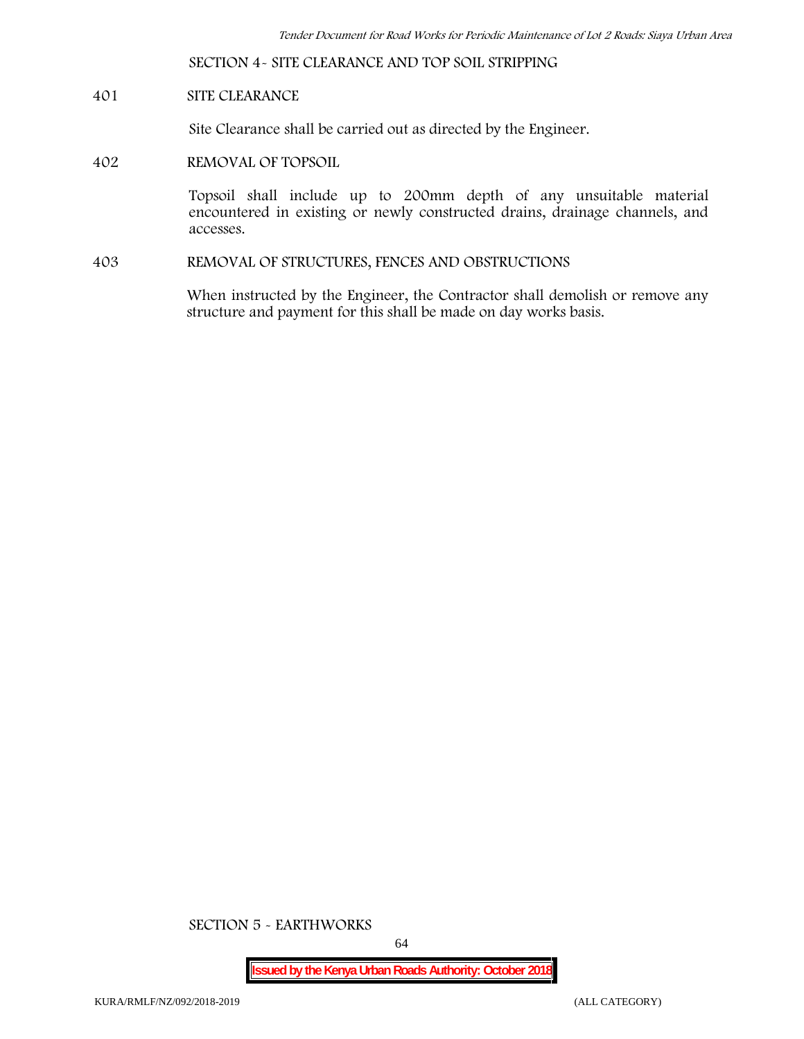**SECTION 4- SITE CLEARANCE AND TOP SOIL STRIPPING**

# **401 SITE CLEARANCE**

Site Clearance shall be carried out as directed by the Engineer.

**402 REMOVAL OF TOPSOIL**

Topsoil shall include up to 200mm depth of any unsuitable material encountered in existing or newly constructed drains, drainage channels, and accesses.

**403 REMOVAL OF STRUCTURES, FENCES AND OBSTRUCTIONS**

When instructed by the Engineer, the Contractor shall demolish or remove any structure and payment for this shall be made on day works basis.

**SECTION 5 - EARTHWORKS**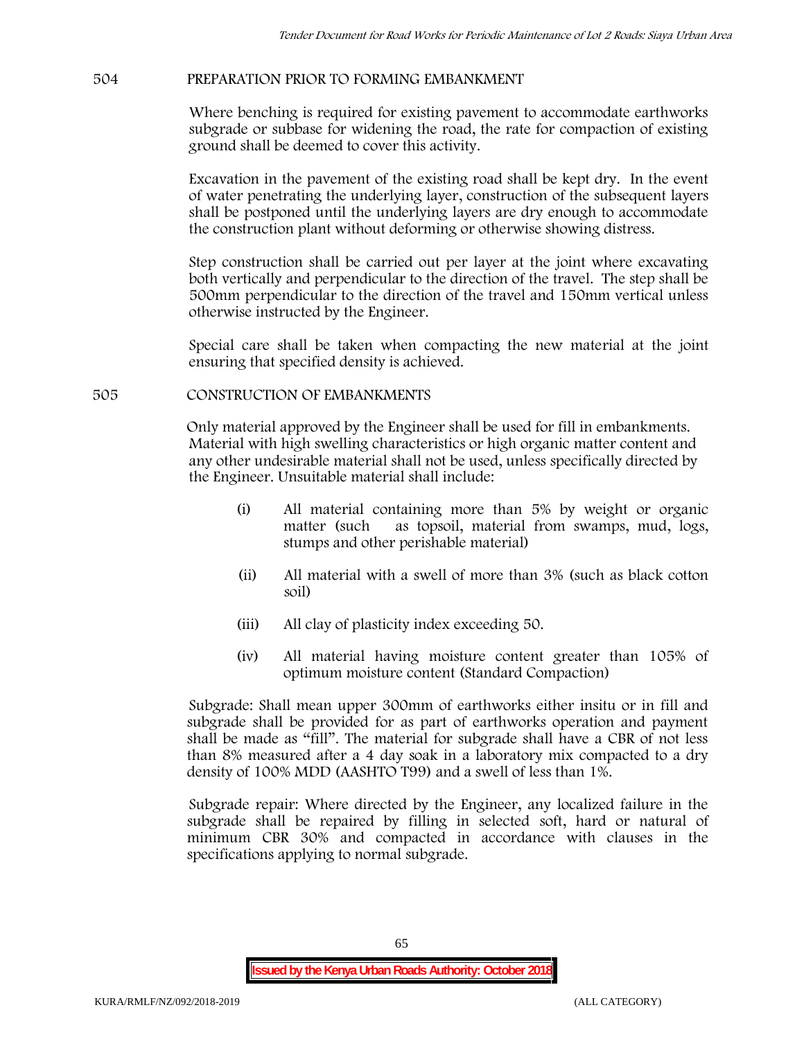## **504 PREPARATION PRIOR TO FORMING EMBANKMENT**

Where benching is required for existing pavement to accommodate earthworks subgrade or subbase for widening the road, the rate for compaction of existing ground shall be deemed to cover this activity.

Excavation in the pavement of the existing road shall be kept dry. In the event of water penetrating the underlying layer, construction of the subsequent layers shall be postponed until the underlying layers are dry enough to accommodate the construction plant without deforming or otherwise showing distress.

Step construction shall be carried out per layer at the joint where excavating both vertically and perpendicular to the direction of the travel. The step shall be 500mm perpendicular to the direction of the travel and 150mm vertical unless otherwise instructed by the Engineer.

Special care shall be taken when compacting the new material at the joint ensuring that specified density is achieved.

## **505 CONSTRUCTION OF EMBANKMENTS**

Only material approved by the Engineer shall be used for fill in embankments. Material with high swelling characteristics or high organic matter content and any other undesirable material shall not be used, unless specifically directed by the Engineer. Unsuitable material shall include:

- (i) All material containing more than 5% by weight or organic matter (such as topsoil, material from swamps, mud, logs, stumps and other perishable material)
- (ii) All material with a swell of more than 3% (such as black cotton soil)
- (iii) All clay of plasticity index exceeding 50.
- (iv) All material having moisture content greater than 105% of optimum moisture content (Standard Compaction)

Subgrade: Shall mean upper 300mm of earthworks either insitu or in fill and subgrade shall be provided for as part of earthworks operation and payment shall be made as "fill". The material for subgrade shall have a CBR of not less than 8% measured after a 4 day soak in a laboratory mix compacted to a dry density of 100% MDD (AASHTO T99) and a swell of less than 1%.

Subgrade repair: Where directed by the Engineer, any localized failure in the subgrade shall be repaired by filling in selected soft, hard or natural of minimum CBR 30% and compacted in accordance with clauses in the specifications applying to normal subgrade.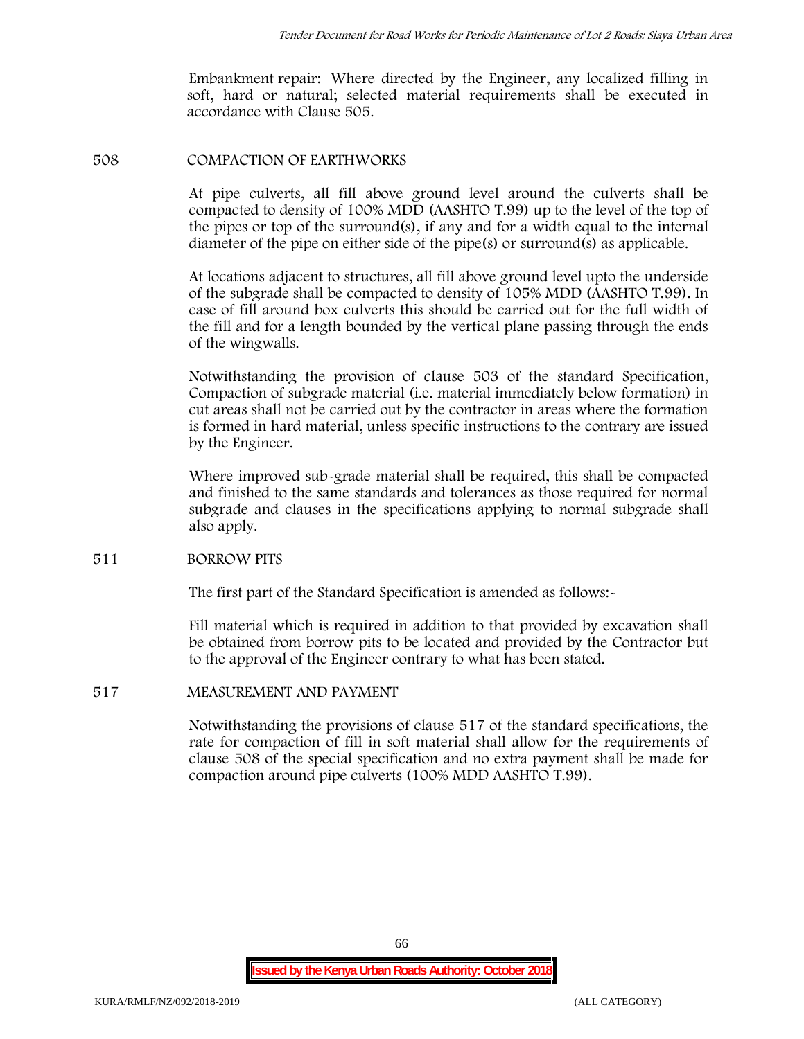Embankment repair: Where directed by the Engineer, any localized filling in soft, hard or natural; selected material requirements shall be executed in accordance with Clause 505.

#### **508 COMPACTION OF EARTHWORKS**

At pipe culverts, all fill above ground level around the culverts shall be compacted to density of 100% MDD (AASHTO T.99) up to the level of the top of the pipes or top of the surround(s), if any and for a width equal to the internal diameter of the pipe on either side of the pipe(s) or surround(s) as applicable.

At locations adjacent to structures, all fill above ground level upto the underside of the subgrade shall be compacted to density of 105% MDD (AASHTO T.99). In case of fill around box culverts this should be carried out for the full width of the fill and for a length bounded by the vertical plane passing through the ends of the wingwalls.

Notwithstanding the provision of clause 503 of the standard Specification, Compaction of subgrade material (i.e. material immediately below formation) in cut areas shall not be carried out by the contractor in areas where the formation is formed in hard material, unless specific instructions to the contrary are issued by the Engineer.

Where improved sub-grade material shall be required, this shall be compacted and finished to the same standards and tolerances as those required for normal subgrade and clauses in the specifications applying to normal subgrade shall also apply.

## **511 BORROW PITS**

The first part of the Standard Specification is amended as follows:

Fill material which is required in addition to that provided by excavation shall be obtained from borrow pits to be located and provided by the Contractor but to the approval of the Engineer contrary to what has been stated.

## **517 MEASUREMENT AND PAYMENT**

Notwithstanding the provisions of clause 517 of the standard specifications, the rate for compaction of fill in soft material shall allow for the requirements of clause 508 of the special specification and no extra payment shall be made for compaction around pipe culverts (100% MDD AASHTO T.99).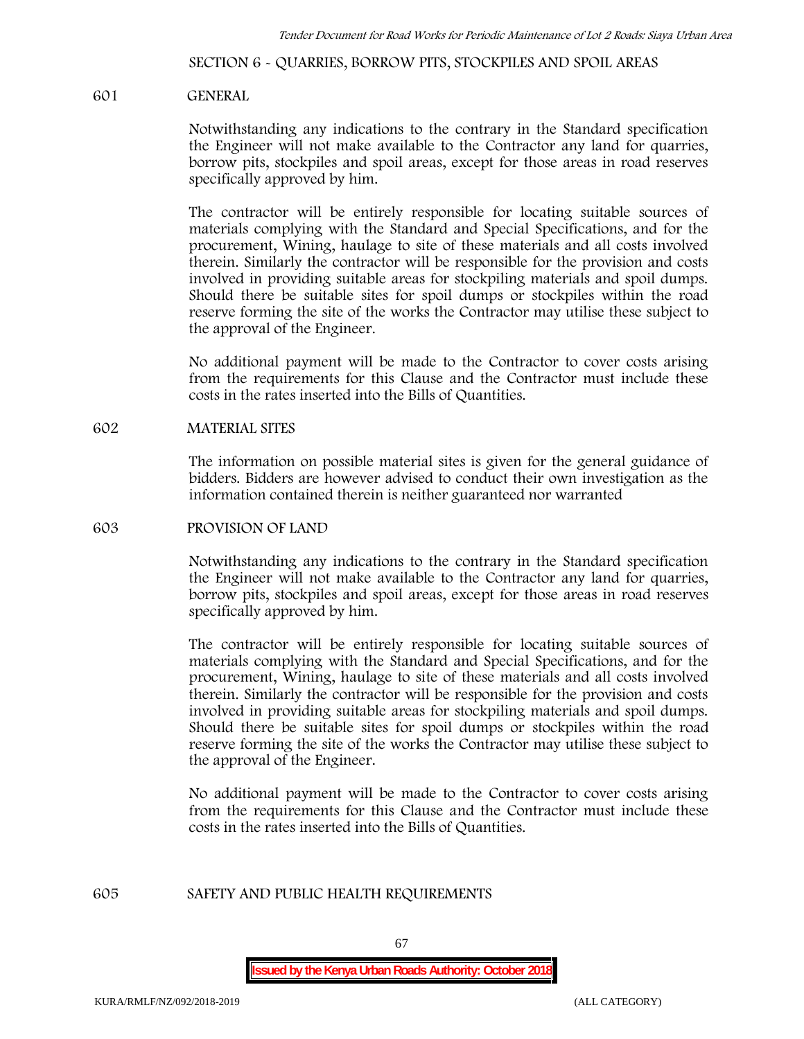**SECTION 6 - QUARRIES, BORROW PITS, STOCKPILES AND SPOIL AREAS**

#### **601 GENERAL**

Notwithstanding any indications to the contrary in the Standard specification the Engineer will not make available to the Contractor any land for quarries, borrow pits, stockpiles and spoil areas, except for those areas in road reserves specifically approved by him.

The contractor will be entirely responsible for locating suitable sources of materials complying with the Standard and Special Specifications, and for the procurement, Wining, haulage to site of these materials and all costs involved therein. Similarly the contractor will be responsible for the provision and costs involved in providing suitable areas for stockpiling materials and spoil dumps. Should there be suitable sites for spoil dumps or stockpiles within the road reserve forming the site of the works the Contractor may utilise these subject to the approval of the Engineer.

No additional payment will be made to the Contractor to cover costs arising from the requirements for this Clause and the Contractor must include these costs in the rates inserted into the Bills of Quantities.

#### **602 MATERIAL SITES**

The information on possible material sites is given for the general guidance of bidders. Bidders are however advised to conduct their own investigation as the information contained therein is neither guaranteed nor warranted

#### **603 PROVISION OF LAND**

Notwithstanding any indications to the contrary in the Standard specification the Engineer will not make available to the Contractor any land for quarries, borrow pits, stockpiles and spoil areas, except for those areas in road reserves specifically approved by him.

The contractor will be entirely responsible for locating suitable sources of materials complying with the Standard and Special Specifications, and for the procurement, Wining, haulage to site of these materials and all costs involved therein. Similarly the contractor will be responsible for the provision and costs involved in providing suitable areas for stockpiling materials and spoil dumps. Should there be suitable sites for spoil dumps or stockpiles within the road reserve forming the site of the works the Contractor may utilise these subject to the approval of the Engineer.

No additional payment will be made to the Contractor to cover costs arising from the requirements for this Clause and the Contractor must include these costs in the rates inserted into the Bills of Quantities.

#### **605 SAFETY AND PUBLIC HEALTH REQUIREMENTS**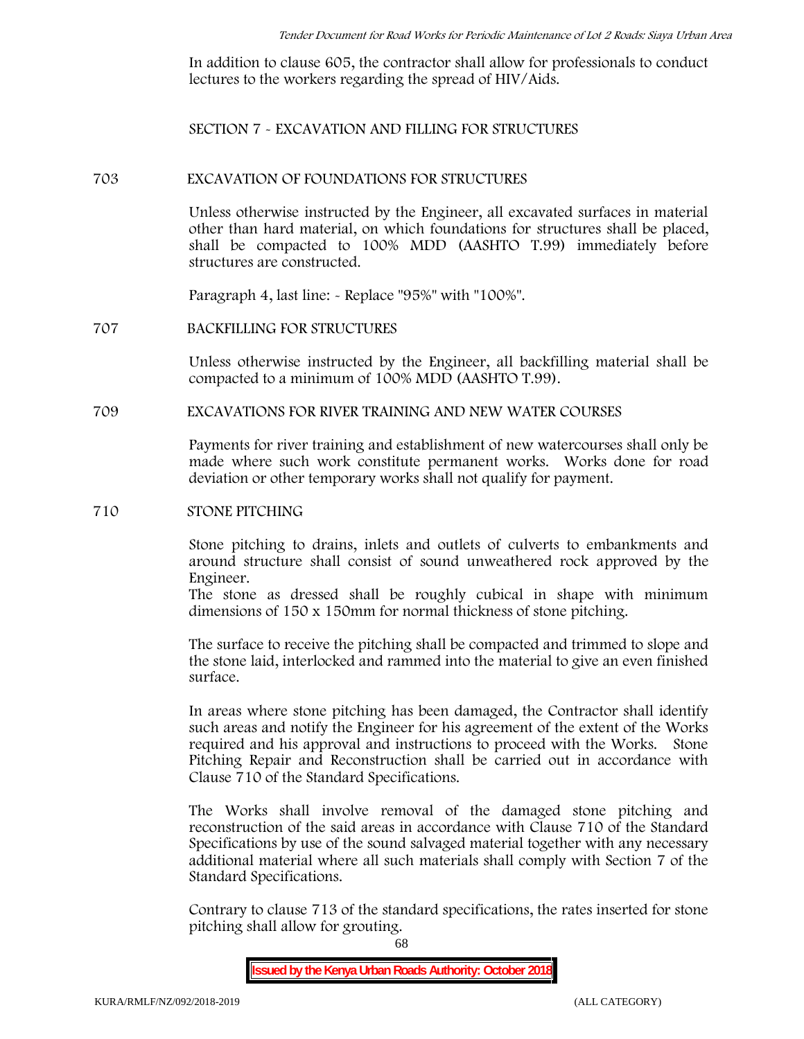In addition to clause 605, the contractor shall allow for professionals to conduct lectures to the workers regarding the spread of HIV/Aids.

**SECTION 7 - EXCAVATION AND FILLING FOR STRUCTURES**

#### **703 EXCAVATION OF FOUNDATIONS FOR STRUCTURES**

Unless otherwise instructed by the Engineer, all excavated surfaces in material other than hard material, on which foundations for structures shall be placed, shall be compacted to 100% MDD (AASHTO T.99) immediately before structures are constructed.

Paragraph 4, last line: - Replace "95%" with "100%".

#### **707 BACKFILLING FOR STRUCTURES**

Unless otherwise instructed by the Engineer, all backfilling material shall be compacted to a minimum of 100% MDD (AASHTO T.99).

## **709 EXCAVATIONS FOR RIVER TRAINING AND NEW WATER COURSES**

Payments for river training and establishment of new watercourses shall only be made where such work constitute permanent works. Works done for road deviation or other temporary works shall not qualify for payment.

#### **710 STONE PITCHING**

Stone pitching to drains, inlets and outlets of culverts to embankments and around structure shall consist of sound unweathered rock approved by the Engineer.

The stone as dressed shall be roughly cubical in shape with minimum dimensions of 150 x 150mm for normal thickness of stone pitching.

The surface to receive the pitching shall be compacted and trimmed to slope and the stone laid, interlocked and rammed into the material to give an even finished surface.

In areas where stone pitching has been damaged, the Contractor shall identify such areas and notify the Engineer for his agreement of the extent of the Works required and his approval and instructions to proceed with the Works. Stone Pitching Repair and Reconstruction shall be carried out in accordance with Clause 710 of the Standard Specifications.

The Works shall involve removal of the damaged stone pitching and reconstruction of the said areas in accordance with Clause 710 of the Standard Specifications by use of the sound salvaged material together with any necessary additional material where all such materials shall comply with Section 7 of the Standard Specifications.

Contrary to clause 713 of the standard specifications, the rates inserted for stone pitching shall allow for grouting.

68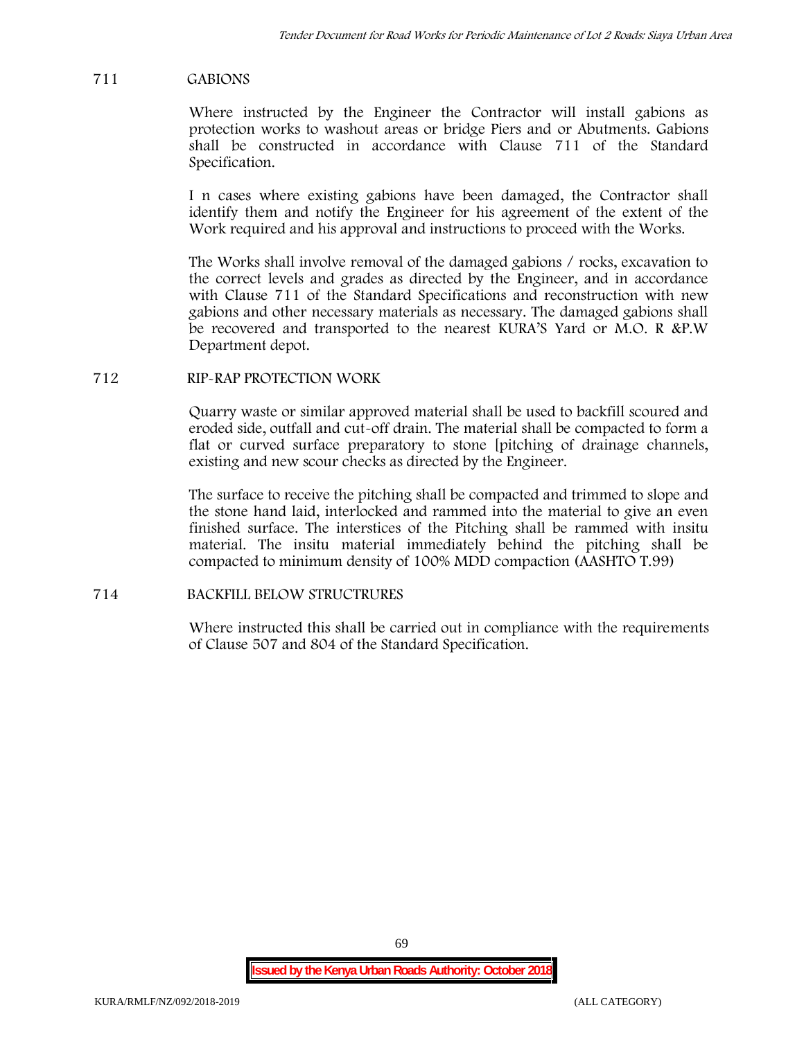## **711 GABIONS**

Where instructed by the Engineer the Contractor will install gabions as protection works to washout areas or bridge Piers and or Abutments. Gabions shall be constructed in accordance with Clause 711 of the Standard Specification.

I n cases where existing gabions have been damaged, the Contractor shall identify them and notify the Engineer for his agreement of the extent of the Work required and his approval and instructions to proceed with the Works.

The Works shall involve removal of the damaged gabions / rocks, excavation to the correct levels and grades as directed by the Engineer, and in accordance with Clause 711 of the Standard Specifications and reconstruction with new gabions and other necessary materials as necessary. The damaged gabions shall be recovered and transported to the nearest KURA'S Yard or M.O. R &P.W Department depot.

# **712 RIP-RAP PROTECTION WORK**

Quarry waste or similar approved material shall be used to backfill scoured and eroded side, outfall and cut-off drain. The material shall be compacted to form a flat or curved surface preparatory to stone [pitching of drainage channels, existing and new scour checks as directed by the Engineer.

The surface to receive the pitching shall be compacted and trimmed to slope and the stone hand laid, interlocked and rammed into the material to give an even finished surface. The interstices of the Pitching shall be rammed with insitu material. The insitu material immediately behind the pitching shall be compacted to minimum density of 100% MDD compaction (AASHTO T.99)

## **714 BACKFILL BELOW STRUCTRURES**

Where instructed this shall be carried out in compliance with the requirements of Clause 507 and 804 of the Standard Specification.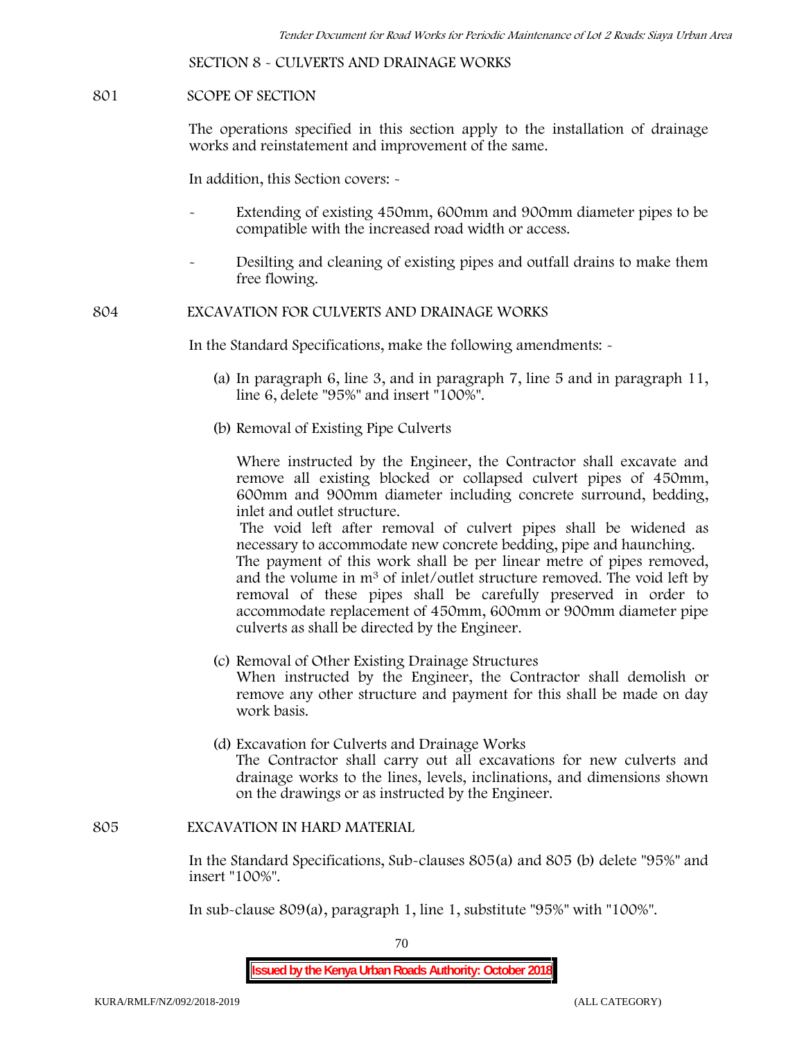**SECTION 8 - CULVERTS AND DRAINAGE WORKS**

#### **801 SCOPE OF SECTION**

The operations specified in this section apply to the installation of drainage works and reinstatement and improvement of the same.

In addition, this Section covers: -

- Extending of existing 450mm, 600mm and 900mm diameter pipes to be compatible with the increased road width or access.
- Desilting and cleaning of existing pipes and outfall drains to make them free flowing.

**804 EXCAVATION FOR CULVERTS AND DRAINAGE WORKS**

In the Standard Specifications, make the following amendments: -

- (a) In paragraph 6, line 3, and in paragraph 7, line 5 and in paragraph 11, line 6, delete "95%" and insert "100%".
- (b) Removal of Existing Pipe Culverts

Where instructed by the Engineer, the Contractor shall excavate and remove all existing blocked or collapsed culvert pipes of 450mm, 600mm and 900mm diameter including concrete surround, bedding, inlet and outlet structure.

The void left after removal of culvert pipes shall be widened as necessary to accommodate new concrete bedding, pipe and haunching. The payment of this work shall be per linear metre of pipes removed, and the volume in m<sup>3</sup> of inlet/outlet structure removed. The void left by

removal of these pipes shall be carefully preserved in order to accommodate replacement of 450mm, 600mm or 900mm diameter pipe culverts as shall be directed by the Engineer.

- (c) Removal of Other Existing Drainage Structures When instructed by the Engineer, the Contractor shall demolish or remove any other structure and payment for this shall be made on day work basis.
- (d) Excavation for Culverts and Drainage Works The Contractor shall carry out all excavations for new culverts and drainage works to the lines, levels, inclinations, and dimensions shown on the drawings or as instructed by the Engineer.

#### **805 EXCAVATION IN HARD MATERIAL**

In the Standard Specifications, Sub-clauses 805(a) and 805 (b) delete "95%" and insert "100%".

In sub-clause 809(a), paragraph 1, line 1, substitute "95%" with "100%".

70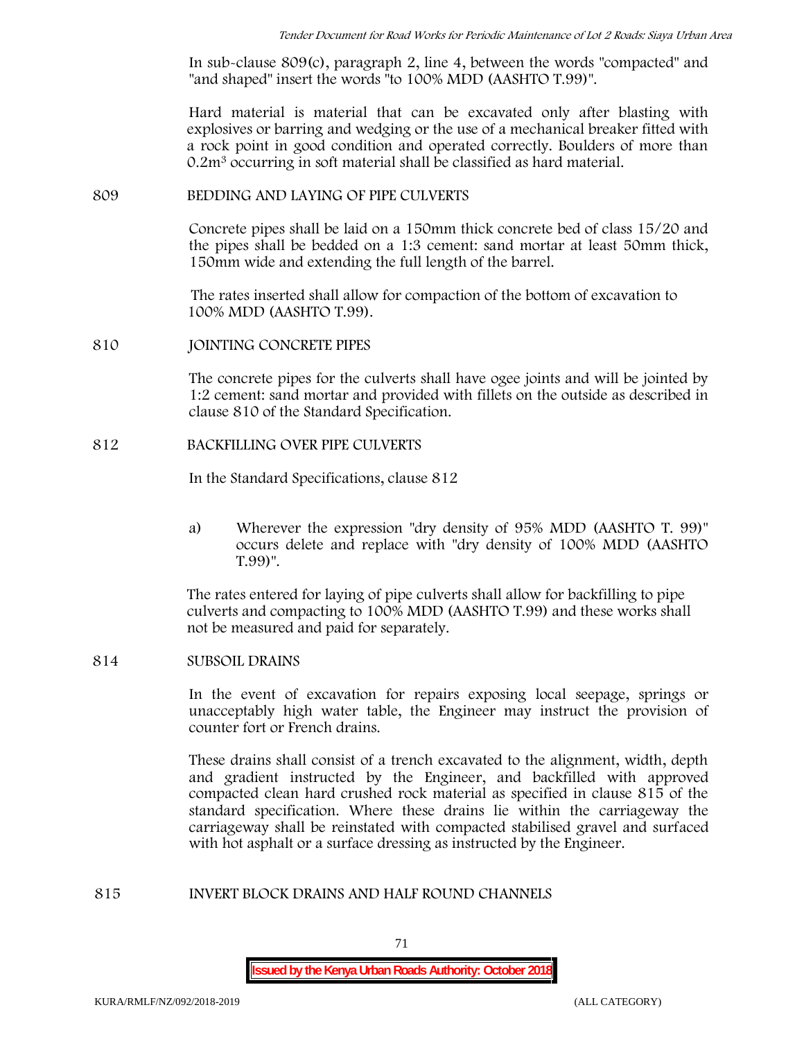In sub-clause 809(c), paragraph 2, line 4, between the words "compacted" and "and shaped" insert the words "to 100% MDD (AASHTO T.99)".

Hard material is material that can be excavated only after blasting with explosives or barring and wedging or the use of a mechanical breaker fitted with a rock point in good condition and operated correctly. Boulders of more than 0.2m<sup>3</sup> occurring in soft material shall be classified as hard material.

#### **809 BEDDING AND LAYING OF PIPE CULVERTS**

Concrete pipes shall be laid on a 150mm thick concrete bed of class 15/20 and the pipes shall be bedded on a 1:3 cement: sand mortar at least 50mm thick, 150mm wide and extending the full length of the barrel.

The rates inserted shall allow for compaction of the bottom of excavation to 100% MDD (AASHTO T.99).

#### **810 JOINTING CONCRETE PIPES**

The concrete pipes for the culverts shall have ogee joints and will be jointed by 1:2 cement: sand mortar and provided with fillets on the outside as described in clause 810 of the Standard Specification.

#### **812 BACKFILLING OVER PIPE CULVERTS**

In the Standard Specifications, clause 812

a) Wherever the expression "dry density of 95% MDD (AASHTO T. 99)" occurs delete and replace with "dry density of 100% MDD (AASHTO T.99)".

The rates entered for laying of pipe culverts shall allow for backfilling to pipe culverts and compacting to 100% MDD (AASHTO T.99) and these works shall not be measured and paid for separately.

## **814 SUBSOIL DRAINS**

In the event of excavation for repairs exposing local seepage, springs or unacceptably high water table, the Engineer may instruct the provision of counter fort or French drains.

These drains shall consist of a trench excavated to the alignment, width, depth and gradient instructed by the Engineer, and backfilled with approved compacted clean hard crushed rock material as specified in clause 815 of the standard specification. Where these drains lie within the carriageway the carriageway shall be reinstated with compacted stabilised gravel and surfaced with hot asphalt or a surface dressing as instructed by the Engineer.

#### **815 INVERT BLOCK DRAINS AND HALF ROUND CHANNELS**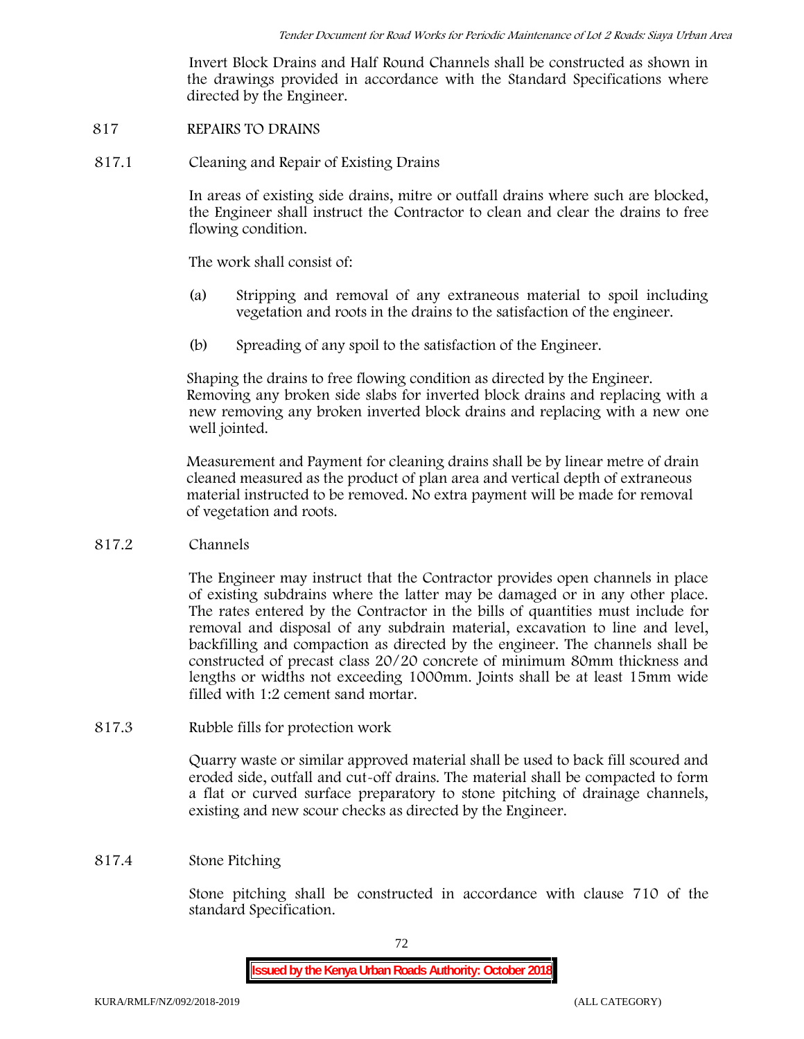Invert Block Drains and Half Round Channels shall be constructed as shown in the drawings provided in accordance with the Standard Specifications where directed by the Engineer.

- **817 REPAIRS TO DRAINS**
- **817.1 Cleaning and Repair of Existing Drains**

In areas of existing side drains, mitre or outfall drains where such are blocked, the Engineer shall instruct the Contractor to clean and clear the drains to free flowing condition.

The work shall consist of:

- (a) Stripping and removal of any extraneous material to spoil including vegetation and roots in the drains to the satisfaction of the engineer.
- (b) Spreading of any spoil to the satisfaction of the Engineer.

Shaping the drains to free flowing condition as directed by the Engineer. Removing any broken side slabs for inverted block drains and replacing with a new removing any broken inverted block drains and replacing with a new one well jointed.

Measurement and Payment for cleaning drains shall be by linear metre of drain cleaned measured as the product of plan area and vertical depth of extraneous material instructed to be removed. No extra payment will be made for removal of vegetation and roots.

**817.2 Channels**

The Engineer may instruct that the Contractor provides open channels in place of existing subdrains where the latter may be damaged or in any other place. The rates entered by the Contractor in the bills of quantities must include for removal and disposal of any subdrain material, excavation to line and level, backfilling and compaction as directed by the engineer. The channels shall be constructed of precast class 20/20 concrete of minimum 80mm thickness and lengths or widths not exceeding 1000mm. Joints shall be at least 15mm wide filled with 1:2 cement sand mortar.

**817.3 Rubble fills for protection work**

Quarry waste or similar approved material shall be used to back fill scoured and eroded side, outfall and cut-off drains. The material shall be compacted to form a flat or curved surface preparatory to stone pitching of drainage channels, existing and new scour checks as directed by the Engineer.

**817.4 Stone Pitching**

Stone pitching shall be constructed in accordance with clause 710 of the standard Specification.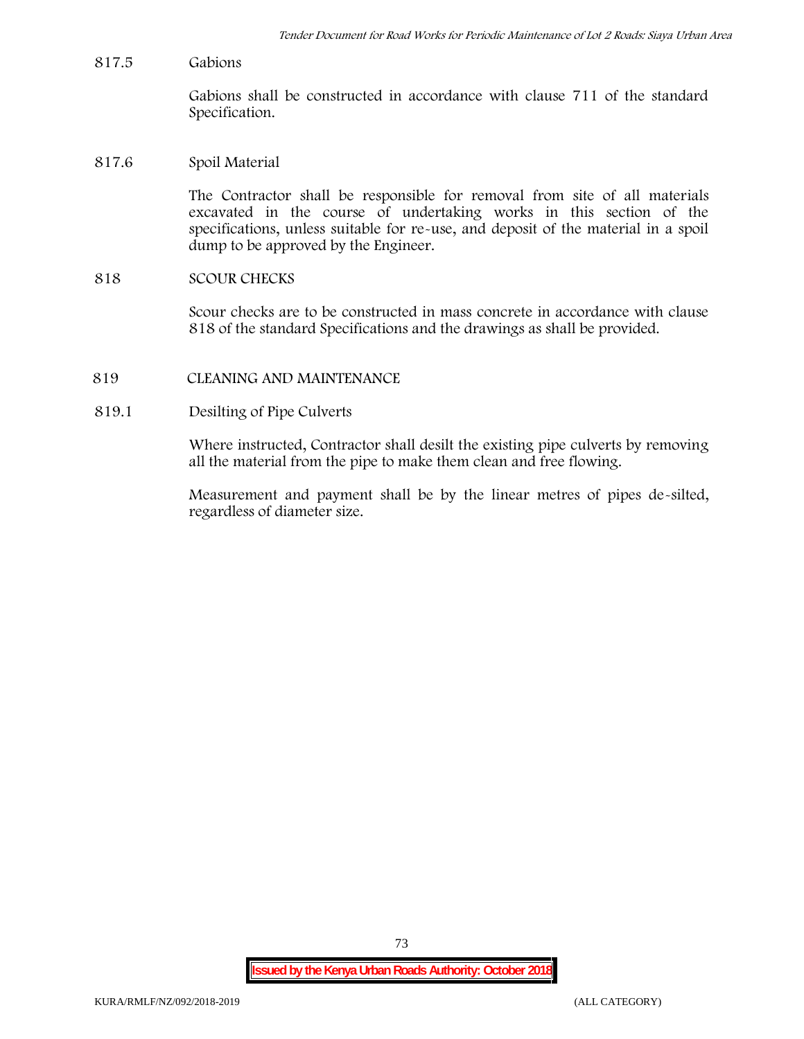**817.5 Gabions**

Gabions shall be constructed in accordance with clause 711 of the standard Specification.

#### **817.6 Spoil Material**

The Contractor shall be responsible for removal from site of all materials excavated in the course of undertaking works in this section of the specifications, unless suitable for re-use, and deposit of the material in a spoil dump to be approved by the Engineer.

#### **818 SCOUR CHECKS**

Scour checks are to be constructed in mass concrete in accordance with clause 818 of the standard Specifications and the drawings as shall be provided.

**819 CLEANING AND MAINTENANCE**

### **819.1 Desilting of Pipe Culverts**

Where instructed, Contractor shall desilt the existing pipe culverts by removing all the material from the pipe to make them clean and free flowing.

Measurement and payment shall be by the linear metres of pipes de-silted, regardless of diameter size.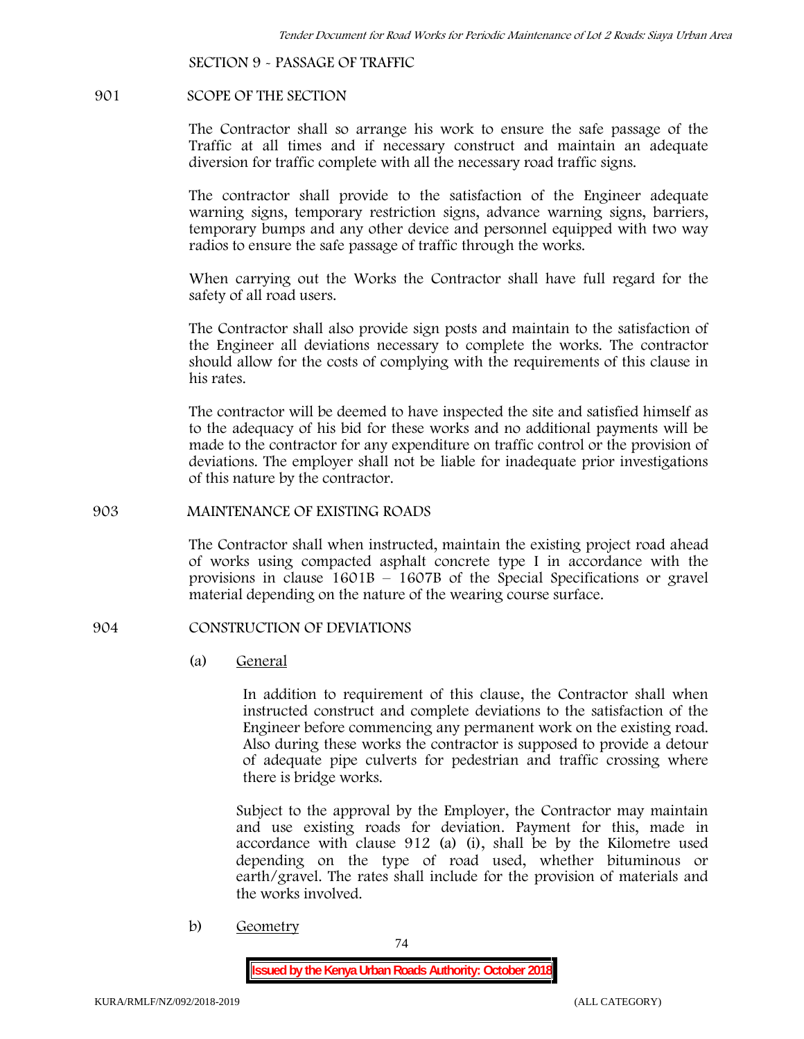**SECTION 9 - PASSAGE OF TRAFFIC**

#### **901 SCOPE OF THE SECTION**

The Contractor shall so arrange his work to ensure the safe passage of the Traffic at all times and if necessary construct and maintain an adequate diversion for traffic complete with all the necessary road traffic signs.

The contractor shall provide to the satisfaction of the Engineer adequate warning signs, temporary restriction signs, advance warning signs, barriers, temporary bumps and any other device and personnel equipped with two way radios to ensure the safe passage of traffic through the works.

When carrying out the Works the Contractor shall have full regard for the safety of all road users.

The Contractor shall also provide sign posts and maintain to the satisfaction of the Engineer all deviations necessary to complete the works. The contractor should allow for the costs of complying with the requirements of this clause in his rates.

The contractor will be deemed to have inspected the site and satisfied himself as to the adequacy of his bid for these works and no additional payments will be made to the contractor for any expenditure on traffic control or the provision of deviations. The employer shall not be liable for inadequate prior investigations of this nature by the contractor.

#### **903 MAINTENANCE OF EXISTING ROADS**

The Contractor shall when instructed, maintain the existing project road ahead of works using compacted asphalt concrete type I in accordance with the provisions in clause 1601B – 1607B of the Special Specifications or gravel material depending on the nature of the wearing course surface.

## **904 CONSTRUCTION OF DEVIATIONS**

(a) **General**

In addition to requirement of this clause, the Contractor shall when instructed construct and complete deviations to the satisfaction of the Engineer before commencing any permanent work on the existing road. Also during these works the contractor is supposed to provide a detour of adequate pipe culverts for pedestrian and traffic crossing where there is bridge works.

Subject to the approval by the Employer, the Contractor may maintain and use existing roads for deviation. Payment for this, made in accordance with clause 912 (a) (i), shall be by the Kilometre used depending on the type of road used, whether bituminous or earth/gravel. The rates shall include for the provision of materials and the works involved.

b) **Geometry**

74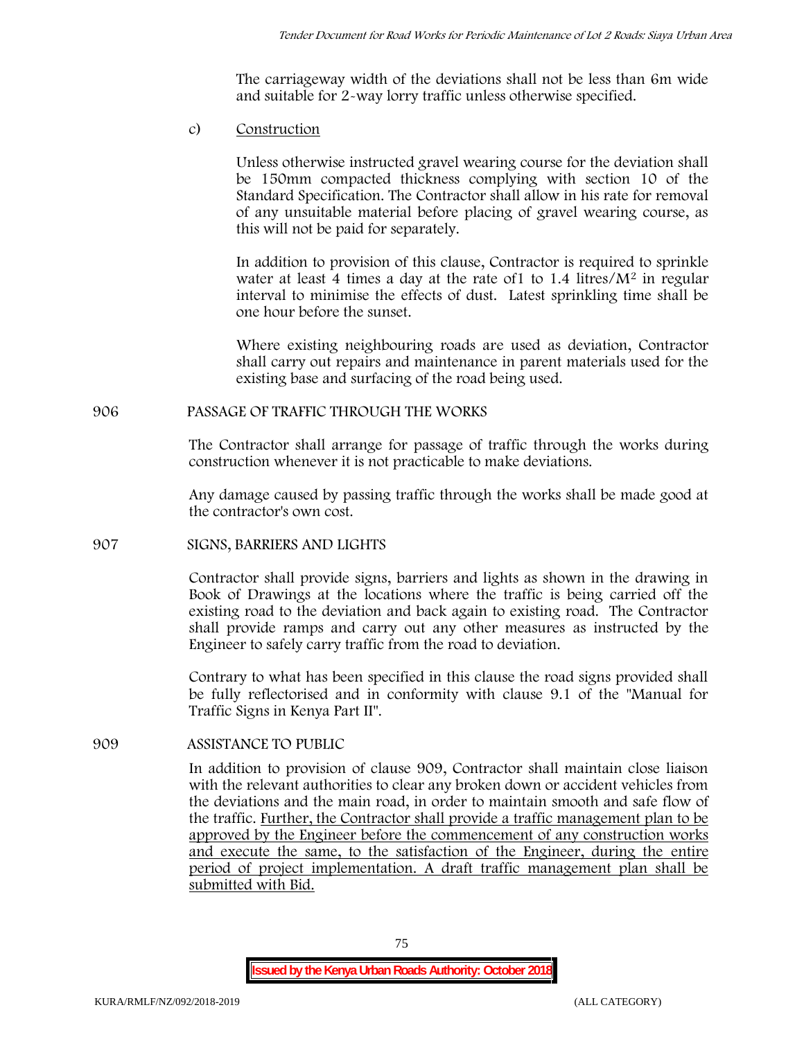The carriageway width of the deviations shall not be less than 6m wide and suitable for 2-way lorry traffic unless otherwise specified.

c) **Construction**

Unless otherwise instructed gravel wearing course for the deviation shall be 150mm compacted thickness complying with section 10 of the Standard Specification. The Contractor shall allow in his rate for removal of any unsuitable material before placing of gravel wearing course, as this will not be paid for separately.

In addition to provision of this clause, Contractor is required to sprinkle water at least 4 times a day at the rate of 1 to  $1.4$  litres/ $M<sup>2</sup>$  in regular interval to minimise the effects of dust. Latest sprinkling time shall be one hour before the sunset.

Where existing neighbouring roads are used as deviation, Contractor shall carry out repairs and maintenance in parent materials used for the existing base and surfacing of the road being used.

## **906 PASSAGE OF TRAFFIC THROUGH THE WORKS**

The Contractor shall arrange for passage of traffic through the works during construction whenever it is not practicable to make deviations.

Any damage caused by passing traffic through the works shall be made good at the contractor's own cost.

## **907 SIGNS, BARRIERS AND LIGHTS**

Contractor shall provide signs, barriers and lights as shown in the drawing in Book of Drawings at the locations where the traffic is being carried off the existing road to the deviation and back again to existing road. The Contractor shall provide ramps and carry out any other measures as instructed by the Engineer to safely carry traffic from the road to deviation.

Contrary to what has been specified in this clause the road signs provided shall be fully reflectorised and in conformity with clause 9.1 of the "Manual for Traffic Signs in Kenya Part II".

## **909 ASSISTANCE TO PUBLIC**

In addition to provision of clause 909, Contractor shall maintain close liaison with the relevant authorities to clear any broken down or accident vehicles from the deviations and the main road, in order to maintain smooth and safe flow of the traffic. Further, the Contractor shall provide a traffic management plan to be approved by the Engineer before the commencement of any construction works and execute the same, to the satisfaction of the Engineer, during the entire period of project implementation. A draft traffic management plan shall be submitted with Bid.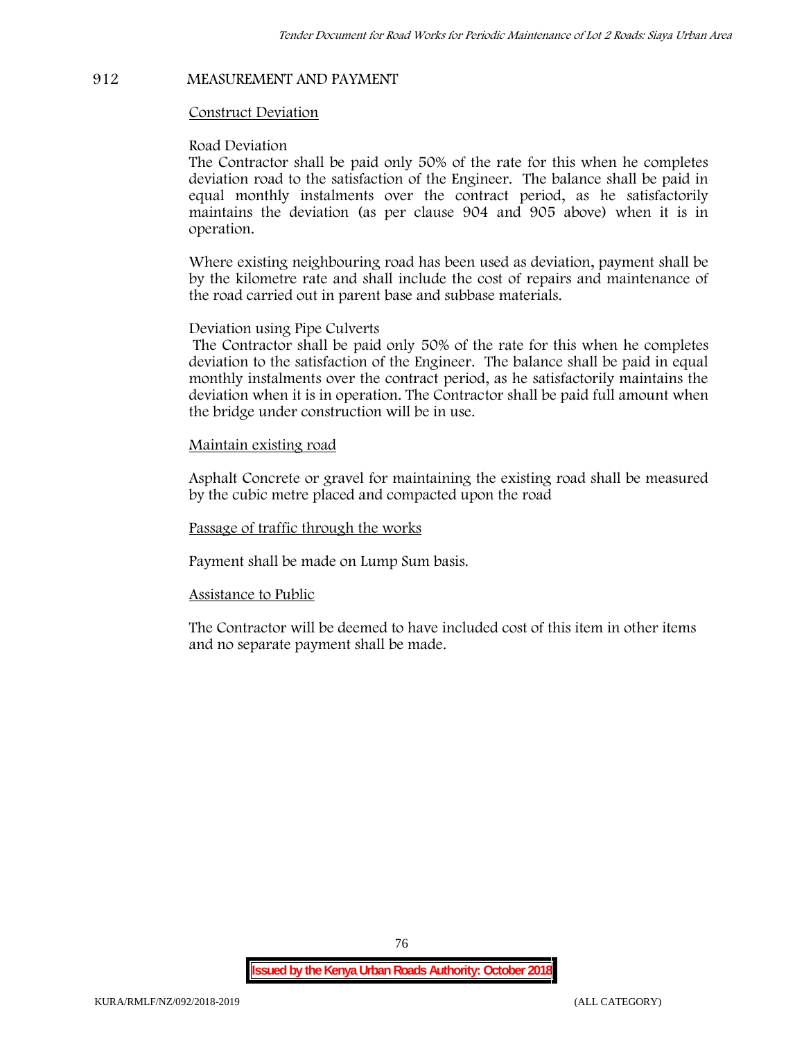# **912 MEASUREMENT AND PAYMENT**

## **Construct Deviation**

## **Road Deviation**

The Contractor shall be paid only 50% of the rate for this when he completes deviation road to the satisfaction of the Engineer. The balance shall be paid in equal monthly instalments over the contract period, as he satisfactorily maintains the deviation (as per clause 904 and 905 above) when it is in operation.

Where existing neighbouring road has been used as deviation, payment shall be by the kilometre rate and shall include the cost of repairs and maintenance of the road carried out in parent base and subbase materials.

## **Deviation using Pipe Culverts**

The Contractor shall be paid only 50% of the rate for this when he completes deviation to the satisfaction of the Engineer. The balance shall be paid in equal monthly instalments over the contract period, as he satisfactorily maintains the deviation when it is in operation. The Contractor shall be paid full amount when the bridge under construction will be in use.

## **Maintain existing road**

Asphalt Concrete or gravel for maintaining the existing road shall be measured by the cubic metre placed and compacted upon the road

**Passage of traffic through the works**

Payment shall be made on Lump Sum basis.

## **Assistance to Public**

The Contractor will be deemed to have included cost of this item in other items and no separate payment shall be made.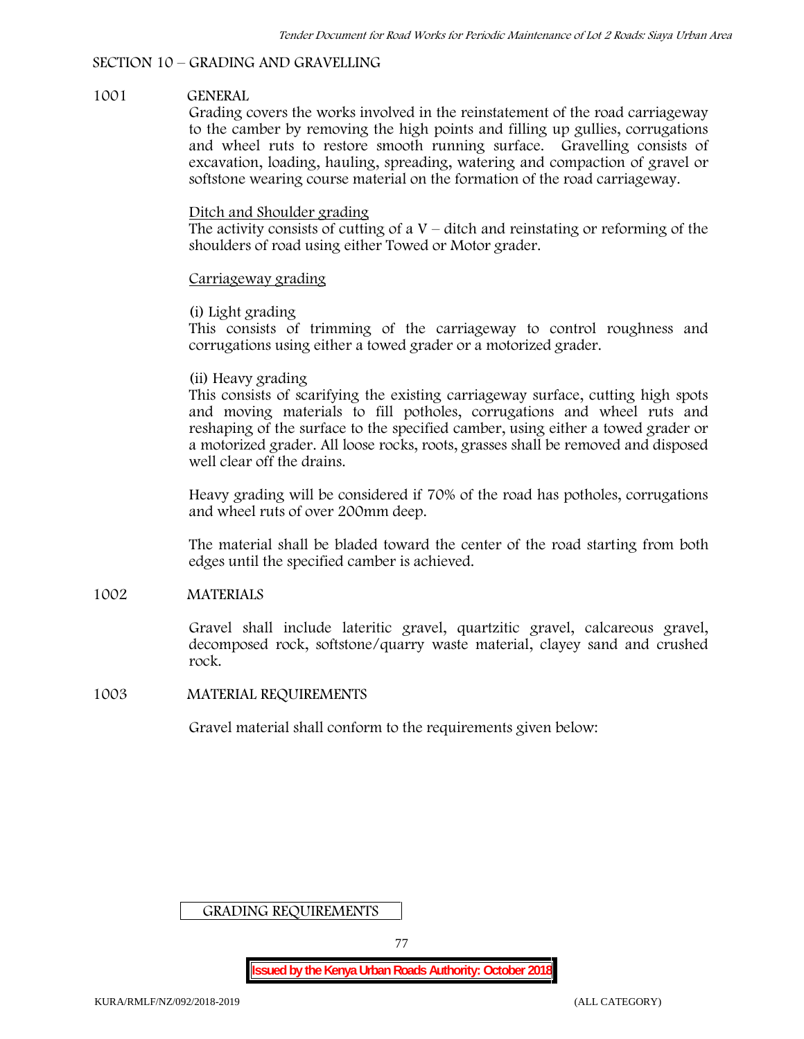### **SECTION 10 – GRADING AND GRAVELLING**

## **1001 GENERAL**

Grading covers the works involved in the reinstatement of the road carriageway to the camber by removing the high points and filling up gullies, corrugations and wheel ruts to restore smooth running surface. Gravelling consists of excavation, loading, hauling, spreading, watering and compaction of gravel or softstone wearing course material on the formation of the road carriageway.

#### Ditch and Shoulder grading

The activity consists of cutting of a  $V$  – ditch and reinstating or reforming of the shoulders of road using either Towed or Motor grader.

#### Carriageway grading

#### **(i) Light grading**

This consists of trimming of the carriageway to control roughness and corrugations using either a towed grader or a motorized grader.

#### **(ii) Heavy grading**

This consists of scarifying the existing carriageway surface, cutting high spots and moving materials to fill potholes, corrugations and wheel ruts and reshaping of the surface to the specified camber, using either a towed grader or a motorized grader. All loose rocks, roots, grasses shall be removed and disposed well clear off the drains.

Heavy grading will be considered if 70% of the road has potholes, corrugations and wheel ruts of over 200mm deep.

The material shall be bladed toward the center of the road starting from both edges until the specified camber is achieved.

## **1002 MATERIALS**

Gravel shall include lateritic gravel, quartzitic gravel, calcareous gravel, decomposed rock, softstone/quarry waste material, clayey sand and crushed rock.

#### **1003 MATERIAL REQUIREMENTS**

Gravel material shall conform to the requirements given below:

GRADING REQUIREMENTS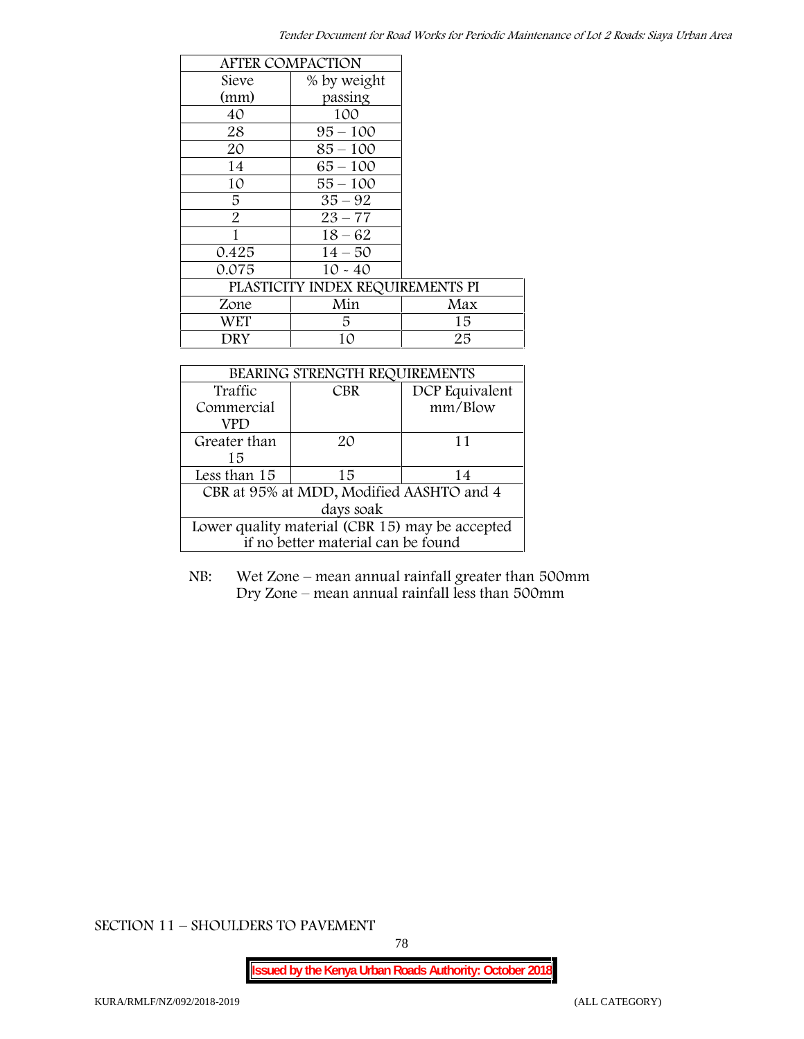|                | <b>AFTER COMPACTION</b>          |     |
|----------------|----------------------------------|-----|
| Sieve          | % by weight                      |     |
| (mm)           | passing                          |     |
| 40             | 100                              |     |
| 28             | $95 - 100$                       |     |
| 20             | $85 - 100$                       |     |
| 14             | $65 - 100$                       |     |
| 10             | $55 - 100$                       |     |
| 5              | $35 - 92$                        |     |
| $\overline{2}$ | $23 - 77$                        |     |
| 1              | $18 - 62$                        |     |
| 0.425          | $14 - 50$                        |     |
| 0.075          | $10 - 40$                        |     |
|                | PLASTICITY INDEX REQUIREMENTS PI |     |
| Zone           | Min                              | Max |
| <b>WET</b>     | 5.                               | 15  |
| DRY            | 10                               | 25  |

| BEARING STRENGTH REQUIREMENTS                   |            |                |  |  |
|-------------------------------------------------|------------|----------------|--|--|
| Traffic                                         | <b>CBR</b> | DCP Equivalent |  |  |
| Commercial                                      |            | mm/Blow        |  |  |
| VPD                                             |            |                |  |  |
| Greater than                                    | $2\Omega$  | 11             |  |  |
| 15                                              |            |                |  |  |
| Less than 15                                    | 15         | 14             |  |  |
| CBR at 95% at MDD, Modified AASHTO and 4        |            |                |  |  |
| days soak                                       |            |                |  |  |
| Lower quality material (CBR 15) may be accepted |            |                |  |  |
| if no better material can be found              |            |                |  |  |

NB: Wet Zone – mean annual rainfall greater than 500mm Dry Zone – mean annual rainfall less than 500mm

**SECTION 11 – SHOULDERS TO PAVEMENT**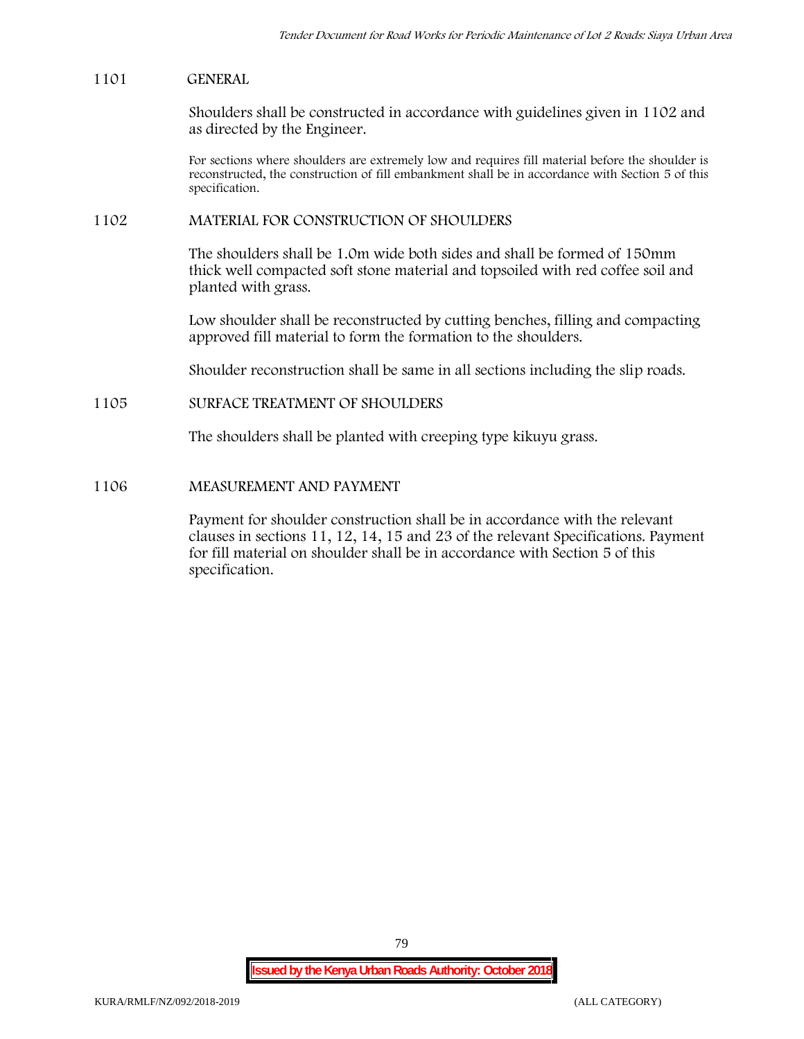### **1101 GENERAL**

Shoulders shall be constructed in accordance with guidelines given in 1102 and as directed by the Engineer.

For sections where shoulders are extremely low and requires fill material before the shoulder is reconstructed, the construction of fill embankment shall be in accordance with Section 5 of this specification.

### **1102 MATERIAL FOR CONSTRUCTION OF SHOULDERS**

The shoulders shall be 1.0m wide both sides and shall be formed of 150mm thick well compacted soft stone material and topsoiled with red coffee soil and planted with grass.

Low shoulder shall be reconstructed by cutting benches, filling and compacting approved fill material to form the formation to the shoulders.

Shoulder reconstruction shall be same in all sections including the slip roads.

## **1105 SURFACE TREATMENT OF SHOULDERS**

The shoulders shall be planted with creeping type kikuyu grass.

### **1106 MEASUREMENT AND PAYMENT**

Payment for shoulder construction shall be in accordance with the relevant clauses in sections 11, 12, 14, 15 and 23 of the relevant Specifications. Payment for fill material on shoulder shall be in accordance with Section 5 of this specification.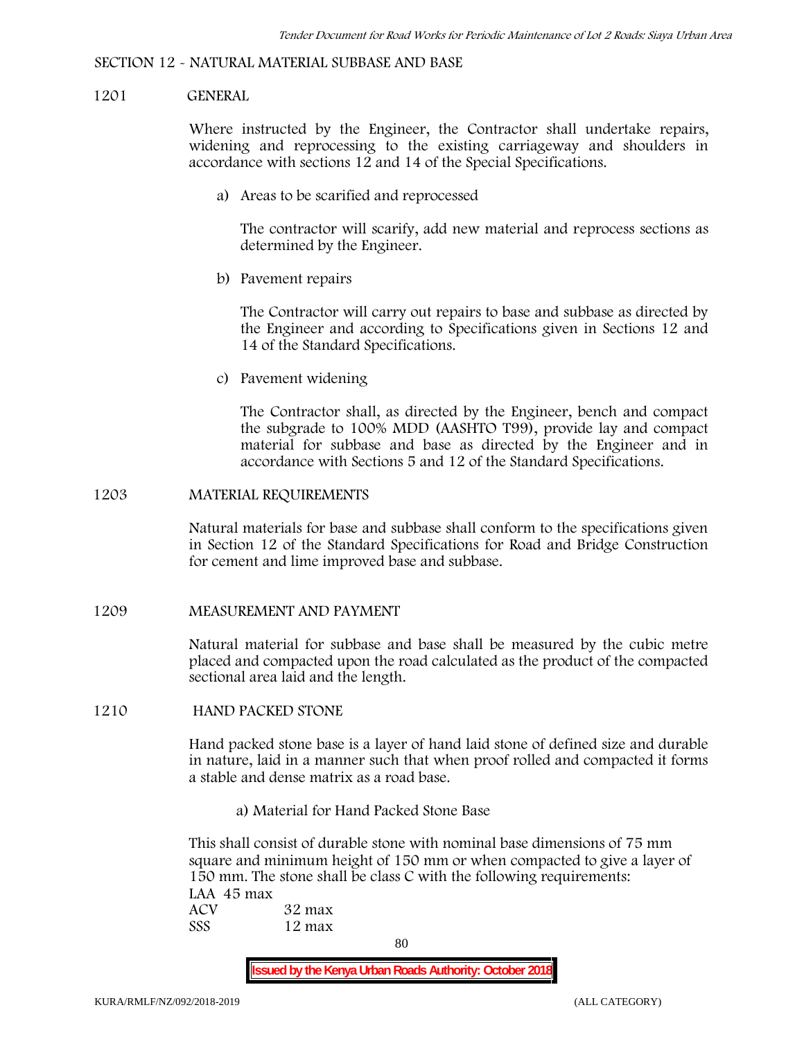#### **SECTION 12 - NATURAL MATERIAL SUBBASE AND BASE**

#### **1201 GENERAL**

Where instructed by the Engineer, the Contractor shall undertake repairs, widening and reprocessing to the existing carriageway and shoulders in accordance with sections 12 and 14 of the Special Specifications.

**a) Areas to be scarified and reprocessed**

The contractor will scarify, add new material and reprocess sections as determined by the Engineer.

**b) Pavement repairs**

The Contractor will carry out repairs to base and subbase as directed by the Engineer and according to Specifications given in Sections 12 and 14 of the Standard Specifications.

**c) Pavement widening**

The Contractor shall, as directed by the Engineer, bench and compact the subgrade to 100% MDD (AASHTO T99), provide lay and compact material for subbase and base as directed by the Engineer and in accordance with Sections 5 and 12 of the Standard Specifications.

#### **1203 MATERIAL REQUIREMENTS**

Natural materials for base and subbase shall conform to the specifications given in Section 12 of the Standard Specifications for Road and Bridge Construction for cement and lime improved base and subbase.

**1209 MEASUREMENT AND PAYMENT**

Natural material for subbase and base shall be measured by the cubic metre placed and compacted upon the road calculated as the product of the compacted sectional area laid and the length.

**1210 HAND PACKED STONE**

Hand packed stone base is a layer of hand laid stone of defined size and durable in nature, laid in a manner such that when proof rolled and compacted it forms a stable and dense matrix as a road base.

**a) Material for Hand Packed Stone Base**

This shall consist of durable stone with nominal base dimensions of 75 mm square and minimum height of 150 mm or when compacted to give a layer of 150 mm. The stone shall be class C with the following requirements: **LAA 45 max ACV 32 max SSS 12 max**

80

**Issued by the Kenya Urban Roads Authority: October 2018**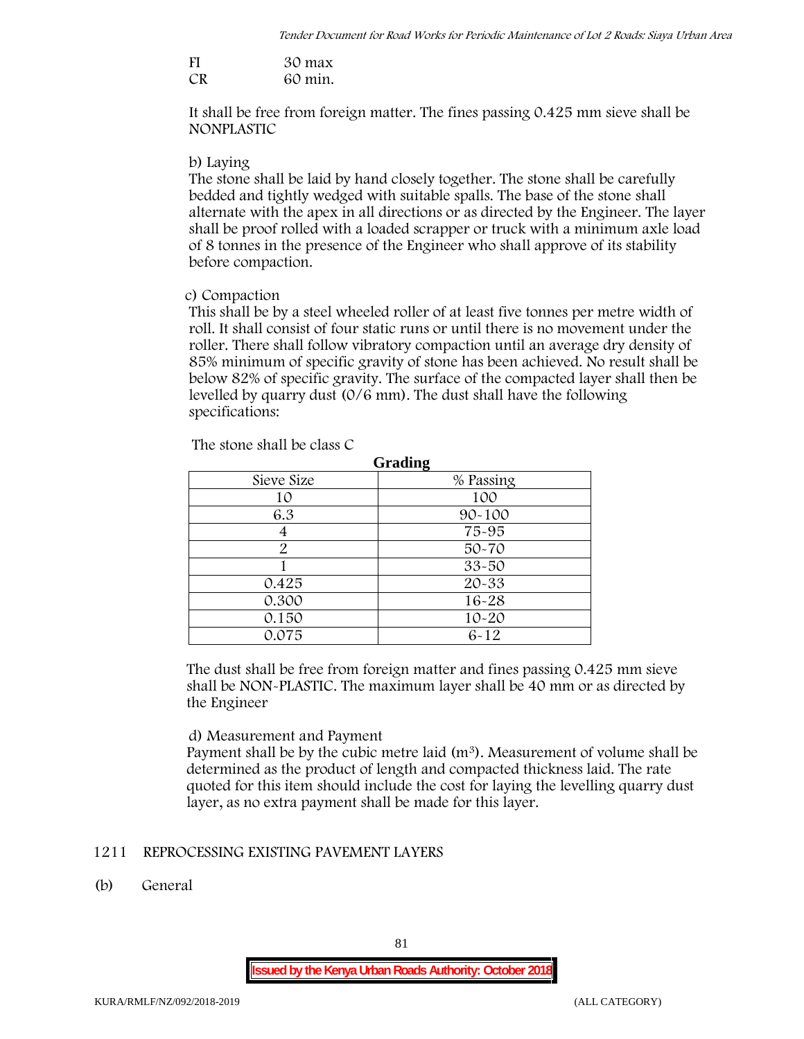| FI | 30 max  |
|----|---------|
| CR | 60 min. |

It shall be free from foreign matter. The fines passing 0.425 mm sieve shall be **NONPLASTIC**

#### **b) Laying**

The stone shall be laid by hand closely together. The stone shall be carefully bedded and tightly wedged with suitable spalls. The base of the stone shall alternate with the apex in all directions or as directed by the Engineer. The layer shall be proof rolled with a loaded scrapper or truck with a minimum axle load of 8 tonnes in the presence of the Engineer who shall approve of its stability before compaction.

#### **c) Compaction**

This shall be by a steel wheeled roller of at least five tonnes per metre width of roll. It shall consist of four static runs or until there is no movement under the roller. There shall follow vibratory compaction until an average dry density of 85% minimum of specific gravity of stone has been achieved. No result shall be below 82% of specific gravity. The surface of the compacted layer shall then be levelled by quarry dust (0/6 mm). The dust shall have the following specifications:

| Grading    |            |  |  |  |  |
|------------|------------|--|--|--|--|
| Sieve Size | % Passing  |  |  |  |  |
| 10         | 100        |  |  |  |  |
| 6.3        | $90 - 100$ |  |  |  |  |
|            | 75-95      |  |  |  |  |
| 2          | $50 - 70$  |  |  |  |  |
|            | $33 - 50$  |  |  |  |  |
| 0.425      | 20-33      |  |  |  |  |
| 0.300      | 16-28      |  |  |  |  |
| 0.150      | $10 - 20$  |  |  |  |  |
| 0.075      | $6 - 12$   |  |  |  |  |

The stone shall be class C

The dust shall be free from foreign matter and fines passing 0.425 mm sieve shall be **NON-PLASTIC**. The maximum layer shall be 40 mm or as directed by the Engineer

## **d) Measurement and Payment**

Payment shall be by the cubic metre laid  $(m<sup>3</sup>)$ . Measurement of volume shall be determined as the product of length and compacted thickness laid. The rate quoted for this item should include the cost for laying the levelling quarry dust layer, as no extra payment shall be made for this layer.

## **1211 REPROCESSING EXISTING PAVEMENT LAYERS**

**(b) General**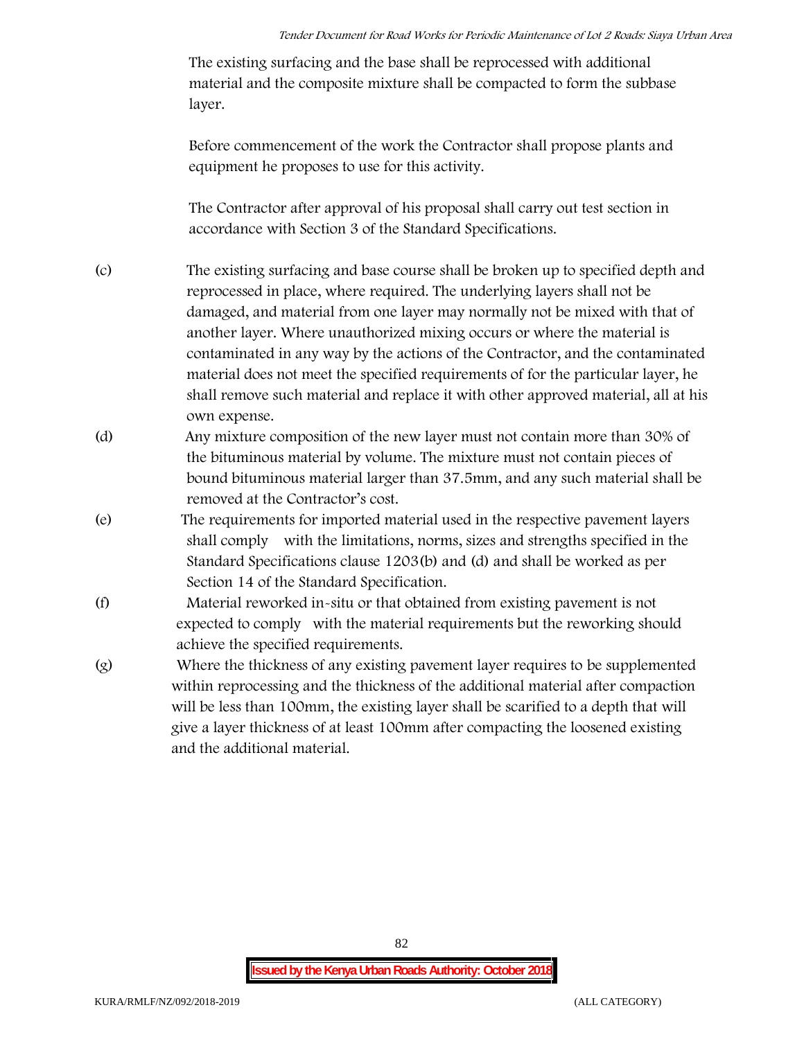The existing surfacing and the base shall be reprocessed with additional material and the composite mixture shall be compacted to form the subbase layer.

Before commencement of the work the Contractor shall propose plants and equipment he proposes to use for this activity.

The Contractor after approval of his proposal shall carry out test section in accordance with Section 3 of the Standard Specifications.

- (c) The existing surfacing and base course shall be broken up to specified depth and reprocessed in place, where required. The underlying layers shall not be damaged, and material from one layer may normally not be mixed with that of another layer. Where unauthorized mixing occurs or where the material is contaminated in any way by the actions of the Contractor, and the contaminated material does not meet the specified requirements of for the particular layer, he shall remove such material and replace it with other approved material, all at his own expense.
- (d) Any mixture composition of the new layer must not contain more than 30% of the bituminous material by volume. The mixture must not contain pieces of bound bituminous material larger than 37.5mm, and any such material shall be removed at the Contractor's cost.
- (e) The requirements for imported material used in the respective pavement layers shall comply with the limitations, norms, sizes and strengths specified in the Standard Specifications clause 1203(b) and (d) and shall be worked as per Section 14 of the Standard Specification.
- (f) Material reworked in-situ or that obtained from existing pavement is not expected to comply with the material requirements but the reworking should achieve the specified requirements.
- (g) Where the thickness of any existing pavement layer requires to be supplemented within reprocessing and the thickness of the additional material after compaction will be less than 100mm, the existing layer shall be scarified to a depth that will give a layer thickness of at least 100mm after compacting the loosened existing and the additional material.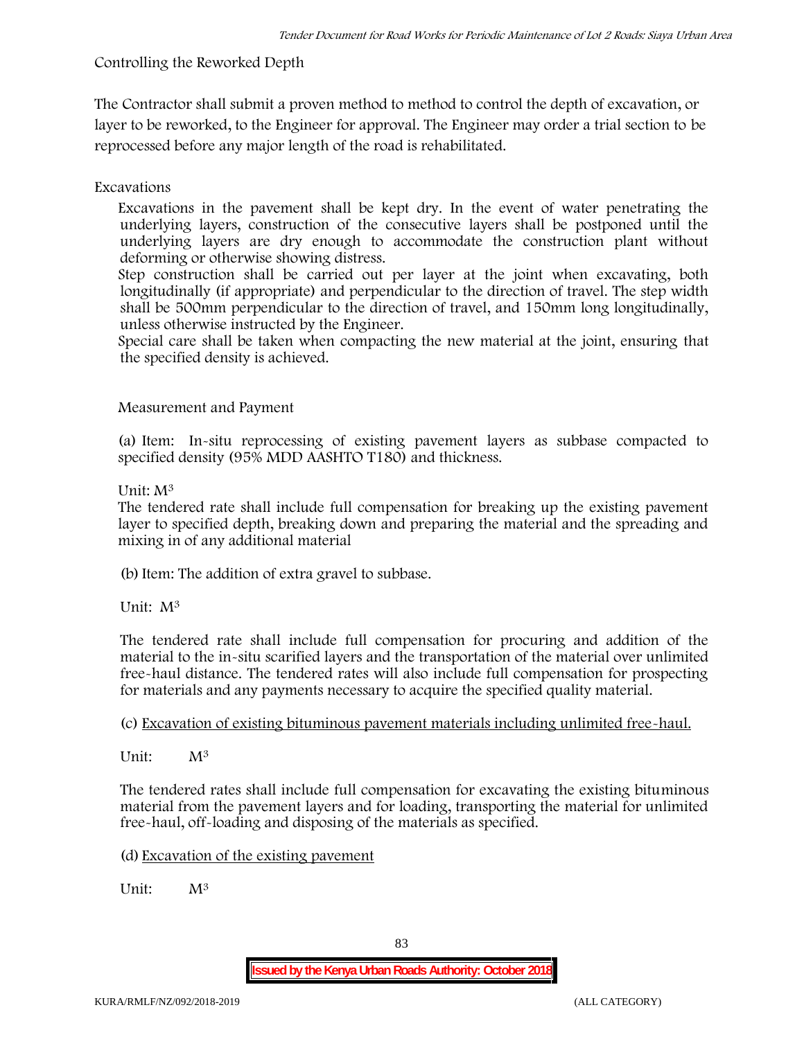# **Controlling the Reworked Depth**

The Contractor shall submit a proven method to method to control the depth of excavation, or layer to be reworked, to the Engineer for approval. The Engineer may order a trial section to be reprocessed before any major length of the road is rehabilitated.

# **Excavations**

Excavations in the pavement shall be kept dry. In the event of water penetrating the underlying layers, construction of the consecutive layers shall be postponed until the underlying layers are dry enough to accommodate the construction plant without deforming or otherwise showing distress.

Step construction shall be carried out per layer at the joint when excavating, both longitudinally (if appropriate) and perpendicular to the direction of travel. The step width shall be 500mm perpendicular to the direction of travel, and 150mm long longitudinally, unless otherwise instructed by the Engineer.

Special care shall be taken when compacting the new material at the joint, ensuring that the specified density is achieved.

## **Measurement and Payment**

(a) Item: In-situ reprocessing of existing pavement layers as subbase compacted to specified density (95% MDD AASHTO T180) and thickness.

## Unit: M<sup>3</sup>

The tendered rate shall include full compensation for breaking up the existing pavement layer to specified depth, breaking down and preparing the material and the spreading and mixing in of any additional material

(b)Item: The addition of extra gravel to subbase.

Unit: M<sup>3</sup>

The tendered rate shall include full compensation for procuring and addition of the material to the in-situ scarified layers and the transportation of the material over unlimited free-haul distance. The tendered rates will also include full compensation for prospecting for materials and any payments necessary to acquire the specified quality material.

(c) Excavation of existing bituminous pavement materials including unlimited free-haul.

Unit: M<sup>3</sup>

The tendered rates shall include full compensation for excavating the existing bituminous material from the pavement layers and for loading, transporting the material for unlimited free-haul, off-loading and disposing of the materials as specified.

(d) Excavation of the existing pavement

Unit:  $M^3$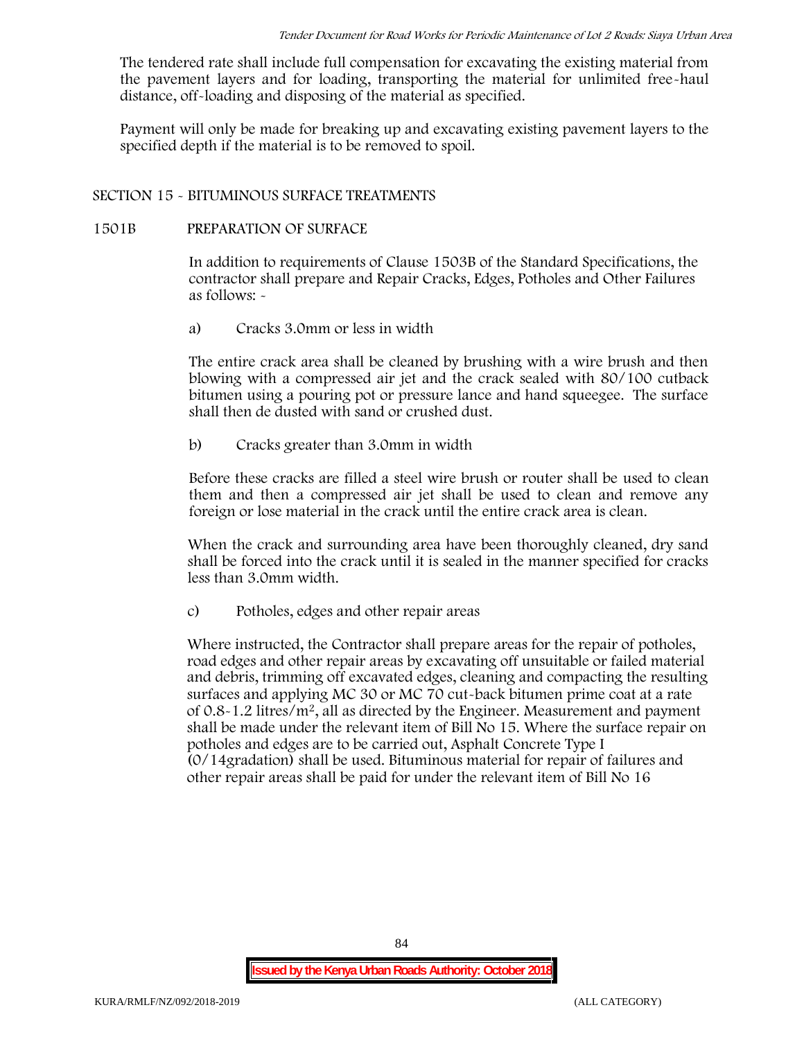The tendered rate shall include full compensation for excavating the existing material from the pavement layers and for loading, transporting the material for unlimited free-haul distance, off-loading and disposing of the material as specified.

Payment will only be made for breaking up and excavating existing pavement layers to the specified depth if the material is to be removed to spoil.

## **SECTION 15 - BITUMINOUS SURFACE TREATMENTS**

### **1501B PREPARATION OF SURFACE**

In addition to requirements of Clause 1503B of the Standard Specifications, the contractor shall prepare and Repair Cracks, Edges, Potholes and Other Failures as follows: **-**

a) **Cracks 3.0mm or less in width**

The entire crack area shall be cleaned by brushing with a wire brush and then blowing with a compressed air jet and the crack sealed with 80/100 cutback bitumen using a pouring pot or pressure lance and hand squeegee. The surface shall then de dusted with sand or crushed dust.

b) **Cracks greater than 3.0mm in width**

Before these cracks are filled a steel wire brush or router shall be used to clean them and then a compressed air jet shall be used to clean and remove any foreign or lose material in the crack until the entire crack area is clean.

When the crack and surrounding area have been thoroughly cleaned, dry sand shall be forced into the crack until it is sealed in the manner specified for cracks less than 3.0mm width.

c) **Potholes, edges and other repair areas**

Where instructed, the Contractor shall prepare areas for the repair of potholes, road edges and other repair areas by excavating off unsuitable or failed material and debris, trimming off excavated edges, cleaning and compacting the resulting surfaces and applying MC 30 or MC 70 cut-back bitumen prime coat at a rate of  $0.8-1.2$  litres/m<sup>2</sup>, all as directed by the Engineer. Measurement and payment shall be made under the relevant item of Bill No 15. Where the surface repair on potholes and edges are to be carried out, Asphalt Concrete Type I (0/14gradation) shall be used. Bituminous material for repair of failures and other repair areas shall be paid for under the relevant item of Bill No 16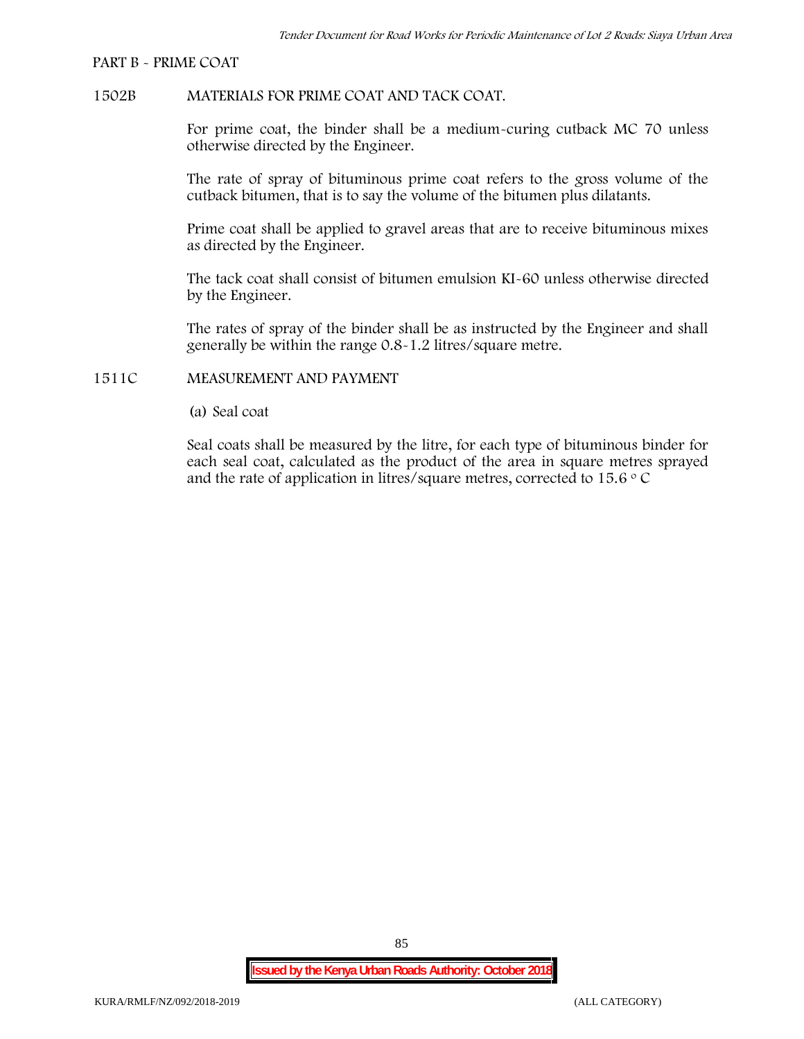#### **PART B - PRIME COAT**

### **1502B MATERIALS FOR PRIME COAT AND TACK COAT.**

For prime coat, the binder shall be a medium-curing cutback MC 70 unless otherwise directed by the Engineer.

The rate of spray of bituminous prime coat refers to the gross volume of the cutback bitumen, that is to say the volume of the bitumen plus dilatants.

Prime coat shall be applied to gravel areas that are to receive bituminous mixes as directed by the Engineer.

The tack coat shall consist of bitumen emulsion KI-60 unless otherwise directed by the Engineer.

The rates of spray of the binder shall be as instructed by the Engineer and shall generally be within the range 0.8-1.2 litres/square metre.

### **1511C MEASUREMENT AND PAYMENT**

(a) Seal coat

Seal coats shall be measured by the litre, for each type of bituminous binder for each seal coat, calculated as the product of the area in square metres sprayed and the rate of application in litres/square metres, corrected to 15.6  $\circ$  C

85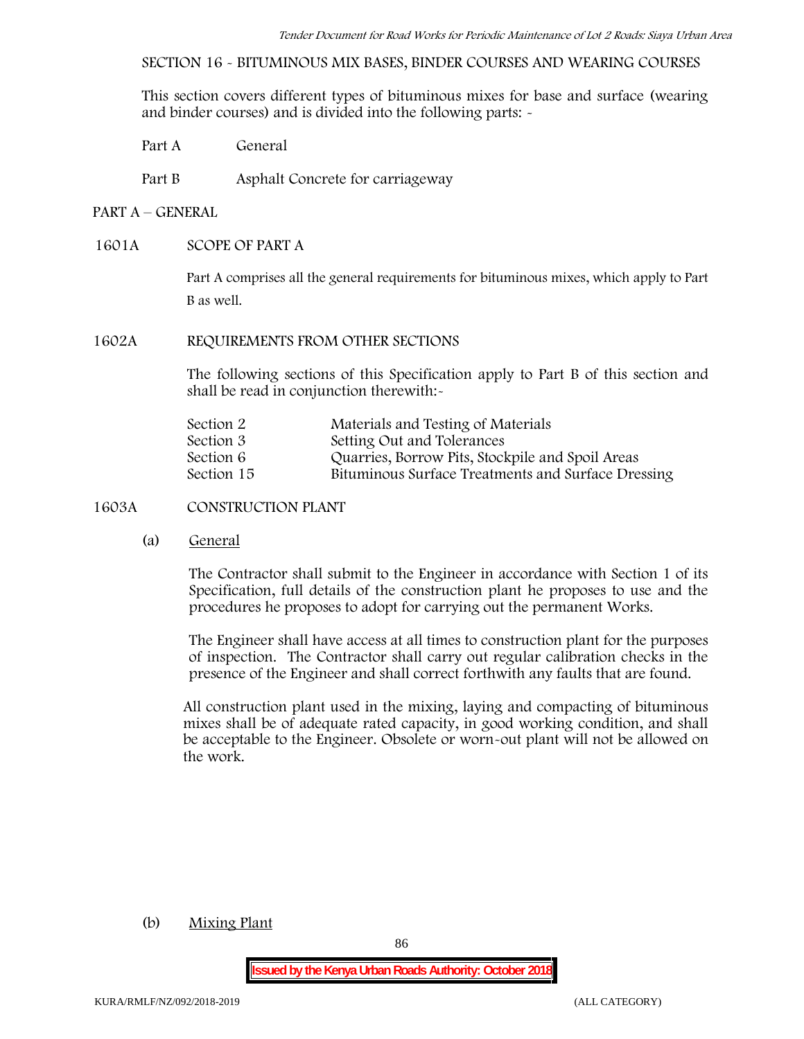**SECTION 16 - BITUMINOUS MIX BASES, BINDER COURSES AND WEARING COURSES**

This section covers different types of bituminous mixes for base and surface (wearing and binder courses) and is divided into the following parts: -

Part A General

Part B Asphalt Concrete for carriageway

## **PART A –GENERAL**

## **1601A SCOPE OF PART A**

Part A comprises all the general requirements for bituminous mixes, which apply to Part B as well.

## **1602A REQUIREMENTS FROM OTHER SECTIONS**

The following sections of this Specification apply to Part B of this section and shall be read in conjunction therewith:-

| Section 2  | Materials and Testing of Materials                 |
|------------|----------------------------------------------------|
| Section 3  | Setting Out and Tolerances                         |
| Section 6  | Quarries, Borrow Pits, Stockpile and Spoil Areas   |
| Section 15 | Bituminous Surface Treatments and Surface Dressing |

## **1603A CONSTRUCTION PLANT**

(a) **General**

The Contractor shall submit to the Engineer in accordance with Section 1 of its Specification, full details of the construction plant he proposes to use and the procedures he proposes to adopt for carrying out the permanent Works.

The Engineer shall have access at all times to construction plant for the purposes of inspection. The Contractor shall carry out regular calibration checks in the presence of the Engineer and shall correct forthwith any faults that are found.

All construction plant used in the mixing, laying and compacting of bituminous mixes shall be of adequate rated capacity, in good working condition, and shall be acceptable to the Engineer. Obsolete or worn-out plant will not be allowed on the work.

#### (b) **Mixing Plant**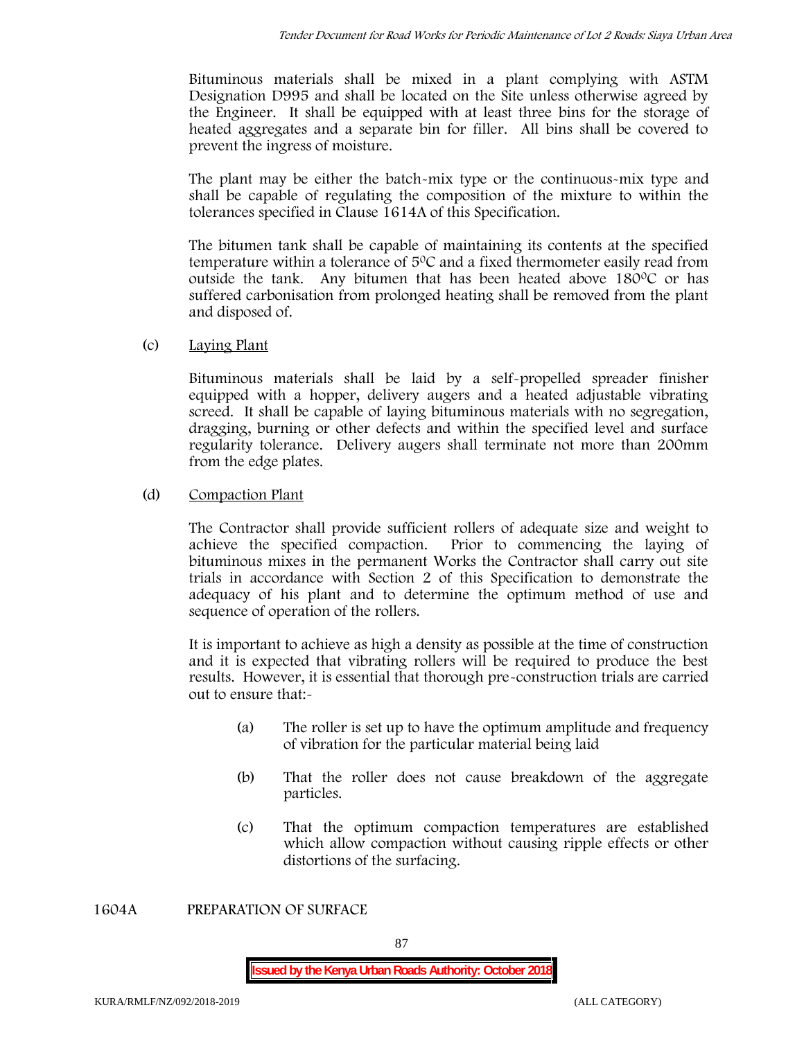Bituminous materials shall be mixed in a plant complying with ASTM Designation D995 and shall be located on the Site unless otherwise agreed by the Engineer. It shall be equipped with at least three bins for the storage of heated aggregates and a separate bin for filler. All bins shall be covered to prevent the ingress of moisture.

The plant may be either the batch-mix type or the continuous-mix type and shall be capable of regulating the composition of the mixture to within the tolerances specified in Clause 1614A of this Specification.

The bitumen tank shall be capable of maintaining its contents at the specified temperature within a tolerance of  $5^{\circ}$ C and a fixed thermometer easily read from outside the tank. Any bitumen that has been heated above  $180^{\circ}$ C or has suffered carbonisation from prolonged heating shall be removed from the plant and disposed of.

## (c) **Laying Plant**

Bituminous materials shall be laid by a self-propelled spreader finisher equipped with a hopper, delivery augers and a heated adjustable vibrating screed. It shall be capable of laying bituminous materials with no segregation, dragging, burning or other defects and within the specified level and surface regularity tolerance. Delivery augers shall terminate not more than 200mm from the edge plates.

## (d) **Compaction Plant**

The Contractor shall provide sufficient rollers of adequate size and weight to achieve the specified compaction. Prior to commencing the laying of bituminous mixes in the permanent Works the Contractor shall carry out site trials in accordance with Section 2 of this Specification to demonstrate the adequacy of his plant and to determine the optimum method of use and sequence of operation of the rollers.

It is important to achieve as high a density as possible at the time of construction and it is expected that vibrating rollers will be required to produce the best results. However, it is essential that thorough pre-construction trials are carried out to ensure that:-

- (a) The roller is set up to have the optimum amplitude and frequency of vibration for the particular material being laid
- (b) That the roller does not cause breakdown of the aggregate particles.
- (c) That the optimum compaction temperatures are established which allow compaction without causing ripple effects or other distortions of the surfacing.

**1604A PREPARATION OF SURFACE**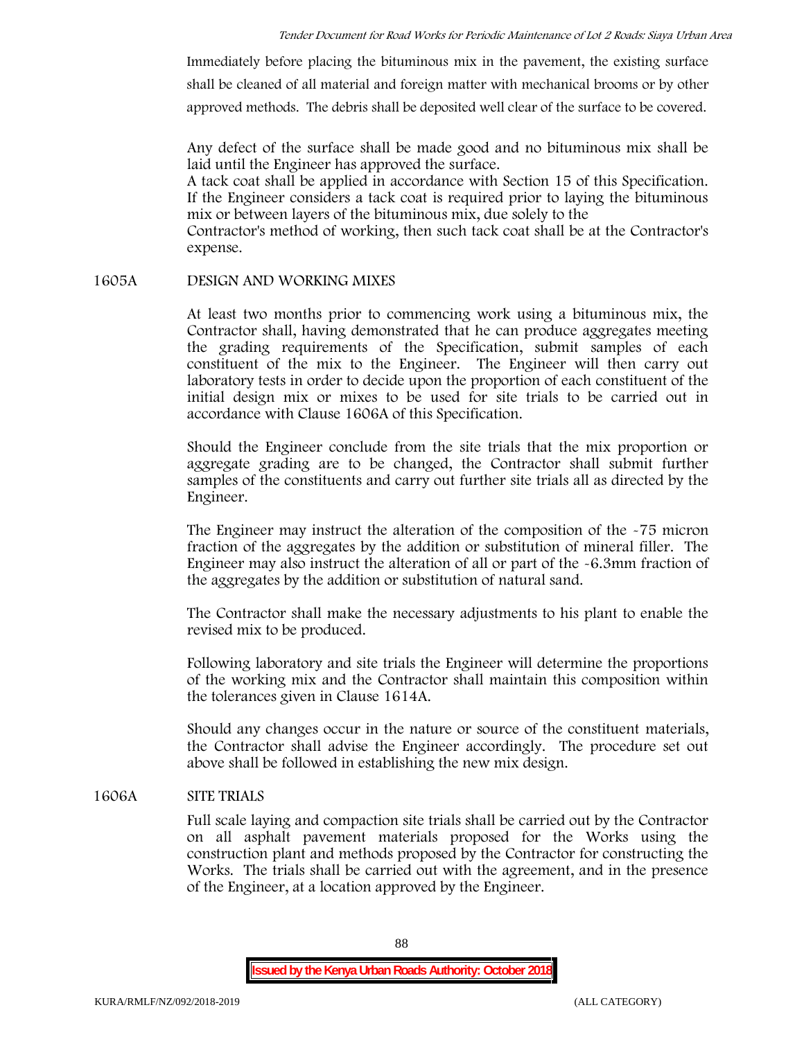Immediately before placing the bituminous mix in the pavement, the existing surface shall be cleaned of all material and foreign matter with mechanical brooms or by other approved methods. The debris shall be deposited well clear of the surface to be covered.

Any defect of the surface shall be made good and no bituminous mix shall be laid until the Engineer has approved the surface.

A tack coat shall be applied in accordance with Section 15 of this Specification. If the Engineer considers a tack coat is required prior to laying the bituminous mix or between layers of the bituminous mix, due solely to the

Contractor's method of working, then such tack coat shall be at the Contractor's expense.

## **1605A DESIGN AND WORKING MIXES**

At least two months prior to commencing work using a bituminous mix, the Contractor shall, having demonstrated that he can produce aggregates meeting the grading requirements of the Specification, submit samples of each constituent of the mix to the Engineer. The Engineer will then carry out laboratory tests in order to decide upon the proportion of each constituent of the initial design mix or mixes to be used for site trials to be carried out in accordance with Clause 1606A of this Specification.

Should the Engineer conclude from the site trials that the mix proportion or aggregate grading are to be changed, the Contractor shall submit further samples of the constituents and carry out further site trials all as directed by the Engineer.

The Engineer may instruct the alteration of the composition of the -75 micron fraction of the aggregates by the addition or substitution of mineral filler. The Engineer may also instruct the alteration of all or part of the -6.3mm fraction of the aggregates by the addition or substitution of natural sand.

The Contractor shall make the necessary adjustments to his plant to enable the revised mix to be produced.

Following laboratory and site trials the Engineer will determine the proportions of the working mix and the Contractor shall maintain this composition within the tolerances given in Clause 1614A.

Should any changes occur in the nature or source of the constituent materials, the Contractor shall advise the Engineer accordingly. The procedure set out above shall be followed in establishing the new mix design.

## **1606A SITE TRIALS**

Full scale laying and compaction site trials shall be carried out by the Contractor on all asphalt pavement materials proposed for the Works using the construction plant and methods proposed by the Contractor for constructing the Works. The trials shall be carried out with the agreement, and in the presence of the Engineer, at a location approved by the Engineer.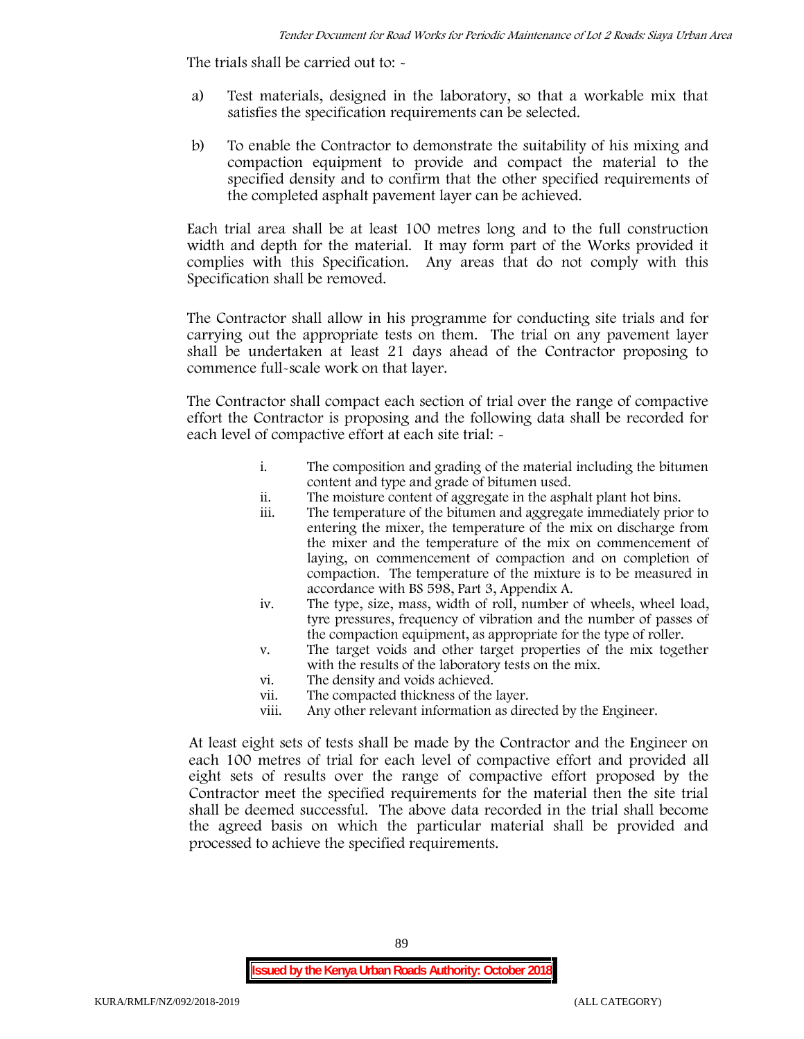The trials shall be carried out to:  $\sim$ 

- a) Test materials, designed in the laboratory, so that a workable mix that satisfies the specification requirements can be selected.
- b) To enable the Contractor to demonstrate the suitability of his mixing and compaction equipment to provide and compact the material to the specified density and to confirm that the other specified requirements of the completed asphalt pavement layer can be achieved.

Each trial area shall be at least 100 metres long and to the full construction width and depth for the material. It may form part of the Works provided it complies with this Specification. Any areas that do not comply with this Specification shall be removed.

The Contractor shall allow in his programme for conducting site trials and for carrying out the appropriate tests on them. The trial on any pavement layer shall be undertaken at least 21 days ahead of the Contractor proposing to commence full-scale work on that layer.

The Contractor shall compact each section of trial over the range of compactive effort the Contractor is proposing and the following data shall be recorded for each level of compactive effort at each site trial:  $\sim$ 

- i. The composition and grading of the material including the bitumen content and type and grade of bitumen used.
- ii. The moisture content of aggregate in the asphalt plant hot bins.
- iii. The temperature of the bitumen and aggregate immediately prior to entering the mixer, the temperature of the mix on discharge from the mixer and the temperature of the mix on commencement of laying, on commencement of compaction and on completion of compaction. The temperature of the mixture is to be measured in accordance with BS 598, Part 3, Appendix A.
- iv. The type, size, mass, width of roll, number of wheels, wheel load, tyre pressures, frequency of vibration and the number of passes of the compaction equipment, as appropriate for the type of roller.
- v. The target voids and other target properties of the mix together with the results of the laboratory tests on the mix.
- vi. The density and voids achieved.
- vii. The compacted thickness of the layer.
- viii. Any other relevant information as directed by the Engineer.

At least eight sets of tests shall be made by the Contractor and the Engineer on each 100 metres of trial for each level of compactive effort and provided all eight sets of results over the range of compactive effort proposed by the Contractor meet the specified requirements for the material then the site trial shall be deemed successful. The above data recorded in the trial shall become the agreed basis on which the particular material shall be provided and processed to achieve the specified requirements.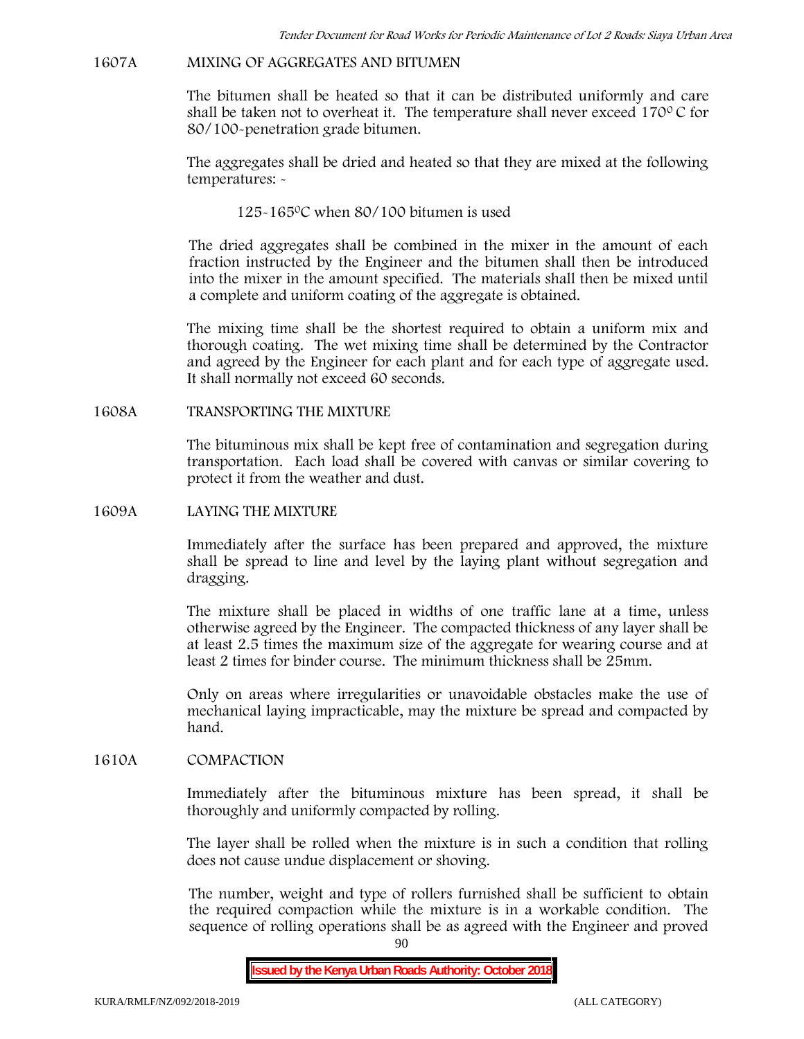## **1607A MIXING OF AGGREGATES AND BITUMEN**

The bitumen shall be heated so that it can be distributed uniformly and care shall be taken not to overheat it. The temperature shall never exceed  $170^{\circ}$ C for 80/100-penetration grade bitumen.

The aggregates shall be dried and heated so that they are mixed at the following temperatures: -

125-1650C when 80/100 bitumen is used

The dried aggregates shall be combined in the mixer in the amount of each fraction instructed by the Engineer and the bitumen shall then be introduced into the mixer in the amount specified. The materials shall then be mixed until a complete and uniform coating of the aggregate is obtained.

The mixing time shall be the shortest required to obtain a uniform mix and thorough coating. The wet mixing time shall be determined by the Contractor and agreed by the Engineer for each plant and for each type of aggregate used. It shall normally not exceed 60 seconds.

**1608A TRANSPORTING THE MIXTURE**

The bituminous mix shall be kept free of contamination and segregation during transportation. Each load shall be covered with canvas or similar covering to protect it from the weather and dust.

#### **1609A LAYING THE MIXTURE**

Immediately after the surface has been prepared and approved, the mixture shall be spread to line and level by the laying plant without segregation and dragging.

The mixture shall be placed in widths of one traffic lane at a time, unless otherwise agreed by the Engineer. The compacted thickness of any layer shall be at least 2.5 times the maximum size of the aggregate for wearing course and at least 2 times for binder course. The minimum thickness shall be 25mm.

Only on areas where irregularities or unavoidable obstacles make the use of mechanical laying impracticable, may the mixture be spread and compacted by hand.

## **1610A COMPACTION**

Immediately after the bituminous mixture has been spread, it shall be thoroughly and uniformly compacted by rolling.

The layer shall be rolled when the mixture is in such a condition that rolling does not cause undue displacement or shoving.

The number, weight and type of rollers furnished shall be sufficient to obtain the required compaction while the mixture is in a workable condition. The sequence of rolling operations shall be as agreed with the Engineer and proved

90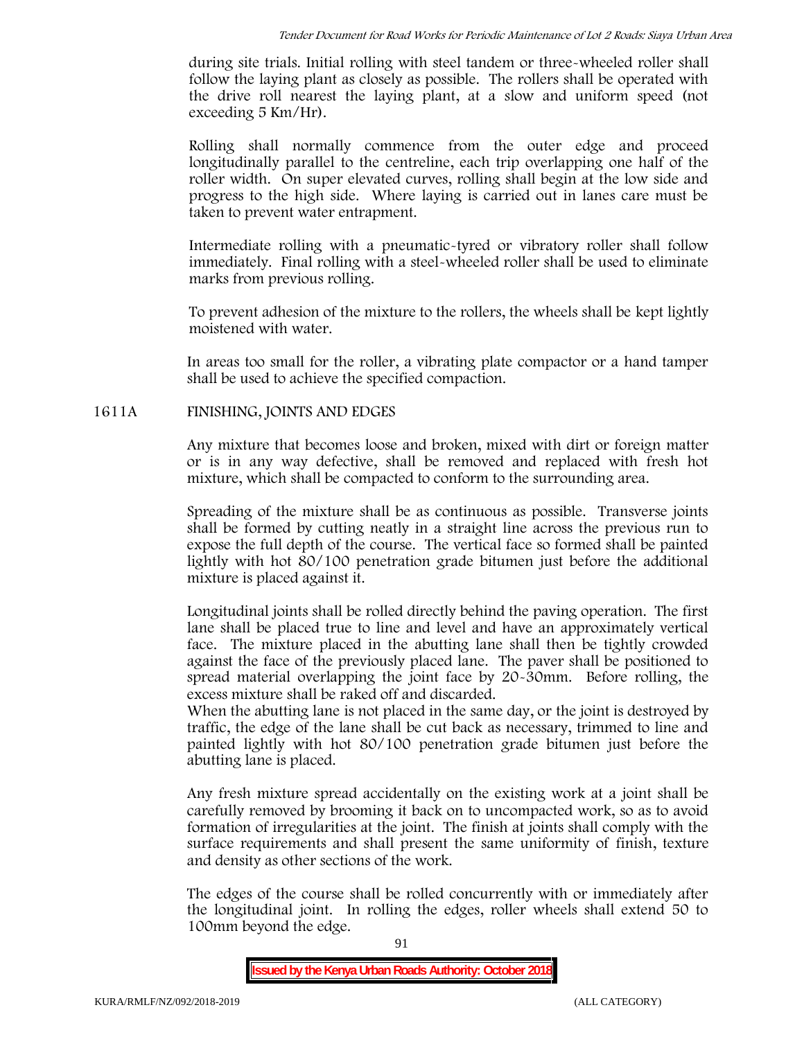during site trials. Initial rolling with steel tandem or three-wheeled roller shall follow the laying plant as closely as possible. The rollers shall be operated with the drive roll nearest the laying plant, at a slow and uniform speed (not exceeding 5 Km/Hr).

Rolling shall normally commence from the outer edge and proceed longitudinally parallel to the centreline, each trip overlapping one half of the roller width. On super elevated curves, rolling shall begin at the low side and progress to the high side. Where laying is carried out in lanes care must be taken to prevent water entrapment.

Intermediate rolling with a pneumatic-tyred or vibratory roller shall follow immediately. Final rolling with a steel-wheeled roller shall be used to eliminate marks from previous rolling.

To prevent adhesion of the mixture to the rollers, the wheels shall be kept lightly moistened with water.

In areas too small for the roller, a vibrating plate compactor or a hand tamper shall be used to achieve the specified compaction.

## **1611A FINISHING, JOINTS AND EDGES**

Any mixture that becomes loose and broken, mixed with dirt or foreign matter or is in any way defective, shall be removed and replaced with fresh hot mixture, which shall be compacted to conform to the surrounding area.

Spreading of the mixture shall be as continuous as possible. Transverse joints shall be formed by cutting neatly in a straight line across the previous run to expose the full depth of the course. The vertical face so formed shall be painted lightly with hot 80/100 penetration grade bitumen just before the additional mixture is placed against it.

Longitudinal joints shall be rolled directly behind the paving operation. The first lane shall be placed true to line and level and have an approximately vertical face. The mixture placed in the abutting lane shall then be tightly crowded against the face of the previously placed lane. The paver shall be positioned to spread material overlapping the joint face by 20-30mm. Before rolling, the excess mixture shall be raked off and discarded.

When the abutting lane is not placed in the same day, or the joint is destroyed by traffic, the edge of the lane shall be cut back as necessary, trimmed to line and painted lightly with hot 80/100 penetration grade bitumen just before the abutting lane is placed.

Any fresh mixture spread accidentally on the existing work at a joint shall be carefully removed by brooming it back on to uncompacted work, so as to avoid formation of irregularities at the joint. The finish at joints shall comply with the surface requirements and shall present the same uniformity of finish, texture and density as other sections of the work.

The edges of the course shall be rolled concurrently with or immediately after the longitudinal joint. In rolling the edges, roller wheels shall extend 50 to 100mm beyond the edge.

91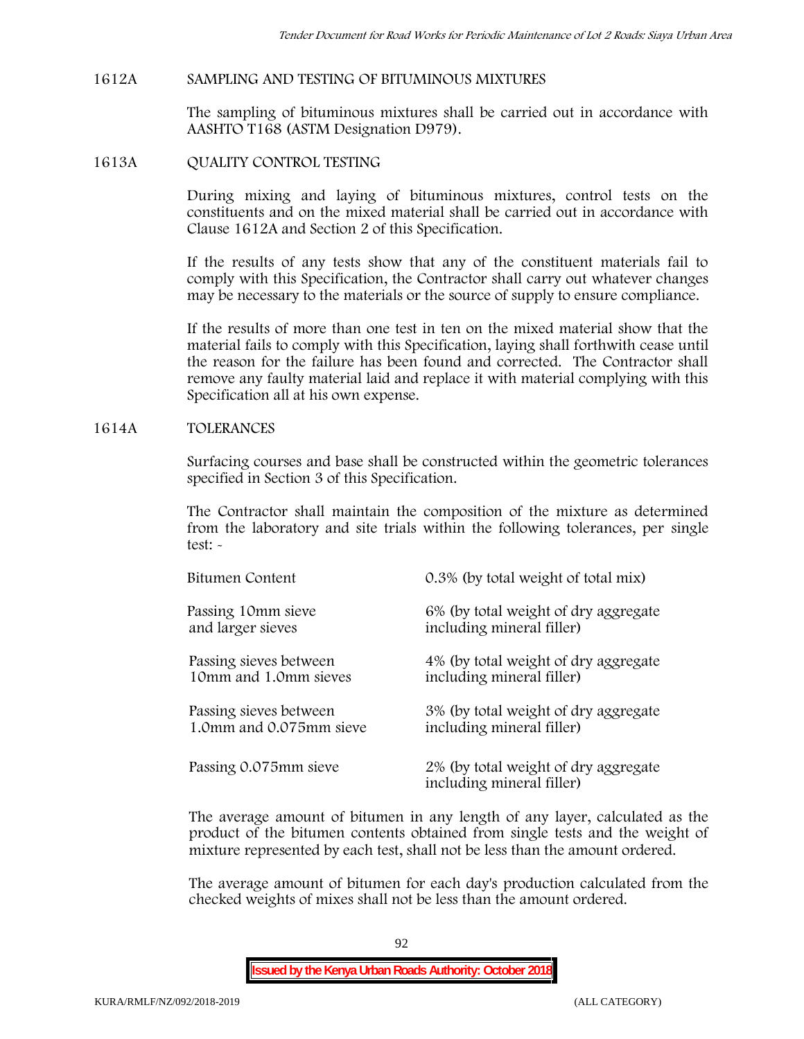#### **1612A SAMPLING AND TESTING OF BITUMINOUS MIXTURES**

The sampling of bituminous mixtures shall be carried out in accordance with AASHTO T168 (ASTM Designation D979).

#### **1613A QUALITY CONTROL TESTING**

During mixing and laying of bituminous mixtures, control tests on the constituents and on the mixed material shall be carried out in accordance with Clause 1612A and Section 2 of this Specification.

If the results of any tests show that any of the constituent materials fail to comply with this Specification, the Contractor shall carry out whatever changes may be necessary to the materials or the source of supply to ensure compliance.

If the results of more than one test in ten on the mixed material show that the material fails to comply with this Specification, laying shall forthwith cease until the reason for the failure has been found and corrected. The Contractor shall remove any faulty material laid and replace it with material complying with this Specification all at his own expense.

#### **1614A TOLERANCES**

Surfacing courses and base shall be constructed within the geometric tolerances specified in Section 3 of this Specification.

The Contractor shall maintain the composition of the mixture as determined from the laboratory and site trials within the following tolerances, per single test: -

| Bitumen Content         | 0.3% (by total weight of total mix)                               |
|-------------------------|-------------------------------------------------------------------|
| Passing 10mm sieve      | 6% (by total weight of dry aggregate                              |
| and larger sieves       | including mineral filler)                                         |
| Passing sieves between  | 4% (by total weight of dry aggregate                              |
| 10mm and 1.0mm sieves   | including mineral filler)                                         |
| Passing sieves between  | 3% (by total weight of dry aggregate                              |
| 1.0mm and 0.075mm sieve | including mineral filler)                                         |
| Passing 0.075mm sieve   | 2% (by total weight of dry aggregate<br>including mineral filler) |

The average amount of bitumen in any length of any layer, calculated as the product of the bitumen contents obtained from single tests and the weight of mixture represented by each test, shall not be less than the amount ordered.

The average amount of bitumen for each day's production calculated from the checked weights of mixes shall not be less than the amount ordered.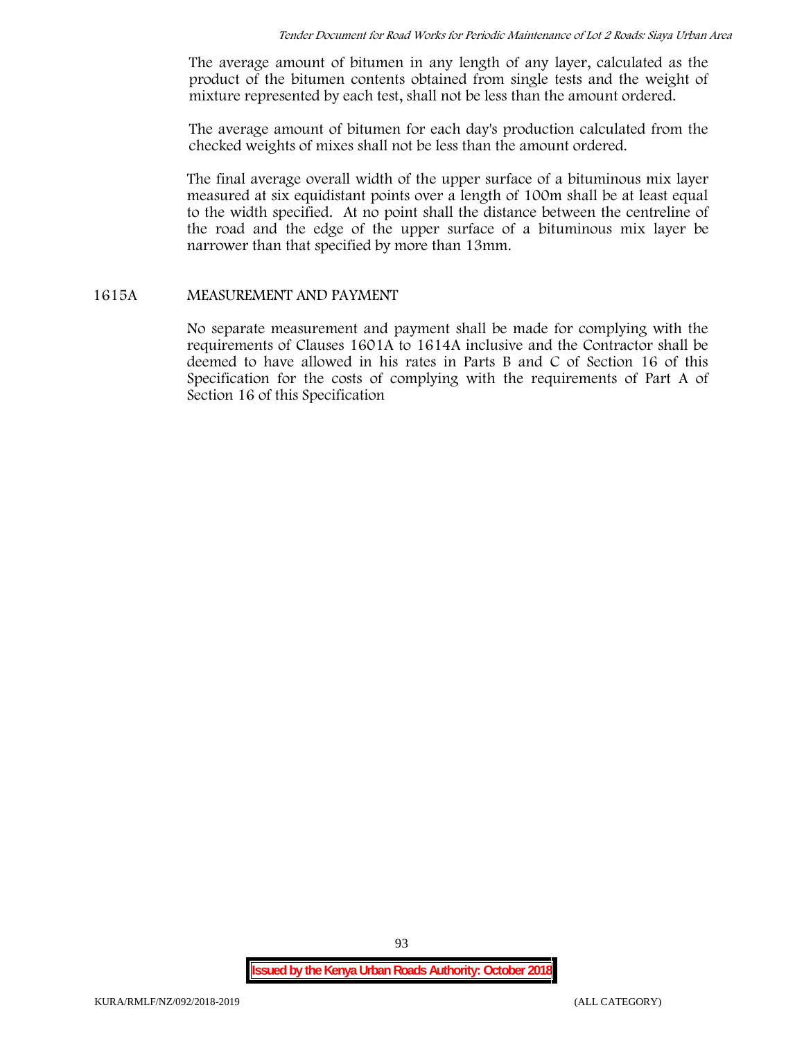The average amount of bitumen in any length of any layer, calculated as the product of the bitumen contents obtained from single tests and the weight of mixture represented by each test, shall not be less than the amount ordered.

The average amount of bitumen for each day's production calculated from the checked weights of mixes shall not be less than the amount ordered.

The final average overall width of the upper surface of a bituminous mix layer measured at six equidistant points over a length of 100m shall be at least equal to the width specified. At no point shall the distance between the centreline of the road and the edge of the upper surface of a bituminous mix layer be narrower than that specified by more than 13mm.

#### **1615A MEASUREMENT AND PAYMENT**

No separate measurement and payment shall be made for complying with the requirements of Clauses 1601A to 1614A inclusive and the Contractor shall be deemed to have allowed in his rates in Parts B and C of Section 16 of this Specification for the costs of complying with the requirements of Part A of Section 16 of this Specification

93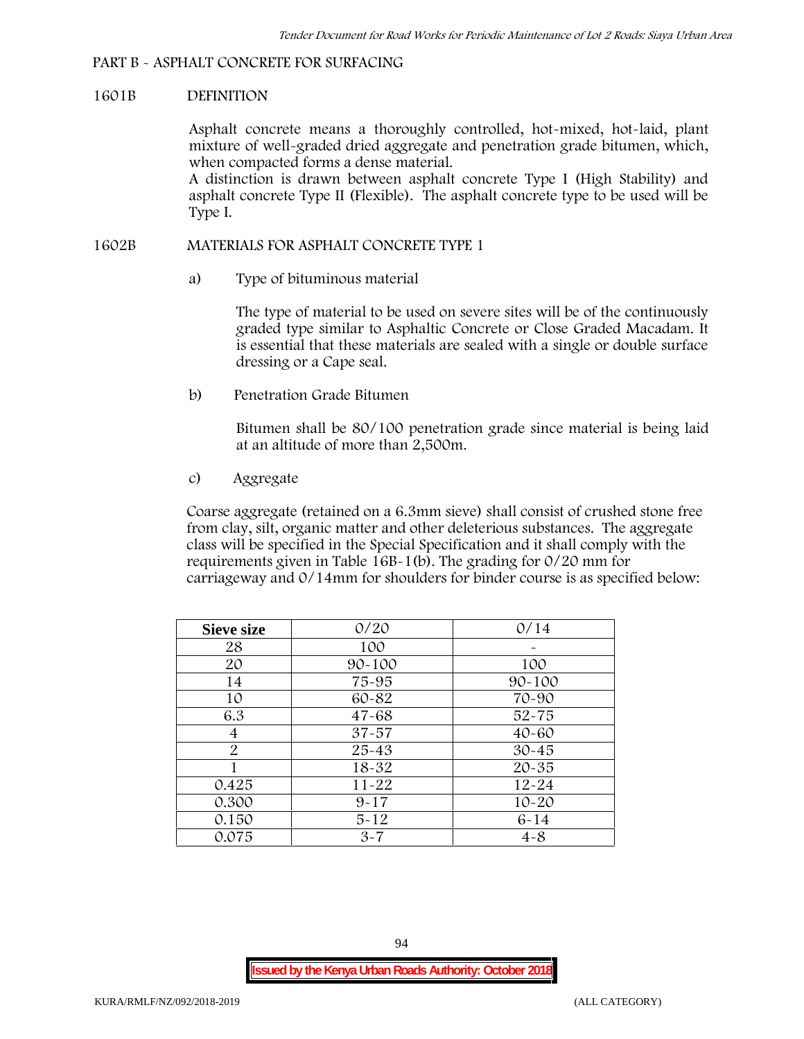## **PART B - ASPHALT CONCRETE FOR SURFACING**

#### **1601B DEFINITION**

Asphalt concrete means a thoroughly controlled, hot-mixed, hot-laid, plant mixture of well-graded dried aggregate and penetration grade bitumen, which, when compacted forms a dense material.

A distinction is drawn between asphalt concrete Type I (High Stability) and asphalt concrete Type II (Flexible). The asphalt concrete type to be used will be Type I.

### **1602B MATERIALS FOR ASPHALT CONCRETE TYPE 1**

a) **Type of bituminous material**

The type of material to be used on severe sites will be of the continuously graded type similar to Asphaltic Concrete or Close Graded Macadam. It is essential that these materials are sealed with a single or double surface dressing or a Cape seal.

b) **Penetration Grade Bitumen**

Bitumen shall be 80/100 penetration grade since material is being laid at an altitude of more than 2,500m.

c) **Aggregate**

Coarse aggregate (retained on a 6.3mm sieve) shall consist of crushed stone free from clay, silt, organic matter and other deleterious substances. The aggregate class will be specified in the Special Specification and it shall comply with the requirements given in Table 16B-1(b). The grading for 0/20 mm for carriageway and 0/14mm for shoulders for binder course is as specified below:

| <b>Sieve size</b> | 0/20       | 0/14       |
|-------------------|------------|------------|
| 28                | 100        |            |
| 20                | $90 - 100$ | 100        |
| 14                | 75-95      | $90 - 100$ |
| 10                | 60-82      | 70-90      |
| 6.3               | $47 - 68$  | $52 - 75$  |
| 4                 | $37 - 57$  | $40 - 60$  |
| $\overline{2}$    | 25-43      | $30 - 45$  |
|                   | 18-32      | $20 - 35$  |
| 0.425             | $11 - 22$  | $12 - 24$  |
| 0.300             | $9 - 17$   | $10 - 20$  |
| 0.150             | $5 - 12$   | $6 - 14$   |
| 0.075             | $3 - 7$    | $4 - 8$    |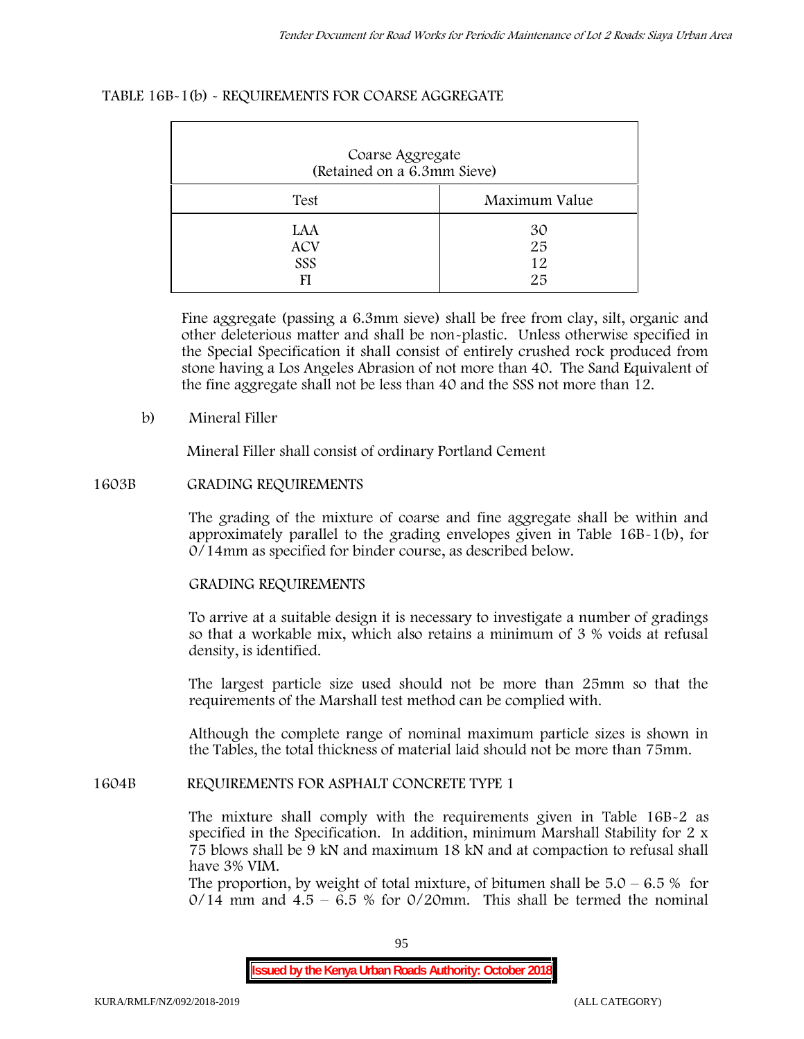| Coarse Aggregate<br>(Retained on a 6.3mm Sieve) |                      |  |  |  |  |
|-------------------------------------------------|----------------------|--|--|--|--|
| Test                                            | Maximum Value        |  |  |  |  |
| LAA<br><b>ACV</b><br>SSS<br>FI                  | 30<br>25<br>12<br>25 |  |  |  |  |

## **TABLE 16B-1(b) - REQUIREMENTS FOR COARSE AGGREGATE**

Fine aggregate (passing a 6.3mm sieve) shall be free from clay, silt, organic and other deleterious matter and shall be non-plastic. Unless otherwise specified in the Special Specification it shall consist of entirely crushed rock produced from stone having a Los Angeles Abrasion of not more than 40. The Sand Equivalent of the fine aggregate shall not be less than 40 and the SSS not more than 12.

#### **b) Mineral Filler**

Mineral Filler shall consist of ordinary Portland Cement

### **1603B GRADING REQUIREMENTS**

The grading of the mixture of coarse and fine aggregate shall be within and approximately parallel to the grading envelopes given in Table 16B-1(b), for 0/14mm as specified for binder course, as described below.

## **GRADING REQUIREMENTS**

To arrive at a suitable design it is necessary to investigate a number of gradings so that a workable mix, which also retains a minimum of 3 % voids at refusal density, is identified.

The largest particle size used should not be more than 25mm so that the requirements of the Marshall test method can be complied with.

Although the complete range of nominal maximum particle sizes is shown in the Tables, the total thickness of material laid should not be more than 75mm.

#### **1604B REQUIREMENTS FOR ASPHALT CONCRETE TYPE 1**

The mixture shall comply with the requirements given in Table 16B-2 as specified in the Specification. In addition, minimum Marshall Stability for 2 x 75 blows shall be 9 kN and maximum 18 kN and at compaction to refusal shall have 3% VIM.

The proportion, by weight of total mixture, of bitumen shall be  $5.0 - 6.5 %$  for  $0/14$  mm and  $4.5 - 6.5$  % for  $0/20$ mm. This shall be termed the nominal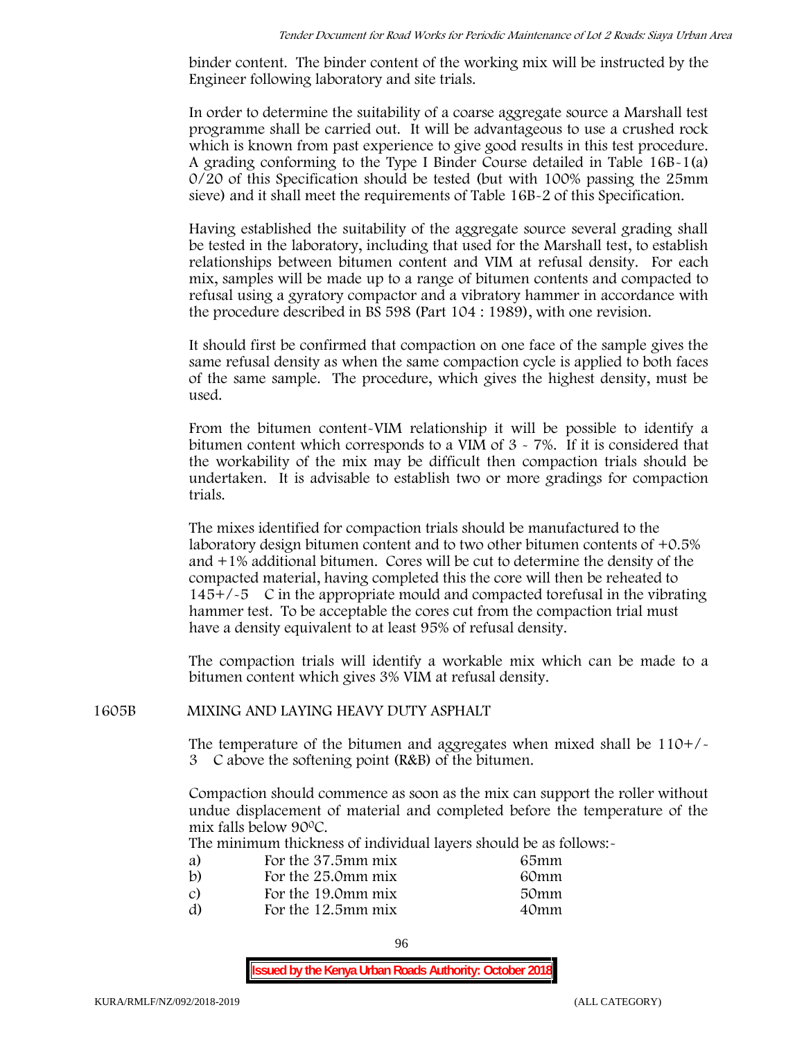binder content. The binder content of the working mix will be instructed by the Engineer following laboratory and site trials.

In order to determine the suitability of a coarse aggregate source a Marshall test programme shall be carried out. It will be advantageous to use a crushed rock which is known from past experience to give good results in this test procedure. A grading conforming to the Type I Binder Course detailed in Table 16B-1(a) 0/20 of this Specification should be tested (but with 100% passing the 25mm sieve) and it shall meet the requirements of Table 16B-2 of this Specification.

Having established the suitability of the aggregate source several grading shall be tested in the laboratory, including that used for the Marshall test, to establish relationships between bitumen content and VIM at refusal density. For each mix, samples will be made up to a range of bitumen contents and compacted to refusal using a gyratory compactor and a vibratory hammer in accordance with the procedure described in BS 598 (Part 104 : 1989), with one revision.

It should first be confirmed that compaction on one face of the sample gives the same refusal density as when the same compaction cycle is applied to both faces of the same sample. The procedure, which gives the highest density, must be used.

From the bitumen content-VIM relationship it will be possible to identify a bitumen content which corresponds to a VIM of 3 - 7%. If it is considered that the workability of the mix may be difficult then compaction trials should be undertaken. It is advisable to establish two or more gradings for compaction trials.

The mixes identified for compaction trials should be manufactured to the laboratory design bitumen content and to two other bitumen contents of +0.5% and +1% additional bitumen. Cores will be cut to determine the density of the compacted material, having completed this the core will then be reheated to  $145+/5$  C in the appropriate mould and compacted torefusal in the vibrating hammer test. To be acceptable the cores cut from the compaction trial must have a density equivalent to at least 95% of refusal density.

The compaction trials will identify a workable mix which can be made to a bitumen content which gives 3% VIM at refusal density.

## **1605B MIXING AND LAYING HEAVY DUTY ASPHALT**

The temperature of the bitumen and aggregates when mixed shall be 110+/- 3C above the softening point (R&B) of the bitumen.

Compaction should commence as soon as the mix can support the roller without undue displacement of material and completed before the temperature of the mix falls below 900C.

The minimum thickness of individual layers should be as follows:-

| a) | For the 37.5mm mix | 65mm |  |
|----|--------------------|------|--|
| b) | For the 25.0mm mix | 60mm |  |
| C) | For the 19.0mm mix | 50mm |  |
| d) | For the 12.5mm mix | 40mm |  |
|    |                    |      |  |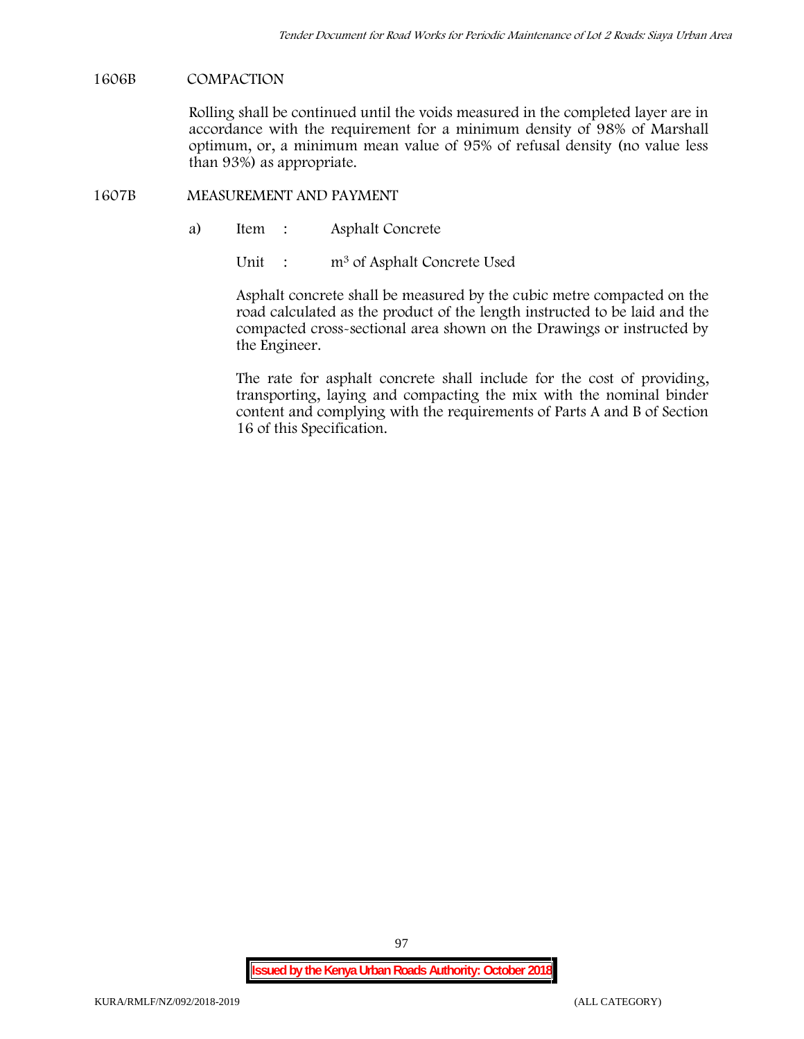#### **1606B COMPACTION**

Rolling shall be continued until the voids measured in the completed layer are in accordance with the requirement for a minimum density of 98% of Marshall optimum, or, a minimum mean value of 95% of refusal density (no value less than 93%) as appropriate.

## **1607B MEASUREMENT AND PAYMENT**

a) Item : Asphalt Concrete

Unit : m<sup>3</sup> of Asphalt Concrete Used

Asphalt concrete shall be measured by the cubic metre compacted on the road calculated as the product of the length instructed to be laid and the compacted cross-sectional area shown on the Drawings or instructed by the Engineer.

The rate for asphalt concrete shall include for the cost of providing, transporting, laying and compacting the mix with the nominal binder content and complying with the requirements of Parts A and B of Section 16 of this Specification.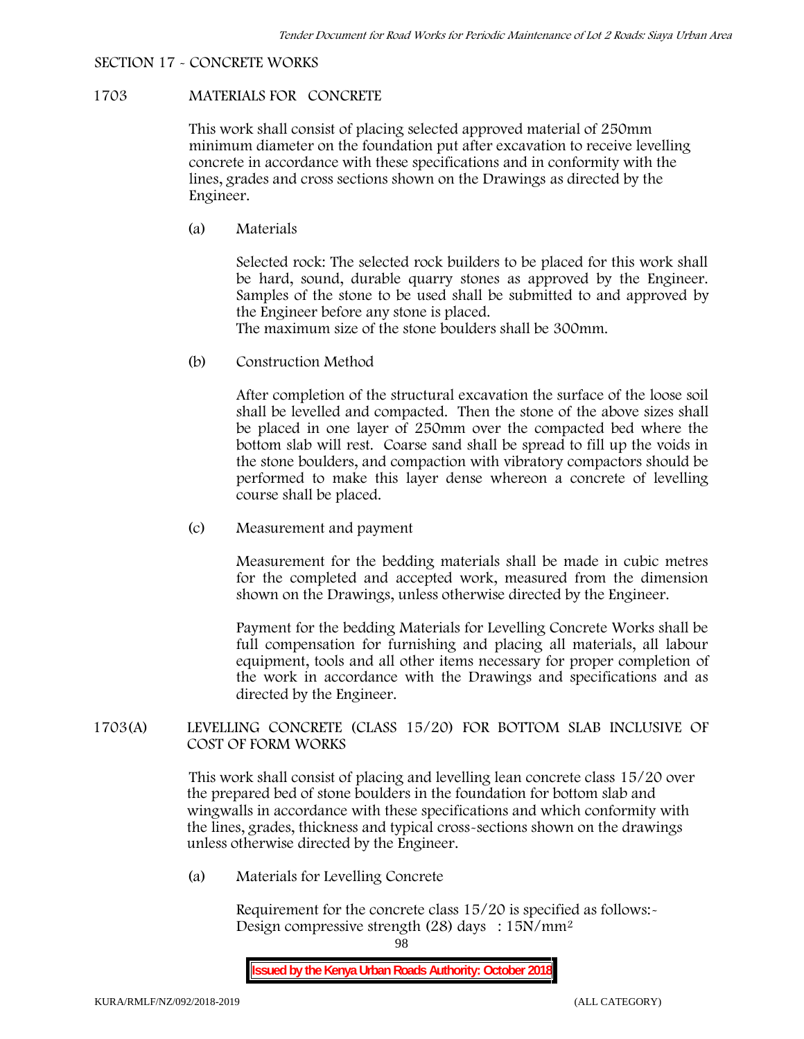#### **SECTION 17 - CONCRETE WORKS**

## **1703 MATERIALS FOR CONCRETE**

This work shall consist of placing selected approved material of 250mm minimum diameter on the foundation put after excavation to receive levelling concrete in accordance with these specifications and in conformity with the lines, grades and cross sections shown on the Drawings as directed by the Engineer.

(a) **Materials**

Selected rock: The selected rock builders to be placed for this work shall be hard, sound, durable quarry stones as approved by the Engineer. Samples of the stone to be used shall be submitted to and approved by the Engineer before any stone is placed.

The maximum size of the stone boulders shall be 300mm.

(b) **Construction Method**

After completion of the structural excavation the surface of the loose soil shall be levelled and compacted. Then the stone of the above sizes shall be placed in one layer of 250mm over the compacted bed where the bottom slab will rest. Coarse sand shall be spread to fill up the voids in the stone boulders, and compaction with vibratory compactors should be performed to make this layer dense whereon a concrete of levelling course shall be placed.

(c) **Measurement and payment**

Measurement for the bedding materials shall be made in cubic metres for the completed and accepted work, measured from the dimension shown on the Drawings, unless otherwise directed by the Engineer.

Payment for the bedding Materials for Levelling Concrete Works shall be full compensation for furnishing and placing all materials, all labour equipment, tools and all other items necessary for proper completion of the work in accordance with the Drawings and specifications and as directed by the Engineer.

## **1703(A) LEVELLING CONCRETE (CLASS 15/20) FOR BOTTOM SLAB INCLUSIVE OF COST OF FORM WORKS**

This work shall consist of placing and levelling lean concrete class 15/20 over the prepared bed of stone boulders in the foundation for bottom slab and wingwalls in accordance with these specifications and which conformity with the lines, grades, thickness and typical cross-sections shown on the drawings unless otherwise directed by the Engineer.

(a) **Materials for Levelling Concrete**

Requirement for the concrete class  $15/20$  is specified as follows:-Design compressive strength (28) days : 15N/mm2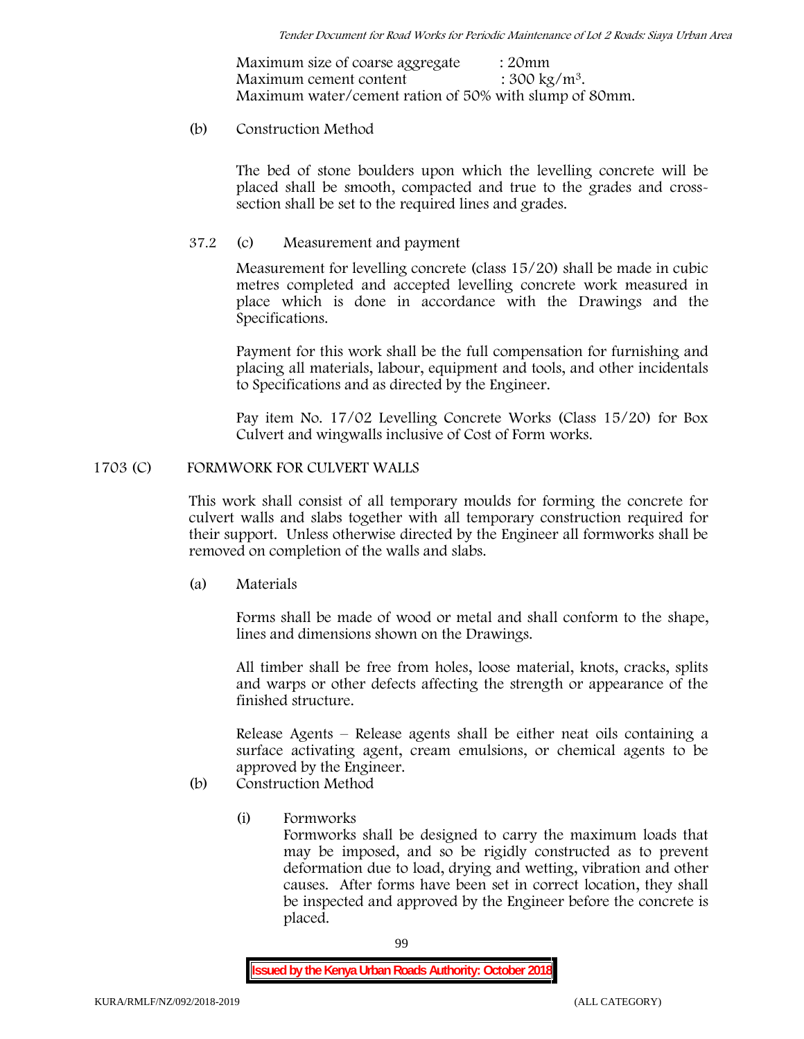Maximum size of coarse aggregate : 20mm Maximum cement content  $: 300 \text{ kg/m}^3$ . Maximum water/cement ration of 50% with slump of 80mm.

## (b) **Construction Method**

The bed of stone boulders upon which the levelling concrete will be placed shall be smooth, compacted and true to the grades and crosssection shall be set to the required lines and grades.

## **37.2** (c) **Measurement and payment**

Measurement for levelling concrete (class 15/20) shall be made in cubic metres completed and accepted levelling concrete work measured in place which is done in accordance with the Drawings and the Specifications.

Payment for this work shall be the full compensation for furnishing and placing all materials, labour, equipment and tools, and other incidentals to Specifications and as directed by the Engineer.

Pay item No. 17/02 Levelling Concrete Works (Class 15/20) for Box Culvert and wingwalls inclusive of Cost of Form works.

## **1703 (C) FORMWORK FOR CULVERT WALLS**

This work shall consist of all temporary moulds for forming the concrete for culvert walls and slabs together with all temporary construction required for their support. Unless otherwise directed by the Engineer all formworks shall be removed on completion of the walls and slabs.

(a) **Materials**

Forms shall be made of wood or metal and shall conform to the shape, lines and dimensions shown on the Drawings.

All timber shall be free from holes, loose material, knots, cracks, splits and warps or other defects affecting the strength or appearance of the finished structure.

Release Agents – Release agents shall be either neat oils containing a surface activating agent, cream emulsions, or chemical agents to be approved by the Engineer.

# (b) **Construction Method**

(i) **Formworks**

Formworks shall be designed to carry the maximum loads that may be imposed, and so be rigidly constructed as to prevent deformation due to load, drying and wetting, vibration and other causes. After forms have been set in correct location, they shall be inspected and approved by the Engineer before the concrete is placed.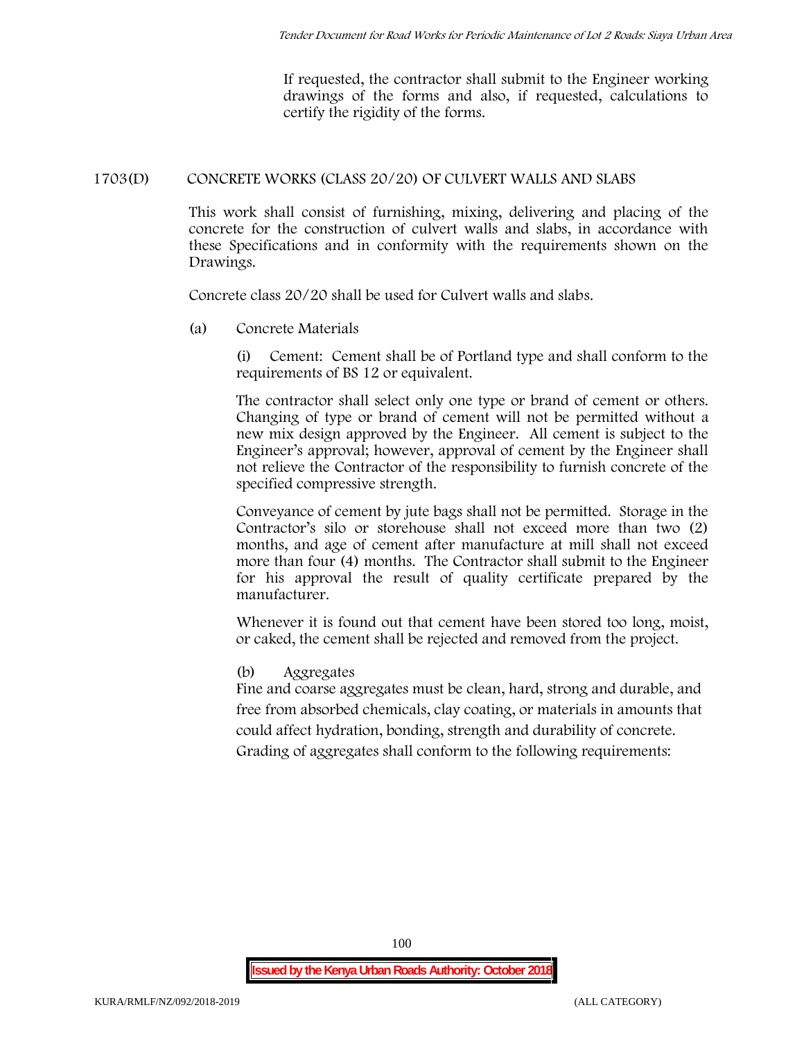If requested, the contractor shall submit to the Engineer working drawings of the forms and also, if requested, calculations to certify the rigidity of the forms.

## **1703(D) CONCRETE WORKS (CLASS 20/20) OF CULVERT WALLS AND SLABS**

This work shall consist of furnishing, mixing, delivering and placing of the concrete for the construction of culvert walls and slabs, in accordance with these Specifications and in conformity with the requirements shown on the Drawings.

Concrete class 20/20 shall be used for Culvert walls and slabs.

**(a) Concrete Materials**

(i) Cement: Cement shall be of Portland type and shall conform to the requirements of BS 12 or equivalent.

The contractor shall select only one type or brand of cement or others. Changing of type or brand of cement will not be permitted without a new mix design approved by the Engineer. All cement is subject to the Engineer's approval; however, approval of cement by the Engineer shall not relieve the Contractor of the responsibility to furnish concrete of the specified compressive strength.

Conveyance of cement by jute bags shall not be permitted. Storage in the Contractor's silo or storehouse shall not exceed more than two (2) months, and age of cement after manufacture at mill shall not exceed more than four (4) months. The Contractor shall submit to the Engineer for his approval the result of quality certificate prepared by the manufacturer.

Whenever it is found out that cement have been stored too long, moist, or caked, the cement shall be rejected and removed from the project.

## **(b) Aggregates**

Fine and coarse aggregates must be clean, hard, strong and durable, and free from absorbed chemicals, clay coating, or materials in amounts that could affect hydration, bonding, strength and durability of concrete. Grading of aggregates shall conform to the following requirements: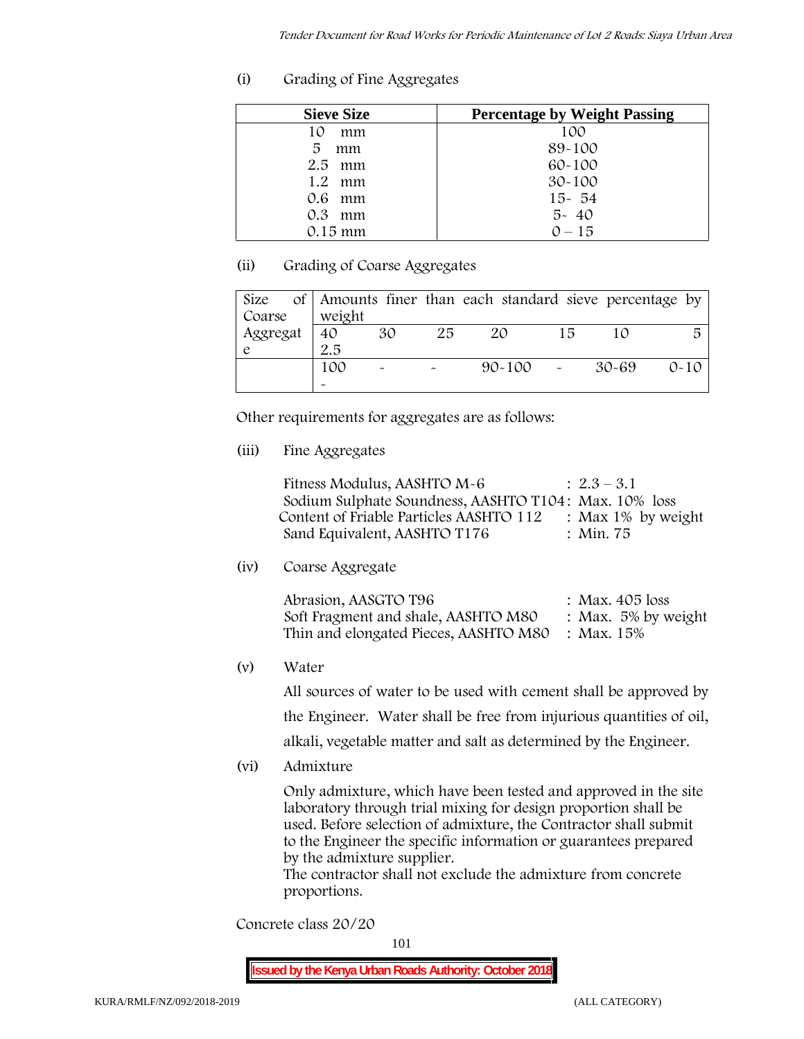**(i) Grading of Fine Aggregates**

| <b>Sieve Size</b> | <b>Percentage by Weight Passing</b> |
|-------------------|-------------------------------------|
| 10<br>mm          | 100                                 |
| 5<br>mm           | 89-100                              |
| $2.5$ mm          | $60 - 100$                          |
| $1.2$ mm          | $30 - 100$                          |
| 0.6 mm            | $15 - 54$                           |
| $0.3$ mm          | $5 - 40$                            |
| $0.15 \text{ mm}$ | $0 - 15$                            |

## **(ii) Grading of Coarse Aggregates**

| Size     |                       |                       |                       | of Amounts finer than each standard sieve percentage by |    |       |          |
|----------|-----------------------|-----------------------|-----------------------|---------------------------------------------------------|----|-------|----------|
| Coarse   | weight                |                       |                       |                                                         |    |       |          |
| Aggregat | 40                    | 30                    | 25                    | 20                                                      | 15 |       | 局        |
|          | 2.5                   |                       |                       |                                                         |    |       |          |
|          | 100                   | $\tilde{\phantom{a}}$ | $\tilde{\phantom{a}}$ | $90 - 100$ -                                            |    | 30-69 | $0 - 10$ |
|          | $\tilde{\phantom{a}}$ |                       |                       |                                                         |    |       |          |

Other requirements for aggregates are as follows:

**(iii) Fine Aggregates**

| Fitness Modulus, AASHTO M-6                           | $: 2.3 - 3.1$      |
|-------------------------------------------------------|--------------------|
| Sodium Sulphate Soundness, AASHTO T104: Max. 10% loss |                    |
| Content of Friable Particles AASHTO 112               | : Max 1% by weight |
| Sand Equivalent, AASHTO T176                          | : Min. 75          |

**(iv) Coarse Aggregate**

| Abrasion, AASGTO T96                             | : Max. $405$ loss      |
|--------------------------------------------------|------------------------|
| Soft Fragment and shale, AASHTO M80              | : Max. $5\%$ by weight |
| Thin and elongated Pieces, AASHTO M80 : Max. 15% |                        |

**(v) Water**

All sources of water to be used with cement shall be approved by the Engineer. Water shall be free from injurious quantities of oil, alkali, vegetable matter and salt as determined by the Engineer.

**(vi) Admixture**

Only admixture, which have been tested and approved in the site laboratory through trial mixing for design proportion shall be used. Before selection of admixture, the Contractor shall submit to the Engineer the specific information or guarantees prepared by the admixture supplier.

The contractor shall not exclude the admixture from concrete proportions.

**Concrete class 20/20**

101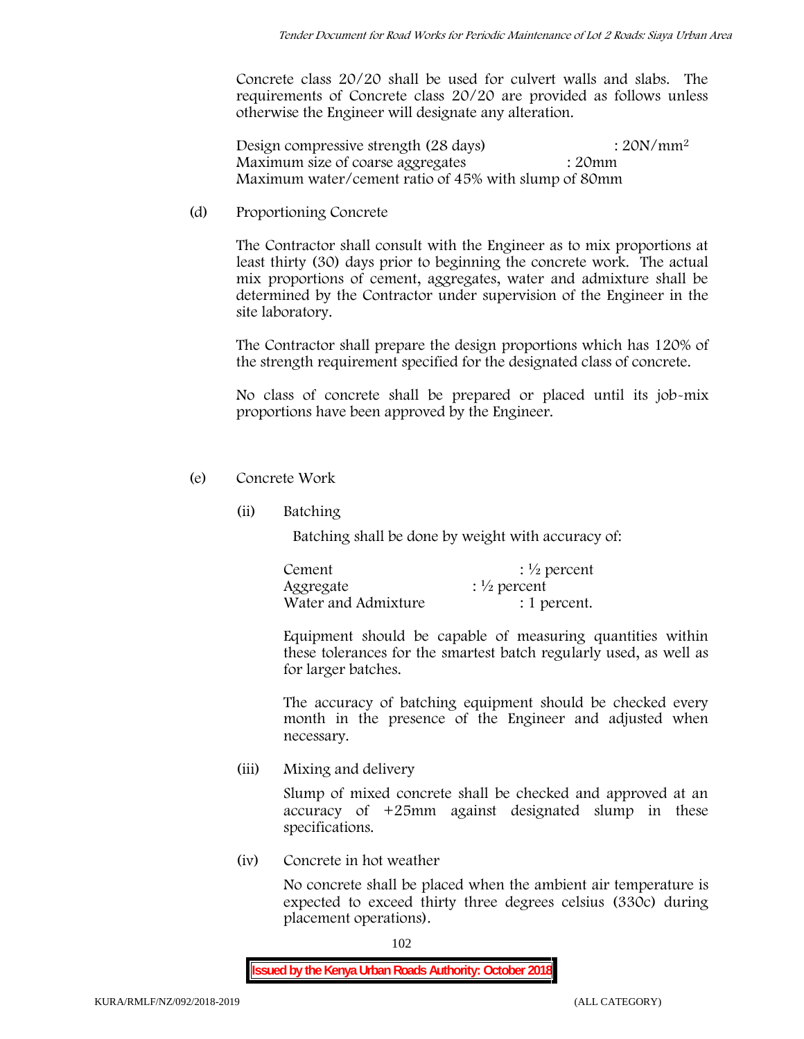Concrete class 20/20 shall be used for culvert walls and slabs. The requirements of Concrete class 20/20 are provided as follows unless otherwise the Engineer will designate any alteration.

Design compressive strength (28 days) : 20N/mm<sup>2</sup> Maximum size of coarse aggregates : 20mm Maximum water/cement ratio of 45% with slump of 80mm

(d) **Proportioning Concrete**

The Contractor shall consult with the Engineer as to mix proportions at least thirty (30) days prior to beginning the concrete work. The actual mix proportions of cement, aggregates, water and admixture shall be determined by the Contractor under supervision of the Engineer in the site laboratory.

The Contractor shall prepare the design proportions which has 120% of the strength requirement specified for the designated class of concrete.

No class of concrete shall be prepared or placed until its job-mix proportions have been approved by the Engineer.

- (e) **Concrete Work**
	- **(ii) Batching**

Batching shall be done by weight with accuracy of:

| Cement              | $\frac{1}{2}$ percent |
|---------------------|-----------------------|
| Aggregate           | $\frac{1}{2}$ percent |
| Water and Admixture | : 1 percent.          |

Equipment should be capable of measuring quantities within these tolerances for the smartest batch regularly used, as well as for larger batches.

The accuracy of batching equipment should be checked every month in the presence of the Engineer and adjusted when necessary.

**(iii) Mixing and delivery**

Slump of mixed concrete shall be checked and approved at an accuracy of +25mm against designated slump in these specifications.

**(iv) Concrete in hot weather**

No concrete shall be placed when the ambient air temperature is expected to exceed thirty three degrees celsius (330c) during placement operations).

102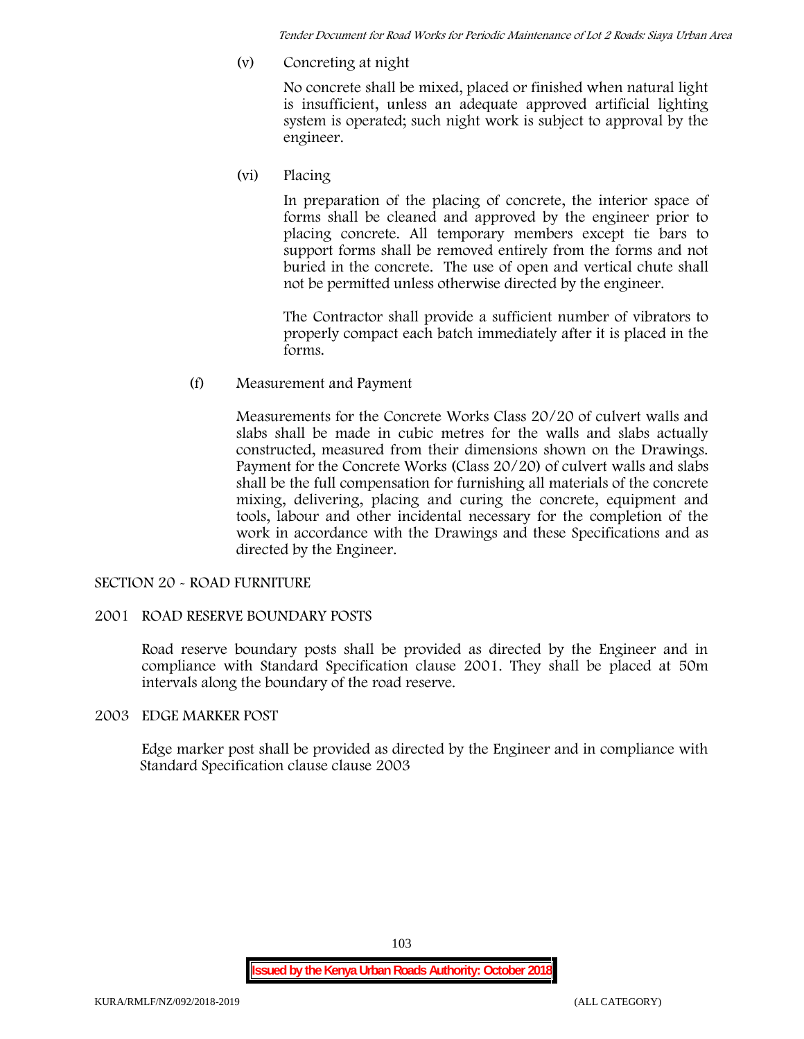*Tender Document for Road Works for Periodic Maintenance of Lot 2 Roads: Siaya Urban Area*

**(v) Concreting at night**

No concrete shall be mixed, placed or finished when natural light is insufficient, unless an adequate approved artificial lighting system is operated; such night work is subject to approval by the engineer.

**(vi) Placing**

In preparation of the placing of concrete, the interior space of forms shall be cleaned and approved by the engineer prior to placing concrete. All temporary members except tie bars to support forms shall be removed entirely from the forms and not buried in the concrete. The use of open and vertical chute shall not be permitted unless otherwise directed by the engineer.

The Contractor shall provide a sufficient number of vibrators to properly compact each batch immediately after it is placed in the forms.

(f) **Measurement and Payment**

Measurements for the Concrete Works Class 20/20 of culvert walls and slabs shall be made in cubic metres for the walls and slabs actually constructed, measured from their dimensions shown on the Drawings. Payment for the Concrete Works (Class 20/20) of culvert walls and slabs shall be the full compensation for furnishing all materials of the concrete mixing, delivering, placing and curing the concrete, equipment and tools, labour and other incidental necessary for the completion of the work in accordance with the Drawings and these Specifications and as directed by the Engineer.

## **SECTION 20 - ROAD FURNITURE**

## **2001 ROAD RESERVE BOUNDARY POSTS**

Road reserve boundary posts shall be provided as directed by the Engineer and in compliance with Standard Specification clause 2001. They shall be placed at 50m intervals along the boundary of the road reserve.

#### **2003 EDGE MARKER POST**

Edge marker post shall be provided as directed by the Engineer and in compliance with Standard Specification clause clause 2003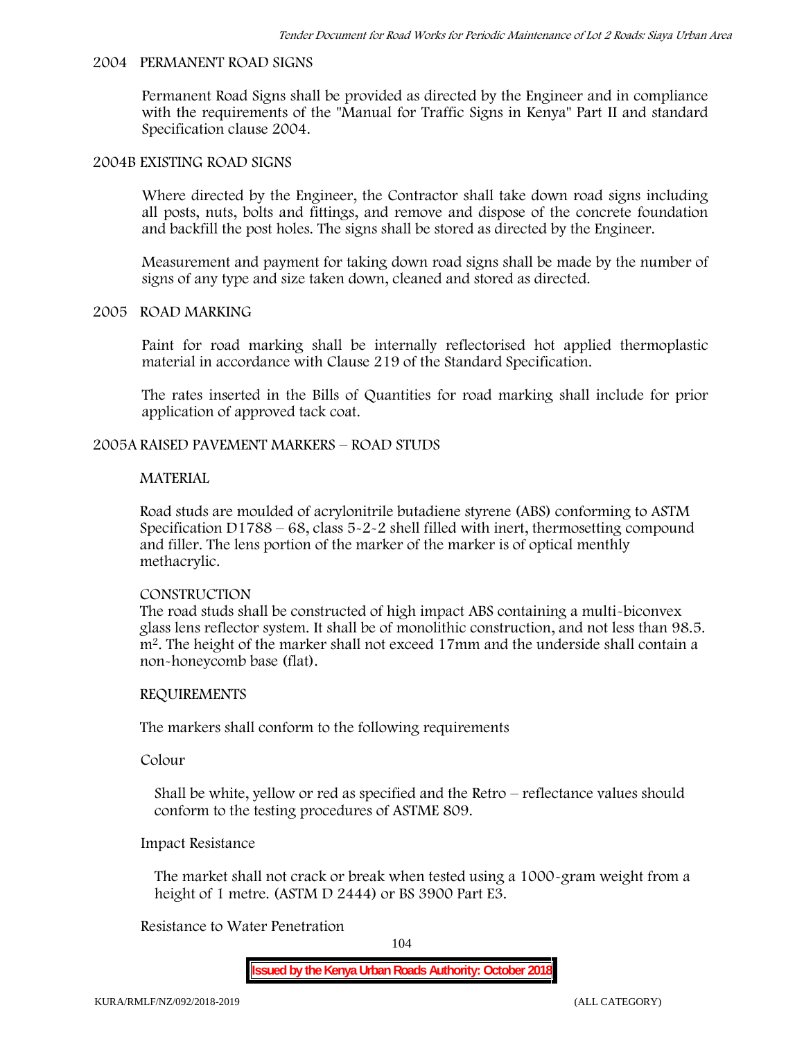#### **2004 PERMANENT ROAD SIGNS**

Permanent Road Signs shall be provided as directed by the Engineer and in compliance with the requirements of the "Manual for Traffic Signs in Kenya" Part II and standard Specification clause 2004.

#### **2004B EXISTING ROAD SIGNS**

Where directed by the Engineer, the Contractor shall take down road signs including all posts, nuts, bolts and fittings, and remove and dispose of the concrete foundation and backfill the post holes. The signs shall be stored as directed by the Engineer.

Measurement and payment for taking down road signs shall be made by the number of signs of any type and size taken down, cleaned and stored as directed.

#### **2005 ROAD MARKING**

Paint for road marking shall be internally reflectorised hot applied thermoplastic material in accordance with Clause 219 of the Standard Specification.

The rates inserted in the Bills of Quantities for road marking shall include for prior application of approved tack coat.

#### **2005A RAISED PAVEMENT MARKERS – ROAD STUDS**

#### **MATERIAL**

Road studs are moulded of acrylonitrile butadiene styrene (ABS) conforming to ASTM Specification D1788 – 68, class  $5 - 2 - 2$  shell filled with inert, thermosetting compound and filler. The lens portion of the marker of the marker is of optical menthly methacrylic.

#### **CONSTRUCTION**

The road studs shall be constructed of high impact ABS containing a multi-biconvex glass lens reflector system. It shall be of monolithic construction, and not less than 98.5. m2. The height of the marker shall not exceed 17mm and the underside shall contain a non-honeycomb base (flat).

#### **REQUIREMENTS**

The markers shall conform to the following requirements

**Colour**

Shall be white, yellow or red as specified and the Retro – reflectance values should conform to the testing procedures of ASTME 809.

### **Impact Resistance**

The market shall not crack or break when tested using a 1000**-**gram weight from a height of 1 metre. (ASTM D 2444) or BS 3900 Part E3.

### **Resistance to Water Penetration**

104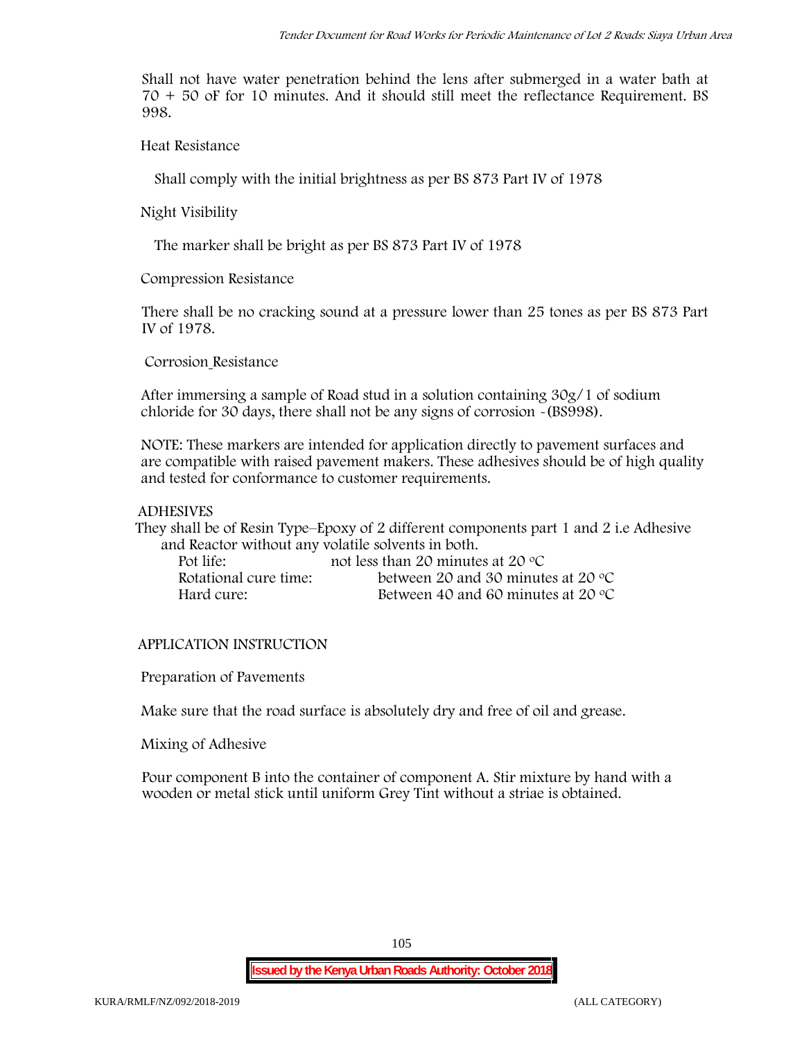Shall not have water penetration behind the lens after submerged in a water bath at 70 + 50 oF for 10 minutes. And it should still meet the reflectance Requirement. BS 998.

**Heat Resistance**

Shall comply with the initial brightness as per BS 873 Part IV of 1978

**Night Visibility**

The marker shall be bright as per BS 873 Part IV of 1978

**Compression Resistance**

There shall be no cracking sound at a pressure lower than 25 tones as per BS 873 Part IV of 1978.

**Corrosion Resistance**

After immersing a sample of Road stud in a solution containing 30g/1 of sodium chloride for 30 days, there shall not be any signs of corrosion **-**(BS998).

**NOTE**: These markers are intended for application directly to pavement surfaces and are compatible with raised pavement makers. These adhesives should be of high quality and tested for conformance to customer requirements.

## **ADHESIVES**

They shall be of Resin Type–Epoxy of 2 different components part 1 and 2 i.e Adhesive and Reactor without any volatile solvents in both.

| Pot life:             | not less than 20 minutes at 20 $\degree$ C  |
|-----------------------|---------------------------------------------|
| Rotational cure time: | between 20 and 30 minutes at 20 $\degree$ C |
| Hard cure:            | Between 40 and 60 minutes at 20 $\degree$ C |

# **APPLICATION INSTRUCTION**

**Preparation of Pavements**

Make sure that the road surface is absolutely dry and free of oil and grease**.**

**Mixing of Adhesive**

Pour component B into the container of component A. Stir mixture by hand with a wooden or metal stick until uniform Grey Tint without a striae is obtained.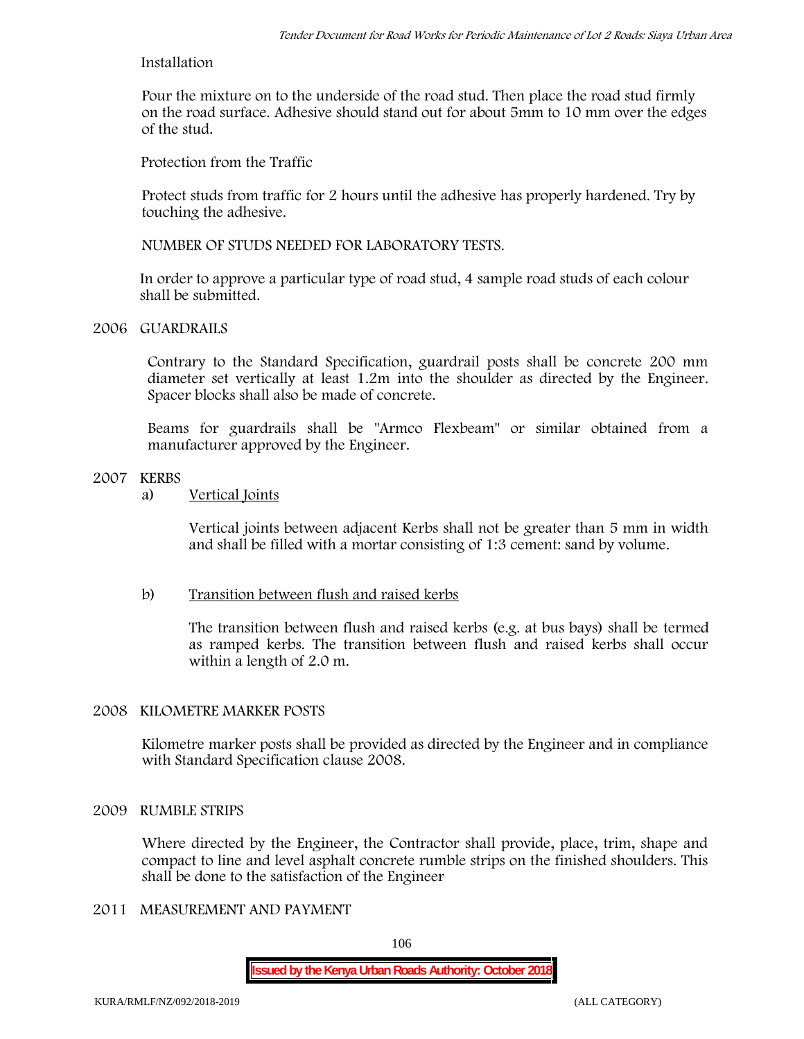## **Installation**

Pour the mixture on to the underside of the road stud. Then place the road stud firmly on the road surface. Adhesive should stand out for about 5mm to 10 mm over the edges of the stud.

**Protection from the Traffic**

Protect studs from traffic for 2 hours until the adhesive has properly hardened. Try by touching the adhesive.

**NUMBER OF STUDS NEEDED FOR LABORATORY TESTS.**

In order to approve a particular type of road stud, 4 sample road studs of each colour shall be submitted.

## **2006 GUARDRAILS**

Contrary to the Standard Specification, guardrail posts shall be concrete 200 mm diameter set vertically at least 1.2m into the shoulder as directed by the Engineer. Spacer blocks shall also be made of concrete.

Beams for guardrails shall be "Armco Flexbeam" or similar obtained from a manufacturer approved by the Engineer.

#### **2007 KERBS**

a) **Vertical Joints**

Vertical joints between adjacent Kerbs shall not be greater than 5 mm in width and shall be filled with a mortar consisting of 1:3 cement: sand by volume.

## b) **Transition between flush and raised kerbs**

The transition between flush and raised kerbs (e.g. at bus bays) shall be termed as ramped kerbs. The transition between flush and raised kerbs shall occur within a length of 2.0 m.

## **2008 KILOMETRE MARKER POSTS**

Kilometre marker posts shall be provided as directed by the Engineer and in compliance with Standard Specification clause 2008.

## **2009 RUMBLE STRIPS**

Where directed by the Engineer, the Contractor shall provide, place, trim, shape and compact to line and level asphalt concrete rumble strips on the finished shoulders. This shall be done to the satisfaction of the Engineer

# **2011 MEASUREMENT AND PAYMENT**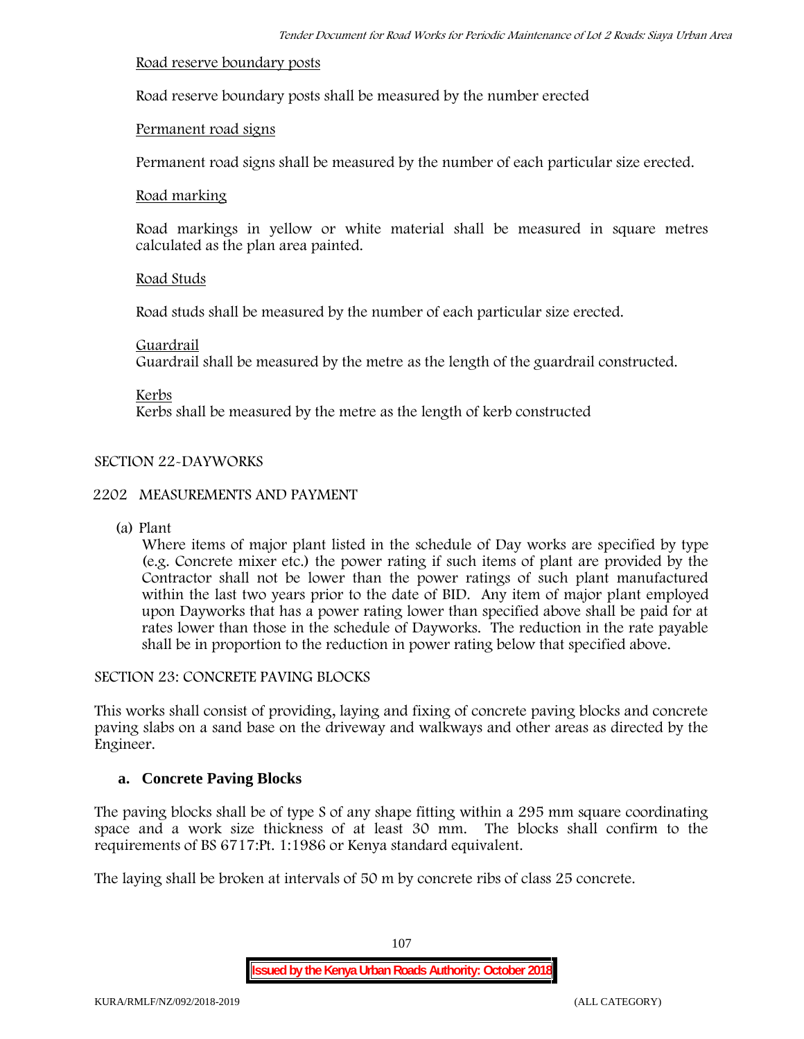### **Road reserve boundary posts**

Road reserve boundary posts shall be measured by the number erected

## **Permanent road signs**

Permanent road signs shall be measured by the number of each particular size erected.

### **Road marking**

Road markings in yellow or white material shall be measured in square metres calculated as the plan area painted.

## **Road Studs**

Road studs shall be measured by the number of each particular size erected.

#### **Guardrail**

Guardrail shall be measured by the metre as the length of the guardrail constructed.

**Kerbs**

Kerbs shall be measured by the metre as the length of kerb constructed

## **SECTION 22-DAYWORKS**

## **2202 MEASUREMENTS AND PAYMENT**

(a) Plant

Where items of major plant listed in the schedule of Day works are specified by type (e.g. Concrete mixer etc.) the power rating if such items of plant are provided by the Contractor shall not be lower than the power ratings of such plant manufactured within the last two years prior to the date of BID. Any item of major plant employed upon Dayworks that has a power rating lower than specified above shall be paid for at rates lower than those in the schedule of Dayworks. The reduction in the rate payable shall be in proportion to the reduction in power rating below that specified above.

#### **SECTION 23: CONCRETE PAVING BLOCKS**

This works shall consist of providing, laying and fixing of concrete paving blocks and concrete paving slabs on a sand base on the driveway and walkways and other areas as directed by the Engineer.

## **a. Concrete Paving Blocks**

The paving blocks shall be of type S of any shape fitting within a 295 mm square coordinating space and a work size thickness of at least 30 mm. The blocks shall confirm to the requirements of BS 6717:Pt. 1:1986 or Kenya standard equivalent.

The laying shall be broken at intervals of 50 m by concrete ribs of class 25 concrete.

107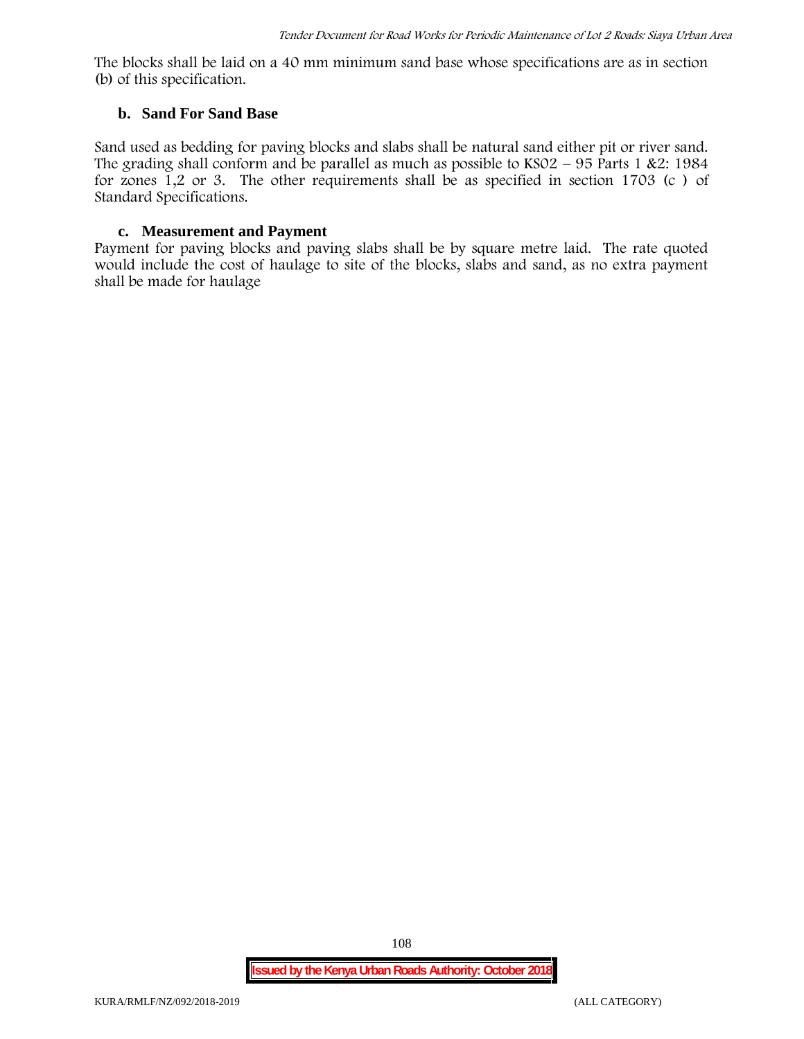The blocks shall be laid on a 40 mm minimum sand base whose specifications are as in section (b) of this specification.

#### **b. Sand For Sand Base**

Sand used as bedding for paving blocks and slabs shall be natural sand either pit or river sand. The grading shall conform and be parallel as much as possible to  $KSO2 - 95$  Parts 1 &2: 1984 for zones 1,2 or 3. The other requirements shall be as specified in section 1703 (c ) of Standard Specifications.

#### **c. Measurement and Payment**

Payment for paving blocks and paving slabs shall be by square metre laid. The rate quoted would include the cost of haulage to site of the blocks, slabs and sand, as no extra payment shall be made for haulage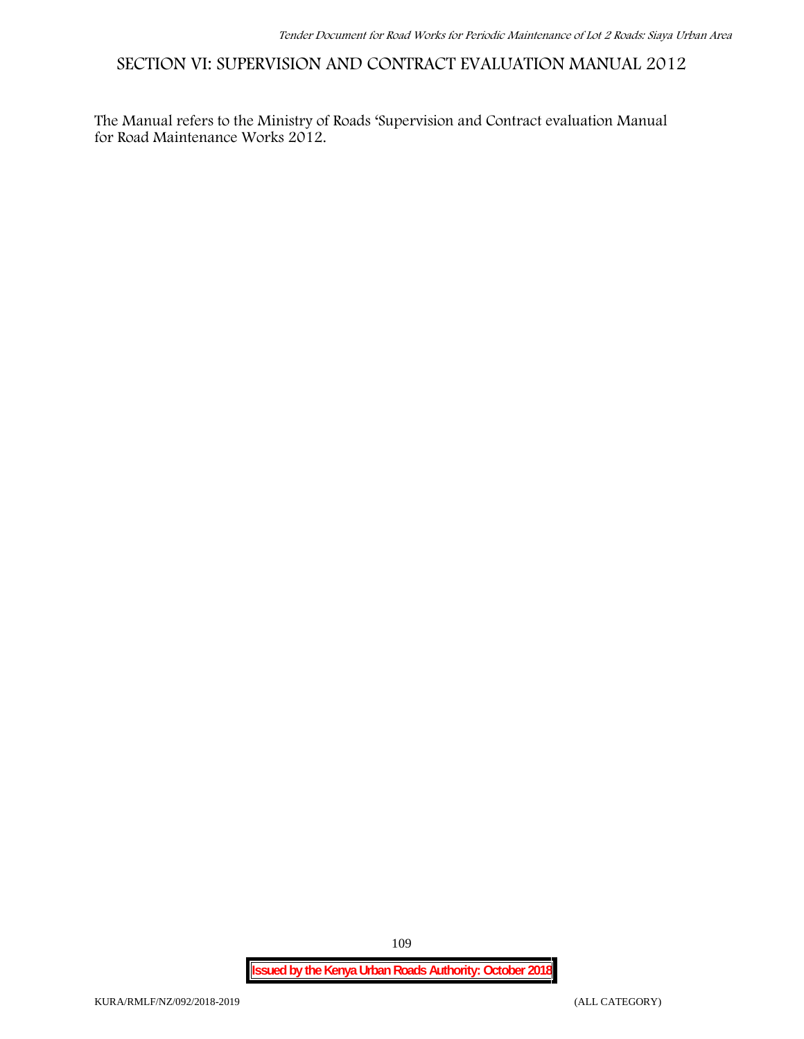**SECTION VI: SUPERVISION AND CONTRACT EVALUATION MANUAL 2012**

The Manual refers to the Ministry of Roads 'Supervision and Contract evaluation Manual for Road Maintenance Works 2012.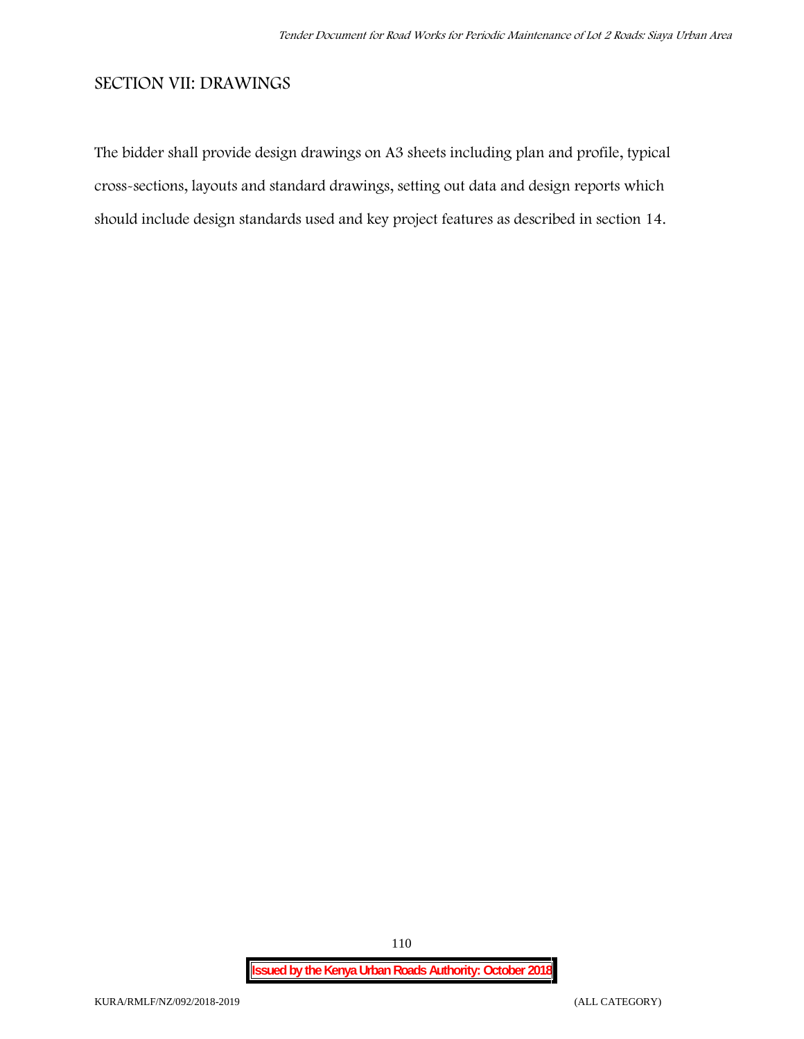## **SECTION VII: DRAWINGS**

The bidder shall provide design drawings on A3 sheets including plan and profile, typical cross-sections, layouts and standard drawings, setting out data and design reports which should include design standards used and key project features as described in section 14.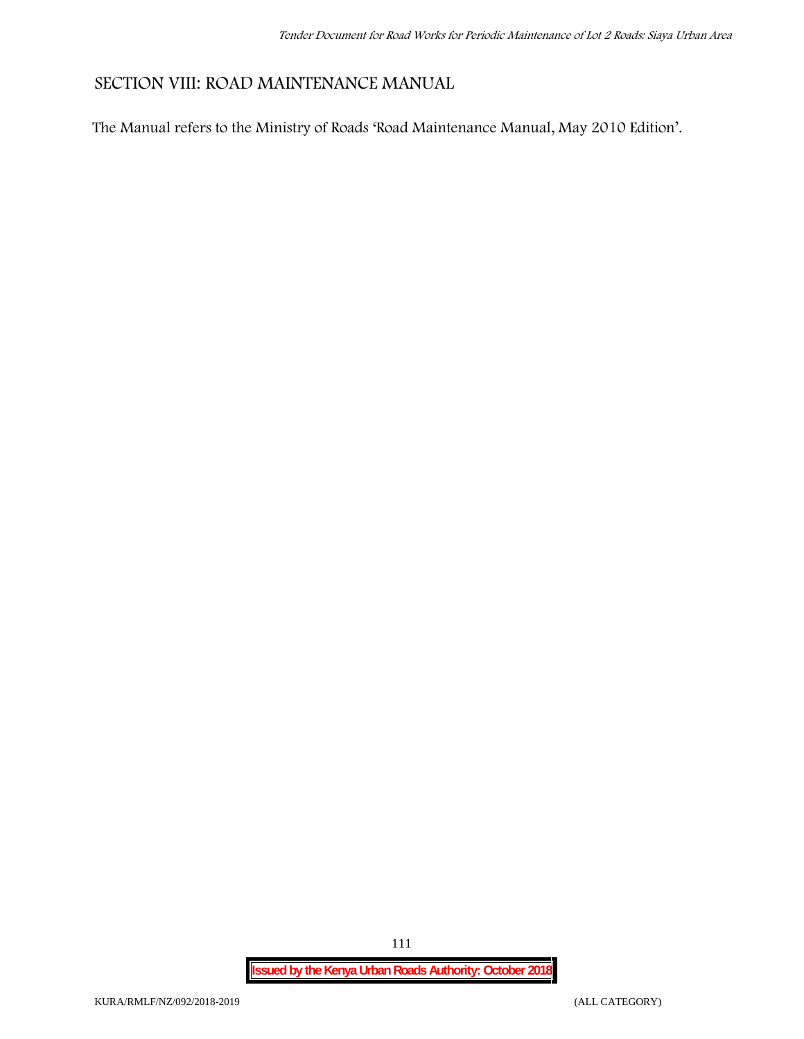## **SECTION VIII: ROAD MAINTENANCE MANUAL**

The Manual refers to the Ministry of Roads 'Road Maintenance Manual, May 2010 Edition'.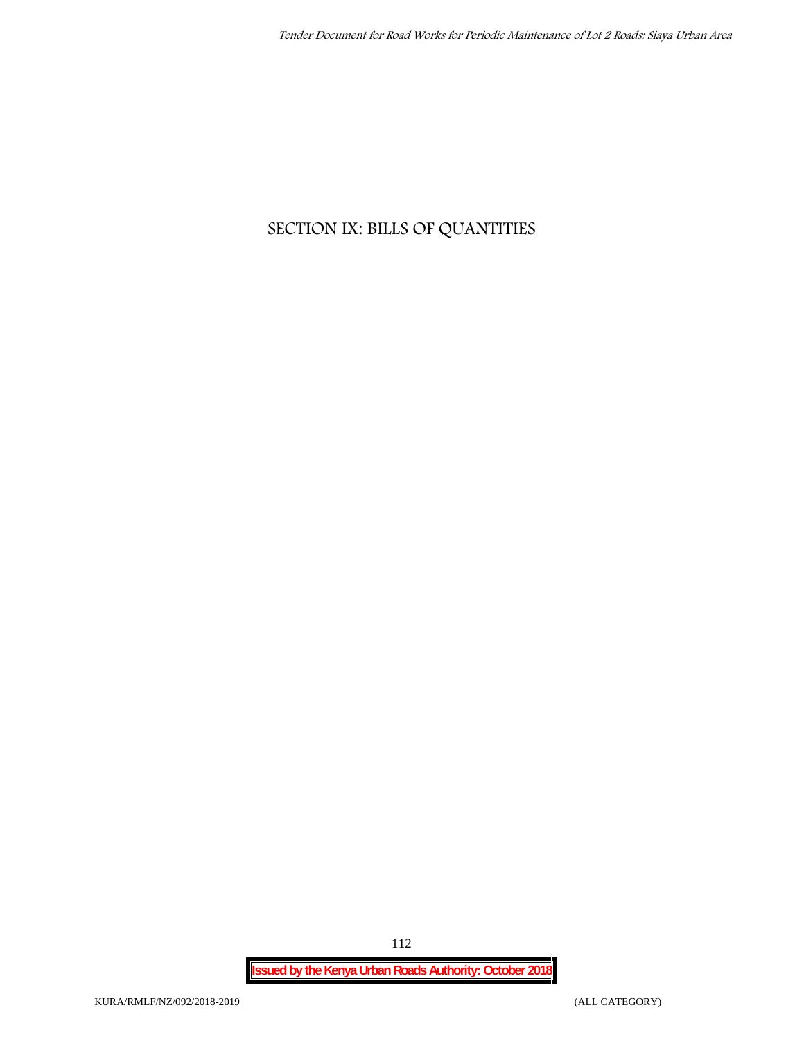## **SECTION IX: BILLS OF QUANTITIES**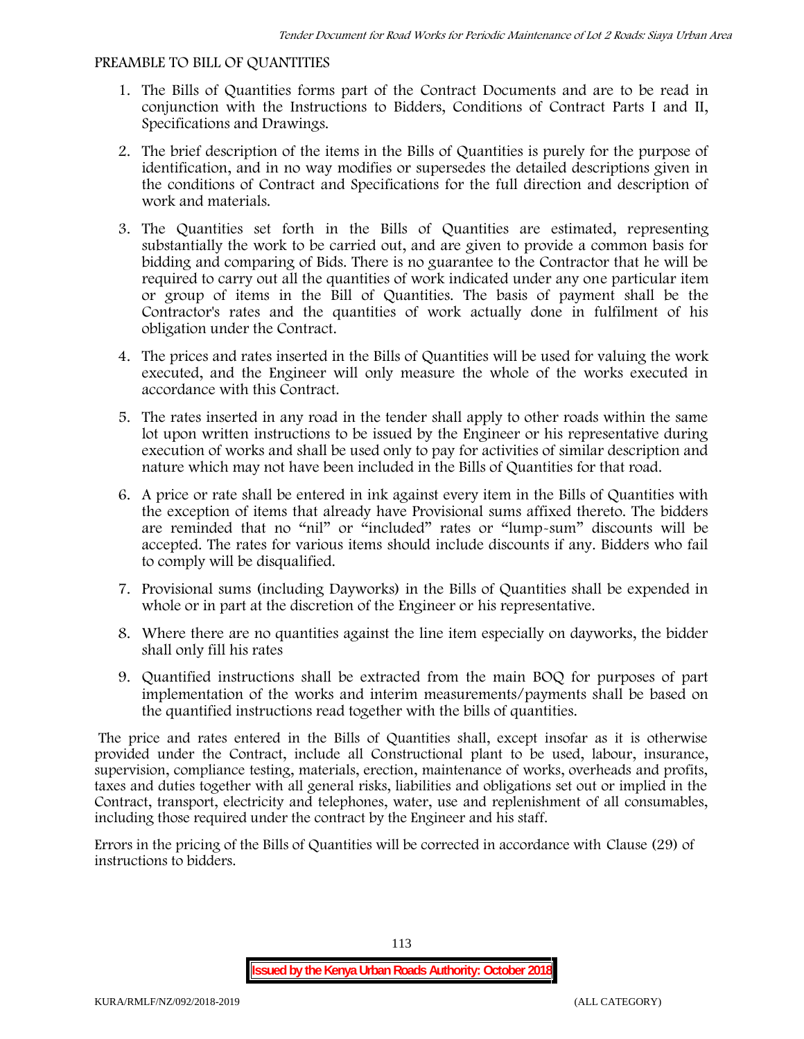#### **PREAMBLE TO BILL OF QUANTITIES**

- 1. The Bills of Quantities forms part of the Contract Documents and are to be read in conjunction with the Instructions to Bidders, Conditions of Contract Parts I and II, Specifications and Drawings.
- 2. The brief description of the items in the Bills of Quantities is purely for the purpose of identification, and in no way modifies or supersedes the detailed descriptions given in the conditions of Contract and Specifications for the full direction and description of work and materials.
- 3. The Quantities set forth in the Bills of Quantities are estimated, representing substantially the work to be carried out, and are given to provide a common basis for bidding and comparing of Bids. There is no guarantee to the Contractor that he will be required to carry out all the quantities of work indicated under any one particular item or group of items in the Bill of Quantities. The basis of payment shall be the Contractor's rates and the quantities of work actually done in fulfilment of his obligation under the Contract.
- 4. The prices and rates inserted in the Bills of Quantities will be used for valuing the work executed, and the Engineer will only measure the whole of the works executed in accordance with this Contract.
- 5. The rates inserted in any road in the tender shall apply to other roads within the same lot upon written instructions to be issued by the Engineer or his representative during execution of works and shall be used only to pay for activities of similar description and nature which may not have been included in the Bills of Quantities for that road.
- 6. A price or rate shall be entered in ink against every item in the Bills of Quantities with the exception of items that already have Provisional sums affixed thereto. The bidders are reminded that no "nil" or "included" rates or "lump-sum" discounts will be accepted. The rates for various items should include discounts if any. Bidders who fail to comply will be disqualified.
- 7. Provisional sums (including Dayworks) in the Bills of Quantities shall be expended in whole or in part at the discretion of the Engineer or his representative.
- 8. Where there are no quantities against the line item especially on dayworks, the bidder shall only fill his rates
- 9. Quantified instructions shall be extracted from the main BOQ for purposes of part implementation of the works and interim measurements/payments shall be based on the quantified instructions read together with the bills of quantities.

The price and rates entered in the Bills of Quantities shall, except insofar as it is otherwise provided under the Contract, include all Constructional plant to be used, labour, insurance, supervision, compliance testing, materials, erection, maintenance of works, overheads and profits, taxes and duties together with all general risks, liabilities and obligations set out or implied in the Contract, transport, electricity and telephones, water, use and replenishment of all consumables, including those required under the contract by the Engineer and his staff.

Errors in the pricing of the Bills of Quantities will be corrected in accordance with Clause (29) of instructions to bidders.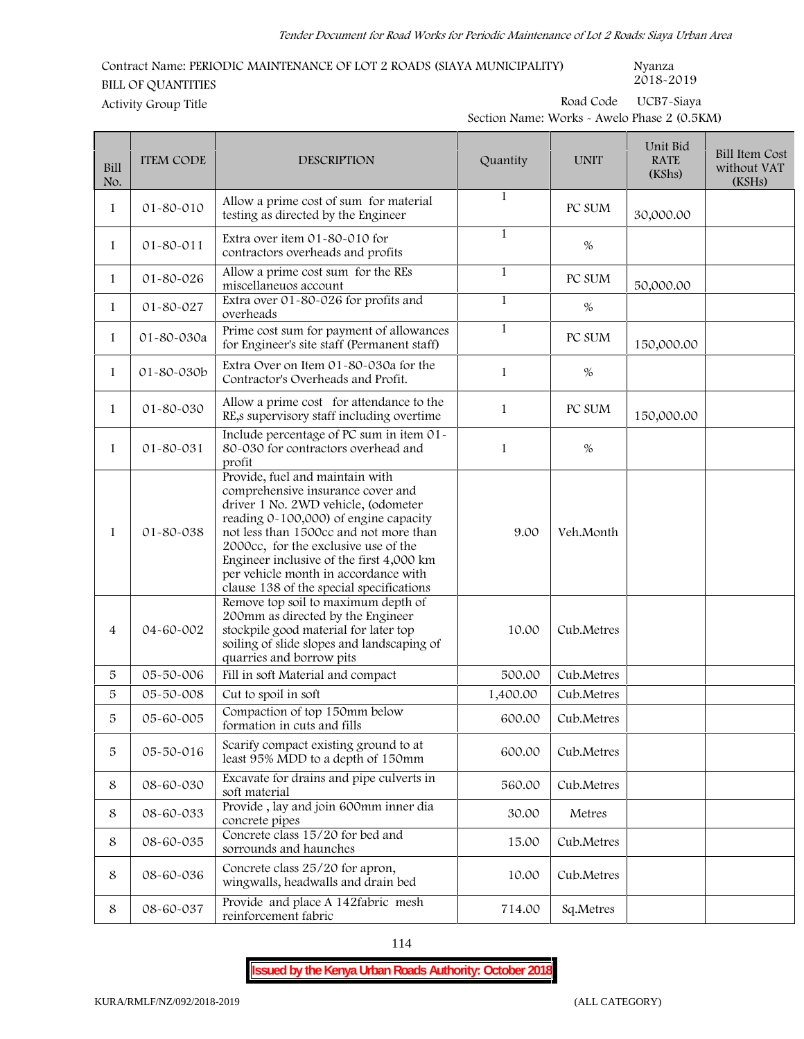**Contract Name: PERIODIC MAINTENANCE OF LOT 2 ROADS (SIAYA MUNICIPALITY) Nyanza 2018-2019 BILL OF QUANTITIES Activity Group Title Road Code UCB7-Siaya**

**Section Name: Works - Awelo Phase 2 (0.5KM)**

| <b>Bill</b><br>No. | <b>ITEM CODE</b> | <b>DESCRIPTION</b>                                                                                                                                                                                                                                                                                                                                                     | Quantity     | <b>UNIT</b> | Unit Bid<br><b>RATE</b><br>(KShs) | <b>Bill Item Cost</b><br>without VAT<br>(KSHs) |
|--------------------|------------------|------------------------------------------------------------------------------------------------------------------------------------------------------------------------------------------------------------------------------------------------------------------------------------------------------------------------------------------------------------------------|--------------|-------------|-----------------------------------|------------------------------------------------|
| $\mathbf{1}$       | 01-80-010        | Allow a prime cost of sum for material<br>testing as directed by the Engineer                                                                                                                                                                                                                                                                                          | $\mathbf{1}$ | PC SUM      | 30,000.00                         |                                                |
| $\mathbf{1}$       | 01-80-011        | Extra over item 01-80-010 for<br>contractors overheads and profits                                                                                                                                                                                                                                                                                                     | $\mathbf{1}$ | %           |                                   |                                                |
| $\mathbf{1}$       | 01-80-026        | Allow a prime cost sum for the REs<br>miscellaneuos account                                                                                                                                                                                                                                                                                                            | $\mathbf{1}$ | PC SUM      | 50,000.00                         |                                                |
| $\mathbf{1}$       | 01-80-027        | Extra over 01-80-026 for profits and<br>overheads                                                                                                                                                                                                                                                                                                                      | $\mathbf{1}$ | %           |                                   |                                                |
| $\mathbf{1}$       | 01-80-030a       | Prime cost sum for payment of allowances<br>for Engineer's site staff (Permanent staff)                                                                                                                                                                                                                                                                                | $\mathbf{1}$ | PC SUM      | 150,000.00                        |                                                |
| $\mathbf{1}$       | 01-80-030b       | Extra Over on Item 01-80-030a for the<br>Contractor's Overheads and Profit.                                                                                                                                                                                                                                                                                            | $\mathbf{1}$ | %           |                                   |                                                |
| $\mathbf{1}$       | 01-80-030        | Allow a prime cost for attendance to the<br>RE,s supervisory staff including overtime                                                                                                                                                                                                                                                                                  | $\mathbf{1}$ | PC SUM      | 150,000.00                        |                                                |
| $\mathbf{1}$       | 01-80-031        | Include percentage of PC sum in item 01-<br>80-030 for contractors overhead and<br>profit                                                                                                                                                                                                                                                                              | $\mathbf{1}$ | %           |                                   |                                                |
| $\mathbf{1}$       | 01-80-038        | Provide, fuel and maintain with<br>comprehensive insurance cover and<br>driver 1 No. 2WD vehicle, (odometer<br>reading 0-100,000) of engine capacity<br>not less than 1500cc and not more than<br>2000cc, for the exclusive use of the<br>Engineer inclusive of the first 4,000 km<br>per vehicle month in accordance with<br>clause 138 of the special specifications | 9.00         | Veh.Month   |                                   |                                                |
| 4                  | 04-60-002        | Remove top soil to maximum depth of<br>200mm as directed by the Engineer<br>stockpile good material for later top<br>soiling of slide slopes and landscaping of<br>quarries and borrow pits                                                                                                                                                                            | 10.00        | Cub.Metres  |                                   |                                                |
| 5                  | 05-50-006        | Fill in soft Material and compact                                                                                                                                                                                                                                                                                                                                      | 500.00       | Cub.Metres  |                                   |                                                |
| 5                  | 05-50-008        | Cut to spoil in soft                                                                                                                                                                                                                                                                                                                                                   | 1,400.00     | Cub.Metres  |                                   |                                                |
| 5                  | 05-60-005        | Compaction of top 150mm below<br>formation in cuts and fills                                                                                                                                                                                                                                                                                                           | 600.00       | Cub.Metres  |                                   |                                                |
| $\sqrt{5}$         | 05-50-016        | Scarify compact existing ground to at<br>least 95% MDD to a depth of 150mm                                                                                                                                                                                                                                                                                             | 600.00       | Cub.Metres  |                                   |                                                |
| $\,8\,$            | 08-60-030        | Excavate for drains and pipe culverts in<br>soft material                                                                                                                                                                                                                                                                                                              | 560.00       | Cub.Metres  |                                   |                                                |
| $\,8\,$            | 08-60-033        | Provide, lay and join 600mm inner dia<br>concrete pipes                                                                                                                                                                                                                                                                                                                | 30.00        | Metres      |                                   |                                                |
| $\,8\,$            | 08-60-035        | Concrete class 15/20 for bed and<br>sorrounds and haunches                                                                                                                                                                                                                                                                                                             | 15.00        | Cub.Metres  |                                   |                                                |
| $\,8\,$            | 08-60-036        | Concrete class 25/20 for apron,<br>wingwalls, headwalls and drain bed                                                                                                                                                                                                                                                                                                  | 10.00        | Cub.Metres  |                                   |                                                |
| $\,8\,$            | 08-60-037        | Provide and place A 142fabric mesh<br>reinforcement fabric                                                                                                                                                                                                                                                                                                             | 714.00       | Sq.Metres   |                                   |                                                |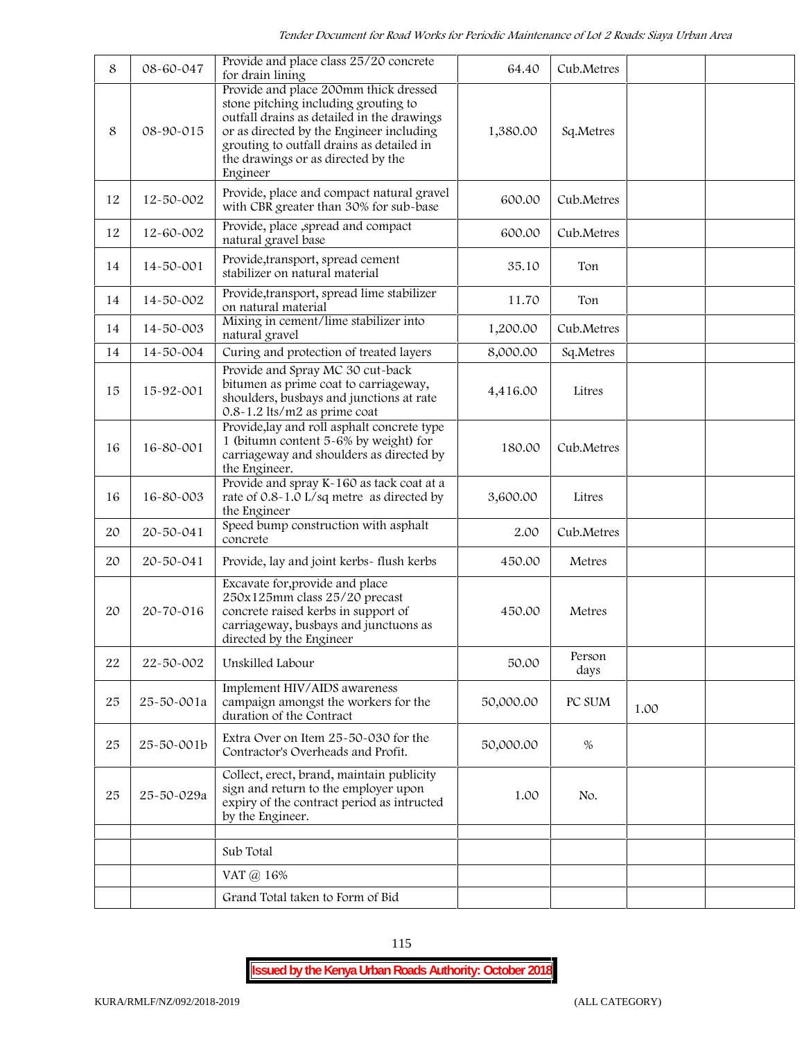| 8  | 08-60-047  | Provide and place class 25/20 concrete<br>for drain lining                                                                                                                                                                                                             | 64.40     | Cub.Metres     |      |  |
|----|------------|------------------------------------------------------------------------------------------------------------------------------------------------------------------------------------------------------------------------------------------------------------------------|-----------|----------------|------|--|
| 8  | 08-90-015  | Provide and place 200mm thick dressed<br>stone pitching including grouting to<br>outfall drains as detailed in the drawings<br>or as directed by the Engineer including<br>grouting to outfall drains as detailed in<br>the drawings or as directed by the<br>Engineer | 1,380.00  | Sq.Metres      |      |  |
| 12 | 12-50-002  | Provide, place and compact natural gravel<br>with CBR greater than 30% for sub-base                                                                                                                                                                                    | 600.00    | Cub.Metres     |      |  |
| 12 | 12-60-002  | Provide, place ,spread and compact<br>natural gravel base                                                                                                                                                                                                              | 600.00    | Cub.Metres     |      |  |
| 14 | 14-50-001  | Provide, transport, spread cement<br>stabilizer on natural material                                                                                                                                                                                                    | 35.10     | Ton            |      |  |
| 14 | 14-50-002  | Provide, transport, spread lime stabilizer<br>on natural material                                                                                                                                                                                                      | 11.70     | Ton            |      |  |
| 14 | 14-50-003  | Mixing in cement/lime stabilizer into<br>natural gravel                                                                                                                                                                                                                | 1,200.00  | Cub.Metres     |      |  |
| 14 | 14-50-004  | Curing and protection of treated layers                                                                                                                                                                                                                                | 8,000.00  | Sq.Metres      |      |  |
| 15 | 15-92-001  | Provide and Spray MC 30 cut-back<br>bitumen as prime coat to carriageway,<br>shoulders, busbays and junctions at rate<br>0.8-1.2 lts/m2 as prime coat                                                                                                                  | 4,416.00  | Litres         |      |  |
| 16 | 16-80-001  | Provide, lay and roll asphalt concrete type<br>1 (bitumn content 5-6% by weight) for<br>carriageway and shoulders as directed by<br>the Engineer.                                                                                                                      | 180.00    | Cub.Metres     |      |  |
| 16 | 16-80-003  | Provide and spray K-160 as tack coat at a<br>rate of 0.8-1.0 L/sq metre as directed by<br>the Engineer                                                                                                                                                                 | 3,600.00  | Litres         |      |  |
| 20 | 20-50-041  | Speed bump construction with asphalt<br>concrete                                                                                                                                                                                                                       | 2.00      | Cub.Metres     |      |  |
| 20 | 20-50-041  | Provide, lay and joint kerbs- flush kerbs                                                                                                                                                                                                                              | 450.00    | Metres         |      |  |
| 20 | 20-70-016  | Excavate for, provide and place<br>250x125mm class 25/20 precast<br>concrete raised kerbs in support of<br>carriageway, busbays and junctuons as<br>directed by the Engineer                                                                                           | 450.00    | Metres         |      |  |
| 22 | 22-50-002  | Unskilled Labour                                                                                                                                                                                                                                                       | 50.00     | Person<br>days |      |  |
| 25 | 25-50-001a | Implement HIV/AIDS awareness<br>campaign amongst the workers for the<br>duration of the Contract                                                                                                                                                                       | 50,000.00 | PC SUM         | 1.00 |  |
| 25 | 25-50-001b | Extra Over on Item 25-50-030 for the<br>Contractor's Overheads and Profit.                                                                                                                                                                                             | 50,000.00 | $\%$           |      |  |
| 25 | 25-50-029a | Collect, erect, brand, maintain publicity<br>sign and return to the employer upon<br>expiry of the contract period as intructed<br>by the Engineer.                                                                                                                    | 1.00      | No.            |      |  |
|    |            |                                                                                                                                                                                                                                                                        |           |                |      |  |
|    |            | Sub Total                                                                                                                                                                                                                                                              |           |                |      |  |
|    |            | VAT @ 16%                                                                                                                                                                                                                                                              |           |                |      |  |
|    |            | Grand Total taken to Form of Bid                                                                                                                                                                                                                                       |           |                |      |  |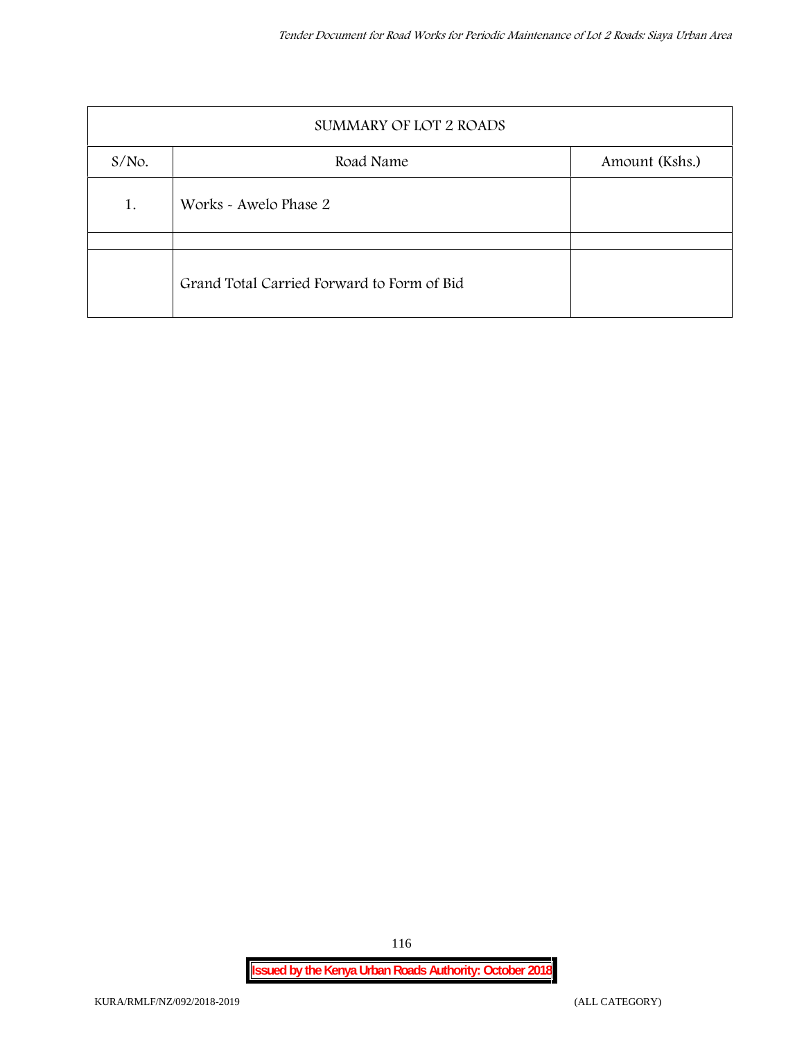| SUMMARY OF LOT 2 ROADS |                                            |                |  |  |  |  |
|------------------------|--------------------------------------------|----------------|--|--|--|--|
| $S/NO$ .               | Road Name                                  | Amount (Kshs.) |  |  |  |  |
| 1.                     | Works - Awelo Phase 2                      |                |  |  |  |  |
|                        | Grand Total Carried Forward to Form of Bid |                |  |  |  |  |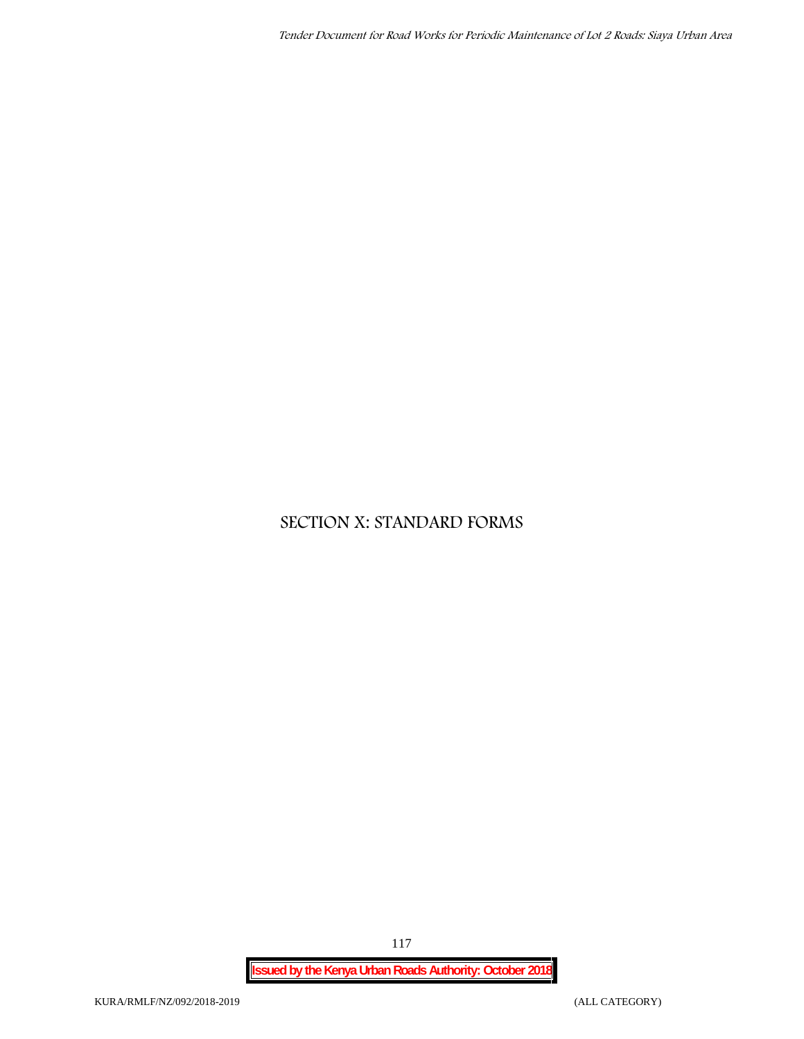## **SECTION X: STANDARD FORMS**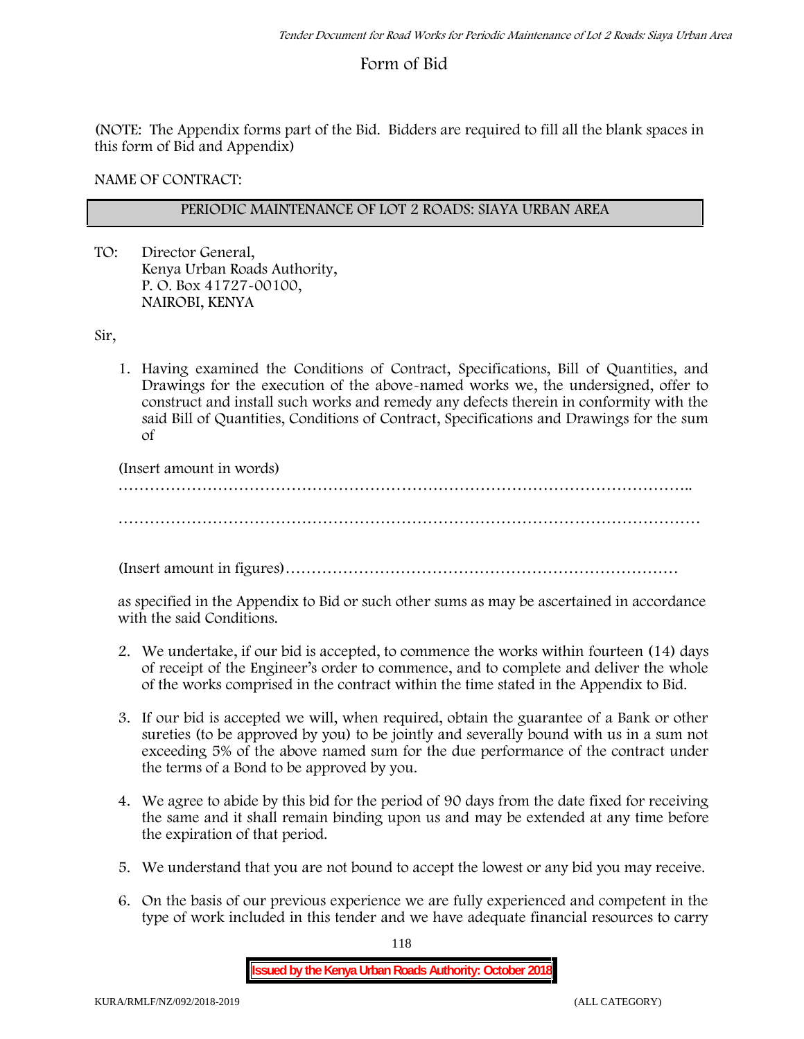## **Form of Bid**

(NOTE: The Appendix forms part of the Bid. Bidders are required to fill all the blank spaces in this form of Bid and Appendix)

**NAME OF CONTRACT:**

### **PERIODIC MAINTENANCE OF LOT 2 ROADS: SIAYA URBAN AREA**

TO: Director General, Kenya Urban Roads Authority, P. O. Box 41727-00100, **NAIROBI, KENYA**

Sir,

1. Having examined the Conditions of Contract, Specifications, Bill of Quantities, and Drawings for the execution of the above-named works we, the undersigned, offer to construct and install such works and remedy any defects therein in conformity with the said Bill of Quantities, Conditions of Contract, Specifications and Drawings for the sum of

(Insert amount in words)

………………………………………………………………………………………………..

…………………………………………………………………………………………………

(Insert amount in figures)…………………………………………………………………

as specified in the Appendix to Bid or such other sums as may be ascertained in accordance with the said Conditions.

- 2. We undertake, if our bid is accepted, to commence the works within fourteen (14) days of receipt of the Engineer's order to commence, and to complete and deliver the whole of the works comprised in the contract within the time stated in the Appendix to Bid.
- 3. If our bid is accepted we will, when required, obtain the guarantee of a Bank or other sureties (to be approved by you) to be jointly and severally bound with us in a sum not exceeding 5% of the above named sum for the due performance of the contract under the terms of a Bond to be approved by you.
- 4. We agree to abide by this bid for the period of 90 days from the date fixed for receiving the same and it shall remain binding upon us and may be extended at any time before the expiration of that period.
- 5. We understand that you are not bound to accept the lowest or any bid you may receive.
- 6. On the basis of our previous experience we are fully experienced and competent in the type of work included in this tender and we have adequate financial resources to carry

118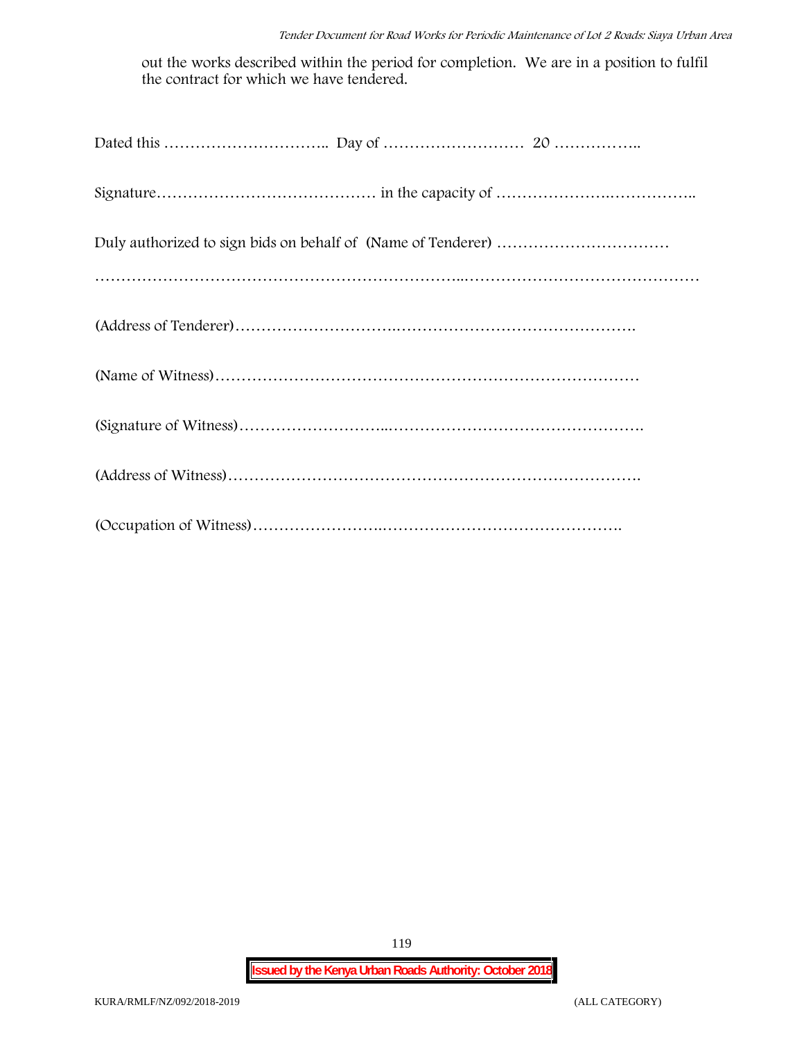out the works described within the period for completion. We are in a position to fulfil the contract for which we have tendered.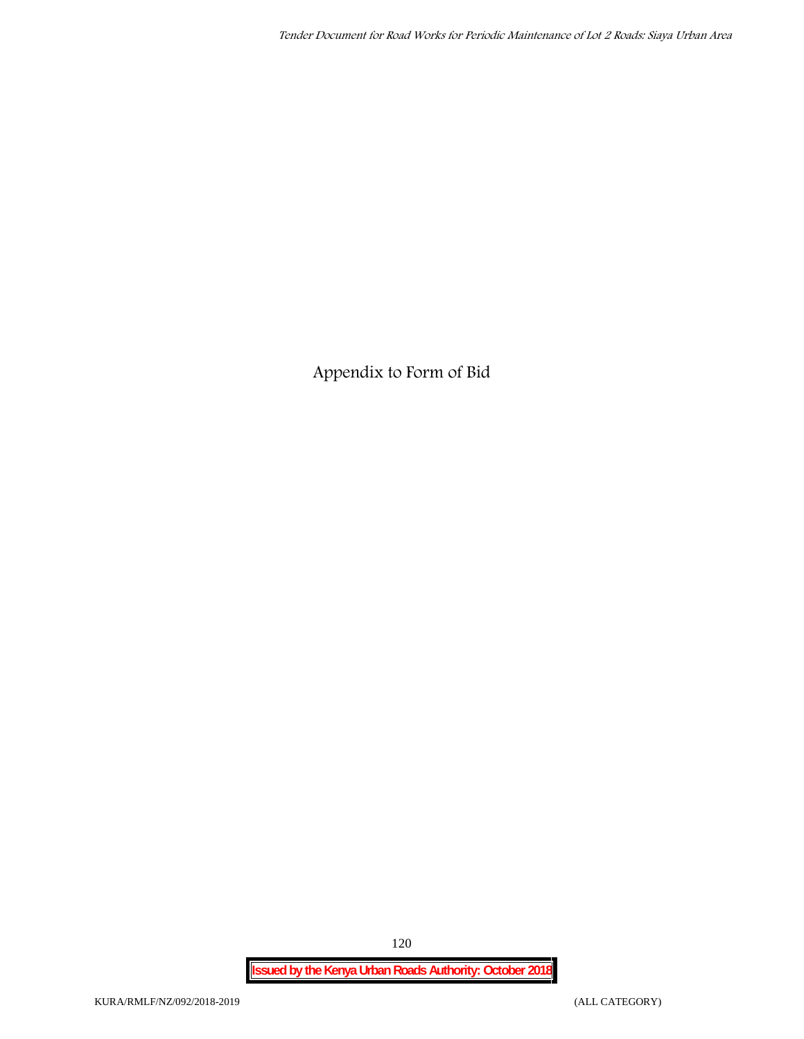**Appendix to Form of Bid**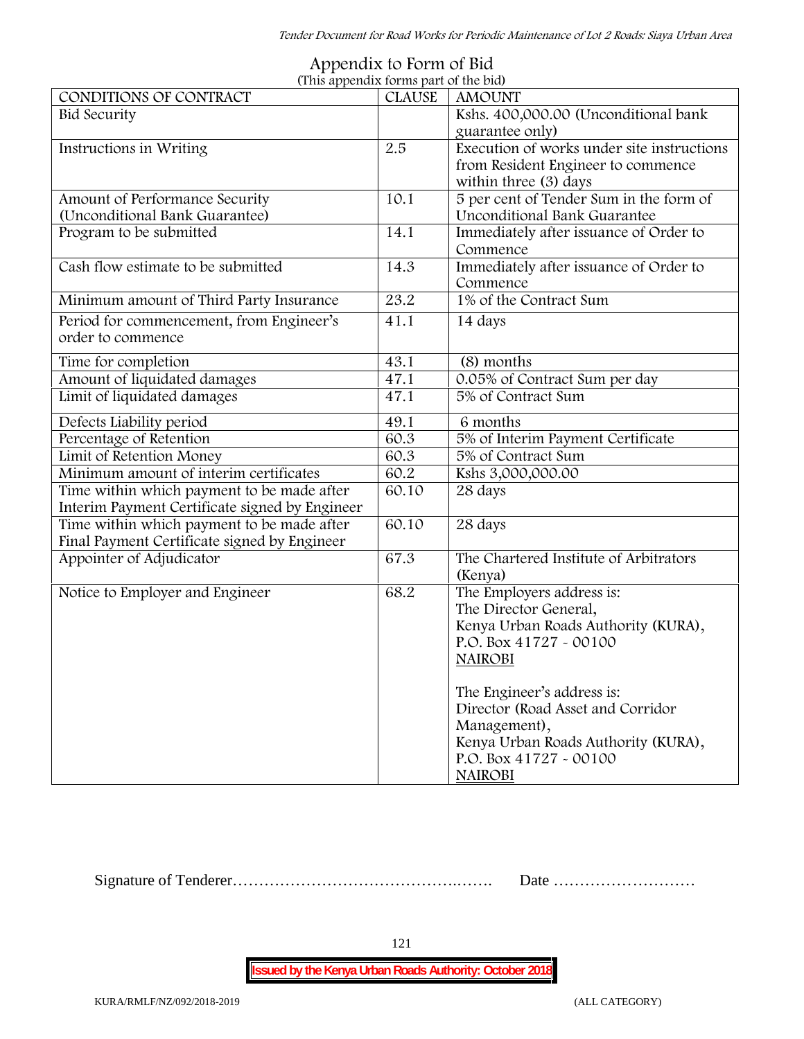| (This appendix forms part of the bid)          |               |                                            |  |  |
|------------------------------------------------|---------------|--------------------------------------------|--|--|
| CONDITIONS OF CONTRACT                         | <b>CLAUSE</b> | <b>AMOUNT</b>                              |  |  |
| <b>Bid Security</b>                            |               | Kshs. 400,000.00 (Unconditional bank       |  |  |
|                                                |               | guarantee only)                            |  |  |
| Instructions in Writing                        | 2.5           | Execution of works under site instructions |  |  |
|                                                |               | from Resident Engineer to commence         |  |  |
|                                                |               | within three (3) days                      |  |  |
| Amount of Performance Security                 | 10.1          | 5 per cent of Tender Sum in the form of    |  |  |
| (Unconditional Bank Guarantee)                 |               | Unconditional Bank Guarantee               |  |  |
| Program to be submitted                        | 14.1          | Immediately after issuance of Order to     |  |  |
|                                                |               | Commence                                   |  |  |
| Cash flow estimate to be submitted             | 14.3          | Immediately after issuance of Order to     |  |  |
|                                                |               | Commence                                   |  |  |
| Minimum amount of Third Party Insurance        | 23.2          | 1% of the Contract Sum                     |  |  |
| Period for commencement, from Engineer's       | 41.1          | 14 days                                    |  |  |
| order to commence                              |               |                                            |  |  |
| Time for completion                            | 43.1          | (8) months                                 |  |  |
| Amount of liquidated damages                   | 47.1          | 0.05% of Contract Sum per day              |  |  |
| Limit of liquidated damages                    | 47.1          | 5% of Contract Sum                         |  |  |
|                                                |               |                                            |  |  |
| Defects Liability period                       | 49.1          | 6 months                                   |  |  |
| Percentage of Retention                        | 60.3          | 5% of Interim Payment Certificate          |  |  |
| Limit of Retention Money                       | 60.3          | 5% of Contract Sum                         |  |  |
| Minimum amount of interim certificates         | 60.2          | Kshs 3,000,000.00                          |  |  |
| Time within which payment to be made after     | 60.10         | 28 days                                    |  |  |
| Interim Payment Certificate signed by Engineer |               |                                            |  |  |
| Time within which payment to be made after     | 60.10         | 28 days                                    |  |  |
| Final Payment Certificate signed by Engineer   |               |                                            |  |  |
| Appointer of Adjudicator                       | 67.3          | The Chartered Institute of Arbitrators     |  |  |
|                                                |               | (Kenya)                                    |  |  |
| Notice to Employer and Engineer                | 68.2          | The Employers address is:                  |  |  |
|                                                |               | The Director General,                      |  |  |
|                                                |               | Kenya Urban Roads Authority (KURA),        |  |  |
|                                                |               | P.O. Box 41727 - 00100                     |  |  |
|                                                |               | <b>NAIROBI</b>                             |  |  |
|                                                |               |                                            |  |  |
|                                                |               | The Engineer's address is:                 |  |  |
|                                                |               | Director (Road Asset and Corridor          |  |  |
|                                                |               | Management),                               |  |  |
|                                                |               | Kenya Urban Roads Authority (KURA),        |  |  |
|                                                |               | P.O. Box 41727 - 00100                     |  |  |
|                                                |               | <b>NAIROBI</b>                             |  |  |

# **Appendix to Form of Bid**

Signature of Tenderer…………………………………….……. Date ………………………

121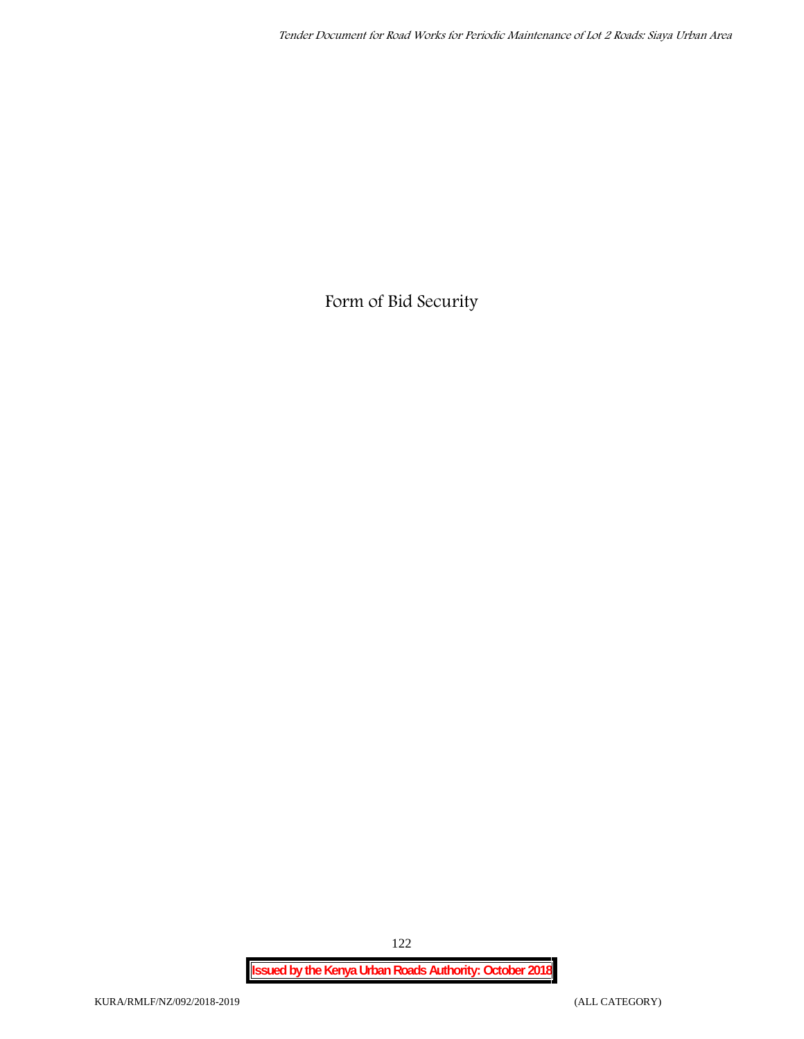**Form of Bid Security**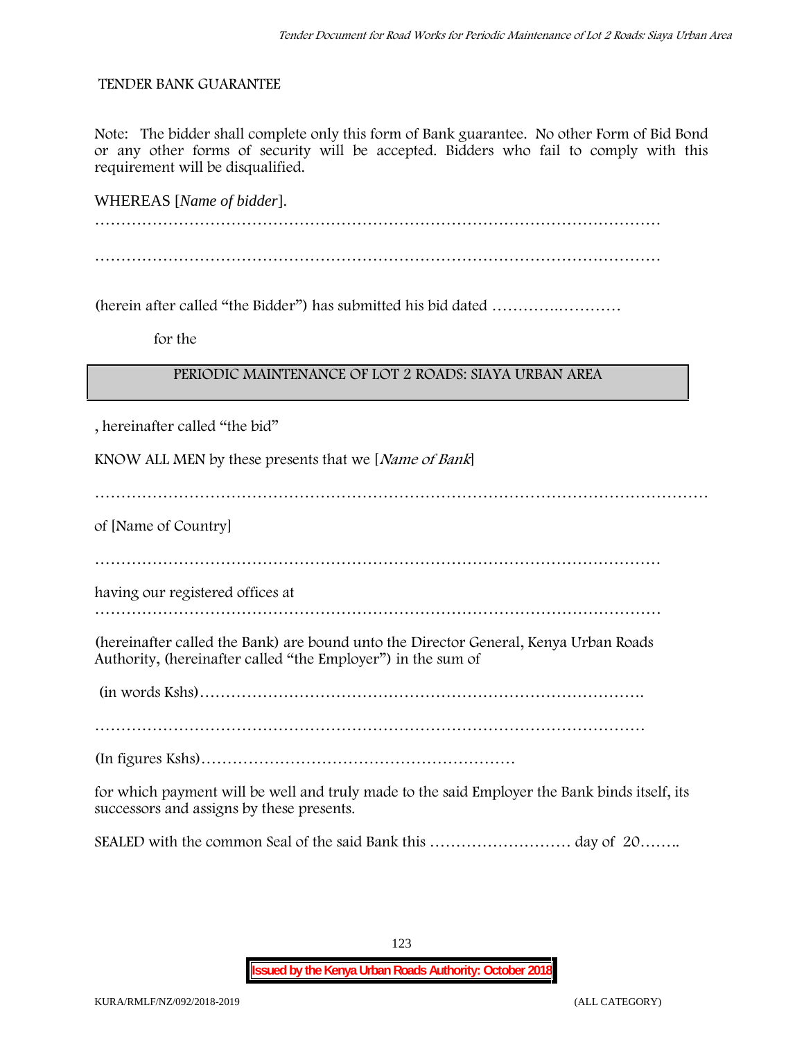#### **TENDER BANK GUARANTEE**

Note: The bidder shall complete only this form of Bank guarantee. No other Form of Bid Bond or any other forms of security will be accepted. Bidders who fail to comply with this requirement will be disqualified.

WHEREAS [*Name of bidder*]. ………………………………………………………………………………………………

(herein after called "the Bidder") has submitted his bid dated ………….…………

**for the**

#### **PERIODIC MAINTENANCE OF LOT 2 ROADS: SIAYA URBAN AREA**

, hereinafter called "the bid"

KNOW ALL MEN by these presents that we [*Name of Bank*]

………………………………………………………………………………………………………

of [Name of Country]

………………………………………………………………………………………………

having our registered offices at

………………………………………………………………………………………………

(hereinafter called the Bank) are bound unto the Director General, Kenya Urban Roads Authority, (hereinafter called "the Employer") in the sum of

(in words Kshs)………………………………………………………………………….

……………………………………………………………………………………………

(In figures Kshs)……………………………………………………

for which payment will be well and truly made to the said Employer the Bank binds itself, its successors and assigns by these presents.

SEALED with the common Seal of the said Bank this ……………………… day of 20……..

123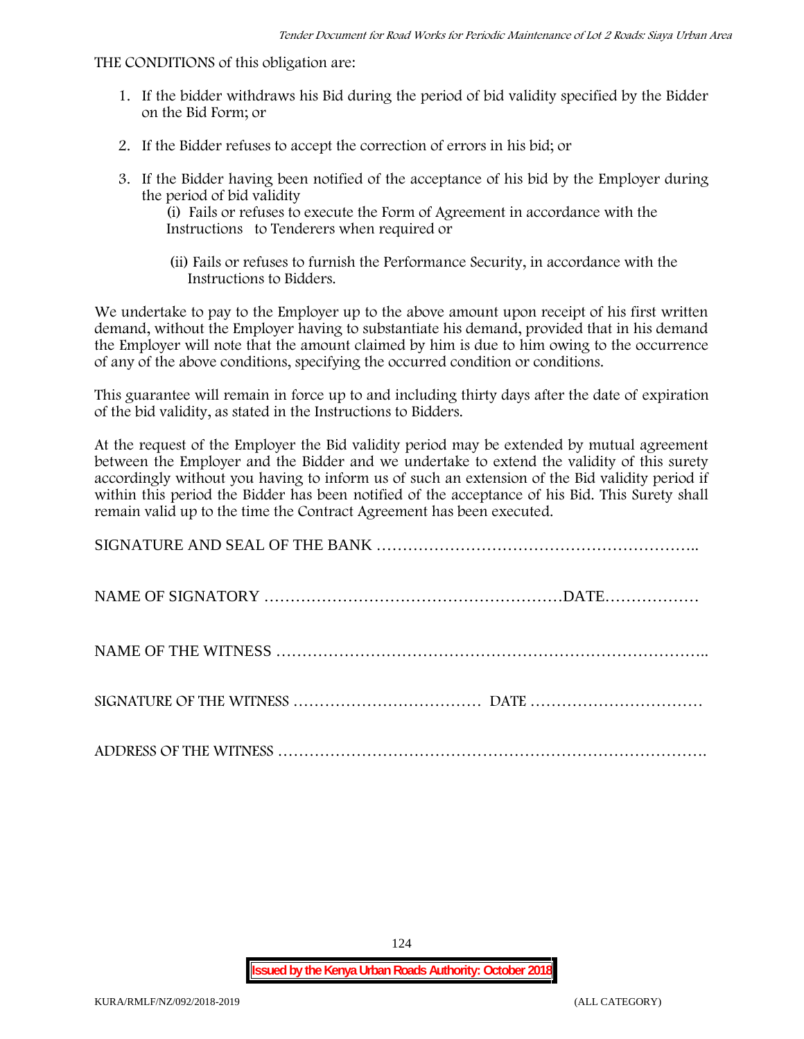#### THE CONDITIONS of this obligation are:

- 1. If the bidder withdraws his Bid during the period of bid validity specified by the Bidder on the Bid Form; or
- 2. If the Bidder refuses to accept the correction of errors in his bid; or
- 3. If the Bidder having been notified of the acceptance of his bid by the Employer during the period of bid validity

(i) Fails or refuses to execute the Form of Agreement in accordance with the Instructions to Tenderers when required or

(ii) Fails or refuses to furnish the Performance Security, in accordance with the Instructions to Bidders.

We undertake to pay to the Employer up to the above amount upon receipt of his first written demand, without the Employer having to substantiate his demand, provided that in his demand the Employer will note that the amount claimed by him is due to him owing to the occurrence of any of the above conditions, specifying the occurred condition or conditions.

This guarantee will remain in force up to and including thirty days after the date of expiration of the bid validity, as stated in the Instructions to Bidders.

At the request of the Employer the Bid validity period may be extended by mutual agreement between the Employer and the Bidder and we undertake to extend the validity of this surety accordingly without you having to inform us of such an extension of the Bid validity period if within this period the Bidder has been notified of the acceptance of his Bid. This Surety shall remain valid up to the time the Contract Agreement has been executed.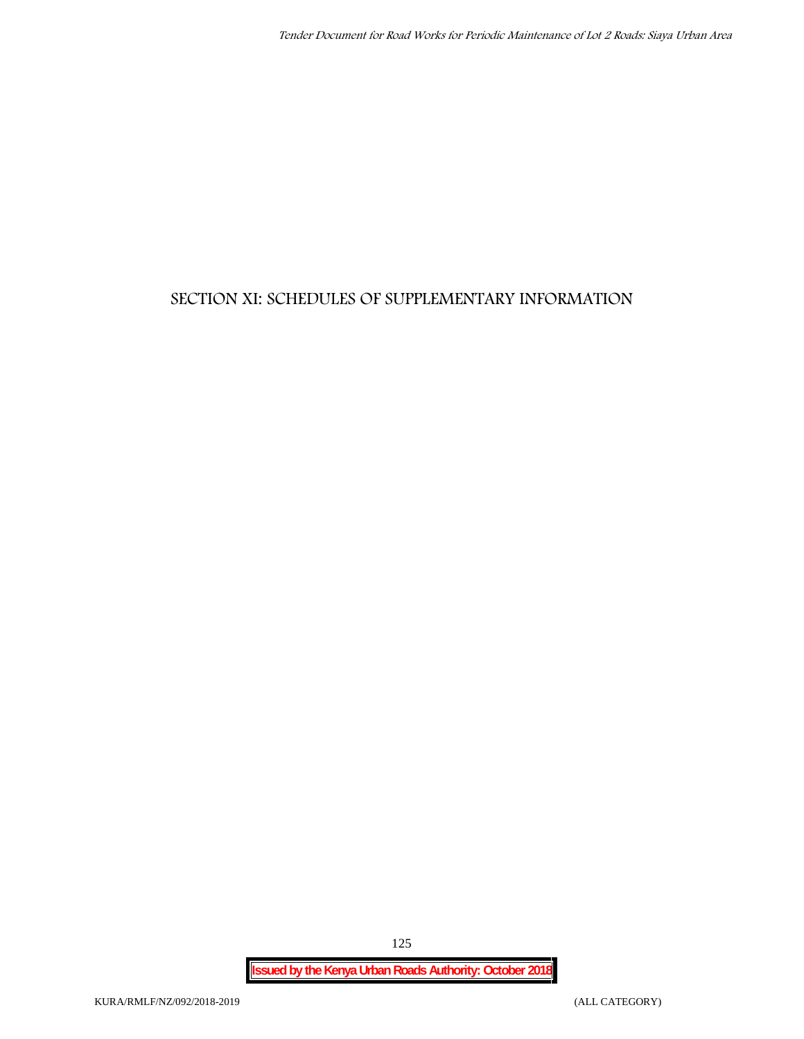## **SECTION XI: SCHEDULES OF SUPPLEMENTARY INFORMATION**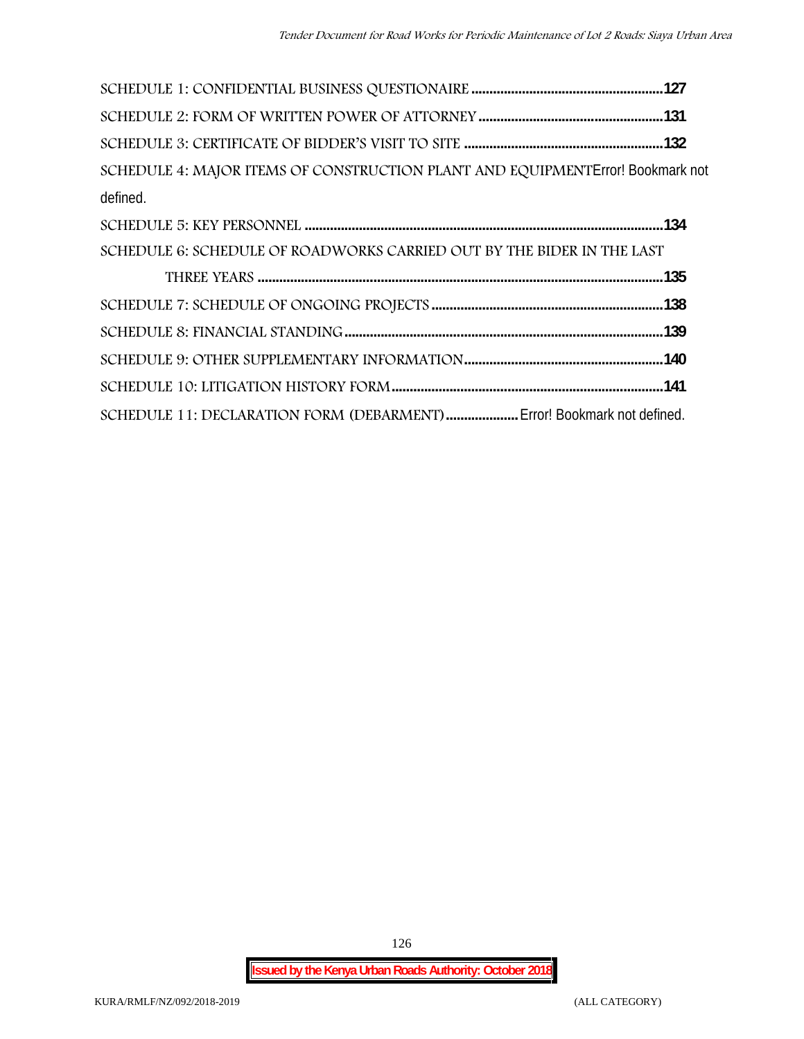| SCHEDULE 4: MAJOR ITEMS OF CONSTRUCTION PLANT AND EQUIPMENT Error! Bookmark not |  |
|---------------------------------------------------------------------------------|--|
| defined.                                                                        |  |
|                                                                                 |  |
| SCHEDULE 6: SCHEDULE OF ROADWORKS CARRIED OUT BY THE BIDER IN THE LAST          |  |
|                                                                                 |  |
|                                                                                 |  |
|                                                                                 |  |
|                                                                                 |  |
|                                                                                 |  |
| SCHEDULE 11: DECLARATION FORM (DEBARMENT)  Error! Bookmark not defined.         |  |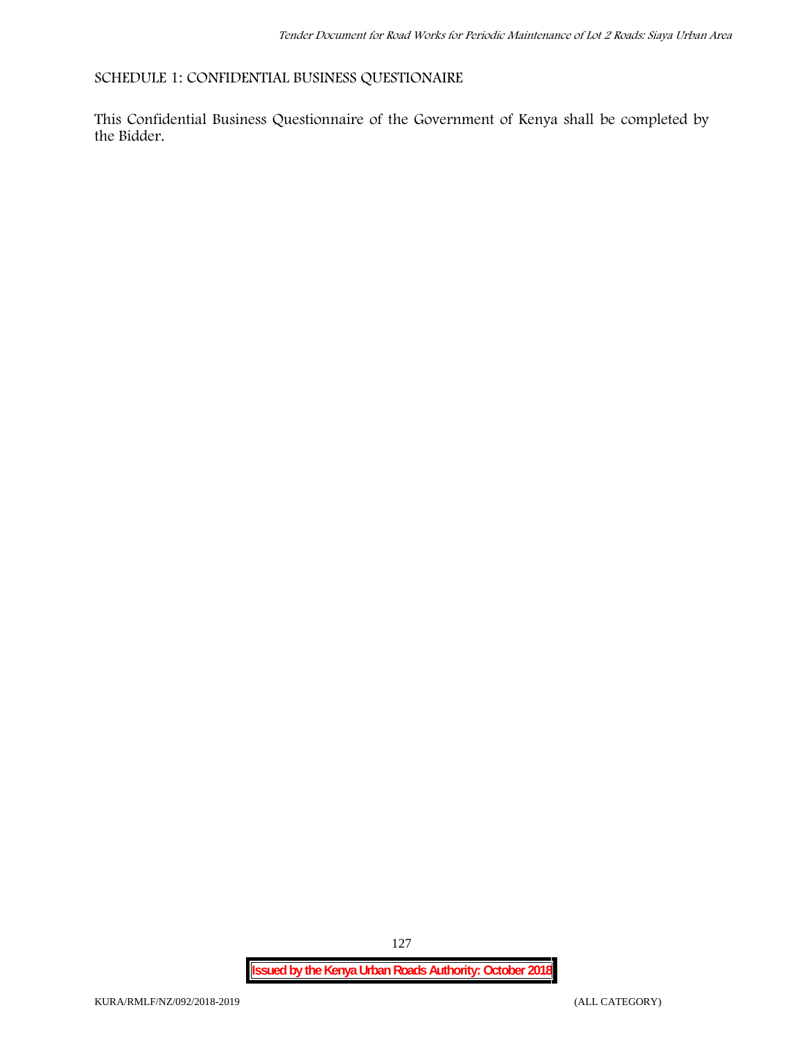### **SCHEDULE 1: CONFIDENTIAL BUSINESS QUESTIONAIRE**

This Confidential Business Questionnaire of the Government of Kenya shall be completed by the Bidder.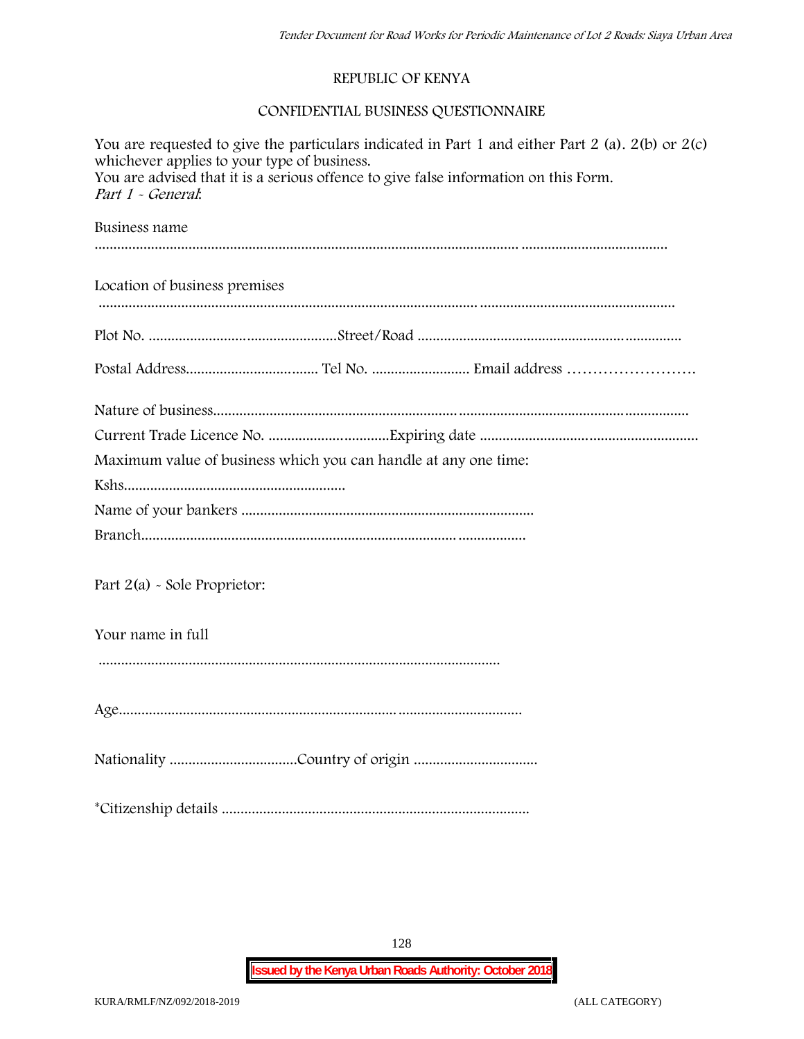#### **REPUBLIC OF KENYA**

### **CONFIDENTIAL BUSINESS QUESTIONNAIRE**

| You are requested to give the particulars indicated in Part 1 and either Part 2 (a). $2(b)$ or $2(c)$<br>whichever applies to your type of business.<br>You are advised that it is a serious offence to give false information on this Form.<br>Part 1 - General: |  |  |  |  |  |  |  |
|-------------------------------------------------------------------------------------------------------------------------------------------------------------------------------------------------------------------------------------------------------------------|--|--|--|--|--|--|--|
| Business name                                                                                                                                                                                                                                                     |  |  |  |  |  |  |  |
| Location of business premises                                                                                                                                                                                                                                     |  |  |  |  |  |  |  |
|                                                                                                                                                                                                                                                                   |  |  |  |  |  |  |  |
|                                                                                                                                                                                                                                                                   |  |  |  |  |  |  |  |
|                                                                                                                                                                                                                                                                   |  |  |  |  |  |  |  |
|                                                                                                                                                                                                                                                                   |  |  |  |  |  |  |  |
| Maximum value of business which you can handle at any one time:                                                                                                                                                                                                   |  |  |  |  |  |  |  |
|                                                                                                                                                                                                                                                                   |  |  |  |  |  |  |  |
|                                                                                                                                                                                                                                                                   |  |  |  |  |  |  |  |
|                                                                                                                                                                                                                                                                   |  |  |  |  |  |  |  |
| Part 2(a) - Sole Proprietor:                                                                                                                                                                                                                                      |  |  |  |  |  |  |  |
| Your name in full                                                                                                                                                                                                                                                 |  |  |  |  |  |  |  |
|                                                                                                                                                                                                                                                                   |  |  |  |  |  |  |  |
|                                                                                                                                                                                                                                                                   |  |  |  |  |  |  |  |
|                                                                                                                                                                                                                                                                   |  |  |  |  |  |  |  |
|                                                                                                                                                                                                                                                                   |  |  |  |  |  |  |  |

128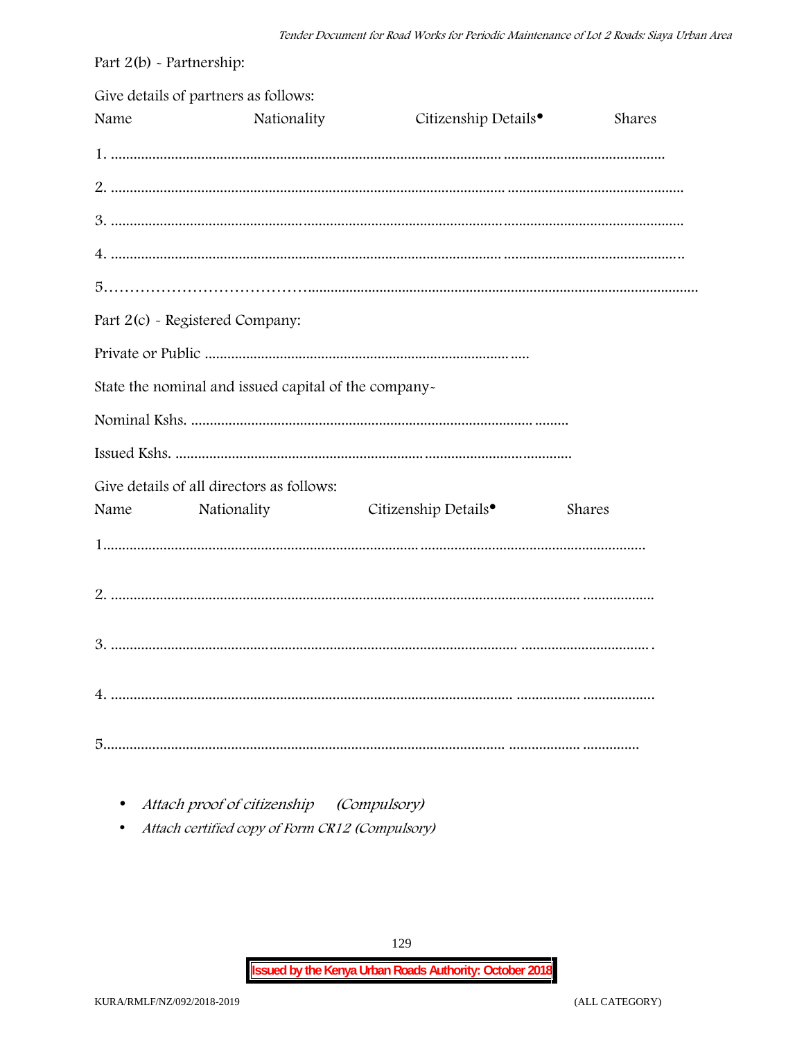| Part $2(b)$ - Partnership:           |                                                      |                                  |        |  |  |  |  |
|--------------------------------------|------------------------------------------------------|----------------------------------|--------|--|--|--|--|
| Give details of partners as follows: |                                                      |                                  |        |  |  |  |  |
| Name                                 | Nationality                                          | Citizenship Details <sup>•</sup> | Shares |  |  |  |  |
|                                      |                                                      |                                  |        |  |  |  |  |
|                                      |                                                      |                                  |        |  |  |  |  |
|                                      |                                                      |                                  |        |  |  |  |  |
|                                      |                                                      |                                  |        |  |  |  |  |
|                                      |                                                      |                                  |        |  |  |  |  |
|                                      | Part 2(c) - Registered Company:                      |                                  |        |  |  |  |  |
|                                      |                                                      |                                  |        |  |  |  |  |
|                                      | State the nominal and issued capital of the company- |                                  |        |  |  |  |  |
|                                      |                                                      |                                  |        |  |  |  |  |
|                                      |                                                      |                                  |        |  |  |  |  |
|                                      | Give details of all directors as follows:            |                                  |        |  |  |  |  |
| Name                                 | Nationality                                          | Citizenship Details <sup>•</sup> | Shares |  |  |  |  |
|                                      |                                                      |                                  |        |  |  |  |  |
|                                      |                                                      |                                  |        |  |  |  |  |
|                                      |                                                      |                                  |        |  |  |  |  |
|                                      |                                                      |                                  |        |  |  |  |  |
|                                      |                                                      |                                  |        |  |  |  |  |

Attach proof of citizenship (Compulsory)  $\bullet$ 

Attach certified copy of Form CR12 (Compulsory)  $\bullet$ 

129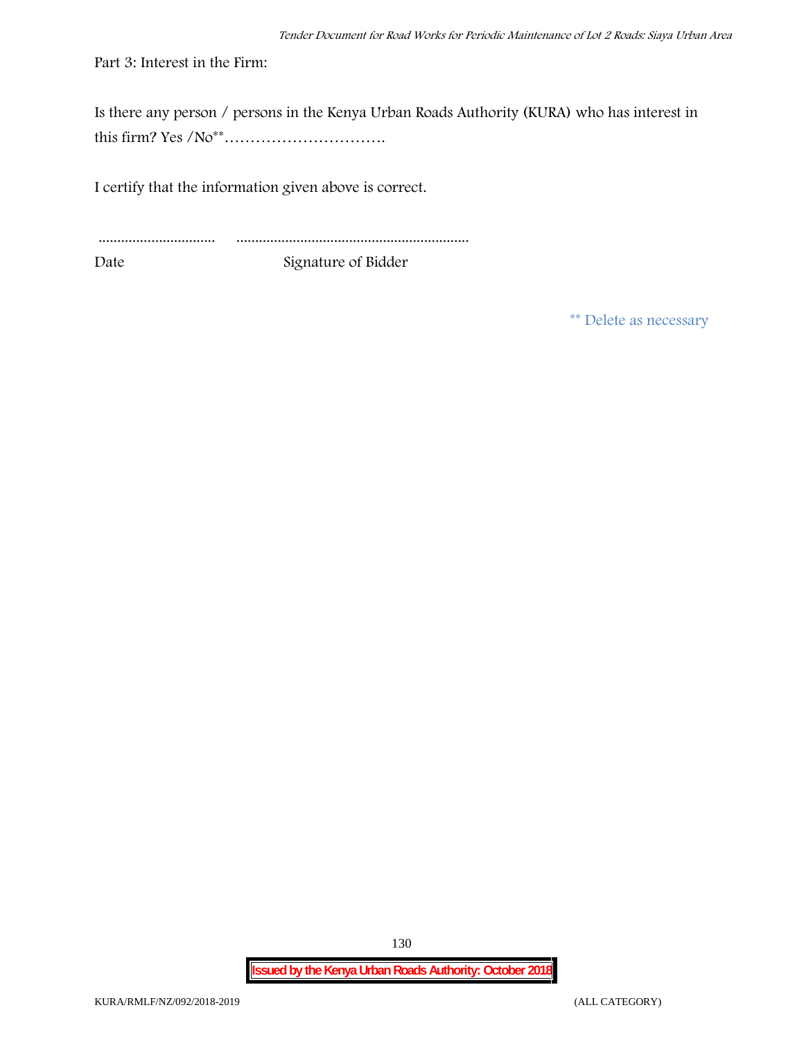Part 3: Interest in the Firm:

Is there any person / persons in the Kenya Urban Roads Authority (KURA) who has interest in this firm? Yes /No\*\*………………………….

I certify that the information given above is correct.

............................... .............................................................. Date Signature of Bidder

**\*\* Delete as necessary**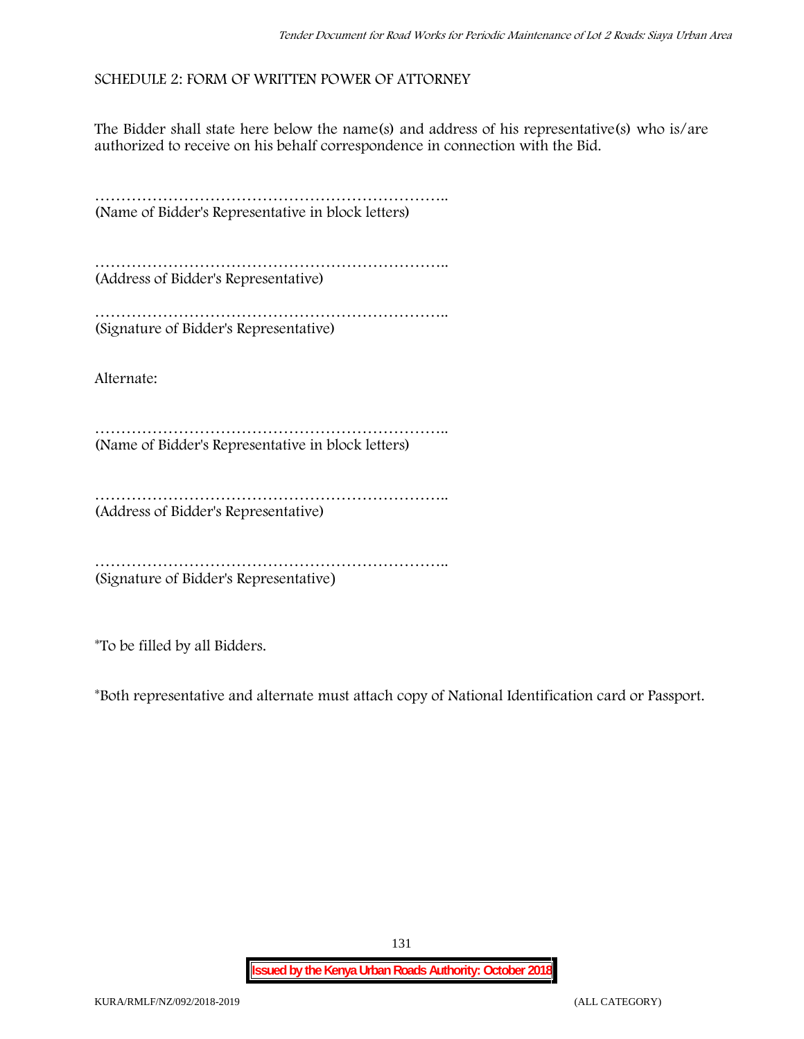#### **SCHEDULE 2: FORM OF WRITTEN POWER OF ATTORNEY**

The Bidder shall state here below the name(s) and address of his representative(s) who is/are authorized to receive on his behalf correspondence in connection with the Bid.

………………………………………………………….. (Name of Bidder's Representative in block letters)

………………………………………………………….. (Address of Bidder's Representative)

………………………………………………………….. (Signature of Bidder's Representative)

Alternate:

………………………………………………………….. (Name of Bidder's Representative in block letters)

………………………………………………………………………… (Address of Bidder's Representative)

………………………………………………………….. (Signature of Bidder's Representative)

\*To be filled by all Bidders.

\*Both representative and alternate **must** attach copy of National Identification card or Passport.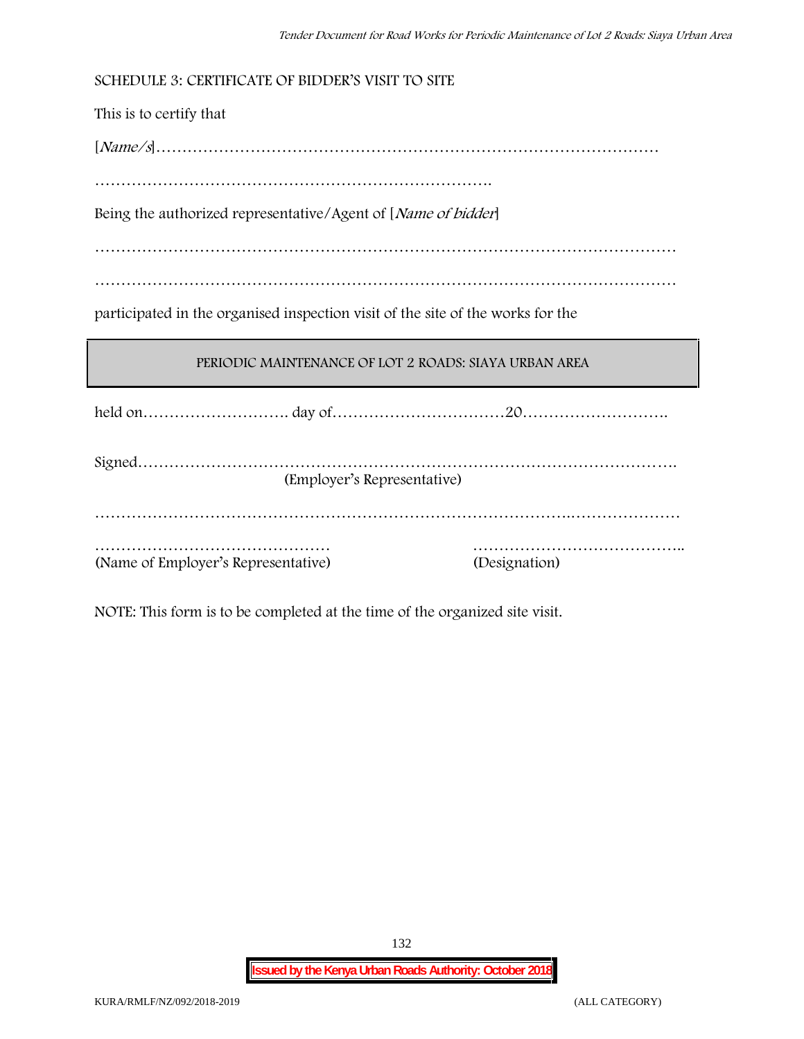| SCHEDULE 3: CERTIFICATE OF BIDDER'S VISIT TO SITE                               |  |  |  |  |  |  |  |
|---------------------------------------------------------------------------------|--|--|--|--|--|--|--|
| This is to certify that                                                         |  |  |  |  |  |  |  |
|                                                                                 |  |  |  |  |  |  |  |
|                                                                                 |  |  |  |  |  |  |  |
| Being the authorized representative/Agent of [Name of bidder]                   |  |  |  |  |  |  |  |
|                                                                                 |  |  |  |  |  |  |  |
|                                                                                 |  |  |  |  |  |  |  |
| participated in the organised inspection visit of the site of the works for the |  |  |  |  |  |  |  |
| PERIODIC MAINTENANCE OF LOT 2 ROADS: SIAYA URBAN AREA                           |  |  |  |  |  |  |  |
|                                                                                 |  |  |  |  |  |  |  |
|                                                                                 |  |  |  |  |  |  |  |
| (Employer's Representative)                                                     |  |  |  |  |  |  |  |
|                                                                                 |  |  |  |  |  |  |  |

NOTE: This form is to be completed at the time of the organized site visit.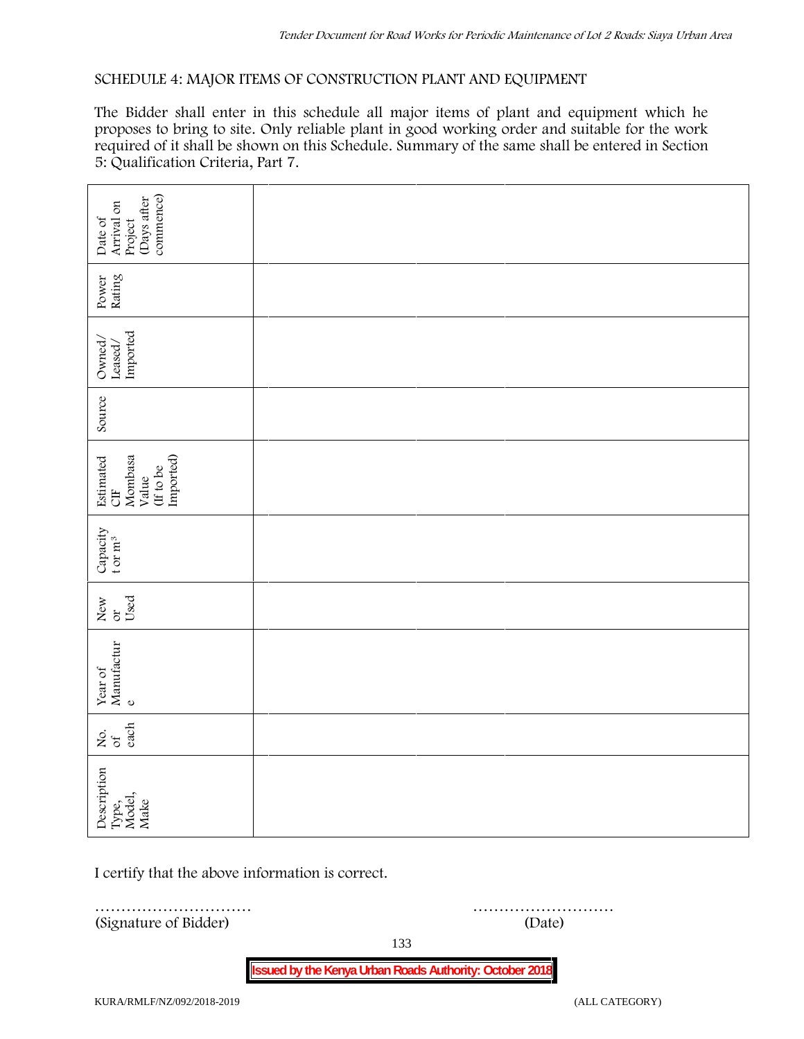#### **SCHEDULE 4: MAJOR ITEMS OF CONSTRUCTION PLANT AND EQUIPMENT**

The Bidder shall enter in this schedule all major items of plant and equipment which he proposes to bring to site. Only reliable plant in good working order and suitable for the work required of it shall be shown on this Schedule. Summary of the same shall be entered in Section 5: Qualification Criteria, Part 7.

| commence)<br>(Days after<br>Arrival on<br>Date of<br>Project   |        |
|----------------------------------------------------------------|--------|
| Power<br>Rating                                                |        |
| Leased/<br>Imported<br>Owned/                                  |        |
| Source                                                         |        |
| Imported)<br>Estimated<br>CIF<br>Mombasa<br>Value<br>(If to be |        |
| Capacity t or $\mathbf{m}^3$                                   |        |
| Used<br>New $_{\rm Of}$                                        |        |
| Year of Manufactur $_{\rm e}$                                  |        |
| each<br>$\frac{1}{2}$                                          |        |
| Description<br>Type,<br>Model,<br>Make                         |        |
| I certify that the above information is correct.               |        |
| (Signature of Bidder)                                          | (Date) |

133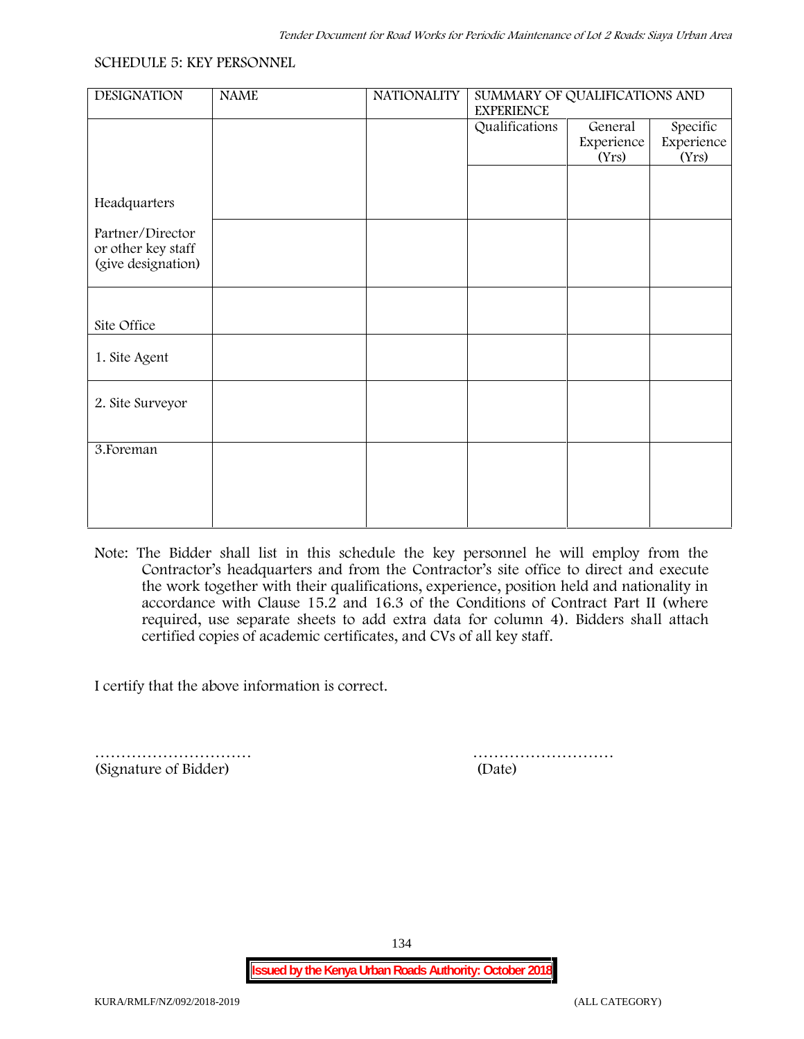#### **SCHEDULE 5: KEY PERSONNEL**

| <b>DESIGNATION</b>                                           | <b>NAME</b> | <b>NATIONALITY</b> | SUMMARY OF QUALIFICATIONS AND<br><b>EXPERIENCE</b> |                                |                                 |  |
|--------------------------------------------------------------|-------------|--------------------|----------------------------------------------------|--------------------------------|---------------------------------|--|
|                                                              |             |                    | Qualifications                                     | General<br>Experience<br>(Yrs) | Specific<br>Experience<br>(Yrs) |  |
| Headquarters                                                 |             |                    |                                                    |                                |                                 |  |
| Partner/Director<br>or other key staff<br>(give designation) |             |                    |                                                    |                                |                                 |  |
| Site Office                                                  |             |                    |                                                    |                                |                                 |  |
| 1. Site Agent                                                |             |                    |                                                    |                                |                                 |  |
| 2. Site Surveyor                                             |             |                    |                                                    |                                |                                 |  |
| 3. Foreman                                                   |             |                    |                                                    |                                |                                 |  |
|                                                              |             |                    |                                                    |                                |                                 |  |

**Note:** The Bidder shall list in this schedule the key personnel he will employ from the Contractor's headquarters and from the Contractor's site office to direct and execute the work together with their qualifications, experience, position held and nationality in accordance with Clause 15.2 and 16.3 of the Conditions of Contract Part II (where required, use separate sheets to add extra data for column 4). Bidders shall attach certified copies of academic certificates, and CVs of all key staff.

I certify that the above information is correct.

(Signature of Bidder) (Date)

………………………… ………………………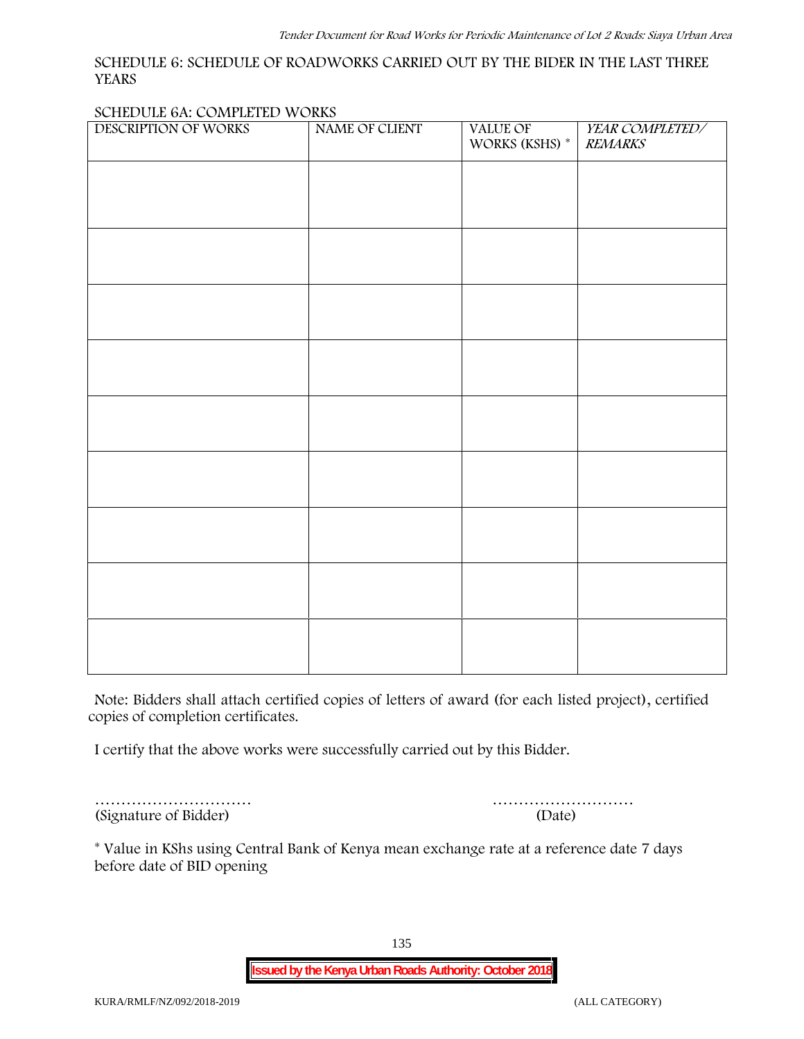#### **SCHEDULE 6: SCHEDULE OF ROADWORKS CARRIED OUT BY THE BIDER IN THE LAST THREE YEARS**

#### **SCHEDULE 6A: COMPLETED WORKS**

| DESCRIPTION OF WORKS | NAME OF CLIENT | VALUE OF<br>WORKS (KSHS) $^\ast$ | YEAR COMPLETED/<br><b>REMARKS</b> |
|----------------------|----------------|----------------------------------|-----------------------------------|
|                      |                |                                  |                                   |
|                      |                |                                  |                                   |
|                      |                |                                  |                                   |
|                      |                |                                  |                                   |
|                      |                |                                  |                                   |
|                      |                |                                  |                                   |
|                      |                |                                  |                                   |
|                      |                |                                  |                                   |
|                      |                |                                  |                                   |
|                      |                |                                  |                                   |
|                      |                |                                  |                                   |
|                      |                |                                  |                                   |
|                      |                |                                  |                                   |
|                      |                |                                  |                                   |

**Note:** Bidders shall attach certified copies of letters of award (for each listed project), certified copies of completion certificates.

I certify that the above works were successfully carried out by this Bidder.

(Signature of Bidder) (Date)

………………………… ………………………

\* **Value in KShs using Central Bank of Kenya mean exchange rate at a reference date 7 days before date of BID opening**

135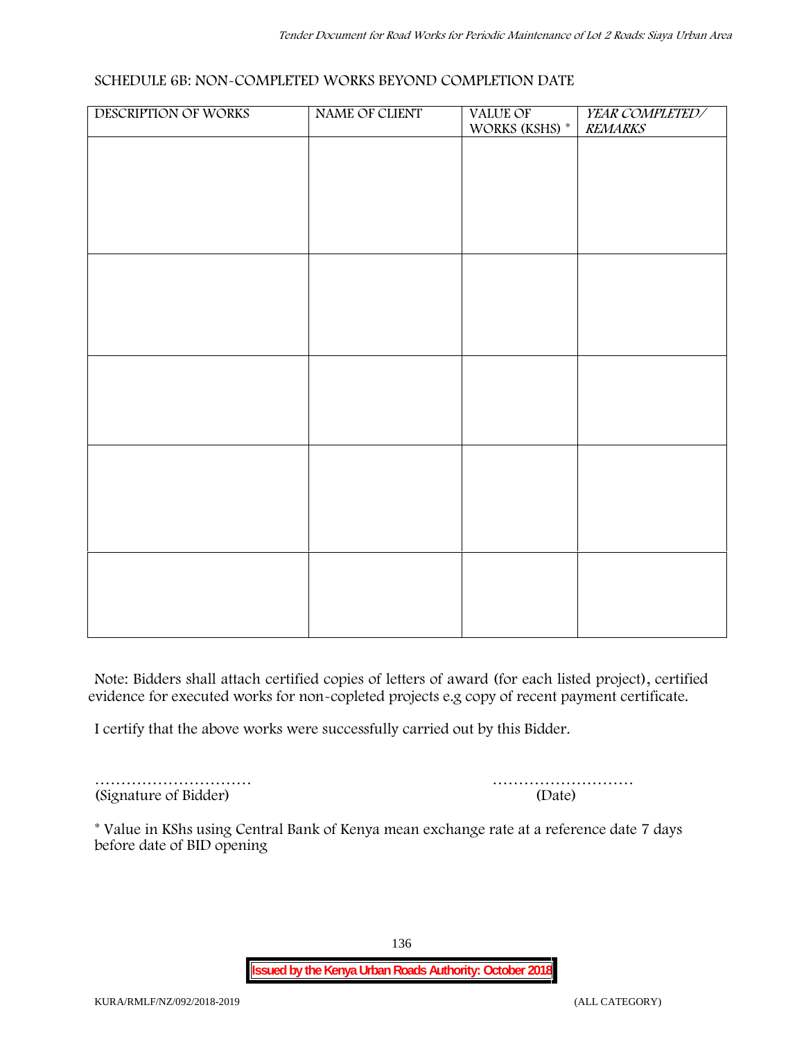#### **SCHEDULE 6B: NON-COMPLETED WORKS BEYOND COMPLETION DATE**

| DESCRIPTION OF WORKS | NAME OF CLIENT | VALUE OF<br>WORKS (KSHS) * | YEAR COMPLETED/<br><b>REMARKS</b> |
|----------------------|----------------|----------------------------|-----------------------------------|
|                      |                |                            |                                   |
|                      |                |                            |                                   |
|                      |                |                            |                                   |
|                      |                |                            |                                   |
|                      |                |                            |                                   |
|                      |                |                            |                                   |
|                      |                |                            |                                   |
|                      |                |                            |                                   |
|                      |                |                            |                                   |
|                      |                |                            |                                   |
|                      |                |                            |                                   |
|                      |                |                            |                                   |
|                      |                |                            |                                   |
|                      |                |                            |                                   |
|                      |                |                            |                                   |
|                      |                |                            |                                   |
|                      |                |                            |                                   |

**Note:** Bidders shall attach certified copies of letters of award (for each listed project), certified evidence for executed works for non-copleted projects e.g copy of recent payment certificate.

I certify that the above works were successfully carried out by this Bidder.

(Signature of Bidder) (Date)

………………………… ………………………

\* **Value in KShs using Central Bank of Kenya mean exchange rate at a reference date 7 days before date of BID opening**

136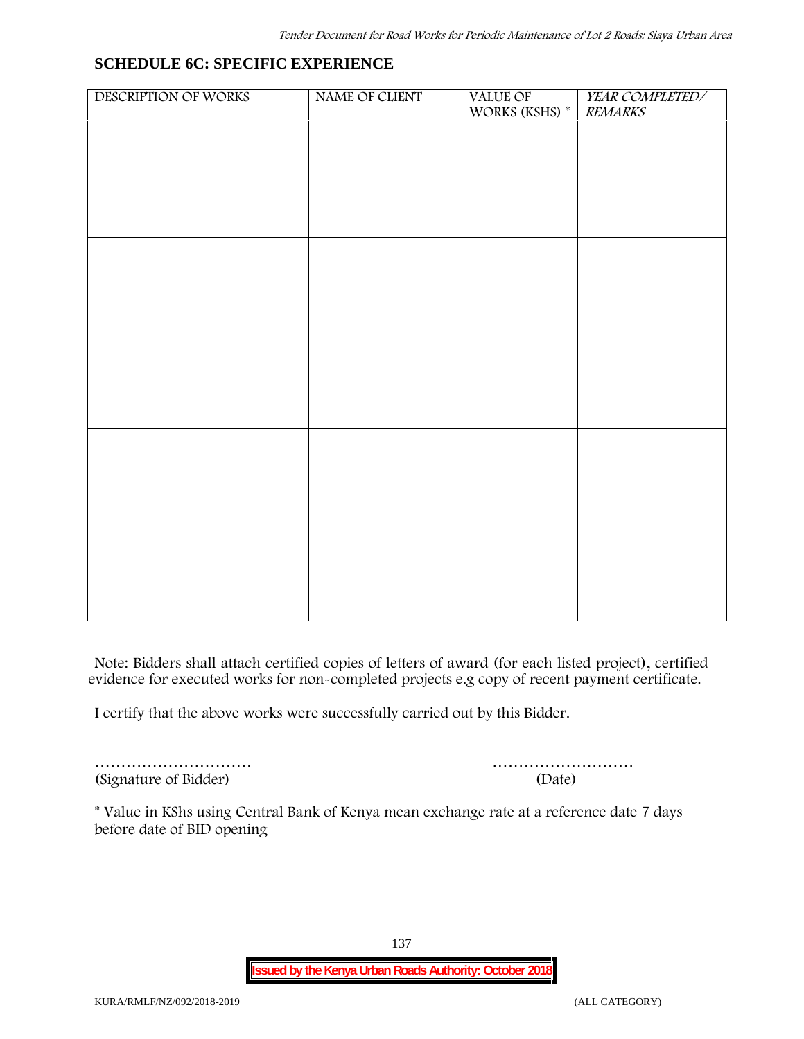KURA/RMLF/NZ/092/2018-2019 (ALL CATEGORY)

## **SCHEDULE 6C: SPECIFIC EXPERIENCE**

| DESCRIPTION OF WORKS | NAME OF CLIENT | VALUE OF<br>WORKS (KSHS) $^\ast$ | YEAR COMPLETED/<br><b>REMARKS</b> |
|----------------------|----------------|----------------------------------|-----------------------------------|
|                      |                |                                  |                                   |
|                      |                |                                  |                                   |
|                      |                |                                  |                                   |
|                      |                |                                  |                                   |
|                      |                |                                  |                                   |
|                      |                |                                  |                                   |
|                      |                |                                  |                                   |
|                      |                |                                  |                                   |
|                      |                |                                  |                                   |
|                      |                |                                  |                                   |
|                      |                |                                  |                                   |
|                      |                |                                  |                                   |
|                      |                |                                  |                                   |
|                      |                |                                  |                                   |
|                      |                |                                  |                                   |
|                      |                |                                  |                                   |
|                      |                |                                  |                                   |
|                      |                |                                  |                                   |

**Note:** Bidders shall attach certified copies of letters of award (for each listed project), certified evidence for executed works for non-completed projects e.g copy of recent payment certificate.

I certify that the above works were successfully carried out by this Bidder.

(Signature of Bidder) (Date)

………………………… ………………………

\* **Value in KShs using Central Bank of Kenya mean exchange rate at a reference date 7 days before date of BID opening**

137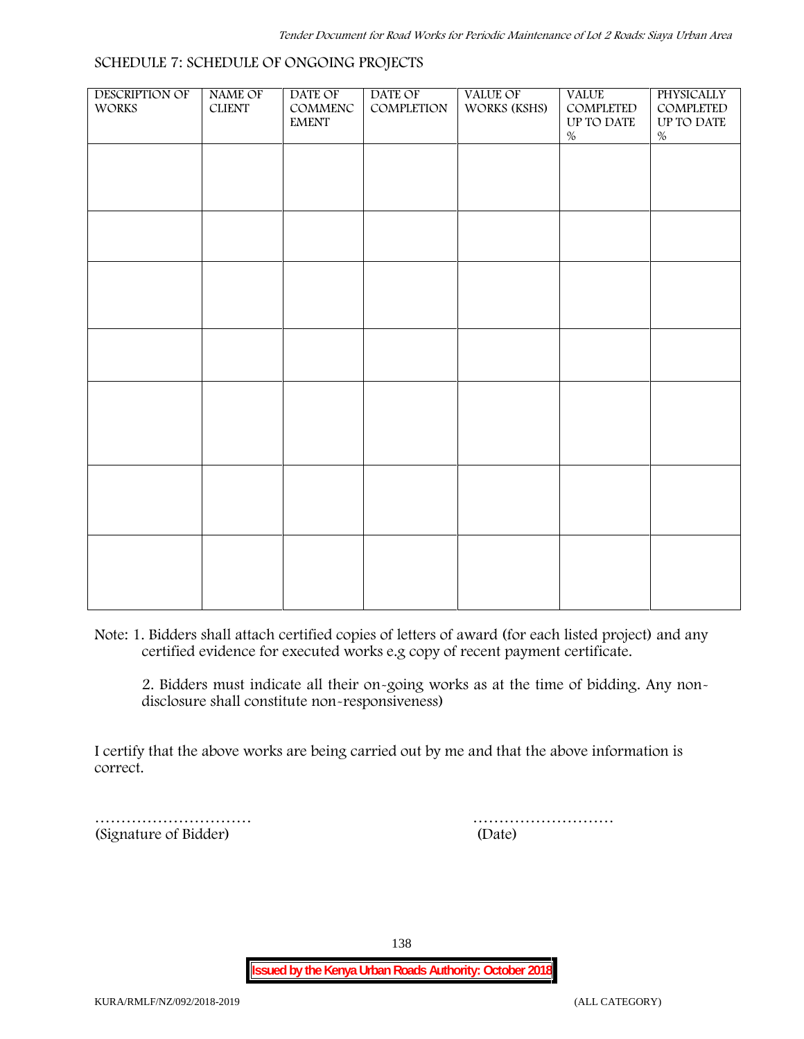# DESCRIPTION OF WORKS NAME OF CLIENT DATE OF COMMENC EMENT DATE OF COMPLETION VALUE OF WORKS (KSHS) VALUE COMPLETED UP TO DATE % **PHYSICALLY** COMPLETED UP TO DATE %

#### **SCHEDULE 7: SCHEDULE OF ONGOING PROJECTS**

**Note:** 1. Bidders shall attach certified copies of letters of award (for each listed project) and any certified evidence for executed works e.g copy of recent payment certificate.

2. Bidders must indicate all their on-going works as at the time of bidding. Any non disclosure shall constitute non-responsiveness)

I certify that the above works are being carried out by me and that the above information is correct.

(Signature of Bidder) (Date)

………………………… ………………………

138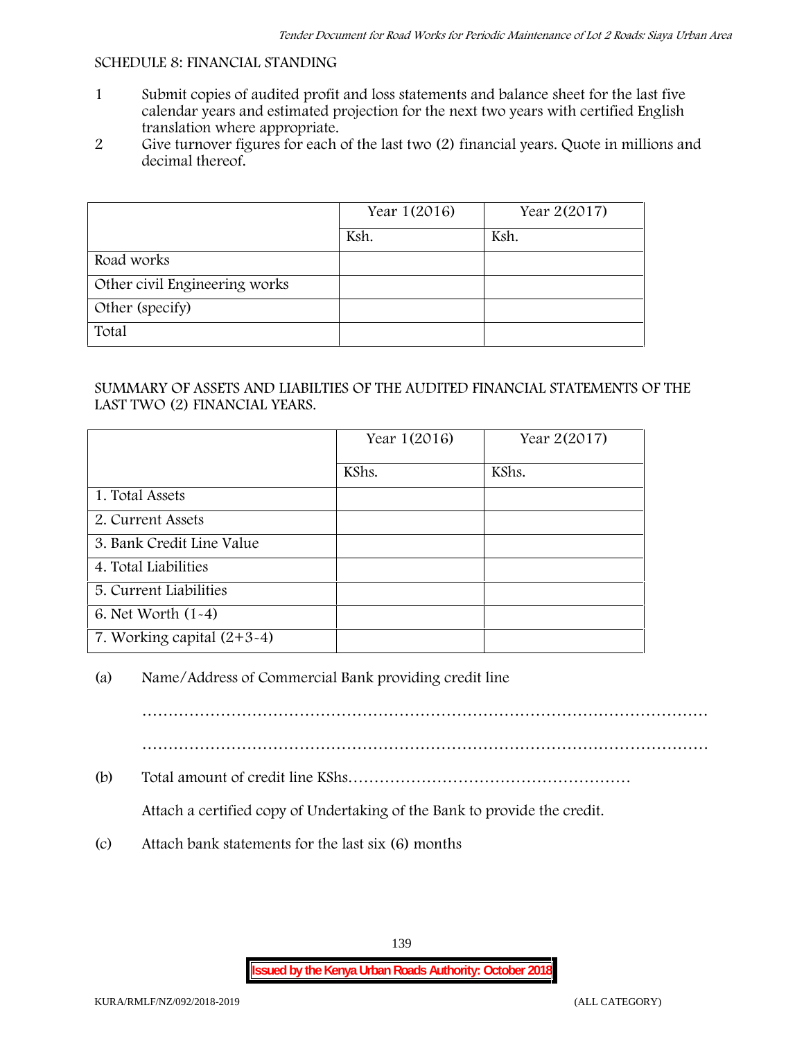#### **SCHEDULE 8: FINANCIAL STANDING**

- 1 Submit copies of audited profit and loss statements and balance sheet for the last five calendar years and estimated projection for the next two years with certified English translation where appropriate.
- 2 Give turnover figures for each of the last two (2) financial years. Quote in millions and decimal thereof.

|                               | Year 1(2016) | Year 2(2017) |
|-------------------------------|--------------|--------------|
|                               | Ksh.         | Ksh.         |
| Road works                    |              |              |
| Other civil Engineering works |              |              |
| Other (specify)               |              |              |
| Total                         |              |              |

#### SUMMARY OF ASSETS AND LIABILTIES OF THE AUDITED FINANCIAL STATEMENTS OF THE LAST TWO (2) FINANCIAL YEARS.

|                              | Year 1(2016) | Year 2(2017) |
|------------------------------|--------------|--------------|
|                              | KShs.        | KShs.        |
| 1. Total Assets              |              |              |
| 2. Current Assets            |              |              |
| 3. Bank Credit Line Value    |              |              |
| 4. Total Liabilities         |              |              |
| 5. Current Liabilities       |              |              |
| 6. Net Worth (1-4)           |              |              |
| 7. Working capital $(2+3-4)$ |              |              |

#### (a) Name/Address of Commercial Bank providing credit line

………………………………………………………………………………………………

(b) Total amount of credit line KShs………………………………………………

Attach a certified copy of Undertaking of the Bank to provide the credit.

(c) Attach bank statements for the last six (6) months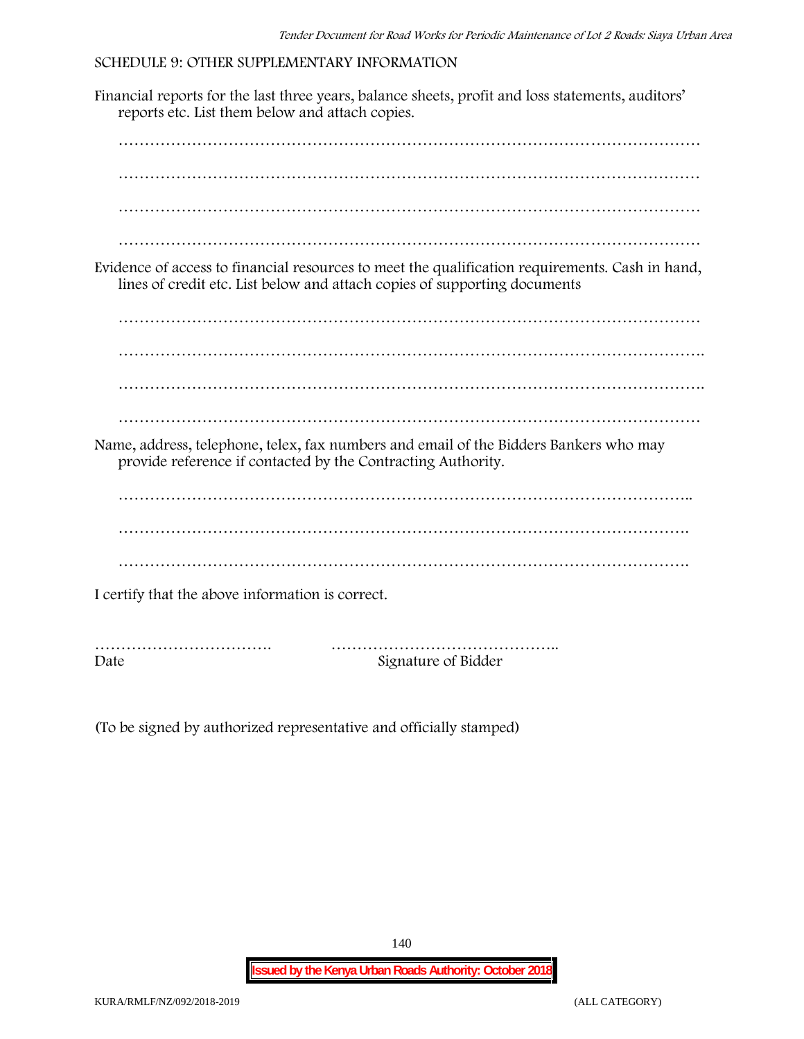#### **SCHEDULE 9: OTHER SUPPLEMENTARY INFORMATION**

Financial reports for the last three years, balance sheets, profit and loss statements, auditors' reports etc. List them below and attach copies. ………………………………………………………………………………………………… ………………………………………………………………………………………………… ………………………………………………………………………………………………… ………………………………………………………………………………………………… Evidence of access to financial resources to meet the qualification requirements. Cash in hand, lines of credit etc. List below and attach copies of supporting documents ………………………………………………………………………………………………… …………………………………………………………………………………………………. ………………………………………………………………………………………………… Name, address, telephone, telex, fax numbers and email of the Bidders Bankers who may provide reference if contacted by the Contracting Authority. ……………………………………………………………………………………………….. ………………………………………………………………………………………………. ………………………………………………………………………………………………. I certify that the above information is correct. ……………………………. …………………………………….. Date Signature of Bidder

(To be signed by authorized representative and officially stamped)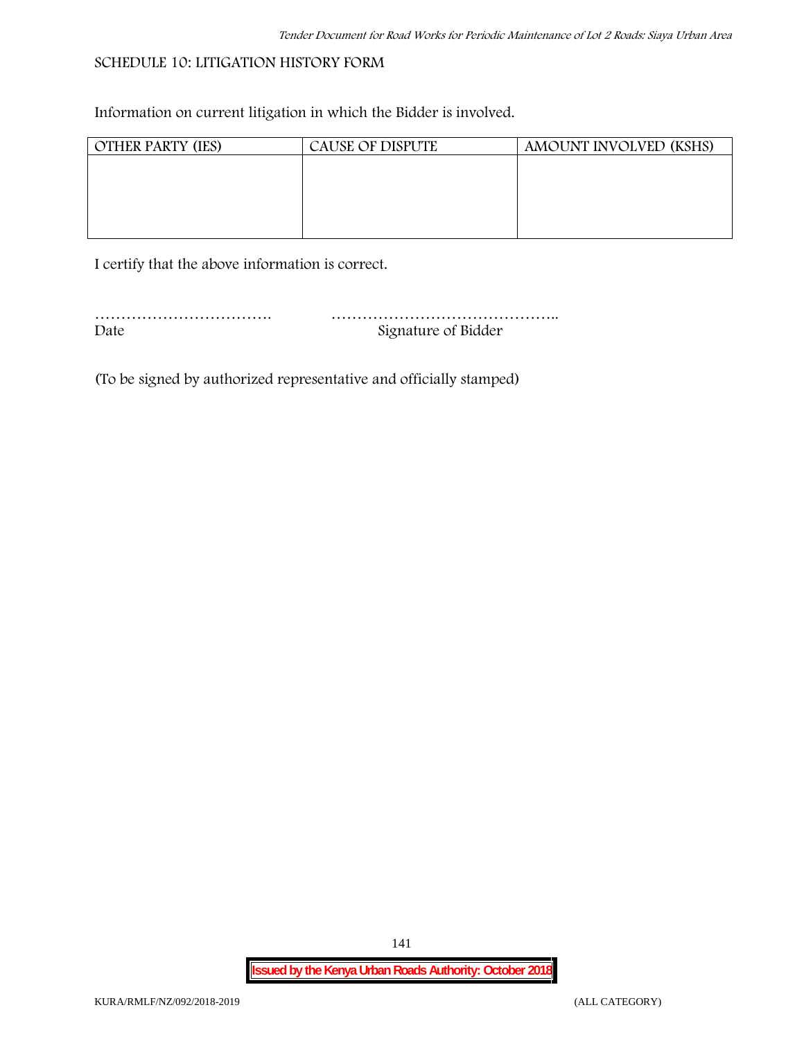#### **SCHEDULE 10: LITIGATION HISTORY FORM**

Information on current litigation in which the Bidder is involved.

| <b>OTHER PARTY (IES)</b> | <b>CAUSE OF DISPUTE</b> | AMOUNT INVOLVED (KSHS) |
|--------------------------|-------------------------|------------------------|
|                          |                         |                        |
|                          |                         |                        |
|                          |                         |                        |
|                          |                         |                        |
|                          |                         |                        |

I certify that the above information is correct.

| Date | Signature of Bidder |
|------|---------------------|

(To be signed by authorized representative and officially stamped)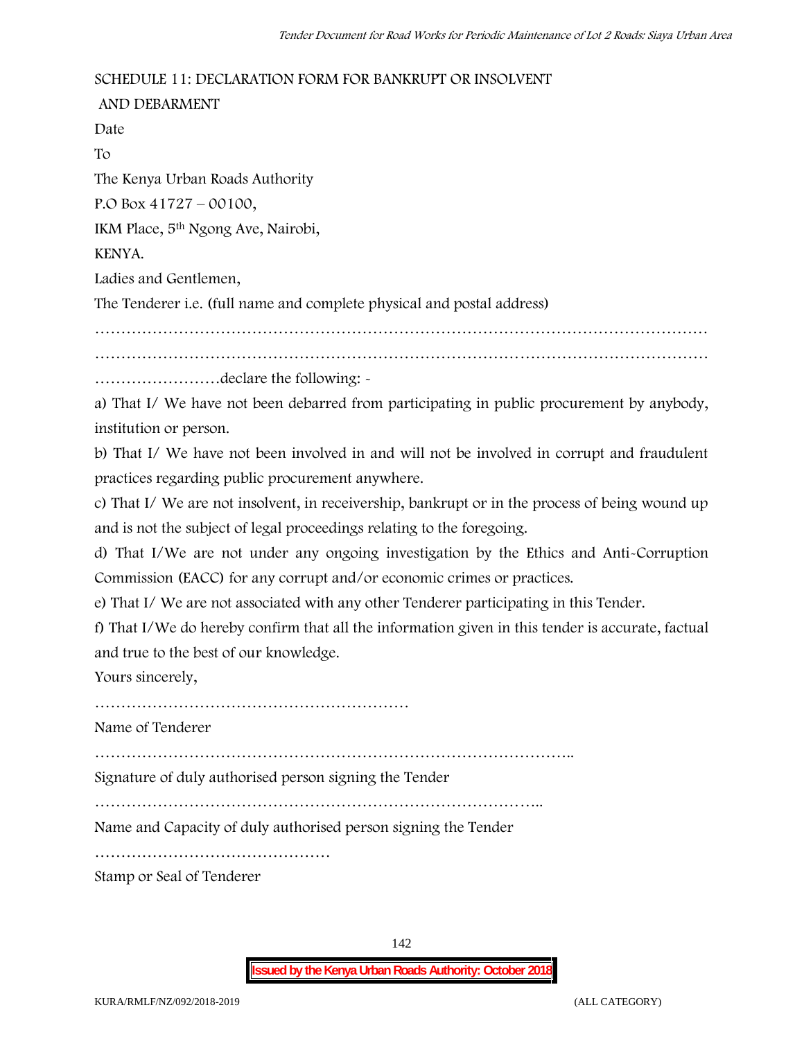#### **SCHEDULE 11: DECLARATION FORM FOR BANKRUPT OR INSOLVENT**

**AND DEBARMENT** Date To The Kenya Urban Roads Authority P.O Box 41727 – 00100, IKM Place, 5th Ngong Ave, Nairobi, KENYA. Ladies and Gentlemen, The Tenderer i.e. (full name and complete physical and postal address) ……………………………………………………………………………………………………… ……………………declare the following: -

a) That I/ We have not been debarred from participating in public procurement by anybody, institution or person.

b) That I/ We have not been involved in and will not be involved in corrupt and fraudulent practices regarding public procurement anywhere.

c) That I/ We are not insolvent, in receivership, bankrupt or in the process of being wound up and is not the subject of legal proceedings relating to the foregoing.

d) That I/We are not under any ongoing investigation by the Ethics and Anti-Corruption Commission (EACC) for any corrupt and/or economic crimes or practices.

e) That I/ We are not associated with any other Tenderer participating in this Tender.

f) That I/We do hereby confirm that all the information given in this tender is accurate, factual and true to the best of our knowledge.

Yours sincerely,

……………………………………………………

Name of Tenderer

………………………………………………………………………………..

Signature of duly authorised person signing the Tender

…………………………………………………………………………..

Name and Capacity of duly authorised person signing the Tender

………………………………………

Stamp or Seal of Tenderer

142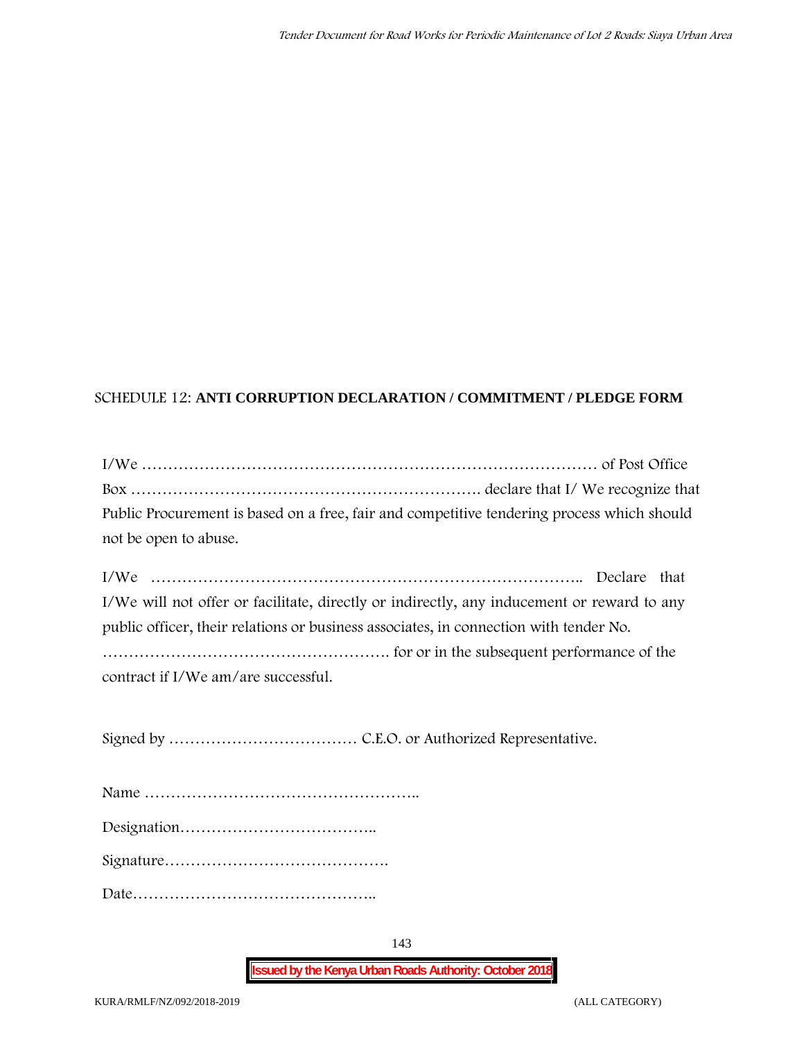### **SCHEDULE 12: ANTI CORRUPTION DECLARATION / COMMITMENT / PLEDGE FORM**

| Public Procurement is based on a free, fair and competitive tendering process which should |  |
|--------------------------------------------------------------------------------------------|--|
| not be open to abuse.                                                                      |  |

I/We ……………………………………………………………………….. Declare that I/We will not offer or facilitate, directly or indirectly, any inducement or reward to any public officer, their relations or business associates, in connection with tender No. ………………………………………………. for or in the subsequent performance of the contract if I/We am/are successful.

Signed by ……………………………… C.E.O. or Authorized Representative.

143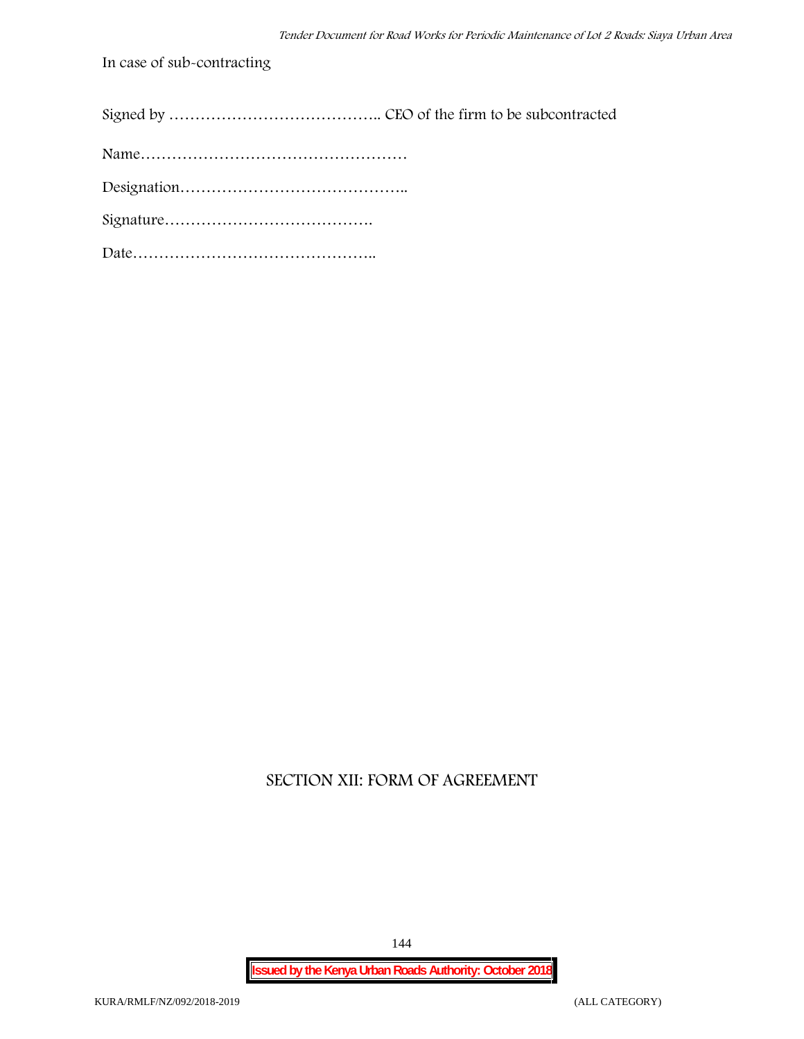**In case of sub-contracting**

Signed by ………………………………….. CEO of the firm to be subcontracted

Name……………………………………………

Designation……………………………………..

Signature………………………………….

Date………………………………………..

## **SECTION XII: FORM OF AGREEMENT**

**Issued by the Kenya Urban Roads Authority: October 2018**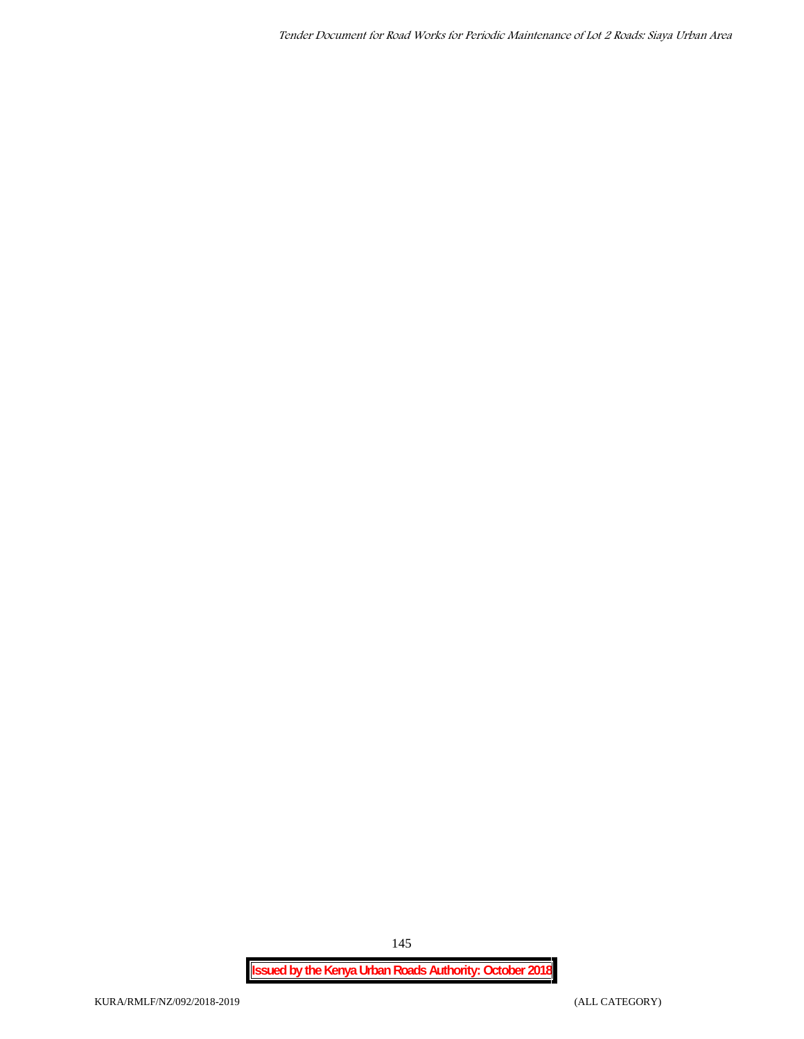*Tender Document for Road Works for Periodic Maintenance of Lot 2 Roads: Siaya Urban Area*

**Issued by the Kenya Urban Roads Authority: October 2018**

145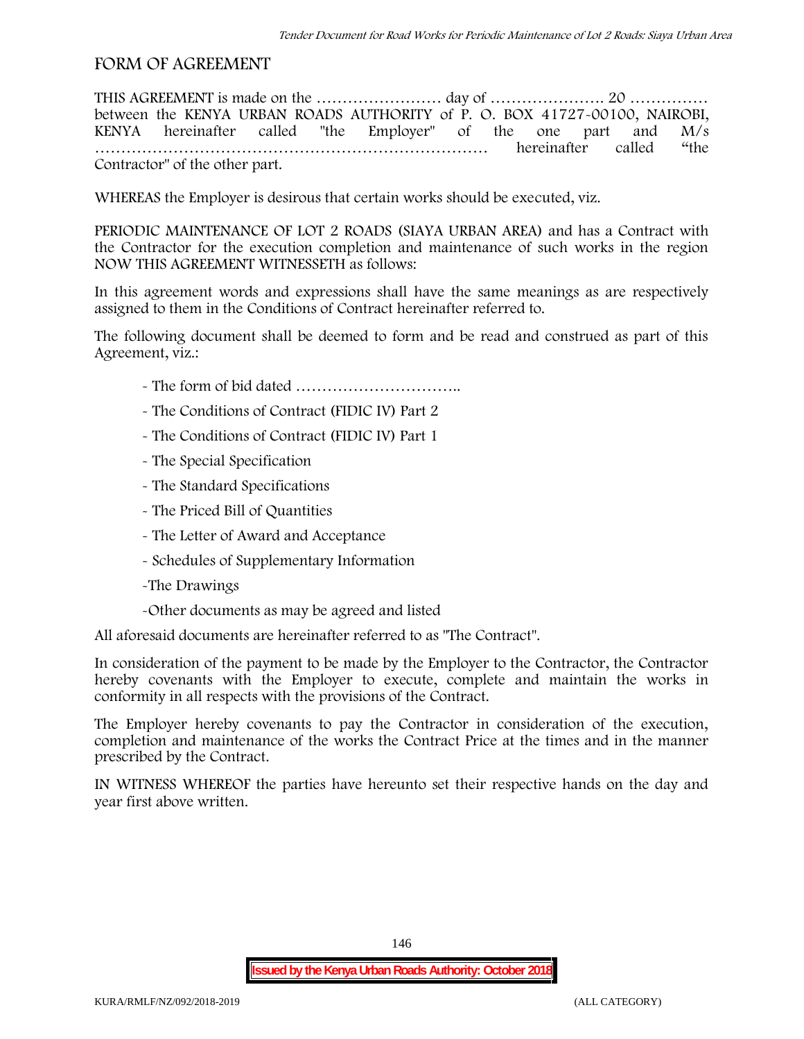# **FORM OF AGREEMENT**

THIS AGREEMENT is made on the …………………… day of …………………. 20 …………… between the **KENYA URBAN ROADS AUTHORITY** of **P.O. BOX 41727-00100, NAIROBI, KENYA** hereinafter called "the Employer" of the one part and **M/s …………………………………………………………………** hereinafter called "the Contractor" of the other part.

WHEREAS the Employer is desirous that certain works should be executed, viz.

**PERIODIC MAINTENANCE OF LOT 2 ROADS (SIAYA URBAN AREA)** and has a Contract with the Contractor for the execution completion and maintenance of such works in the region NOW THIS AGREEMENT WITNESSETH as follows:

In this agreement words and expressions shall have the same meanings as are respectively assigned to them in the Conditions of Contract hereinafter referred to.

The following document shall be deemed to form and be read and construed as part of this Agreement, viz.:

- The form of bid dated **…………………………..**
- The Conditions of Contract (FIDIC IV) Part 2
- The Conditions of Contract (FIDIC IV) Part 1
- The Special Specification
- The Standard Specifications
- The Priced Bill of Quantities
- The Letter of Award and Acceptance
- Schedules of Supplementary Information
- -The Drawings
- -Other documents as may be agreed and listed

All aforesaid documents are hereinafter referred to as "The Contract".

In consideration of the payment to be made by the Employer to the Contractor, the Contractor hereby covenants with the Employer to execute, complete and maintain the works in conformity in all respects with the provisions of the Contract.

The Employer hereby covenants to pay the Contractor in consideration of the execution, completion and maintenance of the works the Contract Price at the times and in the manner prescribed by the Contract.

IN WITNESS WHEREOF the parties have hereunto set their respective hands on the day and year first above written.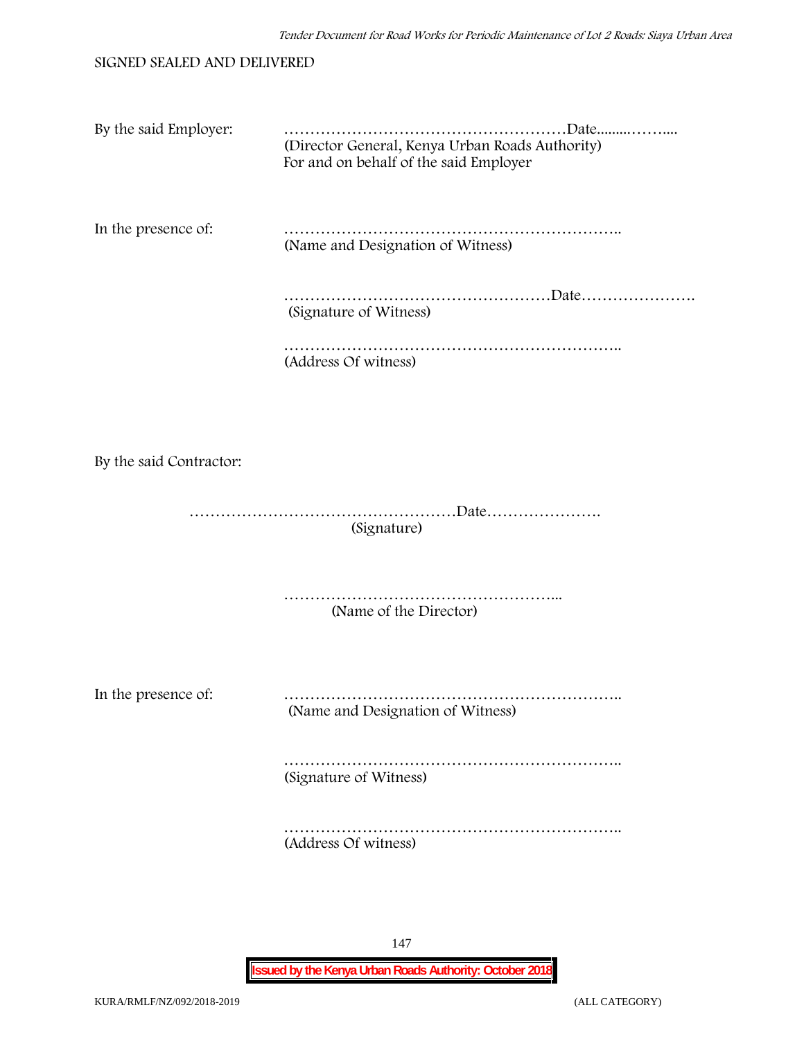### SIGNED SEALED AND DELIVERED

| By the said Employer:   | (Director General, Kenya Urban Roads Authority)<br>For and on behalf of the said Employer |
|-------------------------|-------------------------------------------------------------------------------------------|
| In the presence of:     | (Name and Designation of Witness)                                                         |
|                         | (Signature of Witness)                                                                    |
|                         | (Address Of witness)                                                                      |
|                         |                                                                                           |
| By the said Contractor: |                                                                                           |
|                         | (Signature)                                                                               |
|                         | (Name of the Director)                                                                    |
| In the presence of:     | (Name and Designation of Witness)                                                         |
|                         | (Signature of Witness)                                                                    |
|                         | (Address Of witness)                                                                      |

**Issued by the Kenya Urban Roads Authority: October 2018**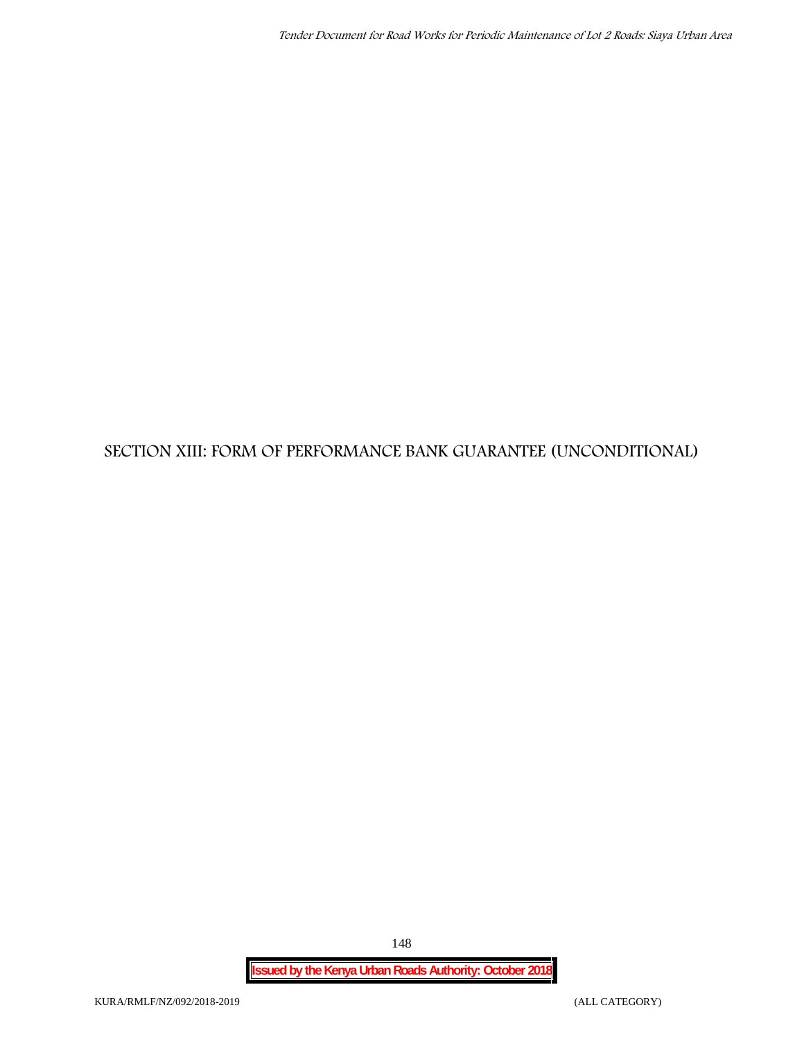# **SECTION XIII: FORM OF PERFORMANCE BANK GUARANTEE (UNCONDITIONAL)**

**Issued by the Kenya Urban Roads Authority: October 2018**

148